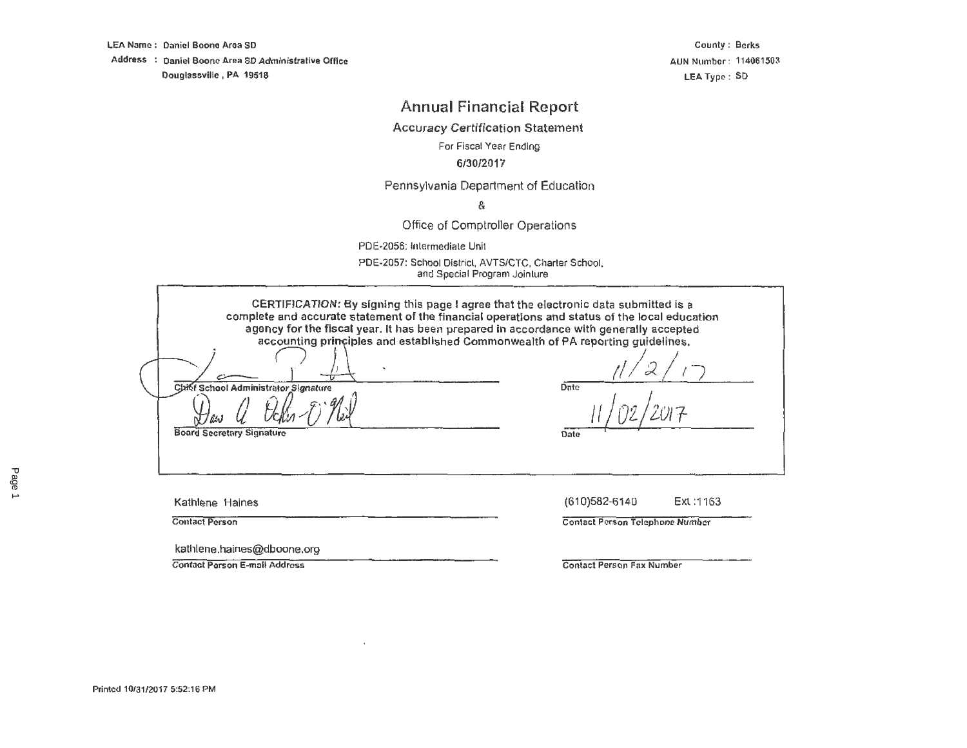LEA Name : Daniel Boone Area SD

Address : Daniel Boone Area SD Administrative Office Douglassville, PA 19518

County: Berks AUN Number : 114061503 LEA Type: SD

# **Annual Financial Report**

Accuracy Certification Statement

For Fiscal Year Ending

### 6/30/2017

### Pennsylvania Oeparlment of Education

&

### Office of Comptroller Operations

PDE-2056: lnlermediale Unit

PDE-2057: School District, AVTS/CTC, Charter School. and Special Program Joinlure

| CERTIFICATION: By signing this page I agree that the electronic data submitted is a<br>complete and accurate statement of the financial operations and status of the local education<br>agency for the fiscal year. It has been prepared in accordance with generally accepted<br>accounting principles and established Commonwealth of PA reporting quidelines.<br>Chief School Administrator Signature<br><b>Board Secretary Signature</b> | Date<br>Date                                                         |
|----------------------------------------------------------------------------------------------------------------------------------------------------------------------------------------------------------------------------------------------------------------------------------------------------------------------------------------------------------------------------------------------------------------------------------------------|----------------------------------------------------------------------|
| Kathlene Haines<br><b>Contact Person</b>                                                                                                                                                                                                                                                                                                                                                                                                     | Ext: 1163<br>(610)582-6140<br><b>Contact Person Telephone Number</b> |
| kathlene.haines@dboone.org<br><b>Contact Person E-mail Address</b>                                                                                                                                                                                                                                                                                                                                                                           | Contact Person Fax Number                                            |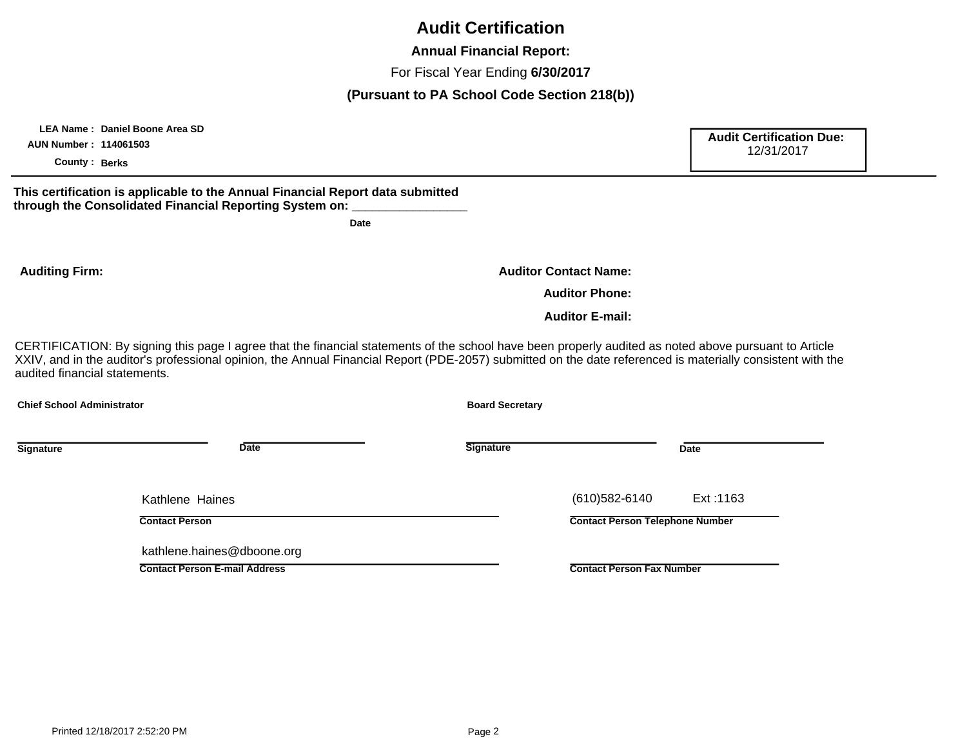# **Audit Certification**

**Annual Financial Report:**

For Fiscal Year Ending **6/30/2017**

### **(Pursuant to PA School Code Section 218(b))**

**Audit Certification Due:** 

CERTIFICATION: By signing this page I agree that the financial statements of the school have been properly audited as noted above pursuant to Article XXIV, and in the auditor's professional opinion, the Annual Financial Report (PDE-2057) submitted on the date referenced is materially consistent with the audited financial statements. **Signature Date Signature Date Chief School Administrator Board Secretary Contact Person Contact Person E-mail Address Contact Person Telephone Number Contact Person Fax Number** Kathlene Haines kathlene.haines@dboone.org (610)582-6140 Ext :1163 **Auditing Firm: Auditor Phone: Auditor E-mail: Auditor Contact Name: AUN Number : 114061503 County : Berks** 12/31/2017 **This certification is applicable to the Annual Financial Report data submitted**  through the Consolidated Financial Reporting System on: **Date**

 **LEA Name : Daniel Boone Area SD**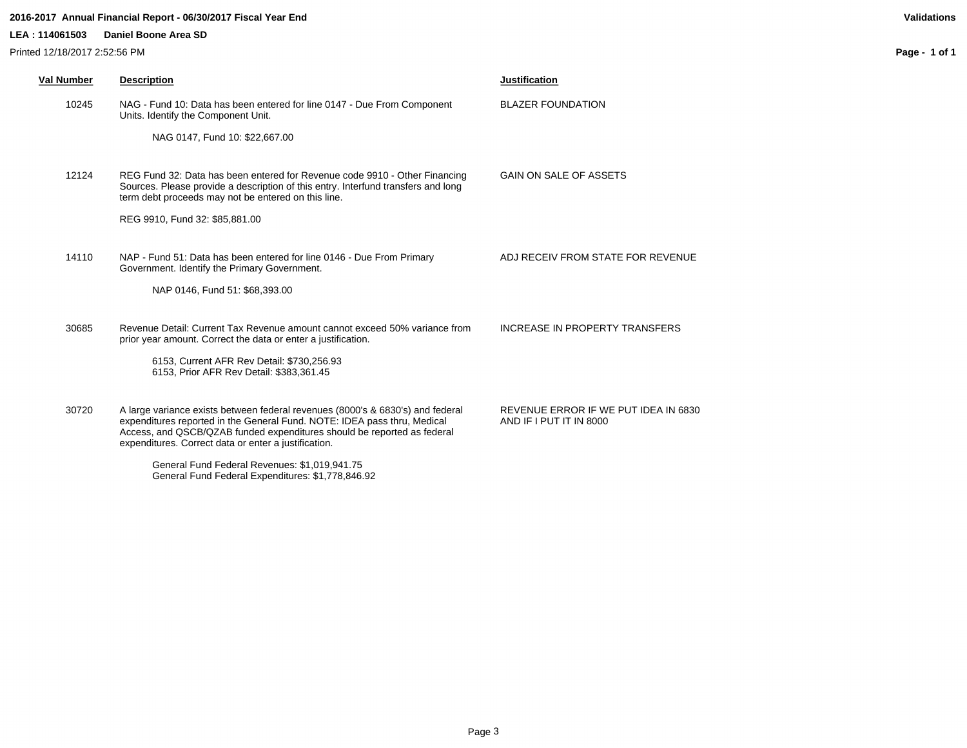#### **2016-2017 Annual Financial Report - 06/30/2017 Fiscal Year End Validations**

#### **LEA : 114061503 Daniel Boone Area SD**

Printed 12/18/2017 2:52:56 PM

**Page - 1 of 1**

| Val Number | <b>Description</b>                                                                                                                                                                                                                                                                            | <b>Justification</b>                                            |
|------------|-----------------------------------------------------------------------------------------------------------------------------------------------------------------------------------------------------------------------------------------------------------------------------------------------|-----------------------------------------------------------------|
| 10245      | NAG - Fund 10: Data has been entered for line 0147 - Due From Component<br>Units. Identify the Component Unit.                                                                                                                                                                                | <b>BLAZER FOUNDATION</b>                                        |
|            | NAG 0147, Fund 10: \$22,667.00                                                                                                                                                                                                                                                                |                                                                 |
| 12124      | REG Fund 32: Data has been entered for Revenue code 9910 - Other Financing<br>Sources. Please provide a description of this entry. Interfund transfers and long<br>term debt proceeds may not be entered on this line.                                                                        | GAIN ON SALE OF ASSETS                                          |
|            | REG 9910, Fund 32: \$85,881.00                                                                                                                                                                                                                                                                |                                                                 |
| 14110      | NAP - Fund 51: Data has been entered for line 0146 - Due From Primary<br>Government. Identify the Primary Government.                                                                                                                                                                         | ADJ RECEIV FROM STATE FOR REVENUE                               |
|            | NAP 0146, Fund 51: \$68,393.00                                                                                                                                                                                                                                                                |                                                                 |
| 30685      | Revenue Detail: Current Tax Revenue amount cannot exceed 50% variance from<br>prior year amount. Correct the data or enter a justification.<br>6153, Current AFR Rev Detail: \$730,256.93                                                                                                     | INCREASE IN PROPERTY TRANSFERS                                  |
|            | 6153, Prior AFR Rev Detail: \$383,361.45                                                                                                                                                                                                                                                      |                                                                 |
| 30720      | A large variance exists between federal revenues (8000's & 6830's) and federal<br>expenditures reported in the General Fund. NOTE: IDEA pass thru, Medical<br>Access, and QSCB/QZAB funded expenditures should be reported as federal<br>expenditures. Correct data or enter a justification. | REVENUE ERROR IF WE PUT IDEA IN 6830<br>AND IF I PUT IT IN 8000 |
|            | General Fund Federal Revenues: \$1,019,941,75                                                                                                                                                                                                                                                 |                                                                 |

General Fund Federal Expenditures: \$1,778,846.92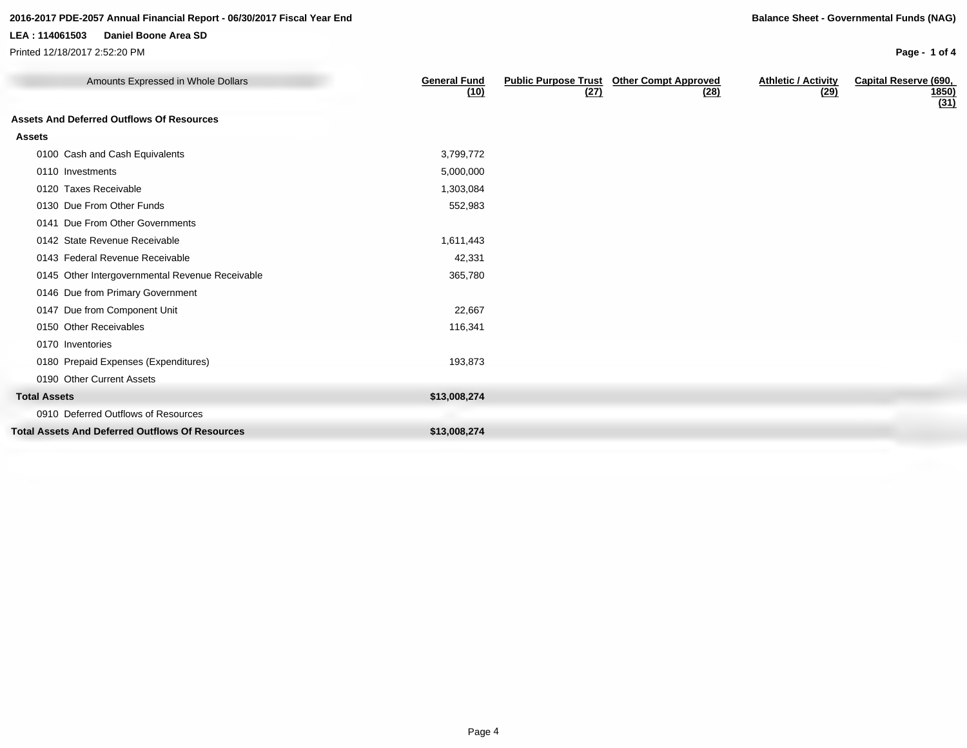### **LEA : 114061503 Daniel Boone Area SD**

Printed 12/18/2017 2:52:20 PM

**Page - 1 of 4**

| Amounts Expressed in Whole Dollars                     | <b>General Fund</b><br>(10) | <b>Public Purpose Trust</b><br>(27) | <b>Other Compt Approved</b><br>(28) | <b>Athletic / Activity</b><br>(29) | <b>Capital Reserve (690,</b><br><u>1850)</u><br>(31) |
|--------------------------------------------------------|-----------------------------|-------------------------------------|-------------------------------------|------------------------------------|------------------------------------------------------|
| <b>Assets And Deferred Outflows Of Resources</b>       |                             |                                     |                                     |                                    |                                                      |
| <b>Assets</b>                                          |                             |                                     |                                     |                                    |                                                      |
| 0100 Cash and Cash Equivalents                         | 3,799,772                   |                                     |                                     |                                    |                                                      |
| 0110 Investments                                       | 5,000,000                   |                                     |                                     |                                    |                                                      |
| 0120 Taxes Receivable                                  | 1,303,084                   |                                     |                                     |                                    |                                                      |
| 0130 Due From Other Funds                              | 552,983                     |                                     |                                     |                                    |                                                      |
| 0141 Due From Other Governments                        |                             |                                     |                                     |                                    |                                                      |
| 0142 State Revenue Receivable                          | 1,611,443                   |                                     |                                     |                                    |                                                      |
| 0143 Federal Revenue Receivable                        | 42,331                      |                                     |                                     |                                    |                                                      |
| 0145 Other Intergovernmental Revenue Receivable        | 365,780                     |                                     |                                     |                                    |                                                      |
| 0146 Due from Primary Government                       |                             |                                     |                                     |                                    |                                                      |
| 0147 Due from Component Unit                           | 22,667                      |                                     |                                     |                                    |                                                      |
| 0150 Other Receivables                                 | 116,341                     |                                     |                                     |                                    |                                                      |
| 0170 Inventories                                       |                             |                                     |                                     |                                    |                                                      |
| 0180 Prepaid Expenses (Expenditures)                   | 193,873                     |                                     |                                     |                                    |                                                      |
| 0190 Other Current Assets                              |                             |                                     |                                     |                                    |                                                      |
| <b>Total Assets</b>                                    | \$13,008,274                |                                     |                                     |                                    |                                                      |
| 0910 Deferred Outflows of Resources                    |                             |                                     |                                     |                                    |                                                      |
| <b>Total Assets And Deferred Outflows Of Resources</b> | \$13,008,274                |                                     |                                     |                                    |                                                      |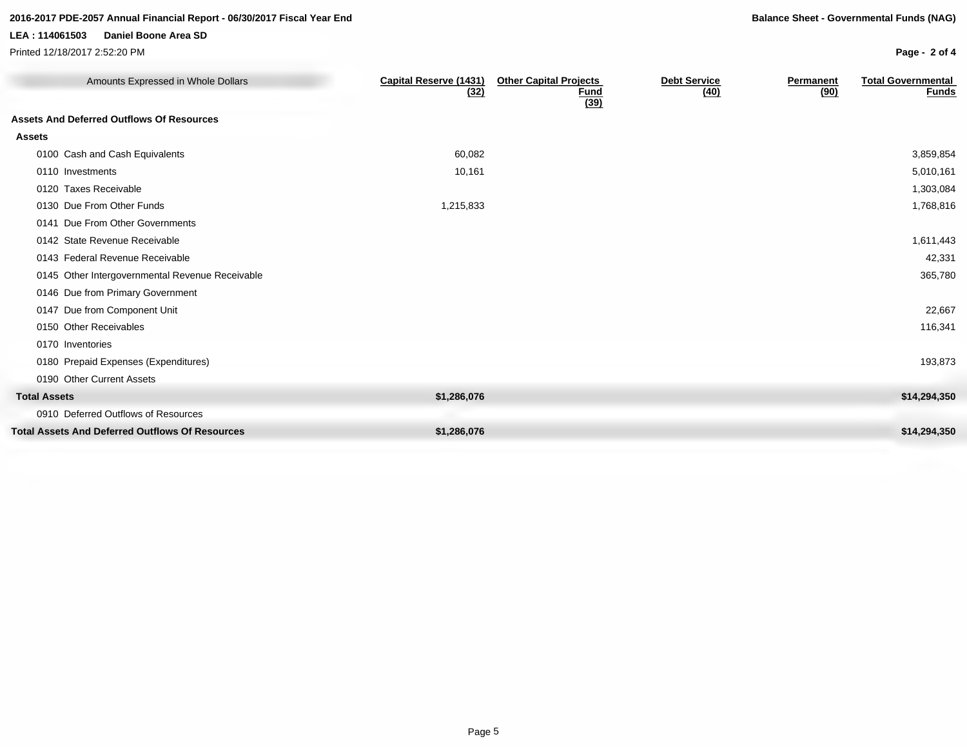#### **LEA : 114061503 Daniel Boone Area SD**

Printed 12/18/2017 2:52:20 PM

**Page - 2 of 4**

| Amounts Expressed in Whole Dollars               | <b>Capital Reserve (1431)</b><br>(32) | <b>Other Capital Projects</b><br>Fund<br>(39) | <b>Debt Service</b><br>(40) | <b>Permanent</b><br>(90) | <b>Total Governmental</b><br><b>Funds</b> |
|--------------------------------------------------|---------------------------------------|-----------------------------------------------|-----------------------------|--------------------------|-------------------------------------------|
| <b>Assets And Deferred Outflows Of Resources</b> |                                       |                                               |                             |                          |                                           |
| <b>Assets</b>                                    |                                       |                                               |                             |                          |                                           |
| 0100 Cash and Cash Equivalents                   | 60,082                                |                                               |                             |                          | 3,859,854                                 |
| 0110 Investments                                 | 10,161                                |                                               |                             |                          | 5,010,161                                 |
| 0120 Taxes Receivable                            |                                       |                                               |                             |                          | 1,303,084                                 |
| 0130 Due From Other Funds                        | 1,215,833                             |                                               |                             |                          | 1,768,816                                 |
| 0141 Due From Other Governments                  |                                       |                                               |                             |                          |                                           |
| 0142 State Revenue Receivable                    |                                       |                                               |                             |                          | 1,611,443                                 |
| 0143 Federal Revenue Receivable                  |                                       |                                               |                             |                          | 42,331                                    |
| 0145 Other Intergovernmental Revenue Receivable  |                                       |                                               |                             |                          | 365,780                                   |
| 0146 Due from Primary Government                 |                                       |                                               |                             |                          |                                           |
| 0147 Due from Component Unit                     |                                       |                                               |                             |                          | 22,667                                    |
| 0150 Other Receivables                           |                                       |                                               |                             |                          | 116,341                                   |
| 0170 Inventories                                 |                                       |                                               |                             |                          |                                           |
| 0180 Prepaid Expenses (Expenditures)             |                                       |                                               |                             |                          | 193,873                                   |
| 0190 Other Current Assets                        |                                       |                                               |                             |                          |                                           |
| <b>Total Assets</b>                              | \$1,286,076                           |                                               |                             |                          | \$14,294,350                              |
| 0910 Deferred Outflows of Resources              |                                       |                                               |                             |                          |                                           |
| Total Assets And Deferred Outflows Of Resources  | \$1,286,076                           |                                               |                             |                          | \$14,294,350                              |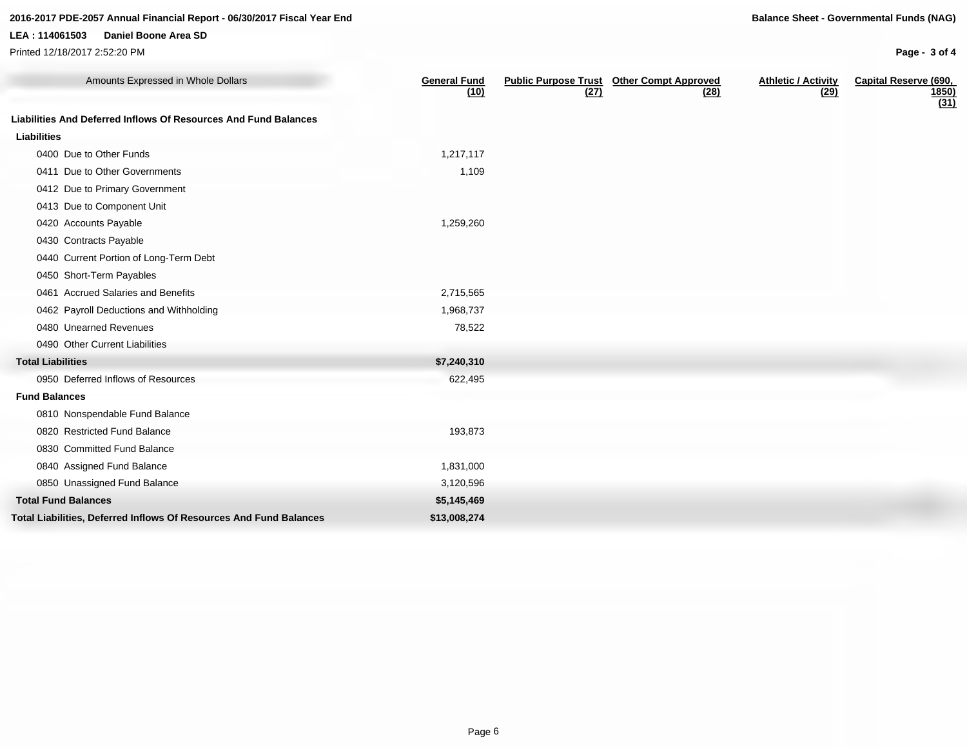### **LEA : 114061503 Daniel Boone Area SD**

Printed 12/18/2017 2:52:20 PM

**Page - 3 of 4**

| Amounts Expressed in Whole Dollars                                 | <b>General Fund</b><br>(10) | <b>Public Purpose Trust</b><br>(27) | <b>Other Compt Approved</b><br>(28) | <b>Athletic / Activity</b><br>(29) | <b>Capital Reserve (690,</b><br><u>1850)</u><br>(31) |
|--------------------------------------------------------------------|-----------------------------|-------------------------------------|-------------------------------------|------------------------------------|------------------------------------------------------|
| Liabilities And Deferred Inflows Of Resources And Fund Balances    |                             |                                     |                                     |                                    |                                                      |
| <b>Liabilities</b>                                                 |                             |                                     |                                     |                                    |                                                      |
| 0400 Due to Other Funds                                            | 1,217,117                   |                                     |                                     |                                    |                                                      |
| 0411 Due to Other Governments                                      | 1,109                       |                                     |                                     |                                    |                                                      |
| 0412 Due to Primary Government                                     |                             |                                     |                                     |                                    |                                                      |
| 0413 Due to Component Unit                                         |                             |                                     |                                     |                                    |                                                      |
| 0420 Accounts Payable                                              | 1,259,260                   |                                     |                                     |                                    |                                                      |
| 0430 Contracts Payable                                             |                             |                                     |                                     |                                    |                                                      |
| 0440 Current Portion of Long-Term Debt                             |                             |                                     |                                     |                                    |                                                      |
| 0450 Short-Term Payables                                           |                             |                                     |                                     |                                    |                                                      |
| 0461 Accrued Salaries and Benefits                                 | 2,715,565                   |                                     |                                     |                                    |                                                      |
| 0462 Payroll Deductions and Withholding                            | 1,968,737                   |                                     |                                     |                                    |                                                      |
| 0480 Unearned Revenues                                             | 78,522                      |                                     |                                     |                                    |                                                      |
| 0490 Other Current Liabilities                                     |                             |                                     |                                     |                                    |                                                      |
| <b>Total Liabilities</b>                                           | \$7,240,310                 |                                     |                                     |                                    |                                                      |
| 0950 Deferred Inflows of Resources                                 | 622,495                     |                                     |                                     |                                    |                                                      |
| <b>Fund Balances</b>                                               |                             |                                     |                                     |                                    |                                                      |
| 0810 Nonspendable Fund Balance                                     |                             |                                     |                                     |                                    |                                                      |
| 0820 Restricted Fund Balance                                       | 193,873                     |                                     |                                     |                                    |                                                      |
| 0830 Committed Fund Balance                                        |                             |                                     |                                     |                                    |                                                      |
| 0840 Assigned Fund Balance                                         | 1,831,000                   |                                     |                                     |                                    |                                                      |
| 0850 Unassigned Fund Balance                                       | 3,120,596                   |                                     |                                     |                                    |                                                      |
| <b>Total Fund Balances</b>                                         | \$5,145,469                 |                                     |                                     |                                    |                                                      |
| Total Liabilities, Deferred Inflows Of Resources And Fund Balances | \$13,008,274                |                                     |                                     |                                    |                                                      |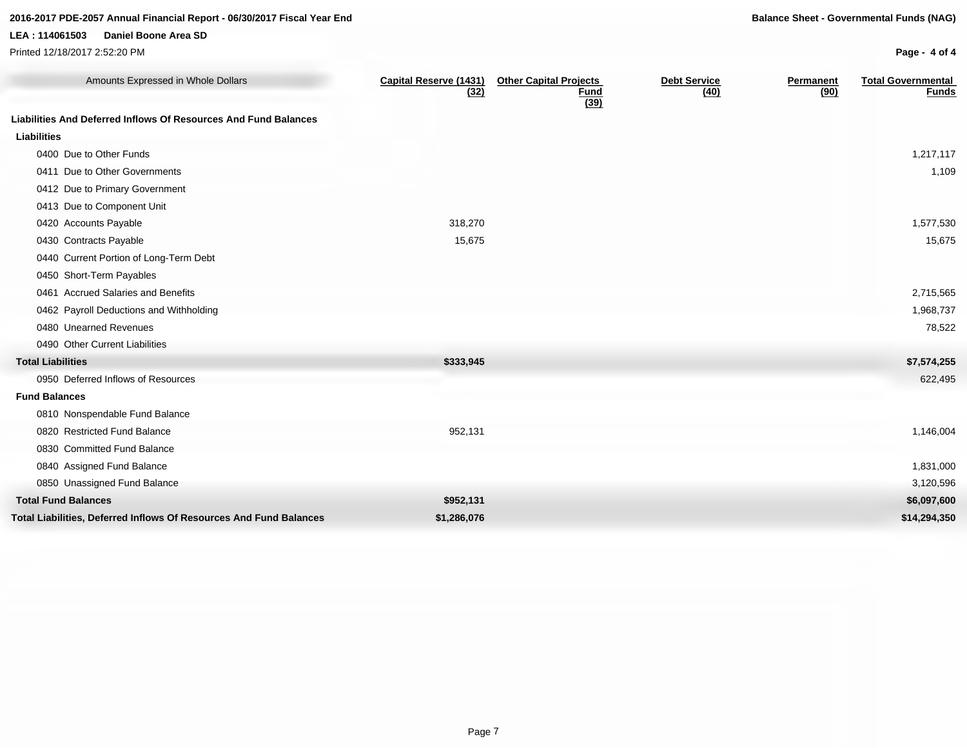### **LEA : 114061503 Daniel Boone Area SD**

Printed 12/18/2017 2:52:20 PM

**Page - 4 of 4**

| Amounts Expressed in Whole Dollars                                 | <b>Capital Reserve (1431)</b><br>(32) | <b>Other Capital Projects</b><br><u>Fund</u><br>(39) | <b>Debt Service</b><br>(40) | <b>Permanent</b><br>(90) | <b>Total Governmental</b><br><u>Funds</u> |
|--------------------------------------------------------------------|---------------------------------------|------------------------------------------------------|-----------------------------|--------------------------|-------------------------------------------|
| Liabilities And Deferred Inflows Of Resources And Fund Balances    |                                       |                                                      |                             |                          |                                           |
| <b>Liabilities</b>                                                 |                                       |                                                      |                             |                          |                                           |
| 0400 Due to Other Funds                                            |                                       |                                                      |                             |                          | 1,217,117                                 |
| 0411 Due to Other Governments                                      |                                       |                                                      |                             |                          | 1,109                                     |
| 0412 Due to Primary Government                                     |                                       |                                                      |                             |                          |                                           |
| 0413 Due to Component Unit                                         |                                       |                                                      |                             |                          |                                           |
| 0420 Accounts Payable                                              | 318,270                               |                                                      |                             |                          | 1,577,530                                 |
| 0430 Contracts Payable                                             | 15,675                                |                                                      |                             |                          | 15,675                                    |
| 0440 Current Portion of Long-Term Debt                             |                                       |                                                      |                             |                          |                                           |
| 0450 Short-Term Payables                                           |                                       |                                                      |                             |                          |                                           |
| 0461 Accrued Salaries and Benefits                                 |                                       |                                                      |                             |                          | 2,715,565                                 |
| 0462 Payroll Deductions and Withholding                            |                                       |                                                      |                             |                          | 1,968,737                                 |
| 0480 Unearned Revenues                                             |                                       |                                                      |                             |                          | 78,522                                    |
| 0490 Other Current Liabilities                                     |                                       |                                                      |                             |                          |                                           |
| <b>Total Liabilities</b>                                           | \$333,945                             |                                                      |                             |                          | \$7,574,255                               |
| 0950 Deferred Inflows of Resources                                 |                                       |                                                      |                             |                          | 622,495                                   |
| <b>Fund Balances</b>                                               |                                       |                                                      |                             |                          |                                           |
| 0810 Nonspendable Fund Balance                                     |                                       |                                                      |                             |                          |                                           |
| 0820 Restricted Fund Balance                                       | 952,131                               |                                                      |                             |                          | 1,146,004                                 |
| 0830 Committed Fund Balance                                        |                                       |                                                      |                             |                          |                                           |
| 0840 Assigned Fund Balance                                         |                                       |                                                      |                             |                          | 1,831,000                                 |
| 0850 Unassigned Fund Balance                                       |                                       |                                                      |                             |                          | 3,120,596                                 |
| <b>Total Fund Balances</b>                                         | \$952,131                             |                                                      |                             |                          | \$6,097,600                               |
| Total Liabilities, Deferred Inflows Of Resources And Fund Balances | \$1,286,076                           |                                                      |                             |                          | \$14,294,350                              |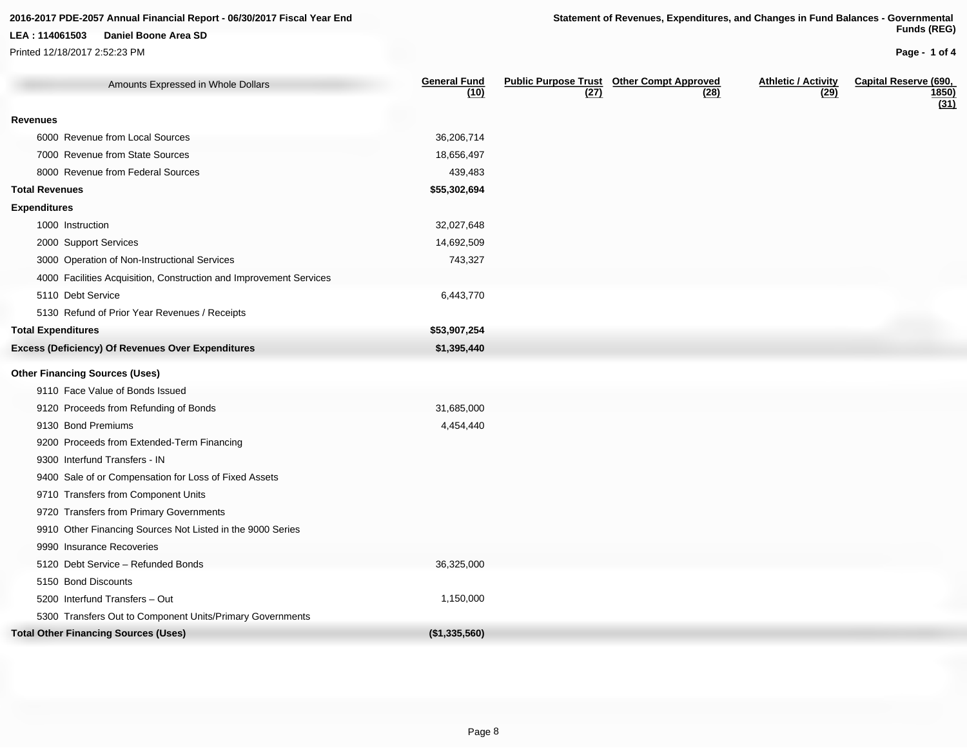Printed 12/18/2017 2:52:23 PM

**Page - 1 of 4**

| Amounts Expressed in Whole Dollars                                 | <b>General Fund</b><br>(10) | (27) | <b>Public Purpose Trust Other Compt Approved</b><br>(28) | <b>Athletic / Activity</b><br>(29) | <b>Capital Reserve (690,</b><br><u>1850)</u><br>(31) |
|--------------------------------------------------------------------|-----------------------------|------|----------------------------------------------------------|------------------------------------|------------------------------------------------------|
| <b>Revenues</b>                                                    |                             |      |                                                          |                                    |                                                      |
| 6000 Revenue from Local Sources                                    | 36,206,714                  |      |                                                          |                                    |                                                      |
| 7000 Revenue from State Sources                                    | 18,656,497                  |      |                                                          |                                    |                                                      |
| 8000 Revenue from Federal Sources                                  | 439,483                     |      |                                                          |                                    |                                                      |
| <b>Total Revenues</b>                                              | \$55,302,694                |      |                                                          |                                    |                                                      |
| <b>Expenditures</b>                                                |                             |      |                                                          |                                    |                                                      |
| 1000 Instruction                                                   | 32,027,648                  |      |                                                          |                                    |                                                      |
| 2000 Support Services                                              | 14,692,509                  |      |                                                          |                                    |                                                      |
| 3000 Operation of Non-Instructional Services                       | 743,327                     |      |                                                          |                                    |                                                      |
| 4000 Facilities Acquisition, Construction and Improvement Services |                             |      |                                                          |                                    |                                                      |
| 5110 Debt Service                                                  | 6,443,770                   |      |                                                          |                                    |                                                      |
| 5130 Refund of Prior Year Revenues / Receipts                      |                             |      |                                                          |                                    |                                                      |
| <b>Total Expenditures</b>                                          | \$53,907,254                |      |                                                          |                                    |                                                      |
| <b>Excess (Deficiency) Of Revenues Over Expenditures</b>           | \$1,395,440                 |      |                                                          |                                    |                                                      |
| <b>Other Financing Sources (Uses)</b>                              |                             |      |                                                          |                                    |                                                      |
| 9110 Face Value of Bonds Issued                                    |                             |      |                                                          |                                    |                                                      |
| 9120 Proceeds from Refunding of Bonds                              | 31,685,000                  |      |                                                          |                                    |                                                      |
| 9130 Bond Premiums                                                 | 4,454,440                   |      |                                                          |                                    |                                                      |
| 9200 Proceeds from Extended-Term Financing                         |                             |      |                                                          |                                    |                                                      |
| 9300 Interfund Transfers - IN                                      |                             |      |                                                          |                                    |                                                      |
| 9400 Sale of or Compensation for Loss of Fixed Assets              |                             |      |                                                          |                                    |                                                      |
| 9710 Transfers from Component Units                                |                             |      |                                                          |                                    |                                                      |
| 9720 Transfers from Primary Governments                            |                             |      |                                                          |                                    |                                                      |
| 9910 Other Financing Sources Not Listed in the 9000 Series         |                             |      |                                                          |                                    |                                                      |
| 9990 Insurance Recoveries                                          |                             |      |                                                          |                                    |                                                      |
| 5120 Debt Service - Refunded Bonds                                 | 36,325,000                  |      |                                                          |                                    |                                                      |
| 5150 Bond Discounts                                                |                             |      |                                                          |                                    |                                                      |
| 5200 Interfund Transfers - Out                                     | 1,150,000                   |      |                                                          |                                    |                                                      |
| 5300 Transfers Out to Component Units/Primary Governments          |                             |      |                                                          |                                    |                                                      |
| <b>Total Other Financing Sources (Uses)</b>                        | (\$1,335,560)               |      |                                                          |                                    |                                                      |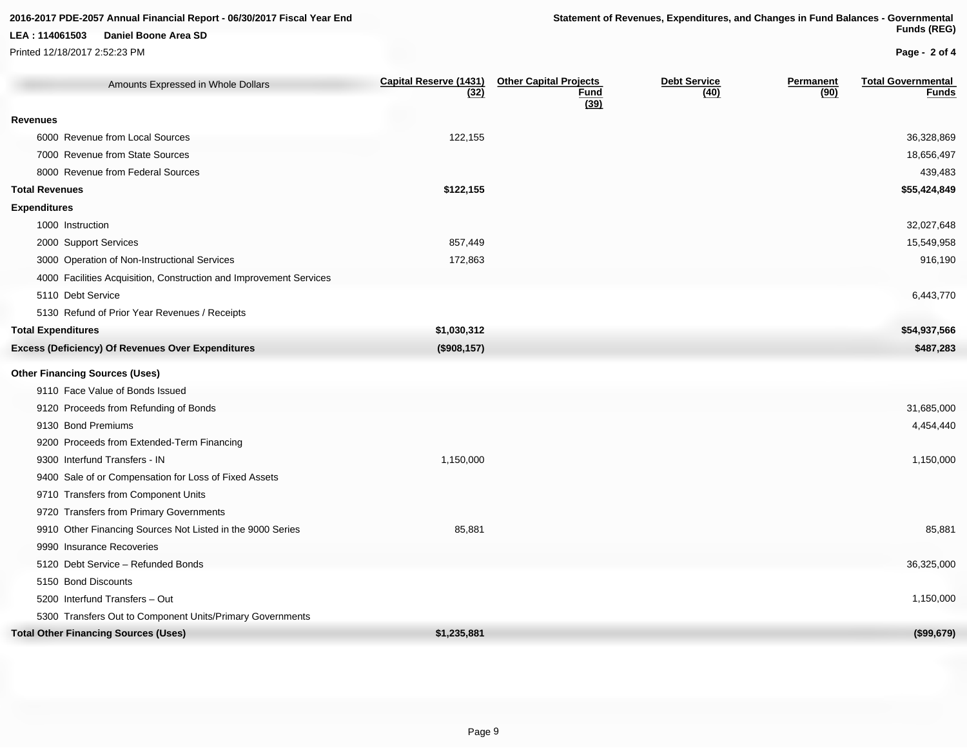Printed 12/18/2017 2:52:23 PM

**Page - 2 of 4**

| Amounts Expressed in Whole Dollars                                 | <b>Capital Reserve (1431)</b><br>(32) | <b>Other Capital Projects</b><br><b>Fund</b><br>(39) | <b>Debt Service</b><br>(40) | <b>Permanent</b><br>(90) | <b>Total Governmental</b><br><b>Funds</b> |
|--------------------------------------------------------------------|---------------------------------------|------------------------------------------------------|-----------------------------|--------------------------|-------------------------------------------|
| <b>Revenues</b>                                                    |                                       |                                                      |                             |                          |                                           |
| 6000 Revenue from Local Sources                                    | 122,155                               |                                                      |                             |                          | 36,328,869                                |
| 7000 Revenue from State Sources                                    |                                       |                                                      |                             |                          | 18,656,497                                |
| 8000 Revenue from Federal Sources                                  |                                       |                                                      |                             |                          | 439,483                                   |
| <b>Total Revenues</b>                                              | \$122,155                             |                                                      |                             |                          | \$55,424,849                              |
| <b>Expenditures</b>                                                |                                       |                                                      |                             |                          |                                           |
| 1000 Instruction                                                   |                                       |                                                      |                             |                          | 32,027,648                                |
| 2000 Support Services                                              | 857,449                               |                                                      |                             |                          | 15,549,958                                |
| 3000 Operation of Non-Instructional Services                       | 172,863                               |                                                      |                             |                          | 916,190                                   |
| 4000 Facilities Acquisition, Construction and Improvement Services |                                       |                                                      |                             |                          |                                           |
| 5110 Debt Service                                                  |                                       |                                                      |                             |                          | 6,443,770                                 |
| 5130 Refund of Prior Year Revenues / Receipts                      |                                       |                                                      |                             |                          |                                           |
| <b>Total Expenditures</b>                                          | \$1,030,312                           |                                                      |                             |                          | \$54,937,566                              |
| <b>Excess (Deficiency) Of Revenues Over Expenditures</b>           | (\$908, 157)                          |                                                      |                             |                          | \$487,283                                 |
| <b>Other Financing Sources (Uses)</b>                              |                                       |                                                      |                             |                          |                                           |
| 9110 Face Value of Bonds Issued                                    |                                       |                                                      |                             |                          |                                           |
| 9120 Proceeds from Refunding of Bonds                              |                                       |                                                      |                             |                          | 31,685,000                                |
| 9130 Bond Premiums                                                 |                                       |                                                      |                             |                          | 4,454,440                                 |
| 9200 Proceeds from Extended-Term Financing                         |                                       |                                                      |                             |                          |                                           |
| 9300 Interfund Transfers - IN                                      | 1,150,000                             |                                                      |                             |                          | 1,150,000                                 |
| 9400 Sale of or Compensation for Loss of Fixed Assets              |                                       |                                                      |                             |                          |                                           |
| 9710 Transfers from Component Units                                |                                       |                                                      |                             |                          |                                           |
| 9720 Transfers from Primary Governments                            |                                       |                                                      |                             |                          |                                           |
| 9910 Other Financing Sources Not Listed in the 9000 Series         | 85,881                                |                                                      |                             |                          | 85,881                                    |
| 9990 Insurance Recoveries                                          |                                       |                                                      |                             |                          |                                           |
| 5120 Debt Service - Refunded Bonds                                 |                                       |                                                      |                             |                          | 36,325,000                                |
| 5150 Bond Discounts                                                |                                       |                                                      |                             |                          |                                           |
| 5200 Interfund Transfers - Out                                     |                                       |                                                      |                             |                          | 1,150,000                                 |
| 5300 Transfers Out to Component Units/Primary Governments          |                                       |                                                      |                             |                          |                                           |
| <b>Total Other Financing Sources (Uses)</b>                        | \$1,235,881                           |                                                      |                             |                          | (\$99,679)                                |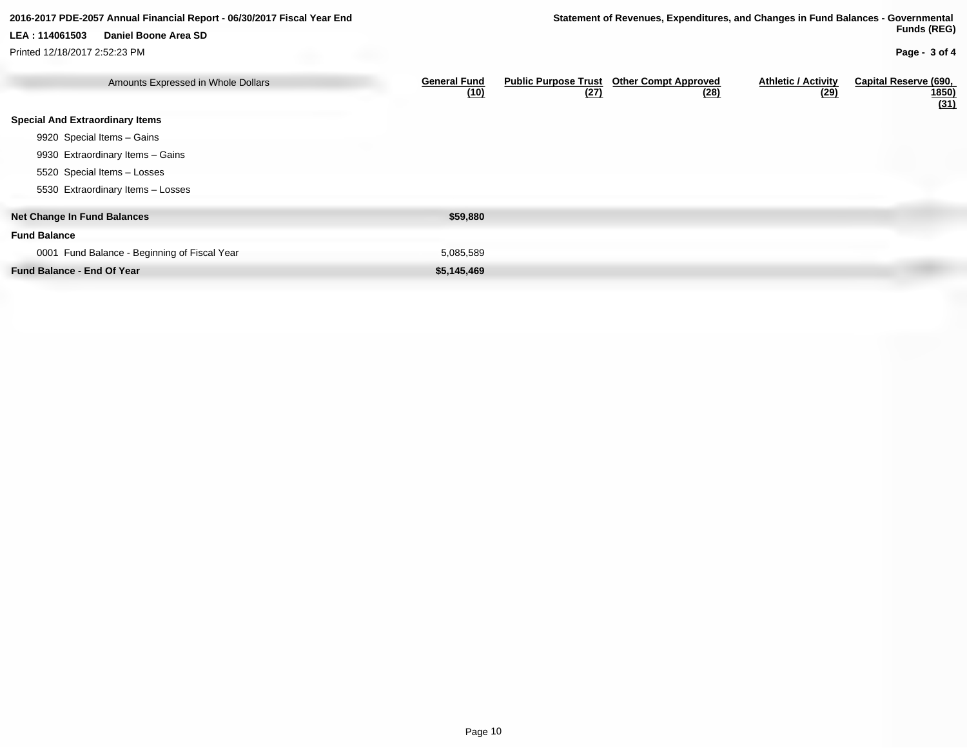#### **Net Change In Fund Balances \$59,880** Amounts Expressed in Whole Dollars **General Fund (10) Public Purpose Trust Other Compt Approved (27) (28) Athletic / Activity (29) Capital Reserve (690, 1850) (31) Special And Extraordinary Items** 9920 Special Items – Gains 9930 Extraordinary Items – Gains 5520 Special Items – Losses 5530 Extraordinary Items – Losses **2016-2017 PDE-2057 Annual Financial Report - 06/30/2017 Fiscal Year End Statement of Revenues, Expenditures, and Changes in Fund Balances - Governmental Funds (REG) Page - 3 of 4 LEA : 114061503 Daniel Boone Area SD** Printed 12/18/2017 2:52:23 PM

**Fund Balance**

0001 Fund Balance - Beginning of Fiscal Year 5,085,589 5,085,589

**Fund Balance - End Of Year <b>\$5,145,469 \$5,145,469**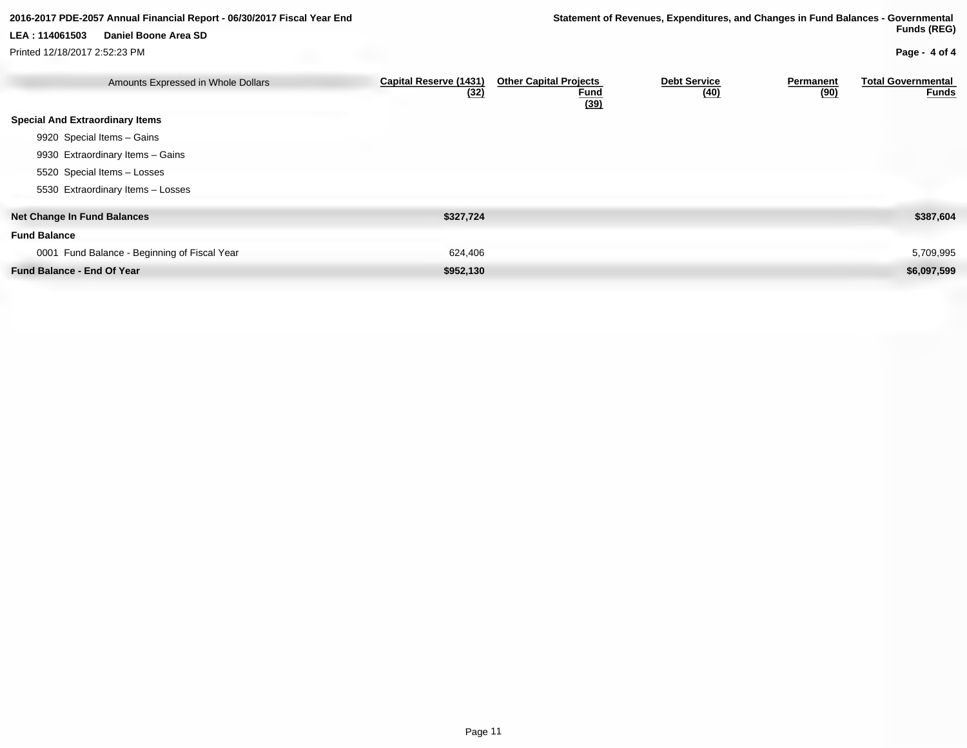Printed 12/18/2017 2:52:23 PM

#### **2016-2017 PDE-2057 Annual Financial Report - 06/30/2017 Fiscal Year End Statement of Revenues, Expenditures, and Changes in Fund Balances - Governmental Funds (REG)**

### **Page - 4 of 4**

| Amounts Expressed in Whole Dollars           | <b>Capital Reserve (1431)</b><br>(32) | <b>Other Capital Projects</b><br><b>Fund</b><br>(39) | <b>Debt Service</b><br>(40) | <b>Permanent</b><br>(90) | <b>Total Governmental</b><br><b>Funds</b> |
|----------------------------------------------|---------------------------------------|------------------------------------------------------|-----------------------------|--------------------------|-------------------------------------------|
| <b>Special And Extraordinary Items</b>       |                                       |                                                      |                             |                          |                                           |
| 9920 Special Items - Gains                   |                                       |                                                      |                             |                          |                                           |
| 9930 Extraordinary Items - Gains             |                                       |                                                      |                             |                          |                                           |
| 5520 Special Items - Losses                  |                                       |                                                      |                             |                          |                                           |
| 5530 Extraordinary Items - Losses            |                                       |                                                      |                             |                          |                                           |
| <b>Net Change In Fund Balances</b>           | \$327,724                             |                                                      |                             |                          | \$387,604                                 |
| <b>Fund Balance</b>                          |                                       |                                                      |                             |                          |                                           |
| 0001 Fund Balance - Beginning of Fiscal Year | 624,406                               |                                                      |                             |                          | 5,709,995                                 |
| <b>Fund Balance - End Of Year</b>            | \$952,130                             |                                                      |                             |                          | \$6,097,599                               |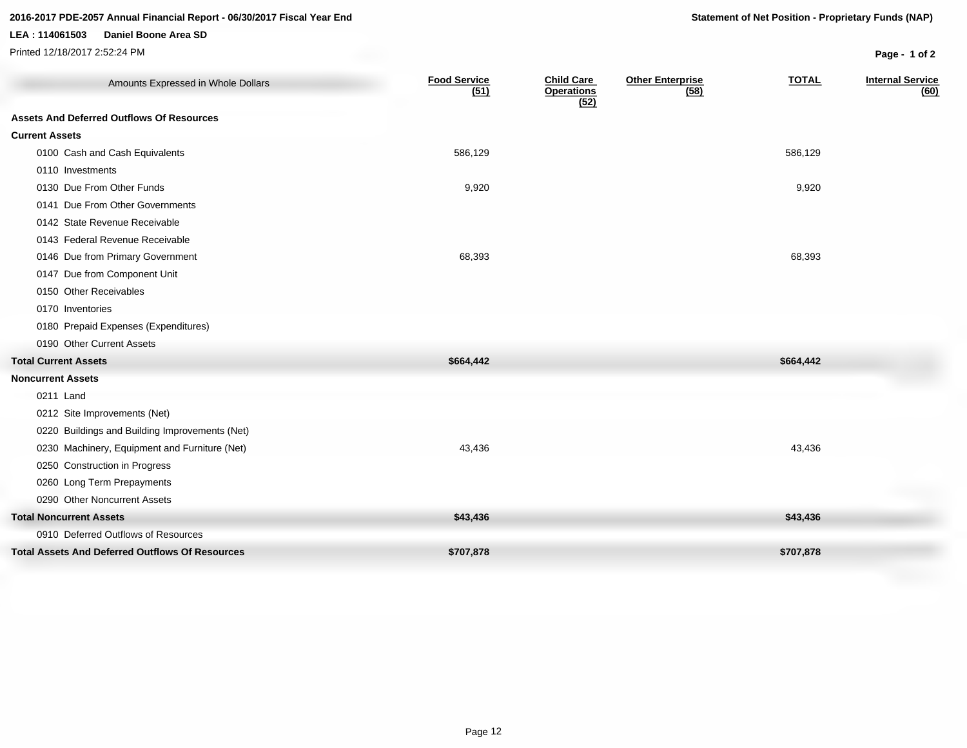### **2016-2017 PDE-2057 Annual Financial Report - 06/30/2017 Fiscal Year End Statement of Net Position - Proprietary Funds (NAP)**

#### **LEA : 114061503 Daniel Boone Area SD**

Printed 12/18/2017 2:52:24 PM **Page - 1 of 2**

| Amounts Expressed in Whole Dollars                     | <b>Food Service</b><br>(51) | <b>Child Care</b><br><b>Operations</b><br>(52) | <b>Other Enterprise</b><br>(58) | <b>TOTAL</b> | <b>Internal Service</b><br>(60) |
|--------------------------------------------------------|-----------------------------|------------------------------------------------|---------------------------------|--------------|---------------------------------|
| <b>Assets And Deferred Outflows Of Resources</b>       |                             |                                                |                                 |              |                                 |
| <b>Current Assets</b>                                  |                             |                                                |                                 |              |                                 |
| 0100 Cash and Cash Equivalents                         | 586,129                     |                                                |                                 | 586,129      |                                 |
| 0110 Investments                                       |                             |                                                |                                 |              |                                 |
| 0130 Due From Other Funds                              | 9,920                       |                                                |                                 | 9,920        |                                 |
| 0141 Due From Other Governments                        |                             |                                                |                                 |              |                                 |
| 0142 State Revenue Receivable                          |                             |                                                |                                 |              |                                 |
| 0143 Federal Revenue Receivable                        |                             |                                                |                                 |              |                                 |
| 0146 Due from Primary Government                       | 68,393                      |                                                |                                 | 68,393       |                                 |
| 0147 Due from Component Unit                           |                             |                                                |                                 |              |                                 |
| 0150 Other Receivables                                 |                             |                                                |                                 |              |                                 |
| 0170 Inventories                                       |                             |                                                |                                 |              |                                 |
| 0180 Prepaid Expenses (Expenditures)                   |                             |                                                |                                 |              |                                 |
| 0190 Other Current Assets                              |                             |                                                |                                 |              |                                 |
| <b>Total Current Assets</b>                            | \$664,442                   |                                                |                                 | \$664,442    |                                 |
| <b>Noncurrent Assets</b>                               |                             |                                                |                                 |              |                                 |
| 0211 Land                                              |                             |                                                |                                 |              |                                 |
| 0212 Site Improvements (Net)                           |                             |                                                |                                 |              |                                 |
| 0220 Buildings and Building Improvements (Net)         |                             |                                                |                                 |              |                                 |
| 0230 Machinery, Equipment and Furniture (Net)          | 43,436                      |                                                |                                 | 43,436       |                                 |
| 0250 Construction in Progress                          |                             |                                                |                                 |              |                                 |
| 0260 Long Term Prepayments                             |                             |                                                |                                 |              |                                 |
| 0290 Other Noncurrent Assets                           |                             |                                                |                                 |              |                                 |
| <b>Total Noncurrent Assets</b>                         | \$43,436                    |                                                |                                 | \$43,436     |                                 |
| 0910 Deferred Outflows of Resources                    |                             |                                                |                                 |              |                                 |
| <b>Total Assets And Deferred Outflows Of Resources</b> | \$707,878                   |                                                |                                 | \$707,878    |                                 |
|                                                        |                             |                                                |                                 |              |                                 |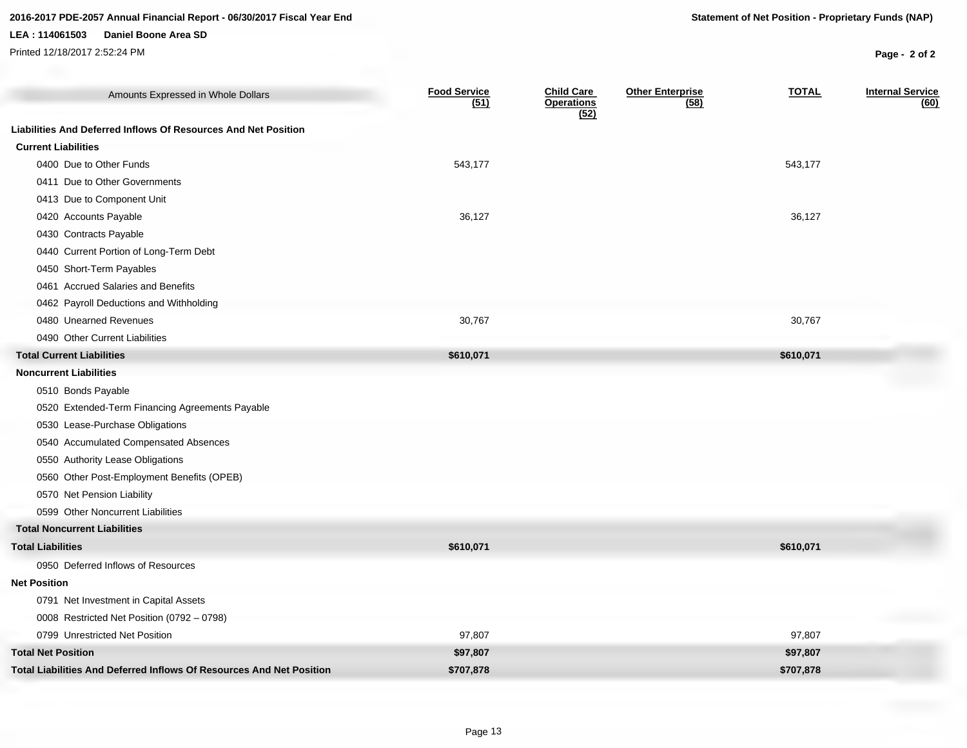### **2016-2017 PDE-2057 Annual Financial Report - 06/30/2017 Fiscal Year End Statement of Net Position - Proprietary Funds (NAP)**

#### **LEA : 114061503 Daniel Boone Area SD**

Printed 12/18/2017 2:52:24 PM **Page - 2 of 2**

| Amounts Expressed in Whole Dollars                                   | <b>Food Service</b><br>(51) | <b>Child Care</b><br><b>Operations</b><br>(52) | <b>Other Enterprise</b><br>(58) | <b>TOTAL</b> | <b>Internal Service</b><br>(60) |
|----------------------------------------------------------------------|-----------------------------|------------------------------------------------|---------------------------------|--------------|---------------------------------|
| Liabilities And Deferred Inflows Of Resources And Net Position       |                             |                                                |                                 |              |                                 |
| <b>Current Liabilities</b>                                           |                             |                                                |                                 |              |                                 |
| 0400 Due to Other Funds                                              | 543,177                     |                                                |                                 | 543,177      |                                 |
| 0411 Due to Other Governments                                        |                             |                                                |                                 |              |                                 |
| 0413 Due to Component Unit                                           |                             |                                                |                                 |              |                                 |
| 0420 Accounts Payable                                                | 36,127                      |                                                |                                 | 36,127       |                                 |
| 0430 Contracts Payable                                               |                             |                                                |                                 |              |                                 |
| 0440 Current Portion of Long-Term Debt                               |                             |                                                |                                 |              |                                 |
| 0450 Short-Term Payables                                             |                             |                                                |                                 |              |                                 |
| 0461 Accrued Salaries and Benefits                                   |                             |                                                |                                 |              |                                 |
| 0462 Payroll Deductions and Withholding                              |                             |                                                |                                 |              |                                 |
| 0480 Unearned Revenues                                               | 30,767                      |                                                |                                 | 30,767       |                                 |
| 0490 Other Current Liabilities                                       |                             |                                                |                                 |              |                                 |
| <b>Total Current Liabilities</b>                                     | \$610,071                   |                                                |                                 | \$610,071    |                                 |
| <b>Noncurrent Liabilities</b>                                        |                             |                                                |                                 |              |                                 |
| 0510 Bonds Payable                                                   |                             |                                                |                                 |              |                                 |
| 0520 Extended-Term Financing Agreements Payable                      |                             |                                                |                                 |              |                                 |
| 0530 Lease-Purchase Obligations                                      |                             |                                                |                                 |              |                                 |
| 0540 Accumulated Compensated Absences                                |                             |                                                |                                 |              |                                 |
| 0550 Authority Lease Obligations                                     |                             |                                                |                                 |              |                                 |
| 0560 Other Post-Employment Benefits (OPEB)                           |                             |                                                |                                 |              |                                 |
| 0570 Net Pension Liability                                           |                             |                                                |                                 |              |                                 |
| 0599 Other Noncurrent Liabilities                                    |                             |                                                |                                 |              |                                 |
| <b>Total Noncurrent Liabilities</b>                                  |                             |                                                |                                 |              |                                 |
| <b>Total Liabilities</b>                                             | \$610,071                   |                                                |                                 | \$610,071    |                                 |
| 0950 Deferred Inflows of Resources                                   |                             |                                                |                                 |              |                                 |
| <b>Net Position</b>                                                  |                             |                                                |                                 |              |                                 |
| 0791 Net Investment in Capital Assets                                |                             |                                                |                                 |              |                                 |
| 0008 Restricted Net Position (0792 - 0798)                           |                             |                                                |                                 |              |                                 |
| 0799 Unrestricted Net Position                                       | 97,807                      |                                                |                                 | 97,807       |                                 |
| <b>Total Net Position</b>                                            | \$97,807                    |                                                |                                 | \$97,807     |                                 |
| Total Liabilities And Deferred Inflows Of Resources And Net Position | \$707,878                   |                                                |                                 | \$707,878    |                                 |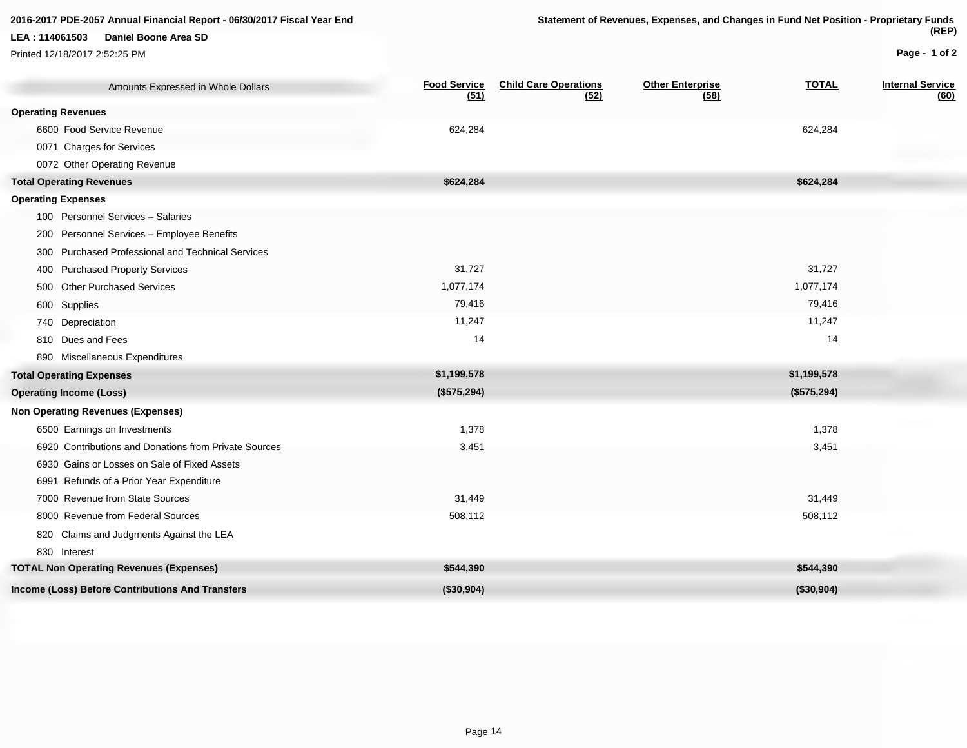Printed 12/18/2017 2:52:25 PM

820 Claims and Judgments Against the LEA

830 Interest

### **Page - 1 of 2**

| Amounts Expressed in Whole Dollars                          | <b>Food Service</b><br>(51) | <b>Child Care Operations</b><br>(52) | <b>Other Enterprise</b><br>(58) | <b>TOTAL</b> | <b>Internal Service</b><br>(60) |
|-------------------------------------------------------------|-----------------------------|--------------------------------------|---------------------------------|--------------|---------------------------------|
| <b>Operating Revenues</b>                                   |                             |                                      |                                 |              |                                 |
| 6600 Food Service Revenue                                   | 624,284                     |                                      |                                 | 624,284      |                                 |
| 0071 Charges for Services                                   |                             |                                      |                                 |              |                                 |
| 0072 Other Operating Revenue                                |                             |                                      |                                 |              |                                 |
| <b>Total Operating Revenues</b>                             | \$624,284                   |                                      |                                 | \$624,284    |                                 |
| <b>Operating Expenses</b>                                   |                             |                                      |                                 |              |                                 |
| 100 Personnel Services - Salaries                           |                             |                                      |                                 |              |                                 |
| Personnel Services - Employee Benefits<br>200               |                             |                                      |                                 |              |                                 |
| <b>Purchased Professional and Technical Services</b><br>300 |                             |                                      |                                 |              |                                 |
| <b>Purchased Property Services</b><br>400                   | 31,727                      |                                      |                                 | 31,727       |                                 |
| <b>Other Purchased Services</b><br>500                      | 1,077,174                   |                                      |                                 | 1,077,174    |                                 |
| 600 Supplies                                                | 79,416                      |                                      |                                 | 79,416       |                                 |
| 740 Depreciation                                            | 11,247                      |                                      |                                 | 11,247       |                                 |
| 810 Dues and Fees                                           | 14                          |                                      |                                 | 14           |                                 |
| 890 Miscellaneous Expenditures                              |                             |                                      |                                 |              |                                 |
| <b>Total Operating Expenses</b>                             | \$1,199,578                 |                                      |                                 | \$1,199,578  |                                 |
| <b>Operating Income (Loss)</b>                              | (\$575,294)                 |                                      |                                 | (\$575,294)  |                                 |
| <b>Non Operating Revenues (Expenses)</b>                    |                             |                                      |                                 |              |                                 |
| 6500 Earnings on Investments                                | 1,378                       |                                      |                                 | 1,378        |                                 |
| 6920 Contributions and Donations from Private Sources       | 3,451                       |                                      |                                 | 3,451        |                                 |
| 6930 Gains or Losses on Sale of Fixed Assets                |                             |                                      |                                 |              |                                 |
| 6991 Refunds of a Prior Year Expenditure                    |                             |                                      |                                 |              |                                 |

7000 Revenue from State Sources 31,449 31,449 8000 Revenue from Federal Sources 508,112 508,112

**TOTAL Non Operating Revenues (Expenses) \$544,390 \$544,390 Income (Loss) Before Contributions And Transfers (\$30,904) (\$30,904)**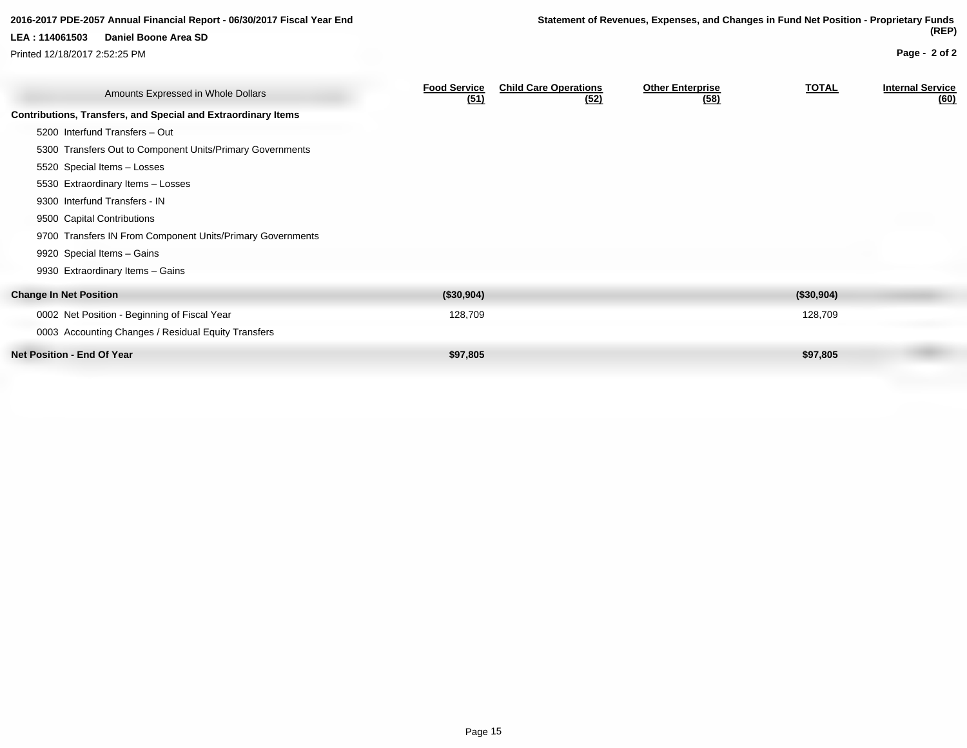| 2016-2017 PDE-2057 Annual Financial Report - 06/30/2017 Fiscal Year End |                                                               |                             |                                      | Statement of Revenues, Expenses, and Changes in Fund Net Position - Proprietary Funds |              |                                 |
|-------------------------------------------------------------------------|---------------------------------------------------------------|-----------------------------|--------------------------------------|---------------------------------------------------------------------------------------|--------------|---------------------------------|
| LEA: 114061503                                                          | Daniel Boone Area SD                                          |                             |                                      |                                                                                       |              | (REP)                           |
| Printed 12/18/2017 2:52:25 PM                                           |                                                               |                             |                                      |                                                                                       |              | Page - 2 of 2                   |
|                                                                         | Amounts Expressed in Whole Dollars                            | <b>Food Service</b><br>(51) | <b>Child Care Operations</b><br>(52) | <b>Other Enterprise</b><br>(58)                                                       | <b>TOTAL</b> | <b>Internal Service</b><br>(60) |
|                                                                         | Contributions, Transfers, and Special and Extraordinary Items |                             |                                      |                                                                                       |              |                                 |
|                                                                         | 5200 Interfund Transfers - Out                                |                             |                                      |                                                                                       |              |                                 |
|                                                                         | 5300 Transfers Out to Component Units/Primary Governments     |                             |                                      |                                                                                       |              |                                 |
| 5520 Special Items - Losses                                             |                                                               |                             |                                      |                                                                                       |              |                                 |
|                                                                         | 5530 Extraordinary Items - Losses                             |                             |                                      |                                                                                       |              |                                 |
| 9300 Interfund Transfers - IN                                           |                                                               |                             |                                      |                                                                                       |              |                                 |
| 9500 Capital Contributions                                              |                                                               |                             |                                      |                                                                                       |              |                                 |
|                                                                         | 9700 Transfers IN From Component Units/Primary Governments    |                             |                                      |                                                                                       |              |                                 |
| 9920 Special Items - Gains                                              |                                                               |                             |                                      |                                                                                       |              |                                 |
|                                                                         | 9930 Extraordinary Items - Gains                              |                             |                                      |                                                                                       |              |                                 |
| <b>Change In Net Position</b>                                           |                                                               | (\$30,904)                  |                                      |                                                                                       | (\$30,904)   |                                 |
|                                                                         | 0002 Net Position - Beginning of Fiscal Year                  | 128,709                     |                                      |                                                                                       | 128,709      |                                 |
|                                                                         | 0003 Accounting Changes / Residual Equity Transfers           |                             |                                      |                                                                                       |              |                                 |
| <b>Net Position - End Of Year</b>                                       |                                                               | \$97,805                    |                                      |                                                                                       | \$97,805     |                                 |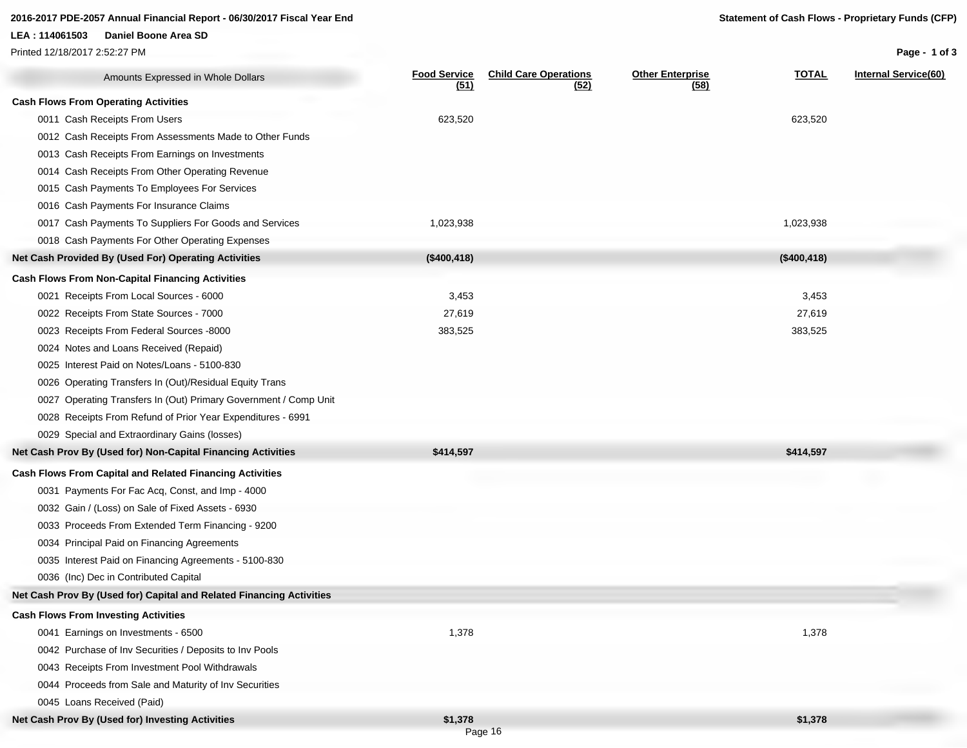#### **2016-2017 PDE-2057 Annual Financial Report - 06/30/2017 Fiscal Year End Statement of Cash Flows - Proprietary Funds (CFP)**

#### **LEA : 114061503 Daniel Boone Area SD**

Printed 12/18/2017 2:52:27 PM

**Page - 1 of 3**

| Amounts Expressed in Whole Dollars                                   | <b>Food Service</b><br>(51) | <b>Child Care Operations</b><br>(52) | <b>Other Enterprise</b><br>(58) | <b>TOTAL</b> | <b>Internal Service(60)</b> |
|----------------------------------------------------------------------|-----------------------------|--------------------------------------|---------------------------------|--------------|-----------------------------|
| <b>Cash Flows From Operating Activities</b>                          |                             |                                      |                                 |              |                             |
| 0011 Cash Receipts From Users                                        | 623,520                     |                                      |                                 | 623,520      |                             |
| 0012 Cash Receipts From Assessments Made to Other Funds              |                             |                                      |                                 |              |                             |
| 0013 Cash Receipts From Earnings on Investments                      |                             |                                      |                                 |              |                             |
| 0014 Cash Receipts From Other Operating Revenue                      |                             |                                      |                                 |              |                             |
| 0015 Cash Payments To Employees For Services                         |                             |                                      |                                 |              |                             |
| 0016 Cash Payments For Insurance Claims                              |                             |                                      |                                 |              |                             |
| 0017 Cash Payments To Suppliers For Goods and Services               | 1,023,938                   |                                      |                                 | 1,023,938    |                             |
| 0018 Cash Payments For Other Operating Expenses                      |                             |                                      |                                 |              |                             |
| Net Cash Provided By (Used For) Operating Activities                 | (\$400, 418)                |                                      |                                 | (\$400, 418) |                             |
| <b>Cash Flows From Non-Capital Financing Activities</b>              |                             |                                      |                                 |              |                             |
| 0021 Receipts From Local Sources - 6000                              | 3,453                       |                                      |                                 | 3,453        |                             |
| 0022 Receipts From State Sources - 7000                              | 27,619                      |                                      |                                 | 27,619       |                             |
| 0023 Receipts From Federal Sources -8000                             | 383,525                     |                                      |                                 | 383,525      |                             |
| 0024 Notes and Loans Received (Repaid)                               |                             |                                      |                                 |              |                             |
| 0025 Interest Paid on Notes/Loans - 5100-830                         |                             |                                      |                                 |              |                             |
| 0026 Operating Transfers In (Out)/Residual Equity Trans              |                             |                                      |                                 |              |                             |
| 0027 Operating Transfers In (Out) Primary Government / Comp Unit     |                             |                                      |                                 |              |                             |
| 0028 Receipts From Refund of Prior Year Expenditures - 6991          |                             |                                      |                                 |              |                             |
| 0029 Special and Extraordinary Gains (losses)                        |                             |                                      |                                 |              |                             |
| Net Cash Prov By (Used for) Non-Capital Financing Activities         | \$414,597                   |                                      |                                 | \$414,597    |                             |
| <b>Cash Flows From Capital and Related Financing Activities</b>      |                             |                                      |                                 |              |                             |
| 0031 Payments For Fac Acq, Const, and Imp - 4000                     |                             |                                      |                                 |              |                             |
| 0032 Gain / (Loss) on Sale of Fixed Assets - 6930                    |                             |                                      |                                 |              |                             |
| 0033 Proceeds From Extended Term Financing - 9200                    |                             |                                      |                                 |              |                             |
| 0034 Principal Paid on Financing Agreements                          |                             |                                      |                                 |              |                             |
| 0035 Interest Paid on Financing Agreements - 5100-830                |                             |                                      |                                 |              |                             |
| 0036 (Inc) Dec in Contributed Capital                                |                             |                                      |                                 |              |                             |
| Net Cash Prov By (Used for) Capital and Related Financing Activities |                             |                                      |                                 |              |                             |
| <b>Cash Flows From Investing Activities</b>                          |                             |                                      |                                 |              |                             |
| 0041 Earnings on Investments - 6500                                  | 1,378                       |                                      |                                 | 1,378        |                             |
| 0042 Purchase of Inv Securities / Deposits to Inv Pools              |                             |                                      |                                 |              |                             |
| 0043 Receipts From Investment Pool Withdrawals                       |                             |                                      |                                 |              |                             |
| 0044 Proceeds from Sale and Maturity of Inv Securities               |                             |                                      |                                 |              |                             |
| 0045 Loans Received (Paid)                                           |                             |                                      |                                 |              |                             |
| Net Cash Prov By (Used for) Investing Activities                     | \$1,378                     |                                      |                                 | \$1,378      |                             |

Page 16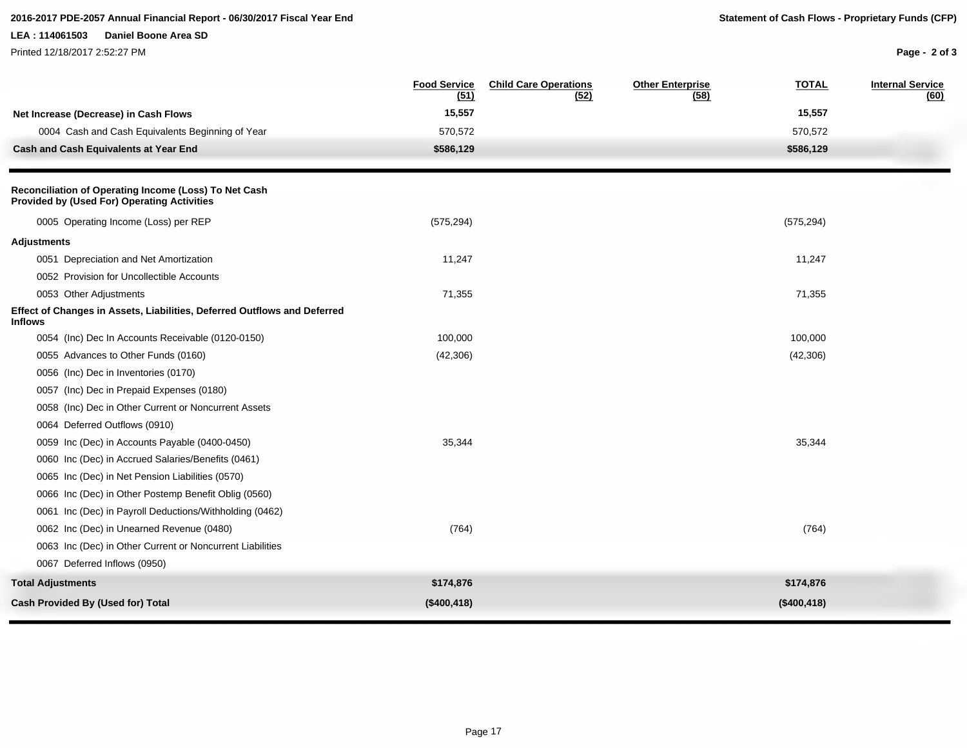### **2016-2017 PDE-2057 Annual Financial Report - 06/30/2017 Fiscal Year End Statement of Cash Flows - Proprietary Funds (CFP)**

#### **LEA : 114061503 Daniel Boone Area SD**

Printed 12/18/2017 2:52:27 PM

**Page - 2 of 3**

| 15,557<br>15,557<br>Net Increase (Decrease) in Cash Flows<br>0004 Cash and Cash Equivalents Beginning of Year<br>570,572<br>570,572<br>\$586,129<br>\$586,129<br>Cash and Cash Equivalents at Year End<br>Reconciliation of Operating Income (Loss) To Net Cash<br><b>Provided by (Used For) Operating Activities</b><br>0005 Operating Income (Loss) per REP<br>(575, 294)<br>(575, 294)<br><b>Adjustments</b><br>0051 Depreciation and Net Amortization<br>11,247<br>11,247<br>0052 Provision for Uncollectible Accounts<br>0053 Other Adjustments<br>71,355<br>71,355<br>Effect of Changes in Assets, Liabilities, Deferred Outflows and Deferred<br><b>Inflows</b><br>0054 (Inc) Dec In Accounts Receivable (0120-0150)<br>100,000<br>100,000<br>0055 Advances to Other Funds (0160)<br>(42, 306)<br>(42, 306)<br>0056 (Inc) Dec in Inventories (0170)<br>0057 (Inc) Dec in Prepaid Expenses (0180)<br>0058 (Inc) Dec in Other Current or Noncurrent Assets<br>0064 Deferred Outflows (0910)<br>0059 Inc (Dec) in Accounts Payable (0400-0450)<br>35,344<br>35,344<br>0060 Inc (Dec) in Accrued Salaries/Benefits (0461)<br>0065 Inc (Dec) in Net Pension Liabilities (0570)<br>0066 Inc (Dec) in Other Postemp Benefit Oblig (0560)<br>0061 Inc (Dec) in Payroll Deductions/Withholding (0462)<br>0062 Inc (Dec) in Unearned Revenue (0480)<br>(764)<br>(764)<br>0063 Inc (Dec) in Other Current or Noncurrent Liabilities<br>0067 Deferred Inflows (0950)<br><b>Total Adjustments</b><br>\$174,876<br>\$174,876 |                                          | <b>Food Service</b><br>(51) | <b>Child Care Operations</b><br>(52) | <b>Other Enterprise</b><br>(58) | <b>TOTAL</b> | <b>Internal Service</b><br>(60) |
|-----------------------------------------------------------------------------------------------------------------------------------------------------------------------------------------------------------------------------------------------------------------------------------------------------------------------------------------------------------------------------------------------------------------------------------------------------------------------------------------------------------------------------------------------------------------------------------------------------------------------------------------------------------------------------------------------------------------------------------------------------------------------------------------------------------------------------------------------------------------------------------------------------------------------------------------------------------------------------------------------------------------------------------------------------------------------------------------------------------------------------------------------------------------------------------------------------------------------------------------------------------------------------------------------------------------------------------------------------------------------------------------------------------------------------------------------------------------------------------------------------------------------|------------------------------------------|-----------------------------|--------------------------------------|---------------------------------|--------------|---------------------------------|
|                                                                                                                                                                                                                                                                                                                                                                                                                                                                                                                                                                                                                                                                                                                                                                                                                                                                                                                                                                                                                                                                                                                                                                                                                                                                                                                                                                                                                                                                                                                       |                                          |                             |                                      |                                 |              |                                 |
|                                                                                                                                                                                                                                                                                                                                                                                                                                                                                                                                                                                                                                                                                                                                                                                                                                                                                                                                                                                                                                                                                                                                                                                                                                                                                                                                                                                                                                                                                                                       |                                          |                             |                                      |                                 |              |                                 |
|                                                                                                                                                                                                                                                                                                                                                                                                                                                                                                                                                                                                                                                                                                                                                                                                                                                                                                                                                                                                                                                                                                                                                                                                                                                                                                                                                                                                                                                                                                                       |                                          |                             |                                      |                                 |              |                                 |
|                                                                                                                                                                                                                                                                                                                                                                                                                                                                                                                                                                                                                                                                                                                                                                                                                                                                                                                                                                                                                                                                                                                                                                                                                                                                                                                                                                                                                                                                                                                       |                                          |                             |                                      |                                 |              |                                 |
|                                                                                                                                                                                                                                                                                                                                                                                                                                                                                                                                                                                                                                                                                                                                                                                                                                                                                                                                                                                                                                                                                                                                                                                                                                                                                                                                                                                                                                                                                                                       |                                          |                             |                                      |                                 |              |                                 |
|                                                                                                                                                                                                                                                                                                                                                                                                                                                                                                                                                                                                                                                                                                                                                                                                                                                                                                                                                                                                                                                                                                                                                                                                                                                                                                                                                                                                                                                                                                                       |                                          |                             |                                      |                                 |              |                                 |
|                                                                                                                                                                                                                                                                                                                                                                                                                                                                                                                                                                                                                                                                                                                                                                                                                                                                                                                                                                                                                                                                                                                                                                                                                                                                                                                                                                                                                                                                                                                       |                                          |                             |                                      |                                 |              |                                 |
|                                                                                                                                                                                                                                                                                                                                                                                                                                                                                                                                                                                                                                                                                                                                                                                                                                                                                                                                                                                                                                                                                                                                                                                                                                                                                                                                                                                                                                                                                                                       |                                          |                             |                                      |                                 |              |                                 |
|                                                                                                                                                                                                                                                                                                                                                                                                                                                                                                                                                                                                                                                                                                                                                                                                                                                                                                                                                                                                                                                                                                                                                                                                                                                                                                                                                                                                                                                                                                                       |                                          |                             |                                      |                                 |              |                                 |
|                                                                                                                                                                                                                                                                                                                                                                                                                                                                                                                                                                                                                                                                                                                                                                                                                                                                                                                                                                                                                                                                                                                                                                                                                                                                                                                                                                                                                                                                                                                       |                                          |                             |                                      |                                 |              |                                 |
|                                                                                                                                                                                                                                                                                                                                                                                                                                                                                                                                                                                                                                                                                                                                                                                                                                                                                                                                                                                                                                                                                                                                                                                                                                                                                                                                                                                                                                                                                                                       |                                          |                             |                                      |                                 |              |                                 |
|                                                                                                                                                                                                                                                                                                                                                                                                                                                                                                                                                                                                                                                                                                                                                                                                                                                                                                                                                                                                                                                                                                                                                                                                                                                                                                                                                                                                                                                                                                                       |                                          |                             |                                      |                                 |              |                                 |
|                                                                                                                                                                                                                                                                                                                                                                                                                                                                                                                                                                                                                                                                                                                                                                                                                                                                                                                                                                                                                                                                                                                                                                                                                                                                                                                                                                                                                                                                                                                       |                                          |                             |                                      |                                 |              |                                 |
|                                                                                                                                                                                                                                                                                                                                                                                                                                                                                                                                                                                                                                                                                                                                                                                                                                                                                                                                                                                                                                                                                                                                                                                                                                                                                                                                                                                                                                                                                                                       |                                          |                             |                                      |                                 |              |                                 |
|                                                                                                                                                                                                                                                                                                                                                                                                                                                                                                                                                                                                                                                                                                                                                                                                                                                                                                                                                                                                                                                                                                                                                                                                                                                                                                                                                                                                                                                                                                                       |                                          |                             |                                      |                                 |              |                                 |
|                                                                                                                                                                                                                                                                                                                                                                                                                                                                                                                                                                                                                                                                                                                                                                                                                                                                                                                                                                                                                                                                                                                                                                                                                                                                                                                                                                                                                                                                                                                       |                                          |                             |                                      |                                 |              |                                 |
|                                                                                                                                                                                                                                                                                                                                                                                                                                                                                                                                                                                                                                                                                                                                                                                                                                                                                                                                                                                                                                                                                                                                                                                                                                                                                                                                                                                                                                                                                                                       |                                          |                             |                                      |                                 |              |                                 |
|                                                                                                                                                                                                                                                                                                                                                                                                                                                                                                                                                                                                                                                                                                                                                                                                                                                                                                                                                                                                                                                                                                                                                                                                                                                                                                                                                                                                                                                                                                                       |                                          |                             |                                      |                                 |              |                                 |
|                                                                                                                                                                                                                                                                                                                                                                                                                                                                                                                                                                                                                                                                                                                                                                                                                                                                                                                                                                                                                                                                                                                                                                                                                                                                                                                                                                                                                                                                                                                       |                                          |                             |                                      |                                 |              |                                 |
|                                                                                                                                                                                                                                                                                                                                                                                                                                                                                                                                                                                                                                                                                                                                                                                                                                                                                                                                                                                                                                                                                                                                                                                                                                                                                                                                                                                                                                                                                                                       |                                          |                             |                                      |                                 |              |                                 |
|                                                                                                                                                                                                                                                                                                                                                                                                                                                                                                                                                                                                                                                                                                                                                                                                                                                                                                                                                                                                                                                                                                                                                                                                                                                                                                                                                                                                                                                                                                                       |                                          |                             |                                      |                                 |              |                                 |
|                                                                                                                                                                                                                                                                                                                                                                                                                                                                                                                                                                                                                                                                                                                                                                                                                                                                                                                                                                                                                                                                                                                                                                                                                                                                                                                                                                                                                                                                                                                       |                                          |                             |                                      |                                 |              |                                 |
|                                                                                                                                                                                                                                                                                                                                                                                                                                                                                                                                                                                                                                                                                                                                                                                                                                                                                                                                                                                                                                                                                                                                                                                                                                                                                                                                                                                                                                                                                                                       |                                          |                             |                                      |                                 |              |                                 |
|                                                                                                                                                                                                                                                                                                                                                                                                                                                                                                                                                                                                                                                                                                                                                                                                                                                                                                                                                                                                                                                                                                                                                                                                                                                                                                                                                                                                                                                                                                                       |                                          |                             |                                      |                                 |              |                                 |
|                                                                                                                                                                                                                                                                                                                                                                                                                                                                                                                                                                                                                                                                                                                                                                                                                                                                                                                                                                                                                                                                                                                                                                                                                                                                                                                                                                                                                                                                                                                       |                                          |                             |                                      |                                 |              |                                 |
|                                                                                                                                                                                                                                                                                                                                                                                                                                                                                                                                                                                                                                                                                                                                                                                                                                                                                                                                                                                                                                                                                                                                                                                                                                                                                                                                                                                                                                                                                                                       | <b>Cash Provided By (Used for) Total</b> | (\$400, 418)                |                                      |                                 | (\$400, 418) |                                 |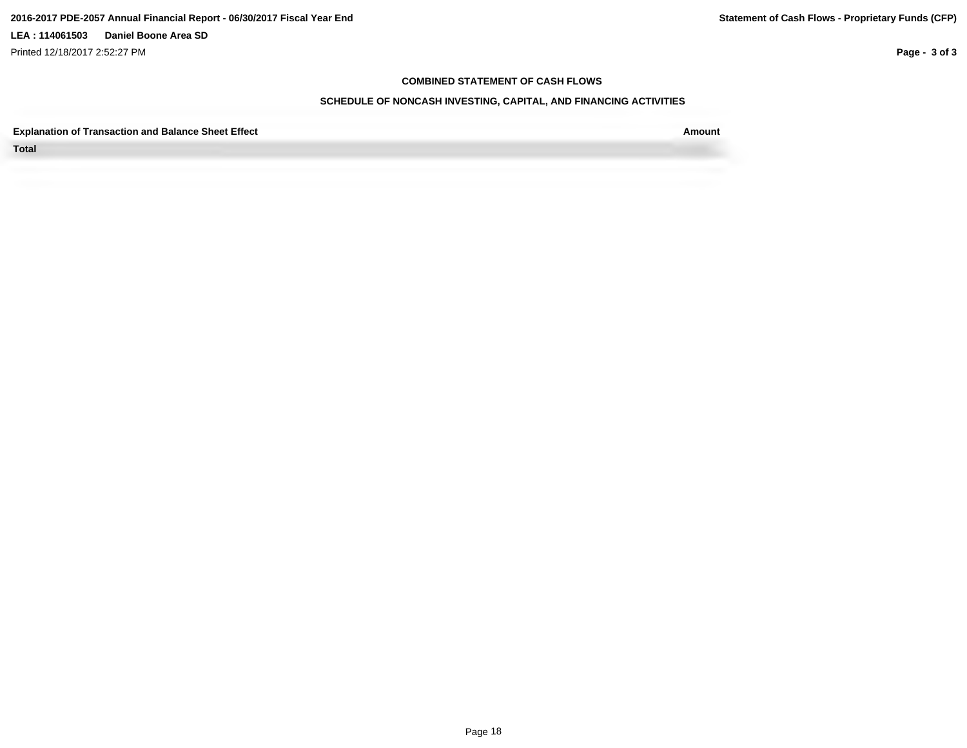Printed 12/18/2017 2:52:27 PM

**Page - 3 of 3**

#### **COMBINED STATEMENT OF CASH FLOWS**

### **SCHEDULE OF NONCASH INVESTING, CAPITAL, AND FINANCING ACTIVITIES**

**Explanation of Transaction and Balance Sheet Effect Amount**

**Total**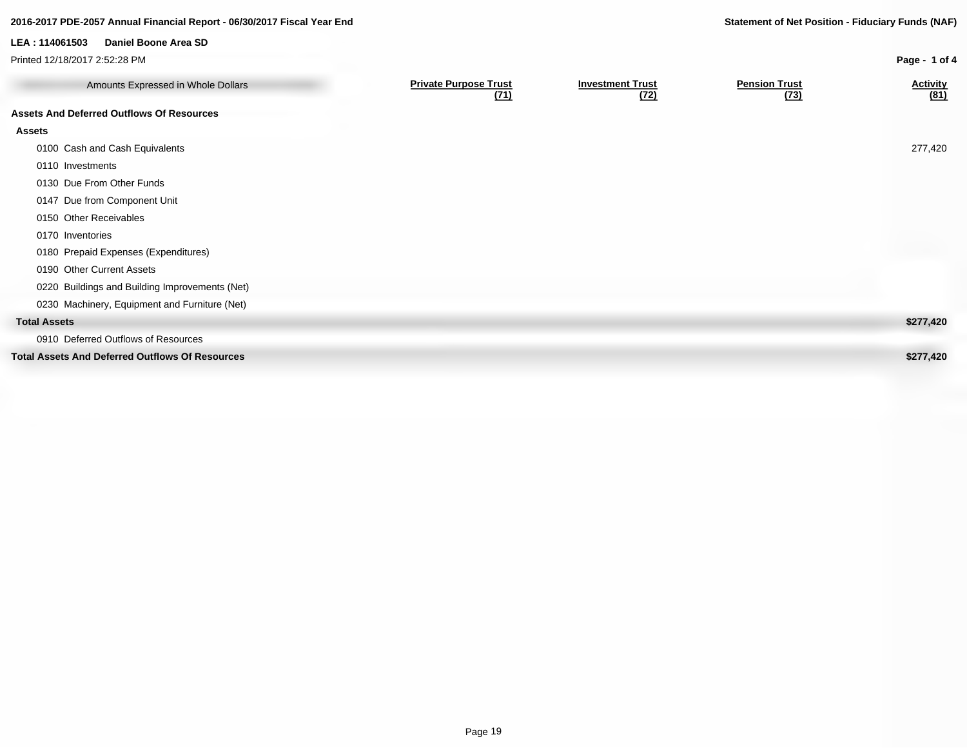### **2016-2017 PDE-2057 Annual Financial Report - 06/30/2017 Fiscal Year End Statement of Net Position - Fiduciary Funds (NAF)**

**Page - 1 of 4**

**LEA : 114061503 Daniel Boone Area SD**

Printed 12/18/2017 2:52:28 PM

| Amounts Expressed in Whole Dollars                     | <b>Private Purpose Trust</b><br>(71) | <b>Investment Trust</b><br>(72) | <b>Pension Trust</b><br>(73) | <b>Activity</b><br>(81) |
|--------------------------------------------------------|--------------------------------------|---------------------------------|------------------------------|-------------------------|
| <b>Assets And Deferred Outflows Of Resources</b>       |                                      |                                 |                              |                         |
| Assets                                                 |                                      |                                 |                              |                         |
| 0100 Cash and Cash Equivalents                         |                                      |                                 |                              | 277,420                 |
| 0110 Investments                                       |                                      |                                 |                              |                         |
| 0130 Due From Other Funds                              |                                      |                                 |                              |                         |
| 0147 Due from Component Unit                           |                                      |                                 |                              |                         |
| 0150 Other Receivables                                 |                                      |                                 |                              |                         |
| 0170 Inventories                                       |                                      |                                 |                              |                         |
| 0180 Prepaid Expenses (Expenditures)                   |                                      |                                 |                              |                         |
| 0190 Other Current Assets                              |                                      |                                 |                              |                         |
| 0220 Buildings and Building Improvements (Net)         |                                      |                                 |                              |                         |
| 0230 Machinery, Equipment and Furniture (Net)          |                                      |                                 |                              |                         |
| <b>Total Assets</b>                                    |                                      |                                 |                              | \$277,420               |
| 0910 Deferred Outflows of Resources                    |                                      |                                 |                              |                         |
| <b>Total Assets And Deferred Outflows Of Resources</b> |                                      |                                 |                              | \$277,420               |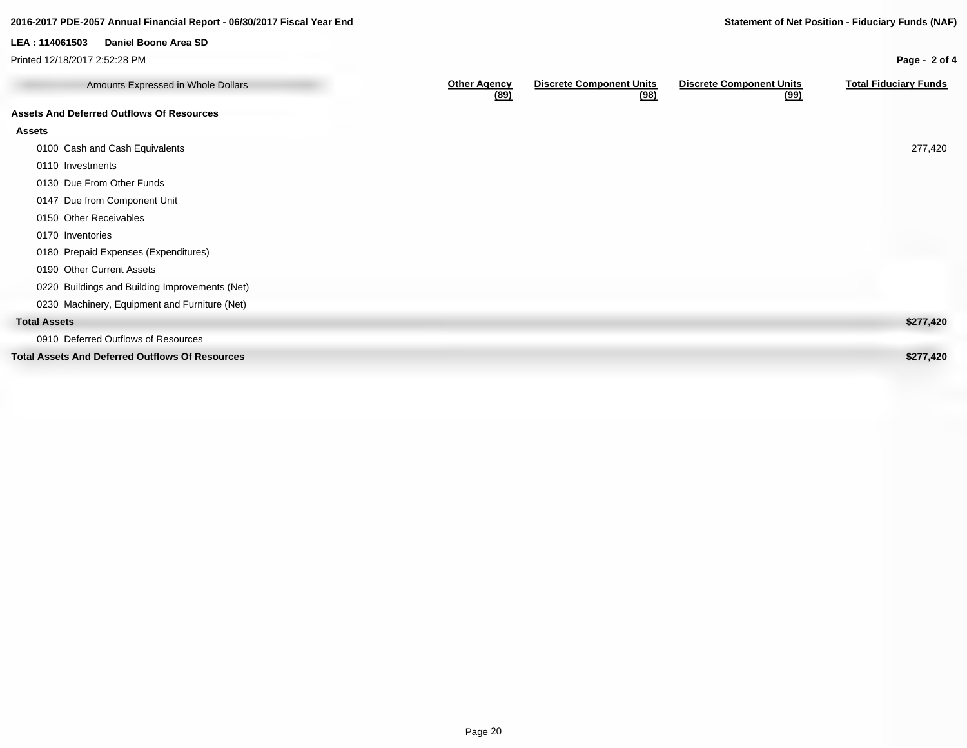#### Amounts Expressed in Whole Dollars **Community Community Community Community Community Community Community Community (89) Discrete Component Units (98) Discrete Component Units (99) Total Fiduciary Funds Assets And Deferred Outflows Of Resources Assets** 0100 Cash and Cash Equivalents 277,420 0110 Investments 0130 Due From Other Funds 0147 Due from Component Unit 0150 Other Receivables 0170 Inventories 0180 Prepaid Expenses (Expenditures) 0190 Other Current Assets 0220 Buildings and Building Improvements (Net) 0230 Machinery, Equipment and Furniture (Net) **Total Assets \$277,420** 0910 Deferred Outflows of Resources **Total Assets And Deferred Outflows Of Resources \$277,420 2016-2017 PDE-2057 Annual Financial Report - 06/30/2017 Fiscal Year End Statement of Net Position - Fiduciary Funds (NAF) Page - 2 of 4 LEA : 114061503 Daniel Boone Area SD** Printed 12/18/2017 2:52:28 PM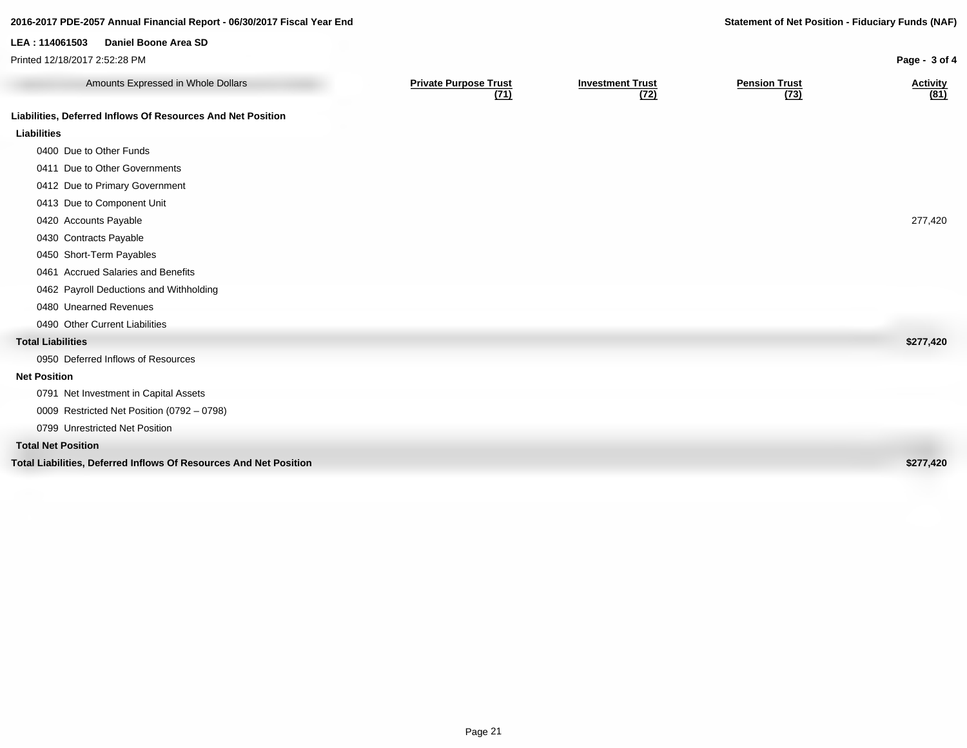### **2016-2017 PDE-2057 Annual Financial Report - 06/30/2017 Fiscal Year End Statement of Net Position - Fiduciary Funds (NAF)**

**LEA : 114061503 Daniel Boone Area SD**

**Page - 3 of 4**

| Printed 12/18/2017 2:52:28 PM                                     |                                      |                                 |                              | Page - 3 of 4           |
|-------------------------------------------------------------------|--------------------------------------|---------------------------------|------------------------------|-------------------------|
| Amounts Expressed in Whole Dollars                                | <b>Private Purpose Trust</b><br>(71) | <b>Investment Trust</b><br>(72) | <b>Pension Trust</b><br>(73) | <b>Activity</b><br>(81) |
| Liabilities, Deferred Inflows Of Resources And Net Position       |                                      |                                 |                              |                         |
| <b>Liabilities</b>                                                |                                      |                                 |                              |                         |
| 0400 Due to Other Funds                                           |                                      |                                 |                              |                         |
| 0411 Due to Other Governments                                     |                                      |                                 |                              |                         |
| 0412 Due to Primary Government                                    |                                      |                                 |                              |                         |
| 0413 Due to Component Unit                                        |                                      |                                 |                              |                         |
| 0420 Accounts Payable                                             |                                      |                                 |                              | 277,420                 |
| 0430 Contracts Payable                                            |                                      |                                 |                              |                         |
| 0450 Short-Term Payables                                          |                                      |                                 |                              |                         |
| 0461 Accrued Salaries and Benefits                                |                                      |                                 |                              |                         |
| 0462 Payroll Deductions and Withholding                           |                                      |                                 |                              |                         |
| 0480 Unearned Revenues                                            |                                      |                                 |                              |                         |
| 0490 Other Current Liabilities                                    |                                      |                                 |                              |                         |
| <b>Total Liabilities</b>                                          |                                      |                                 |                              | \$277,420               |
| 0950 Deferred Inflows of Resources                                |                                      |                                 |                              |                         |
| <b>Net Position</b>                                               |                                      |                                 |                              |                         |
| 0791 Net Investment in Capital Assets                             |                                      |                                 |                              |                         |
| 0009 Restricted Net Position (0792 - 0798)                        |                                      |                                 |                              |                         |
| 0799 Unrestricted Net Position                                    |                                      |                                 |                              |                         |
| <b>Total Net Position</b>                                         |                                      |                                 |                              |                         |
| Total Liabilities, Deferred Inflows Of Resources And Net Position |                                      |                                 |                              | \$277,420               |
|                                                                   |                                      |                                 |                              |                         |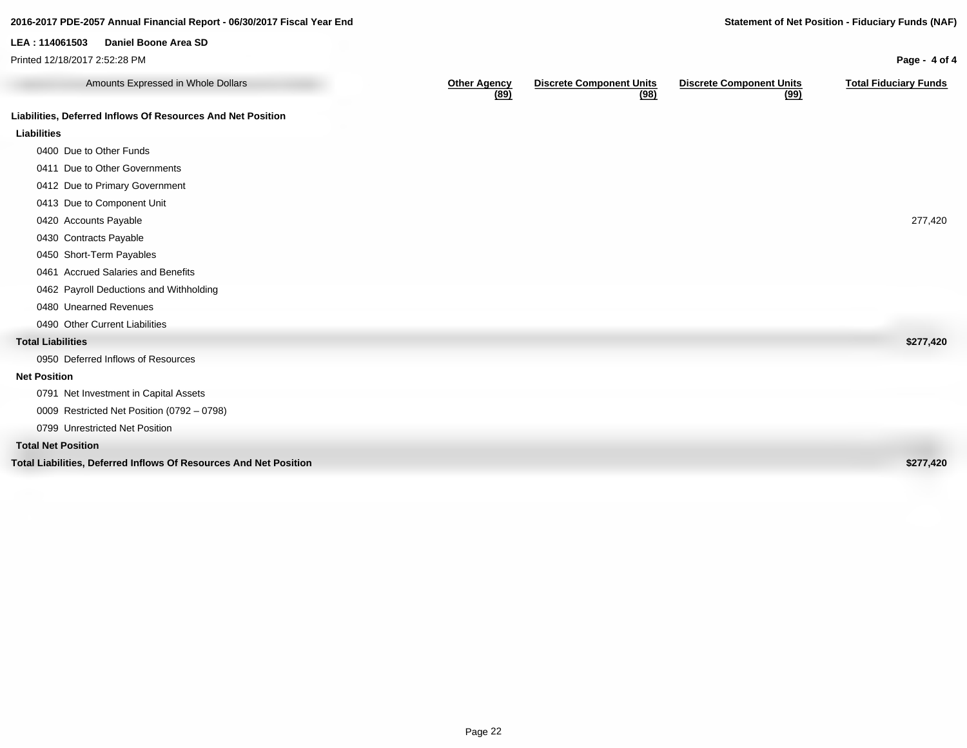### **Amounts Expressed in Whole Dollars** Other Agency<br>(89) **Discrete Component Units (98) Discrete Component Units (99) Total Fiduciary Funds Liabilities, Deferred Inflows Of Resources And Net Position Liabilities** 0400 Due to Other Funds 0411 Due to Other Governments 0412 Due to Primary Government 0413 Due to Component Unit 0420 Accounts Payable 277,420 0430 Contracts Payable 0450 Short-Term Payables 0461 Accrued Salaries and Benefits 0462 Payroll Deductions and Withholding 0480 Unearned Revenues 0490 Other Current Liabilities **Total Liabilities \$277,420** 0950 Deferred Inflows of Resources **Net Position** 0791 Net Investment in Capital Assets 0009 Restricted Net Position (0792 – 0798) 0799 Unrestricted Net Position **Total Net Position Total Liabilities, Deferred Inflows Of Resources And Net Position \$277,420 2016-2017 PDE-2057 Annual Financial Report - 06/30/2017 Fiscal Year End Statement of Net Position - Fiduciary Funds (NAF) Page - 4 of 4 LEA : 114061503 Daniel Boone Area SD** Printed 12/18/2017 2:52:28 PM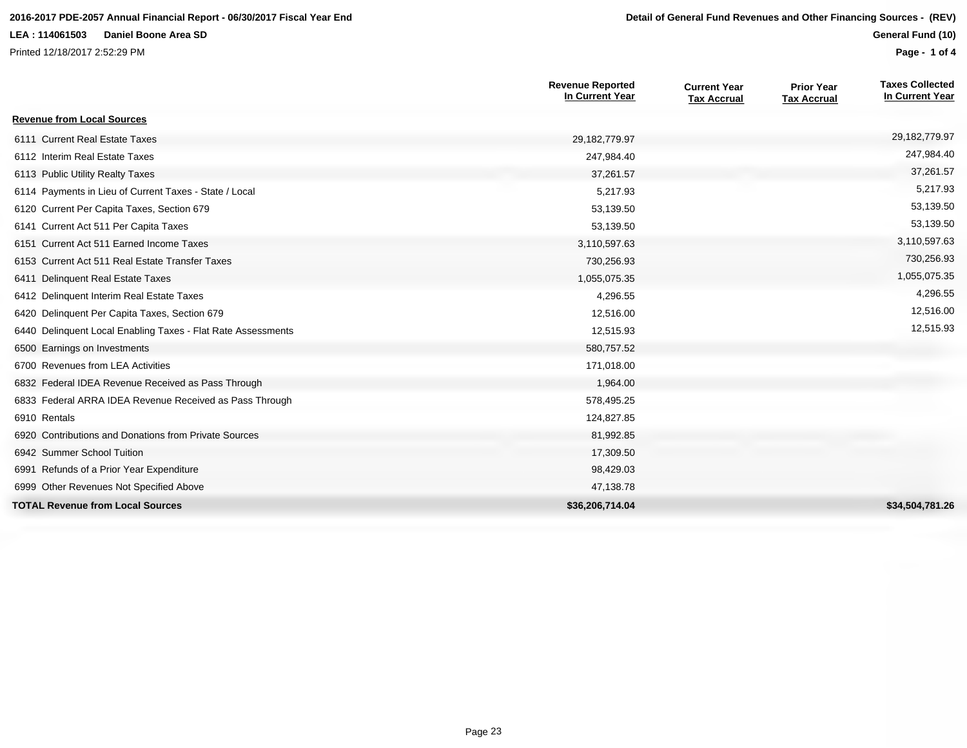#### **2016-2017 PDE-2057 Annual Financial Report - 06/30/2017 Fiscal Year End Detail of General Fund Revenues and Other Financing Sources - (REV)**

#### **LEA : 114061503 Daniel Boone Area SD**

Printed 12/18/2017 2:52:29 PM

**General Fund (10)**

**Page - 1 of 4**

|                                                              | <b>Revenue Reported</b><br>In Current Year | <b>Current Year</b><br><b>Tax Accrual</b> | <b>Prior Year</b><br><b>Tax Accrual</b> | <b>Taxes Collected</b><br>In Current Year |
|--------------------------------------------------------------|--------------------------------------------|-------------------------------------------|-----------------------------------------|-------------------------------------------|
| <b>Revenue from Local Sources</b>                            |                                            |                                           |                                         |                                           |
| 6111 Current Real Estate Taxes                               | 29,182,779.97                              |                                           |                                         | 29, 182, 779. 97                          |
| 6112 Interim Real Estate Taxes                               | 247,984.40                                 |                                           |                                         | 247,984.40                                |
| 6113 Public Utility Realty Taxes                             | 37,261.57                                  |                                           |                                         | 37,261.57                                 |
| 6114 Payments in Lieu of Current Taxes - State / Local       | 5,217.93                                   |                                           |                                         | 5,217.93                                  |
| 6120 Current Per Capita Taxes, Section 679                   | 53,139.50                                  |                                           |                                         | 53,139.50                                 |
| 6141 Current Act 511 Per Capita Taxes                        | 53,139.50                                  |                                           |                                         | 53,139.50                                 |
| 6151 Current Act 511 Earned Income Taxes                     | 3,110,597.63                               |                                           |                                         | 3,110,597.63                              |
| 6153 Current Act 511 Real Estate Transfer Taxes              | 730,256.93                                 |                                           |                                         | 730,256.93                                |
| 6411 Delinquent Real Estate Taxes                            | 1,055,075.35                               |                                           |                                         | 1,055,075.35                              |
| 6412 Delinquent Interim Real Estate Taxes                    | 4,296.55                                   |                                           |                                         | 4,296.55                                  |
| 6420 Delinquent Per Capita Taxes, Section 679                | 12,516.00                                  |                                           |                                         | 12,516.00                                 |
| 6440 Delinquent Local Enabling Taxes - Flat Rate Assessments | 12,515.93                                  |                                           |                                         | 12,515.93                                 |
| 6500 Earnings on Investments                                 | 580,757.52                                 |                                           |                                         |                                           |
| 6700 Revenues from LEA Activities                            | 171,018.00                                 |                                           |                                         |                                           |
| 6832 Federal IDEA Revenue Received as Pass Through           | 1,964.00                                   |                                           |                                         |                                           |
| 6833 Federal ARRA IDEA Revenue Received as Pass Through      | 578,495.25                                 |                                           |                                         |                                           |
| 6910 Rentals                                                 | 124,827.85                                 |                                           |                                         |                                           |
| 6920 Contributions and Donations from Private Sources        | 81,992.85                                  |                                           |                                         |                                           |
| 6942 Summer School Tuition                                   | 17,309.50                                  |                                           |                                         |                                           |
| 6991 Refunds of a Prior Year Expenditure                     | 98,429.03                                  |                                           |                                         |                                           |
| 6999 Other Revenues Not Specified Above                      | 47,138.78                                  |                                           |                                         |                                           |
| <b>TOTAL Revenue from Local Sources</b>                      | \$36,206,714.04                            |                                           |                                         | \$34.504.781.26                           |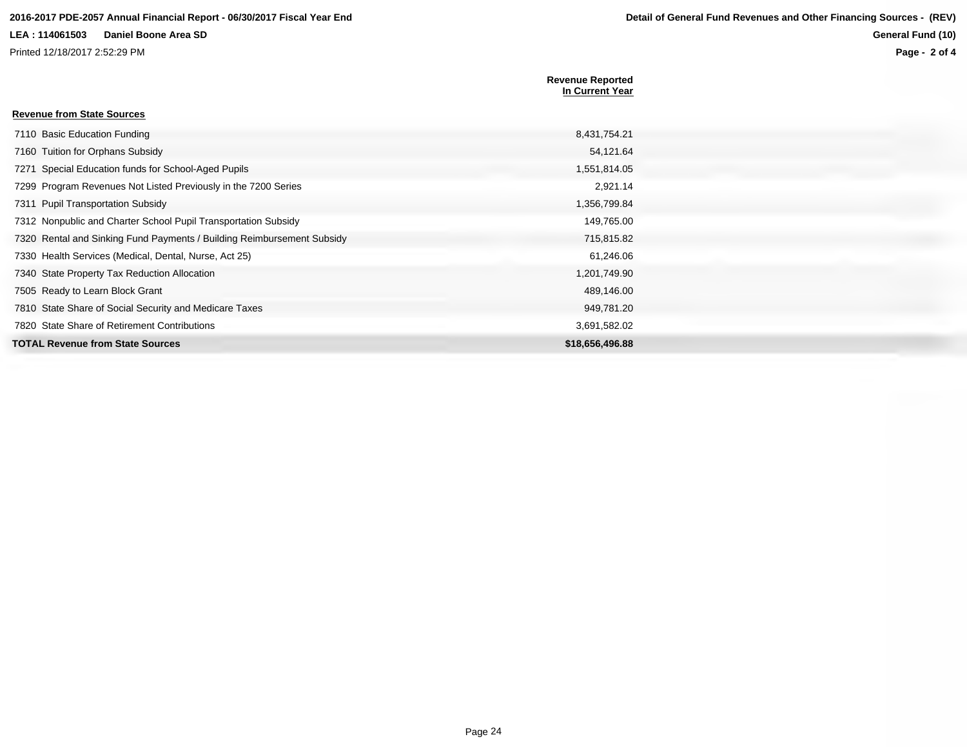Printed 12/18/2017 2:52:29 PM

**Page - 2 of 4**

|                                                                        | <b>Revenue Reported</b><br>In Current Year |
|------------------------------------------------------------------------|--------------------------------------------|
| <b>Revenue from State Sources</b>                                      |                                            |
| 7110 Basic Education Funding                                           | 8,431,754.21                               |
| 7160 Tuition for Orphans Subsidy                                       | 54,121.64                                  |
| 7271 Special Education funds for School-Aged Pupils                    | 1,551,814.05                               |
| 7299 Program Revenues Not Listed Previously in the 7200 Series         | 2,921.14                                   |
| 7311 Pupil Transportation Subsidy                                      | 1,356,799.84                               |
| 7312 Nonpublic and Charter School Pupil Transportation Subsidy         | 149,765.00                                 |
| 7320 Rental and Sinking Fund Payments / Building Reimbursement Subsidy | 715,815.82                                 |
| 7330 Health Services (Medical, Dental, Nurse, Act 25)                  | 61,246.06                                  |
| 7340 State Property Tax Reduction Allocation                           | 1,201,749.90                               |
| 7505 Ready to Learn Block Grant                                        | 489,146.00                                 |
| 7810 State Share of Social Security and Medicare Taxes                 | 949,781.20                                 |
| 7820 State Share of Retirement Contributions                           | 3,691,582.02                               |
| <b>TOTAL Revenue from State Sources</b>                                | \$18,656,496,88                            |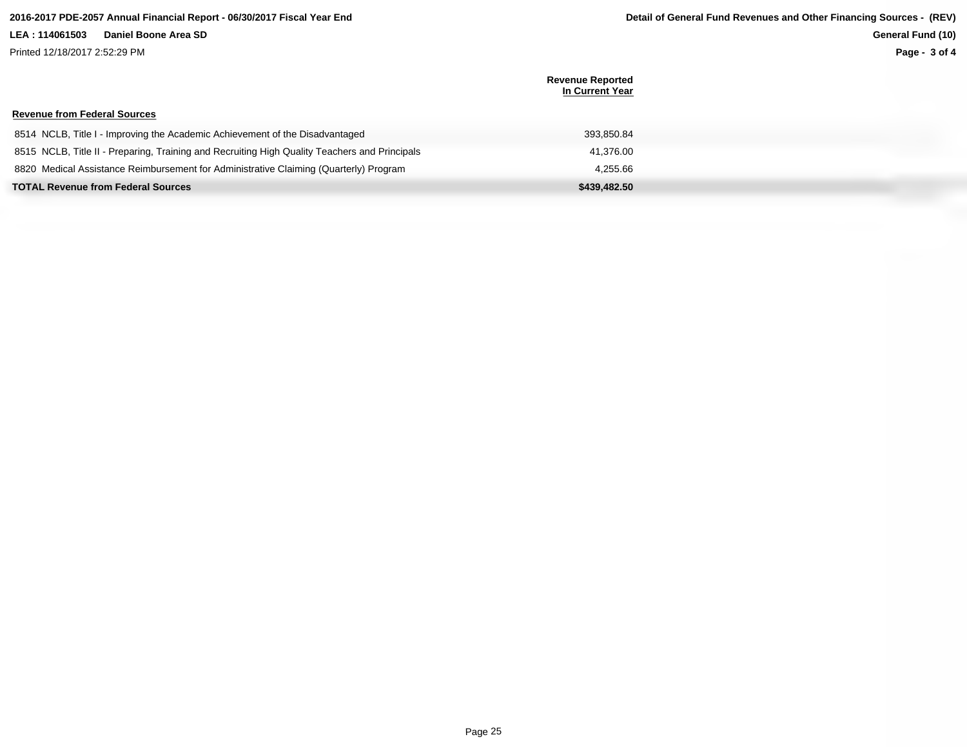Printed 12/18/2017 2:52:29 PM

**Revenue from Federal Sources**

**Revenue Reported In Current Year**

| 8514 NCLB, Title I - Improving the Academic Achievement of the Disadvantaged                  | 393.850.84   |
|-----------------------------------------------------------------------------------------------|--------------|
| 8515 NCLB, Title II - Preparing, Training and Recruiting High Quality Teachers and Principals | 41.376.00    |
| 8820 Medical Assistance Reimbursement for Administrative Claiming (Quarterly) Program         | 4.255.66     |
| <b>TOTAL Revenue from Federal Sources</b>                                                     | \$439,482.50 |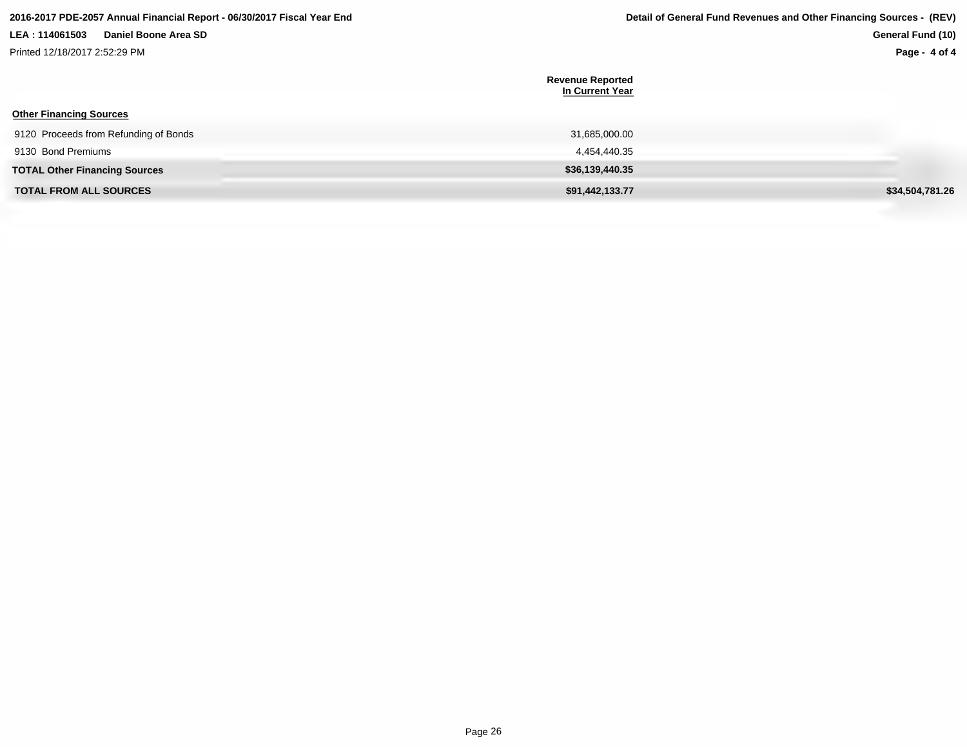Printed 12/18/2017 2:52:29 PM

# **Page - 4 of 4**

| <b>Other Financing Sources</b>        | <b>Revenue Reported</b><br>In Current Year |                 |
|---------------------------------------|--------------------------------------------|-----------------|
| 9120 Proceeds from Refunding of Bonds | 31,685,000.00                              |                 |
| 9130 Bond Premiums                    | 4,454,440.35                               |                 |
| <b>TOTAL Other Financing Sources</b>  | \$36,139,440.35                            |                 |
| <b>TOTAL FROM ALL SOURCES</b>         | \$91,442,133.77                            | \$34,504,781.26 |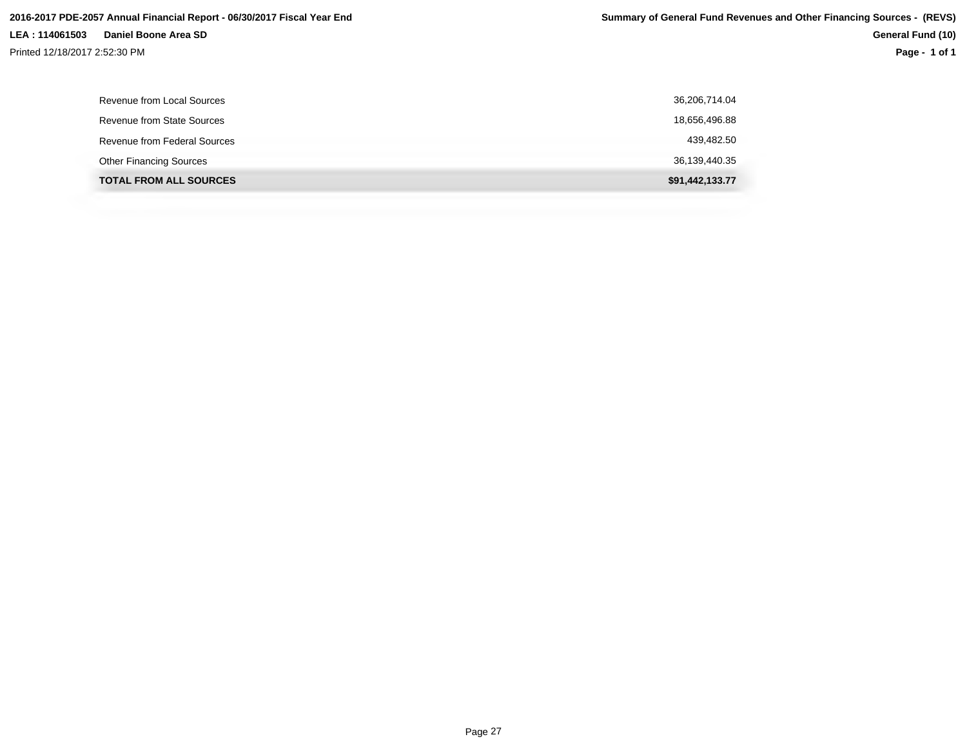| Revenue from Local Sources     | 36,206,714.04   |
|--------------------------------|-----------------|
| Revenue from State Sources     | 18,656,496.88   |
| Revenue from Federal Sources   | 439,482.50      |
| <b>Other Financing Sources</b> | 36,139,440.35   |
| <b>TOTAL FROM ALL SOURCES</b>  | \$91,442,133.77 |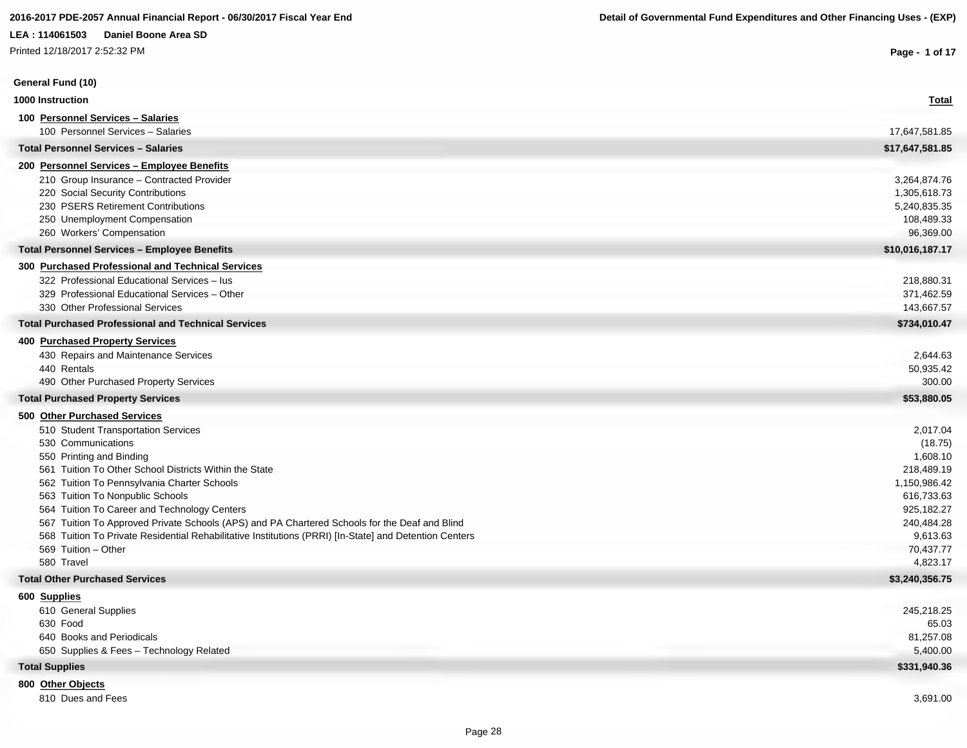Printed 12/18/2017 2:52:32 PM

| Printed 12/18/2017 2:52:32 PM                                                                                                 | Page - 1 of 17        |
|-------------------------------------------------------------------------------------------------------------------------------|-----------------------|
| General Fund (10)                                                                                                             |                       |
| 1000 Instruction                                                                                                              | <b>Total</b>          |
| 100 Personnel Services - Salaries                                                                                             |                       |
| 100 Personnel Services - Salaries                                                                                             | 17,647,581.85         |
| <b>Total Personnel Services - Salaries</b>                                                                                    | \$17,647,581.85       |
| 200 Personnel Services - Employee Benefits                                                                                    |                       |
| 210 Group Insurance - Contracted Provider                                                                                     | 3,264,874.76          |
| 220 Social Security Contributions                                                                                             | 1,305,618.73          |
| 230 PSERS Retirement Contributions                                                                                            | 5,240,835.35          |
| 250 Unemployment Compensation                                                                                                 | 108,489.33            |
| 260 Workers' Compensation                                                                                                     | 96,369.00             |
| <b>Total Personnel Services - Employee Benefits</b>                                                                           | \$10,016,187.17       |
| 300 Purchased Professional and Technical Services                                                                             |                       |
| 322 Professional Educational Services - lus                                                                                   | 218,880.31            |
| 329 Professional Educational Services - Other                                                                                 | 371,462.59            |
| 330 Other Professional Services                                                                                               | 143,667.57            |
| <b>Total Purchased Professional and Technical Services</b>                                                                    | \$734,010.47          |
| 400 Purchased Property Services                                                                                               |                       |
| 430 Repairs and Maintenance Services                                                                                          | 2,644.63              |
| 440 Rentals                                                                                                                   | 50,935.42             |
| 490 Other Purchased Property Services                                                                                         | 300.00                |
| <b>Total Purchased Property Services</b>                                                                                      | \$53,880.05           |
| 500 Other Purchased Services                                                                                                  |                       |
| 510 Student Transportation Services                                                                                           | 2,017.04              |
| 530 Communications                                                                                                            | (18.75)               |
| 550 Printing and Binding                                                                                                      | 1,608.10              |
| 561 Tuition To Other School Districts Within the State                                                                        | 218,489.19            |
| 562 Tuition To Pennsylvania Charter Schools                                                                                   | 1,150,986.42          |
| 563 Tuition To Nonpublic Schools                                                                                              | 616,733.63            |
| 564 Tuition To Career and Technology Centers                                                                                  | 925,182.27            |
| 567 Tuition To Approved Private Schools (APS) and PA Chartered Schools for the Deaf and Blind                                 | 240,484.28            |
| 568 Tuition To Private Residential Rehabilitative Institutions (PRRI) [In-State] and Detention Centers<br>569 Tuition - Other | 9,613.63              |
| 580 Travel                                                                                                                    | 70,437.77<br>4,823.17 |
| <b>Total Other Purchased Services</b>                                                                                         | \$3,240,356.75        |
|                                                                                                                               |                       |
| 600 Supplies<br>610 General Supplies                                                                                          | 245,218.25            |
| 630 Food                                                                                                                      | 65.03                 |
| 640 Books and Periodicals                                                                                                     | 81,257.08             |
| 650 Supplies & Fees - Technology Related                                                                                      | 5,400.00              |
| <b>Total Supplies</b>                                                                                                         | \$331,940.36          |
| 800 Other Objects                                                                                                             |                       |
| 810 Dues and Fees                                                                                                             | 3,691.00              |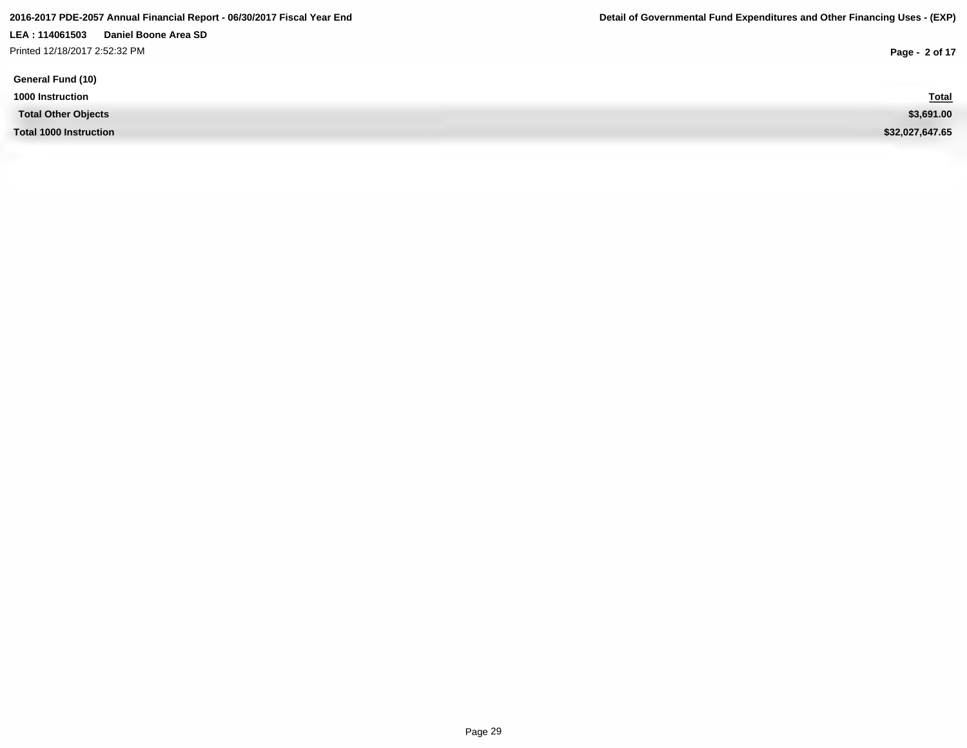**LEA : 114061503 Daniel Boone Area SD** Printed 12/18/2017 2:52:32 PM

**1000 Instruction Total**

**Total Other Objects \$3,691.00**

**Total 1000 Instruction \$32,027,647.65**

**Page - 2 of 17**

Total<br>\$3,691.00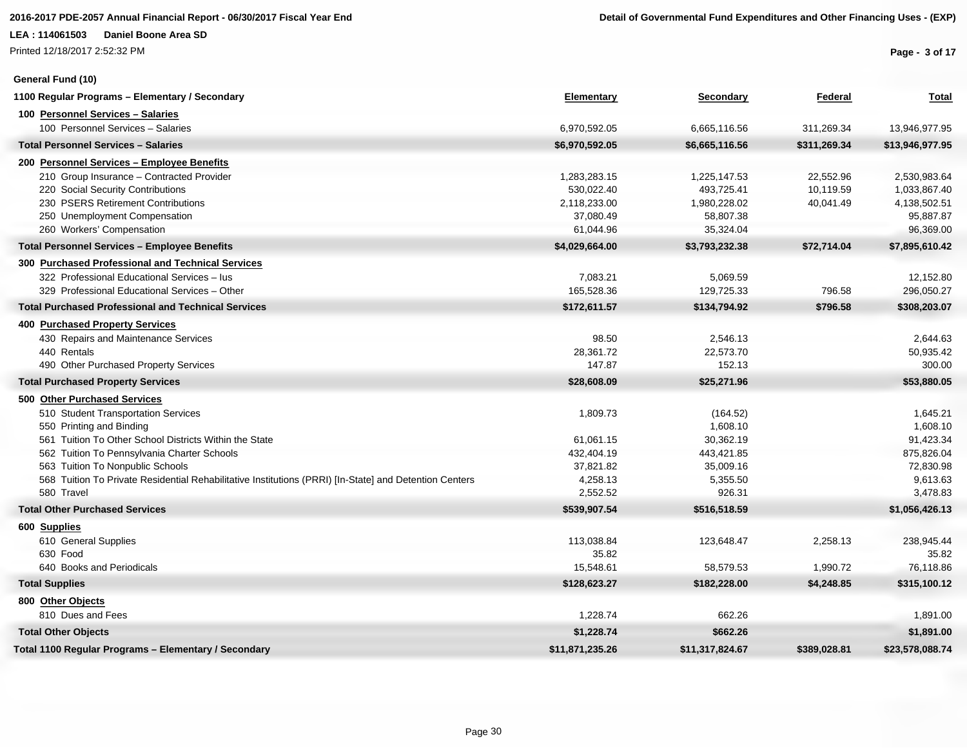Printed 12/18/2017 2:52:32 PM

**General Fund (10)**

**Page - 3 of 17**

| 1100 Regular Programs - Elementary / Secondary                                                         | <b>Elementary</b> | <b>Secondary</b> | Federal      | <b>Total</b>    |
|--------------------------------------------------------------------------------------------------------|-------------------|------------------|--------------|-----------------|
| 100 Personnel Services - Salaries                                                                      |                   |                  |              |                 |
| 100 Personnel Services - Salaries                                                                      | 6,970,592.05      | 6,665,116.56     | 311,269.34   | 13,946,977.95   |
| <b>Total Personnel Services - Salaries</b>                                                             | \$6,970,592.05    | \$6,665,116.56   | \$311,269.34 | \$13,946,977.95 |
| 200 Personnel Services - Employee Benefits                                                             |                   |                  |              |                 |
| 210 Group Insurance - Contracted Provider                                                              | 1,283,283.15      | 1,225,147.53     | 22,552.96    | 2,530,983.64    |
| 220 Social Security Contributions                                                                      | 530,022.40        | 493,725.41       | 10,119.59    | 1,033,867.40    |
| 230 PSERS Retirement Contributions                                                                     | 2,118,233.00      | 1,980,228.02     | 40,041.49    | 4,138,502.51    |
| 250 Unemployment Compensation                                                                          | 37,080.49         | 58,807.38        |              | 95,887.87       |
| 260 Workers' Compensation                                                                              | 61,044.96         | 35,324.04        |              | 96,369.00       |
| <b>Total Personnel Services - Employee Benefits</b>                                                    | \$4,029,664.00    | \$3,793,232.38   | \$72,714.04  | \$7,895,610.42  |
| 300 Purchased Professional and Technical Services                                                      |                   |                  |              |                 |
| 322 Professional Educational Services - lus                                                            | 7,083.21          | 5,069.59         |              | 12,152.80       |
| 329 Professional Educational Services - Other                                                          | 165,528.36        | 129,725.33       | 796.58       | 296,050.27      |
| <b>Total Purchased Professional and Technical Services</b>                                             | \$172,611.57      | \$134,794.92     | \$796.58     | \$308,203.07    |
| <b>400 Purchased Property Services</b>                                                                 |                   |                  |              |                 |
| 430 Repairs and Maintenance Services                                                                   | 98.50             | 2,546.13         |              | 2,644.63        |
| 440 Rentals                                                                                            | 28,361.72         | 22,573.70        |              | 50,935.42       |
| 490 Other Purchased Property Services                                                                  | 147.87            | 152.13           |              | 300.00          |
| <b>Total Purchased Property Services</b>                                                               | \$28,608.09       | \$25,271.96      |              | \$53,880.05     |
| 500 Other Purchased Services                                                                           |                   |                  |              |                 |
| 510 Student Transportation Services                                                                    | 1,809.73          | (164.52)         |              | 1,645.21        |
| 550 Printing and Binding                                                                               |                   | 1,608.10         |              | 1,608.10        |
| 561 Tuition To Other School Districts Within the State                                                 | 61,061.15         | 30,362.19        |              | 91,423.34       |
| 562 Tuition To Pennsylvania Charter Schools                                                            | 432,404.19        | 443,421.85       |              | 875,826.04      |
| 563 Tuition To Nonpublic Schools                                                                       | 37,821.82         | 35,009.16        |              | 72,830.98       |
| 568 Tuition To Private Residential Rehabilitative Institutions (PRRI) [In-State] and Detention Centers | 4,258.13          | 5,355.50         |              | 9,613.63        |
| 580 Travel                                                                                             | 2,552.52          | 926.31           |              | 3,478.83        |
| <b>Total Other Purchased Services</b>                                                                  | \$539,907.54      | \$516,518.59     |              | \$1,056,426.13  |
| 600 Supplies                                                                                           |                   |                  |              |                 |
| 610 General Supplies                                                                                   | 113,038.84        | 123,648.47       | 2,258.13     | 238,945.44      |
| 630 Food                                                                                               | 35.82             |                  |              | 35.82           |
| 640 Books and Periodicals                                                                              | 15,548.61         | 58,579.53        | 1,990.72     | 76,118.86       |
| <b>Total Supplies</b>                                                                                  | \$128,623.27      | \$182,228.00     | \$4,248.85   | \$315,100.12    |
| 800 Other Objects                                                                                      |                   |                  |              |                 |
| 810 Dues and Fees                                                                                      | 1,228.74          | 662.26           |              | 1,891.00        |
| <b>Total Other Objects</b>                                                                             | \$1,228.74        | \$662.26         |              | \$1,891.00      |
| Total 1100 Regular Programs - Elementary / Secondary                                                   | \$11,871,235.26   | \$11,317,824.67  | \$389,028.81 | \$23,578,088.74 |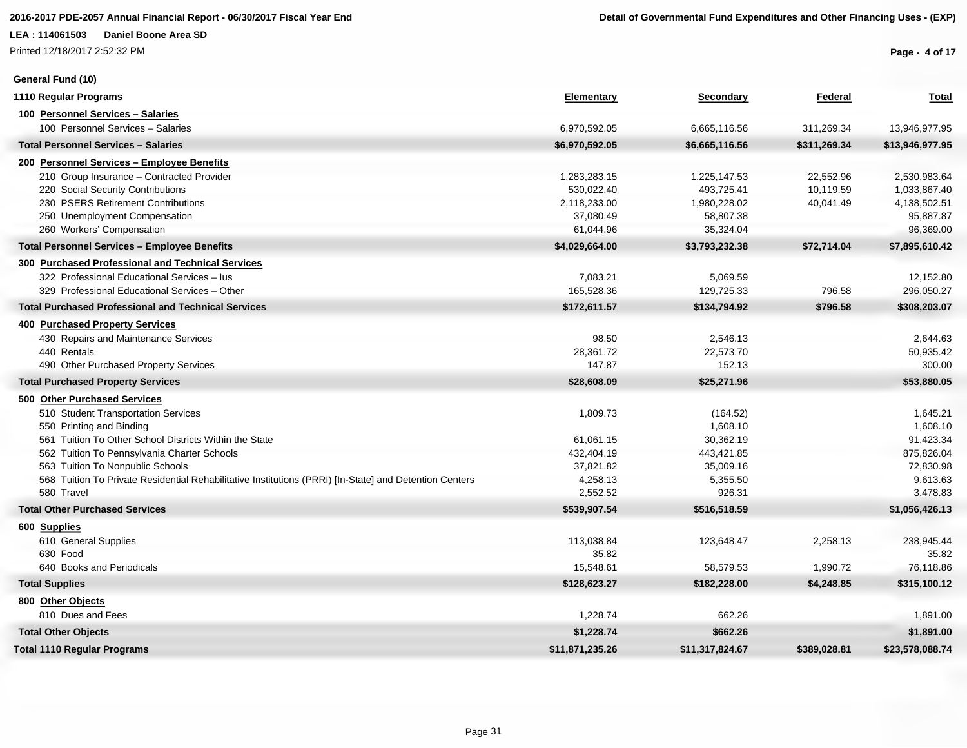Printed 12/18/2017 2:52:32 PM

#### **General Fund (10)**

**Page - 4 of 17**

| 1110 Regular Programs                                                                                  | <b>Elementary</b> | Secondary       | Federal      | <b>Total</b>    |
|--------------------------------------------------------------------------------------------------------|-------------------|-----------------|--------------|-----------------|
| 100 Personnel Services - Salaries                                                                      |                   |                 |              |                 |
| 100 Personnel Services - Salaries                                                                      | 6,970,592.05      | 6,665,116.56    | 311,269.34   | 13,946,977.95   |
| <b>Total Personnel Services - Salaries</b>                                                             | \$6,970,592.05    | \$6,665,116.56  | \$311,269.34 | \$13,946,977.95 |
| 200 Personnel Services - Employee Benefits                                                             |                   |                 |              |                 |
| 210 Group Insurance - Contracted Provider                                                              | 1,283,283.15      | 1,225,147.53    | 22,552.96    | 2,530,983.64    |
| 220 Social Security Contributions                                                                      | 530.022.40        | 493,725.41      | 10,119.59    | 1,033,867.40    |
| 230 PSERS Retirement Contributions                                                                     | 2,118,233.00      | 1,980,228.02    | 40,041.49    | 4,138,502.51    |
| 250 Unemployment Compensation                                                                          | 37,080.49         | 58,807.38       |              | 95,887.87       |
| 260 Workers' Compensation                                                                              | 61,044.96         | 35,324.04       |              | 96,369.00       |
| <b>Total Personnel Services - Employee Benefits</b>                                                    | \$4,029,664.00    | \$3,793,232.38  | \$72,714.04  | \$7,895,610.42  |
| 300 Purchased Professional and Technical Services                                                      |                   |                 |              |                 |
| 322 Professional Educational Services - lus                                                            | 7,083.21          | 5,069.59        |              | 12,152.80       |
| 329 Professional Educational Services - Other                                                          | 165,528.36        | 129,725.33      | 796.58       | 296,050.27      |
| <b>Total Purchased Professional and Technical Services</b>                                             | \$172,611.57      | \$134,794.92    | \$796.58     | \$308,203.07    |
| 400 Purchased Property Services                                                                        |                   |                 |              |                 |
| 430 Repairs and Maintenance Services                                                                   | 98.50             | 2,546.13        |              | 2,644.63        |
| 440 Rentals                                                                                            | 28,361.72         | 22,573.70       |              | 50,935.42       |
| 490 Other Purchased Property Services                                                                  | 147.87            | 152.13          |              | 300.00          |
| <b>Total Purchased Property Services</b>                                                               | \$28,608.09       | \$25,271.96     |              | \$53,880.05     |
| 500 Other Purchased Services                                                                           |                   |                 |              |                 |
| 510 Student Transportation Services                                                                    | 1,809.73          | (164.52)        |              | 1,645.21        |
| 550 Printing and Binding                                                                               |                   | 1,608.10        |              | 1,608.10        |
| 561 Tuition To Other School Districts Within the State                                                 | 61.061.15         | 30,362.19       |              | 91,423.34       |
| 562 Tuition To Pennsylvania Charter Schools                                                            | 432,404.19        | 443,421.85      |              | 875,826.04      |
| 563 Tuition To Nonpublic Schools                                                                       | 37,821.82         | 35,009.16       |              | 72,830.98       |
| 568 Tuition To Private Residential Rehabilitative Institutions (PRRI) [In-State] and Detention Centers | 4,258.13          | 5,355.50        |              | 9,613.63        |
| 580 Travel                                                                                             | 2,552.52          | 926.31          |              | 3,478.83        |
| <b>Total Other Purchased Services</b>                                                                  | \$539,907.54      | \$516,518.59    |              | \$1,056,426.13  |
| 600 Supplies                                                                                           |                   |                 |              |                 |
| 610 General Supplies                                                                                   | 113,038.84        | 123,648.47      | 2,258.13     | 238,945.44      |
| 630 Food                                                                                               | 35.82             |                 |              | 35.82           |
| 640 Books and Periodicals                                                                              | 15,548.61         | 58,579.53       | 1,990.72     | 76,118.86       |
| <b>Total Supplies</b>                                                                                  | \$128,623.27      | \$182,228.00    | \$4,248.85   | \$315,100.12    |
| 800 Other Objects                                                                                      |                   |                 |              |                 |
| 810 Dues and Fees                                                                                      | 1,228.74          | 662.26          |              | 1,891.00        |
| <b>Total Other Objects</b>                                                                             | \$1,228.74        | \$662.26        |              | \$1,891.00      |
| <b>Total 1110 Regular Programs</b>                                                                     | \$11.871.235.26   | \$11,317,824.67 | \$389.028.81 | \$23,578,088.74 |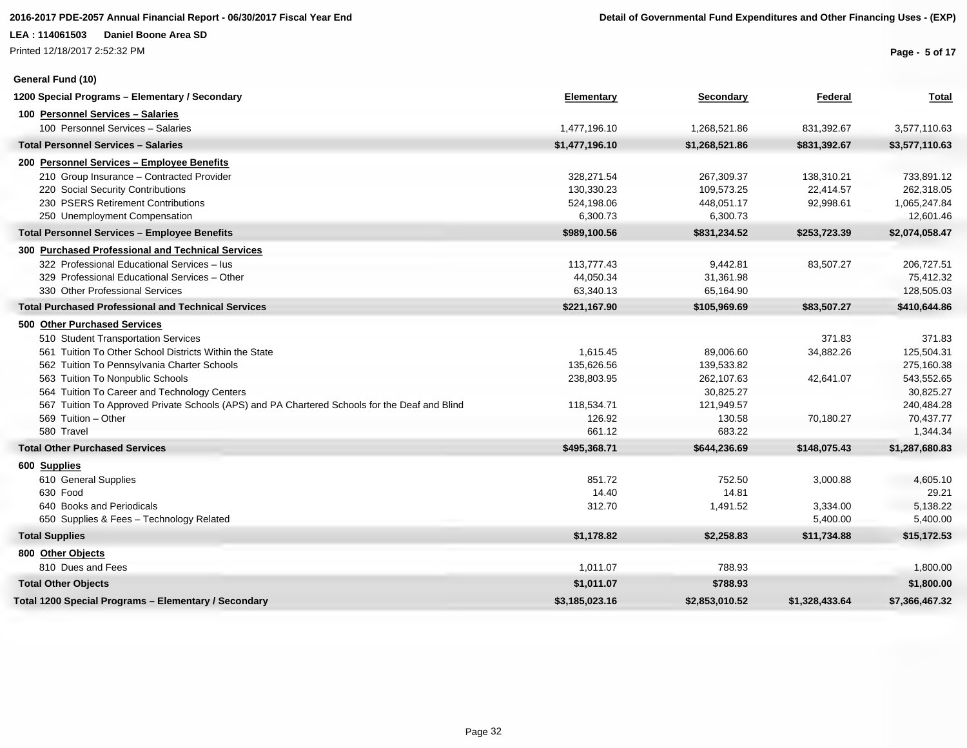Printed 12/18/2017 2:52:32 PM

**General Fund (10)**

**Page - 5 of 17**

| 1200 Special Programs - Elementary / Secondary                                                | Elementary     | <b>Secondary</b> | Federal        | <b>Total</b>   |
|-----------------------------------------------------------------------------------------------|----------------|------------------|----------------|----------------|
| 100 Personnel Services - Salaries                                                             |                |                  |                |                |
| 100 Personnel Services - Salaries                                                             | 1,477,196.10   | 1,268,521.86     | 831,392.67     | 3,577,110.63   |
| <b>Total Personnel Services - Salaries</b>                                                    | \$1,477,196.10 | \$1,268,521.86   | \$831,392.67   | \$3,577,110.63 |
| 200 Personnel Services - Employee Benefits                                                    |                |                  |                |                |
| 210 Group Insurance - Contracted Provider                                                     | 328,271.54     | 267,309.37       | 138,310.21     | 733,891.12     |
| 220 Social Security Contributions                                                             | 130,330.23     | 109,573.25       | 22,414.57      | 262,318.05     |
| 230 PSERS Retirement Contributions                                                            | 524,198.06     | 448,051.17       | 92,998.61      | 1,065,247.84   |
| 250 Unemployment Compensation                                                                 | 6,300.73       | 6,300.73         |                | 12,601.46      |
| <b>Total Personnel Services - Employee Benefits</b>                                           | \$989,100.56   | \$831,234.52     | \$253,723.39   | \$2,074,058.47 |
| 300 Purchased Professional and Technical Services                                             |                |                  |                |                |
| 322 Professional Educational Services - lus                                                   | 113,777.43     | 9,442.81         | 83,507.27      | 206,727.51     |
| 329 Professional Educational Services - Other                                                 | 44,050.34      | 31,361.98        |                | 75,412.32      |
| 330 Other Professional Services                                                               | 63,340.13      | 65,164.90        |                | 128,505.03     |
| <b>Total Purchased Professional and Technical Services</b>                                    | \$221,167.90   | \$105,969.69     | \$83,507.27    | \$410,644.86   |
| 500 Other Purchased Services                                                                  |                |                  |                |                |
| 510 Student Transportation Services                                                           |                |                  | 371.83         | 371.83         |
| 561 Tuition To Other School Districts Within the State                                        | 1,615.45       | 89,006.60        | 34,882.26      | 125,504.31     |
| 562 Tuition To Pennsylvania Charter Schools                                                   | 135,626.56     | 139,533.82       |                | 275,160.38     |
| 563 Tuition To Nonpublic Schools                                                              | 238,803.95     | 262,107.63       | 42,641.07      | 543,552.65     |
| 564 Tuition To Career and Technology Centers                                                  |                | 30,825.27        |                | 30,825.27      |
| 567 Tuition To Approved Private Schools (APS) and PA Chartered Schools for the Deaf and Blind | 118,534.71     | 121,949.57       |                | 240,484.28     |
| 569 Tuition - Other                                                                           | 126.92         | 130.58           | 70,180.27      | 70,437.77      |
| 580 Travel                                                                                    | 661.12         | 683.22           |                | 1,344.34       |
| <b>Total Other Purchased Services</b>                                                         | \$495,368.71   | \$644,236.69     | \$148,075.43   | \$1,287,680.83 |
| 600 Supplies                                                                                  |                |                  |                |                |
| 610 General Supplies                                                                          | 851.72         | 752.50           | 3,000.88       | 4,605.10       |
| 630 Food                                                                                      | 14.40          | 14.81            |                | 29.21          |
| 640 Books and Periodicals                                                                     | 312.70         | 1,491.52         | 3,334.00       | 5,138.22       |
| 650 Supplies & Fees - Technology Related                                                      |                |                  | 5,400.00       | 5,400.00       |
| <b>Total Supplies</b>                                                                         | \$1,178.82     | \$2,258.83       | \$11,734.88    | \$15,172.53    |
| 800 Other Objects                                                                             |                |                  |                |                |
| 810 Dues and Fees                                                                             | 1,011.07       | 788.93           |                | 1,800.00       |
| <b>Total Other Objects</b>                                                                    | \$1,011.07     | \$788.93         |                | \$1,800.00     |
| Total 1200 Special Programs - Elementary / Secondary                                          | \$3,185,023.16 | \$2,853,010.52   | \$1,328,433.64 | \$7,366,467.32 |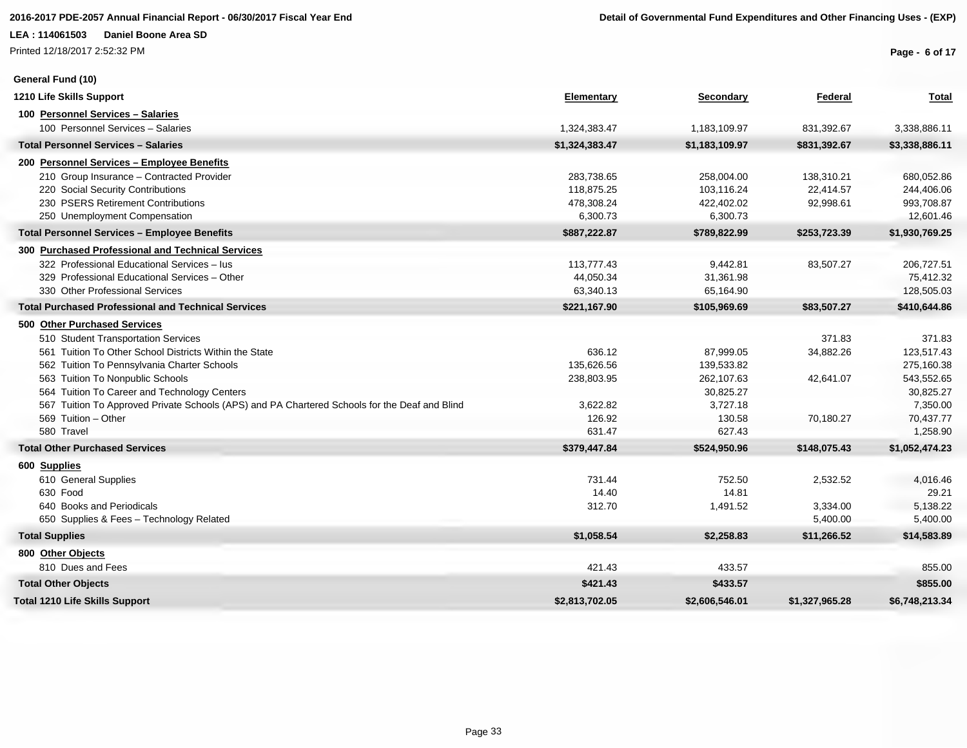Printed 12/18/2017 2:52:32 PM

**General Fund (10)**

**Page - 6 of 17**

| 1210 Life Skills Support                                                                      | Elementary     | Secondary      | Federal        | <b>Total</b>   |
|-----------------------------------------------------------------------------------------------|----------------|----------------|----------------|----------------|
| 100 Personnel Services - Salaries                                                             |                |                |                |                |
| 100 Personnel Services - Salaries                                                             | 1,324,383.47   | 1,183,109.97   | 831,392.67     | 3,338,886.11   |
| <b>Total Personnel Services - Salaries</b>                                                    | \$1,324,383.47 | \$1,183,109.97 | \$831,392.67   | \$3,338,886.11 |
| 200 Personnel Services - Employee Benefits                                                    |                |                |                |                |
| 210 Group Insurance - Contracted Provider                                                     | 283,738.65     | 258,004.00     | 138,310.21     | 680,052.86     |
| 220 Social Security Contributions                                                             | 118.875.25     | 103,116.24     | 22.414.57      | 244,406.06     |
| 230 PSERS Retirement Contributions                                                            | 478,308.24     | 422,402.02     | 92,998.61      | 993,708.87     |
| 250 Unemployment Compensation                                                                 | 6,300.73       | 6,300.73       |                | 12,601.46      |
| <b>Total Personnel Services - Employee Benefits</b>                                           | \$887,222.87   | \$789,822.99   | \$253,723.39   | \$1,930,769.25 |
| 300 Purchased Professional and Technical Services                                             |                |                |                |                |
| 322 Professional Educational Services - lus                                                   | 113,777.43     | 9,442.81       | 83,507.27      | 206,727.51     |
| 329 Professional Educational Services - Other                                                 | 44,050.34      | 31,361.98      |                | 75,412.32      |
| 330 Other Professional Services                                                               | 63,340.13      | 65,164.90      |                | 128,505.03     |
| <b>Total Purchased Professional and Technical Services</b>                                    | \$221,167.90   | \$105,969.69   | \$83,507.27    | \$410,644.86   |
| 500 Other Purchased Services                                                                  |                |                |                |                |
| 510 Student Transportation Services                                                           |                |                | 371.83         | 371.83         |
| 561 Tuition To Other School Districts Within the State                                        | 636.12         | 87,999.05      | 34,882.26      | 123,517.43     |
| 562 Tuition To Pennsylvania Charter Schools                                                   | 135,626.56     | 139,533.82     |                | 275,160.38     |
| 563 Tuition To Nonpublic Schools                                                              | 238,803.95     | 262,107.63     | 42,641.07      | 543,552.65     |
| 564 Tuition To Career and Technology Centers                                                  |                | 30,825.27      |                | 30,825.27      |
| 567 Tuition To Approved Private Schools (APS) and PA Chartered Schools for the Deaf and Blind | 3,622.82       | 3,727.18       |                | 7,350.00       |
| 569 Tuition - Other                                                                           | 126.92         | 130.58         | 70,180.27      | 70,437.77      |
| 580 Travel                                                                                    | 631.47         | 627.43         |                | 1,258.90       |
| <b>Total Other Purchased Services</b>                                                         | \$379,447.84   | \$524,950.96   | \$148,075.43   | \$1,052,474.23 |
| 600 Supplies                                                                                  |                |                |                |                |
| 610 General Supplies                                                                          | 731.44         | 752.50         | 2,532.52       | 4,016.46       |
| 630 Food                                                                                      | 14.40          | 14.81          |                | 29.21          |
| 640 Books and Periodicals                                                                     | 312.70         | 1,491.52       | 3,334.00       | 5,138.22       |
| 650 Supplies & Fees - Technology Related                                                      |                |                | 5,400.00       | 5,400.00       |
| <b>Total Supplies</b>                                                                         | \$1,058.54     | \$2,258.83     | \$11,266.52    | \$14,583.89    |
| 800 Other Objects                                                                             |                |                |                |                |
| 810 Dues and Fees                                                                             | 421.43         | 433.57         |                | 855.00         |
| <b>Total Other Objects</b>                                                                    | \$421.43       | \$433.57       |                | \$855.00       |
| <b>Total 1210 Life Skills Support</b>                                                         | \$2,813,702.05 | \$2,606,546.01 | \$1,327,965.28 | \$6,748,213.34 |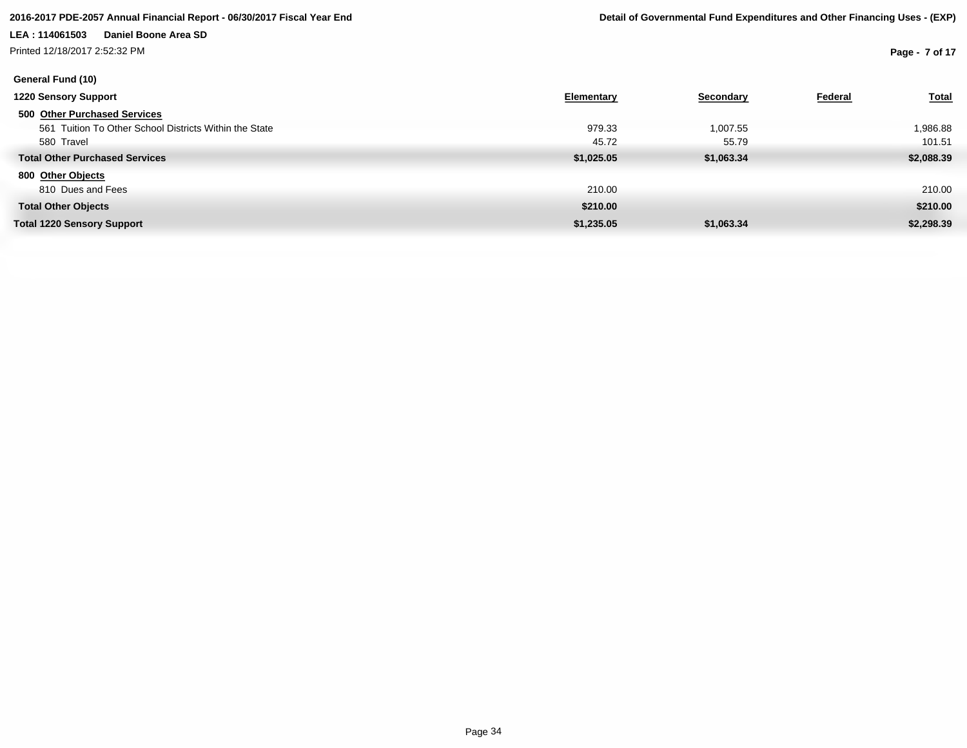Printed 12/18/2017 2:52:32 PM

**Page - 7 of 17**

| <b>1220 Sensory Support</b>                            | Elementary | Secondary  | Federal | <b>Total</b> |
|--------------------------------------------------------|------------|------------|---------|--------------|
| 500 Other Purchased Services                           |            |            |         |              |
| 561 Tuition To Other School Districts Within the State | 979.33     | 1,007.55   |         | 1,986.88     |
| 580 Travel                                             | 45.72      | 55.79      |         | 101.51       |
| <b>Total Other Purchased Services</b>                  | \$1,025.05 | \$1,063.34 |         | \$2,088.39   |
| 800 Other Objects                                      |            |            |         |              |
| 810 Dues and Fees                                      | 210.00     |            |         | 210.00       |
| <b>Total Other Objects</b>                             | \$210.00   |            |         | \$210.00     |
| <b>Total 1220 Sensory Support</b>                      | \$1,235.05 | \$1,063.34 |         | \$2,298.39   |
|                                                        |            |            |         |              |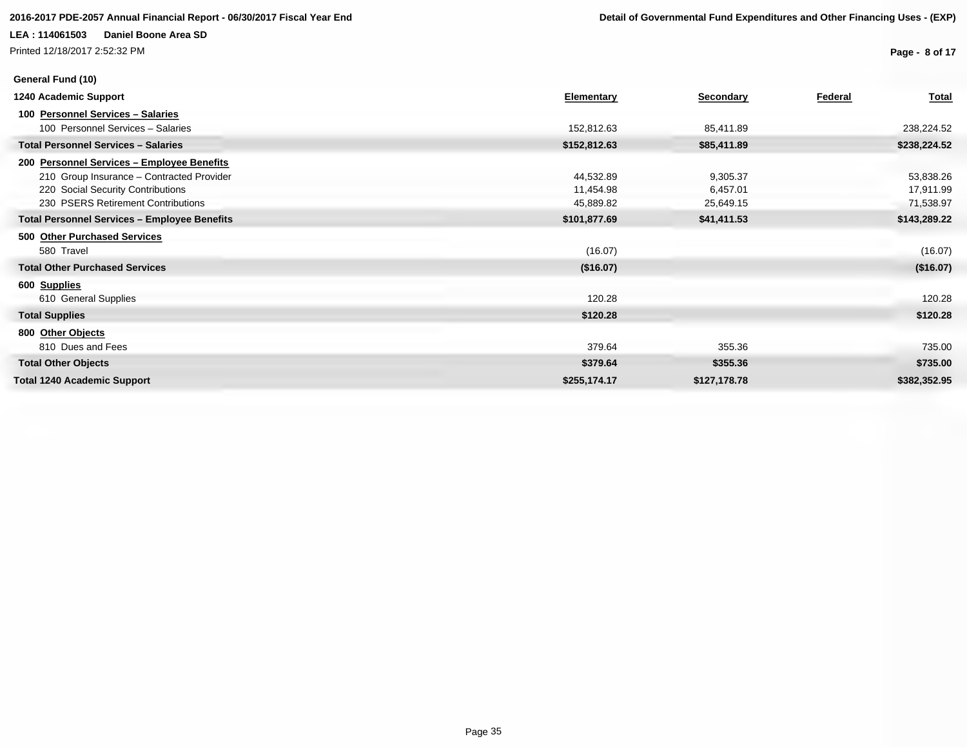Printed 12/18/2017 2:52:32 PM

**Page - 8 of 17**

| General Fund (10)                                   |              |                  |         |              |
|-----------------------------------------------------|--------------|------------------|---------|--------------|
| 1240 Academic Support                               | Elementary   | <b>Secondary</b> | Federal | <b>Total</b> |
| 100 Personnel Services - Salaries                   |              |                  |         |              |
| 100 Personnel Services - Salaries                   | 152,812.63   | 85,411.89        |         | 238,224.52   |
| <b>Total Personnel Services - Salaries</b>          | \$152,812.63 | \$85,411.89      |         | \$238,224.52 |
| 200 Personnel Services - Employee Benefits          |              |                  |         |              |
| 210 Group Insurance - Contracted Provider           | 44,532.89    | 9,305.37         |         | 53,838.26    |
| 220 Social Security Contributions                   | 11,454.98    | 6,457.01         |         | 17,911.99    |
| 230 PSERS Retirement Contributions                  | 45,889.82    | 25,649.15        |         | 71,538.97    |
| <b>Total Personnel Services - Employee Benefits</b> | \$101,877.69 | \$41,411.53      |         | \$143,289.22 |
| 500 Other Purchased Services                        |              |                  |         |              |
| 580 Travel                                          | (16.07)      |                  |         | (16.07)      |
| <b>Total Other Purchased Services</b>               | (\$16.07)    |                  |         | (\$16.07)    |
| 600 Supplies                                        |              |                  |         |              |
| 610 General Supplies                                | 120.28       |                  |         | 120.28       |
| <b>Total Supplies</b>                               | \$120.28     |                  |         | \$120.28     |
| 800 Other Objects                                   |              |                  |         |              |
| 810 Dues and Fees                                   | 379.64       | 355.36           |         | 735.00       |
| <b>Total Other Objects</b>                          | \$379.64     | \$355.36         |         | \$735.00     |
| <b>Total 1240 Academic Support</b>                  | \$255,174.17 | \$127,178.78     |         | \$382,352.95 |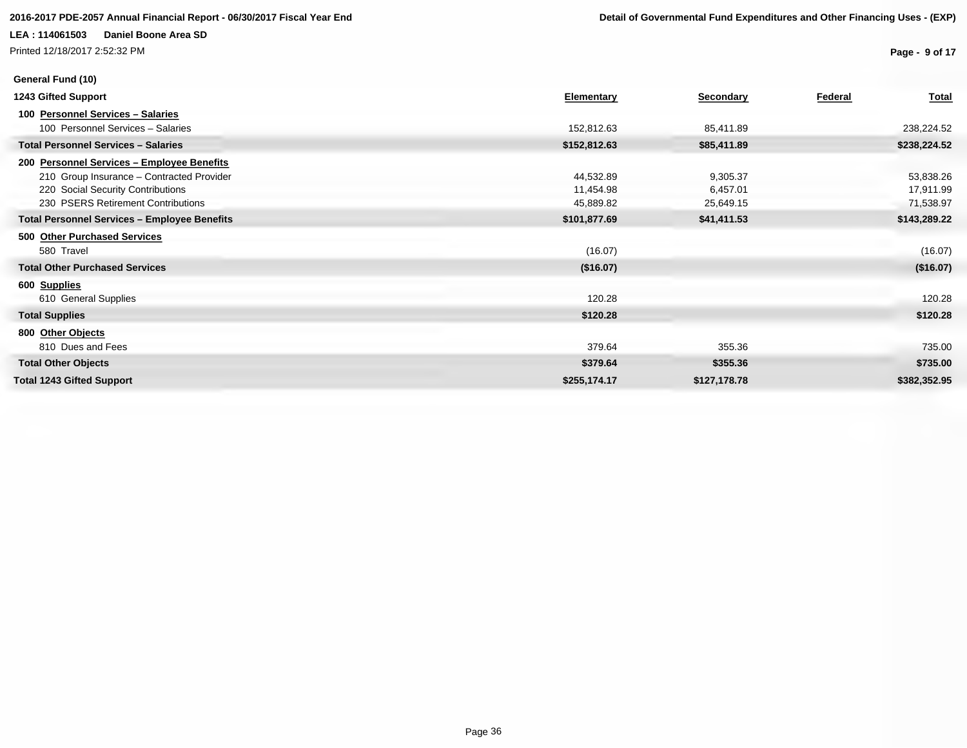Printed 12/18/2017 2:52:32 PM

**Page - 9 of 17**

| General Fund (10)                                   |                   |              |         |              |
|-----------------------------------------------------|-------------------|--------------|---------|--------------|
| 1243 Gifted Support                                 | <b>Elementary</b> | Secondary    | Federal | <b>Total</b> |
| 100 Personnel Services - Salaries                   |                   |              |         |              |
| 100 Personnel Services - Salaries                   | 152,812.63        | 85,411.89    |         | 238,224.52   |
| <b>Total Personnel Services - Salaries</b>          | \$152,812.63      | \$85,411.89  |         | \$238,224.52 |
| 200 Personnel Services - Employee Benefits          |                   |              |         |              |
| 210 Group Insurance - Contracted Provider           | 44,532.89         | 9,305.37     |         | 53,838.26    |
| 220 Social Security Contributions                   | 11,454.98         | 6,457.01     |         | 17,911.99    |
| 230 PSERS Retirement Contributions                  | 45,889.82         | 25,649.15    |         | 71,538.97    |
| <b>Total Personnel Services - Employee Benefits</b> | \$101,877.69      | \$41,411.53  |         | \$143,289.22 |
| 500 Other Purchased Services                        |                   |              |         |              |
| 580 Travel                                          | (16.07)           |              |         | (16.07)      |
| <b>Total Other Purchased Services</b>               | (\$16.07)         |              |         | (\$16.07)    |
| 600 Supplies                                        |                   |              |         |              |
| 610 General Supplies                                | 120.28            |              |         | 120.28       |
| <b>Total Supplies</b>                               | \$120.28          |              |         | \$120.28     |
| 800 Other Objects                                   |                   |              |         |              |
| 810 Dues and Fees                                   | 379.64            | 355.36       |         | 735.00       |
| <b>Total Other Objects</b>                          | \$379.64          | \$355.36     |         | \$735.00     |
| <b>Total 1243 Gifted Support</b>                    | \$255,174.17      | \$127,178.78 |         | \$382,352.95 |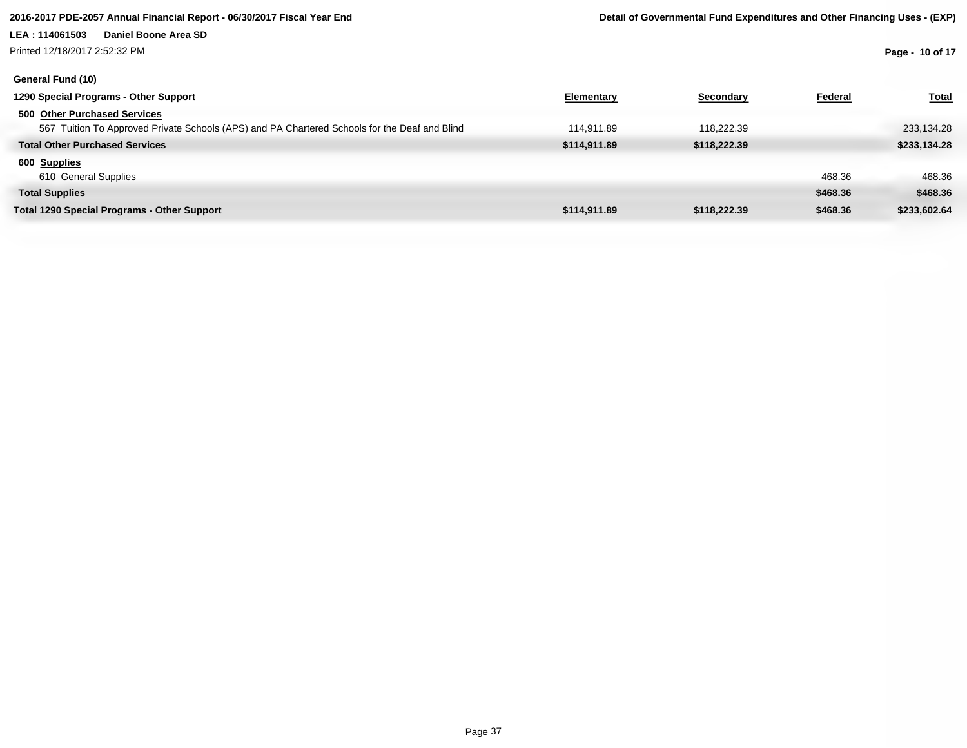Printed 12/18/2017 2:52:32 PM

**Page - 10 of 17**

| General Fund (10)                                                                             |              |              |          |              |
|-----------------------------------------------------------------------------------------------|--------------|--------------|----------|--------------|
| 1290 Special Programs - Other Support                                                         | Elementary   | Secondary    | Federal  | <b>Total</b> |
| 500 Other Purchased Services                                                                  |              |              |          |              |
| 567 Tuition To Approved Private Schools (APS) and PA Chartered Schools for the Deaf and Blind | 114.911.89   | 118.222.39   |          | 233,134.28   |
| <b>Total Other Purchased Services</b>                                                         | \$114,911.89 | \$118,222.39 |          | \$233,134.28 |
| 600 Supplies                                                                                  |              |              |          |              |
| 610 General Supplies                                                                          |              |              | 468.36   | 468.36       |
| <b>Total Supplies</b>                                                                         |              |              | \$468.36 | \$468.36     |
| <b>Total 1290 Special Programs - Other Support</b>                                            | \$114,911.89 | \$118,222,39 | \$468.36 | \$233,602.64 |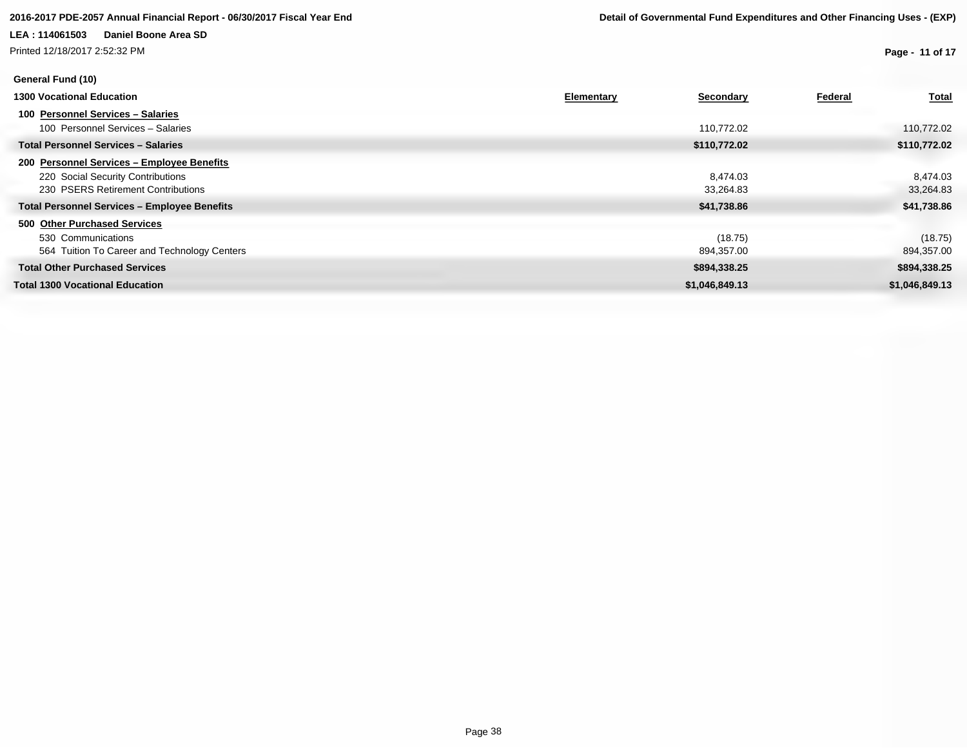Printed 12/18/2017 2:52:32 PM

**Page - 11 of 17**

| General Fund (10)                                                                                                     |            |                       |         |                       |
|-----------------------------------------------------------------------------------------------------------------------|------------|-----------------------|---------|-----------------------|
| <b>1300 Vocational Education</b>                                                                                      | Elementary | <b>Secondary</b>      | Federal | <b>Total</b>          |
| 100 Personnel Services - Salaries<br>100 Personnel Services - Salaries                                                |            | 110,772.02            |         | 110,772.02            |
| <b>Total Personnel Services - Salaries</b>                                                                            |            | \$110,772.02          |         | \$110,772.02          |
| 200 Personnel Services - Employee Benefits<br>220 Social Security Contributions<br>230 PSERS Retirement Contributions |            | 8.474.03<br>33,264.83 |         | 8,474.03<br>33,264.83 |
| <b>Total Personnel Services - Employee Benefits</b>                                                                   |            | \$41,738.86           |         | \$41,738.86           |
| 500 Other Purchased Services<br>530 Communications<br>564 Tuition To Career and Technology Centers                    |            | (18.75)<br>894,357.00 |         | (18.75)<br>894,357.00 |
| <b>Total Other Purchased Services</b>                                                                                 |            | \$894,338.25          |         | \$894,338.25          |
| <b>Total 1300 Vocational Education</b>                                                                                |            | \$1,046,849.13        |         | \$1,046,849.13        |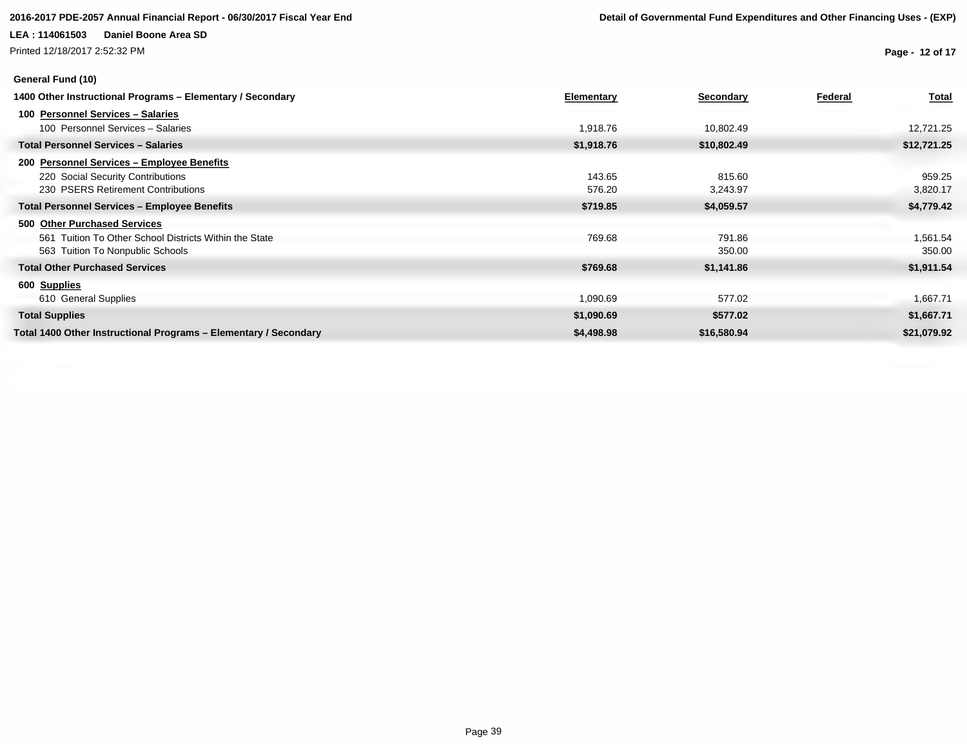Printed 12/18/2017 2:52:32 PM

### **General Fund (10)**

**Page - 12 of 17**

| 1400 Other Instructional Programs - Elementary / Secondary       | <b>Elementary</b> | <b>Secondary</b> | Federal | <b>Total</b> |
|------------------------------------------------------------------|-------------------|------------------|---------|--------------|
| 100 Personnel Services - Salaries                                |                   |                  |         |              |
| 100 Personnel Services - Salaries                                | 1,918.76          | 10,802.49        |         | 12,721.25    |
| <b>Total Personnel Services - Salaries</b>                       | \$1,918.76        | \$10,802.49      |         | \$12,721.25  |
| 200 Personnel Services - Employee Benefits                       |                   |                  |         |              |
| 220 Social Security Contributions                                | 143.65            | 815.60           |         | 959.25       |
| 230 PSERS Retirement Contributions                               | 576.20            | 3,243.97         |         | 3,820.17     |
| <b>Total Personnel Services - Employee Benefits</b>              | \$719.85          | \$4,059.57       |         | \$4,779.42   |
| 500 Other Purchased Services                                     |                   |                  |         |              |
| 561 Tuition To Other School Districts Within the State           | 769.68            | 791.86           |         | 1,561.54     |
| 563 Tuition To Nonpublic Schools                                 |                   | 350.00           |         | 350.00       |
| <b>Total Other Purchased Services</b>                            | \$769.68          | \$1,141.86       |         | \$1,911.54   |
| 600 Supplies                                                     |                   |                  |         |              |
| 610 General Supplies                                             | 1,090.69          | 577.02           |         | 1,667.71     |
| <b>Total Supplies</b>                                            | \$1,090.69        | \$577.02         |         | \$1,667.71   |
| Total 1400 Other Instructional Programs - Elementary / Secondary | \$4,498.98        | \$16,580.94      |         | \$21,079.92  |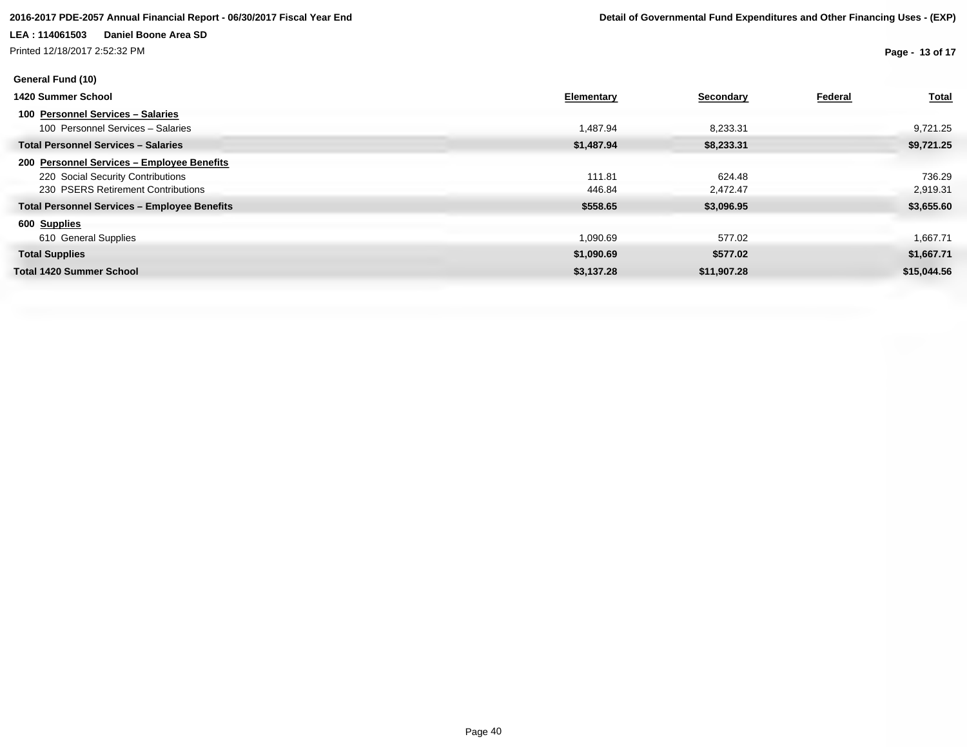### **2016-2017 PDE-2057 Annual Financial Report - 06/30/2017 Fiscal Year End Detail of Governmental Fund Expenditures and Other Financing Uses - (EXP)**

### **LEA : 114061503 Daniel Boone Area SD**

Printed 12/18/2017 2:52:32 PM

**Page - 13 of 17**

| General Fund (10)                                   |                   |             |         |              |
|-----------------------------------------------------|-------------------|-------------|---------|--------------|
| 1420 Summer School                                  | <b>Elementary</b> | Secondary   | Federal | <b>Total</b> |
| 100 Personnel Services - Salaries                   |                   |             |         |              |
| 100 Personnel Services - Salaries                   | 1,487.94          | 8,233.31    |         | 9,721.25     |
| <b>Total Personnel Services - Salaries</b>          | \$1,487.94        | \$8,233.31  |         | \$9,721.25   |
| 200 Personnel Services - Employee Benefits          |                   |             |         |              |
| 220 Social Security Contributions                   | 111.81            | 624.48      |         | 736.29       |
| 230 PSERS Retirement Contributions                  | 446.84            | 2,472.47    |         | 2,919.31     |
| <b>Total Personnel Services - Employee Benefits</b> | \$558.65          | \$3,096.95  |         | \$3,655.60   |
| 600 Supplies                                        |                   |             |         |              |
| 610 General Supplies                                | 1,090.69          | 577.02      |         | 1,667.71     |
| <b>Total Supplies</b>                               | \$1,090.69        | \$577.02    |         | \$1,667.71   |
| <b>Total 1420 Summer School</b>                     | \$3,137.28        | \$11,907.28 |         | \$15,044.56  |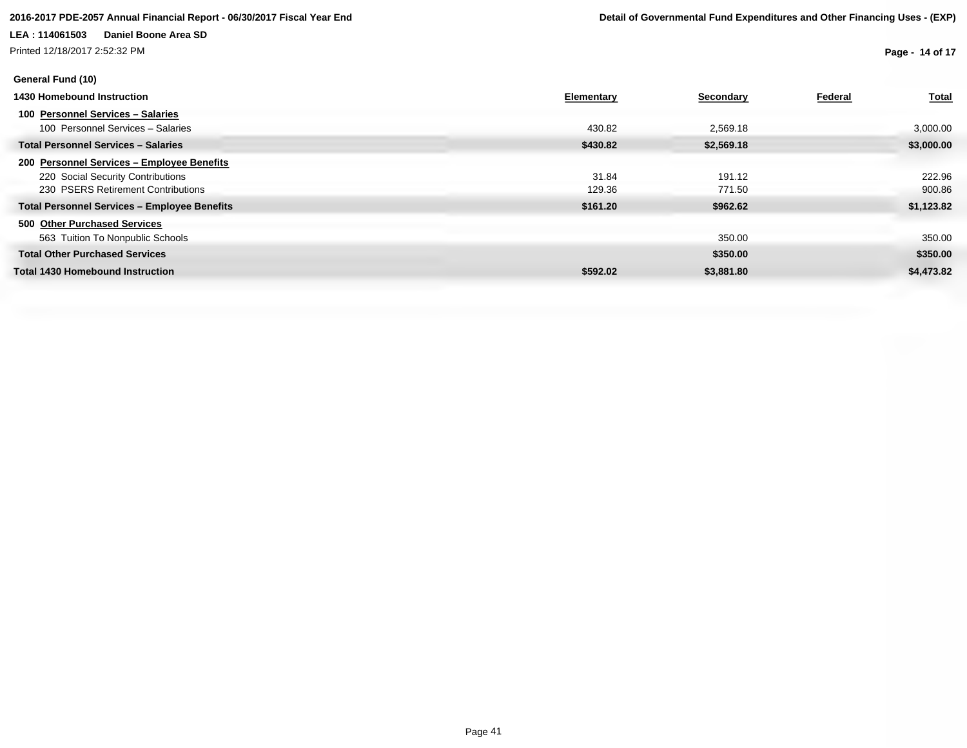Printed 12/18/2017 2:52:32 PM

**Page - 14 of 17**

| General Fund (10)                                                                                                       |                   |                    |         |                      |
|-------------------------------------------------------------------------------------------------------------------------|-------------------|--------------------|---------|----------------------|
| 1430 Homebound Instruction                                                                                              | <b>Elementary</b> | <b>Secondary</b>   | Federal | <b>Total</b>         |
| 100 Personnel Services - Salaries<br>100 Personnel Services - Salaries                                                  | 430.82            | 2,569.18           |         | 3,000.00             |
| <b>Total Personnel Services - Salaries</b>                                                                              | \$430.82          | \$2,569.18         |         | \$3,000.00           |
| 200 Personnel Services - Employee Benefits<br>220 Social Security Contributions<br>230 PSERS Retirement Contributions   | 31.84<br>129.36   | 191.12<br>771.50   |         | 222.96<br>900.86     |
| <b>Total Personnel Services - Employee Benefits</b><br>500 Other Purchased Services<br>563 Tuition To Nonpublic Schools | \$161.20          | \$962.62<br>350.00 |         | \$1,123.82<br>350.00 |
| <b>Total Other Purchased Services</b>                                                                                   |                   | \$350.00           |         | \$350.00             |
| <b>Total 1430 Homebound Instruction</b>                                                                                 | \$592.02          | \$3,881.80         |         | \$4,473.82           |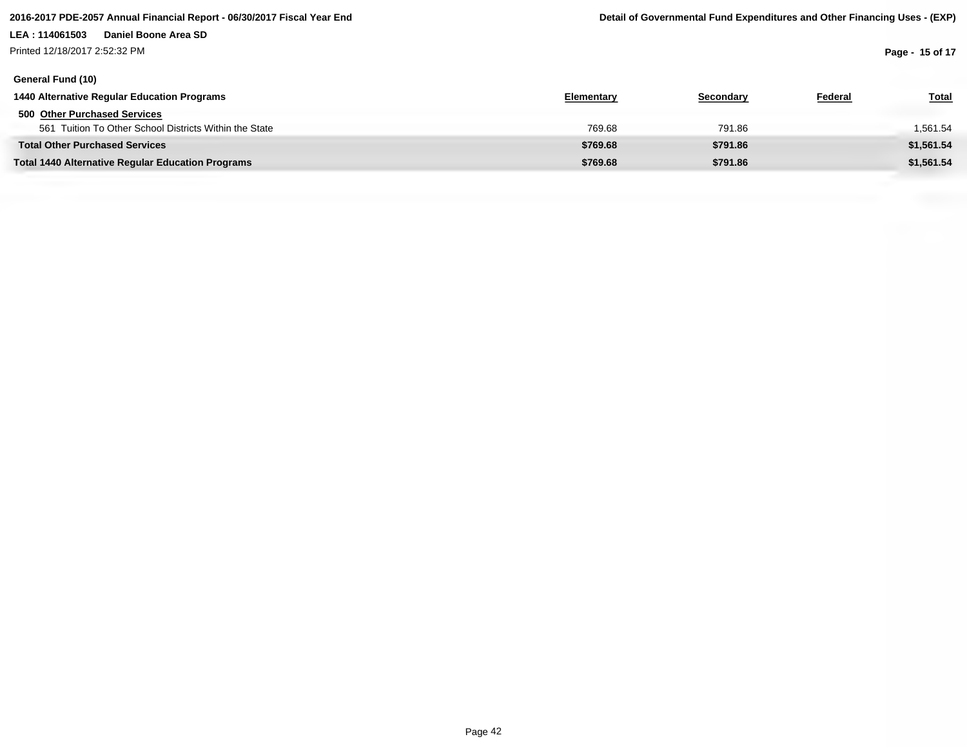Printed 12/18/2017 2:52:32 PM

**Page - 15 of 17**

| General Fund (10)                                        |            |           |         |              |
|----------------------------------------------------------|------------|-----------|---------|--------------|
| 1440 Alternative Regular Education Programs              | Elementary | Secondary | Federal | <u>Total</u> |
| 500 Other Purchased Services                             |            |           |         |              |
| 561 Tuition To Other School Districts Within the State   | 769.68     | 791.86    |         | 1,561.54     |
| <b>Total Other Purchased Services</b>                    | \$769.68   | \$791.86  |         | \$1,561.54   |
| <b>Total 1440 Alternative Regular Education Programs</b> | \$769.68   | \$791.86  |         | \$1,561.54   |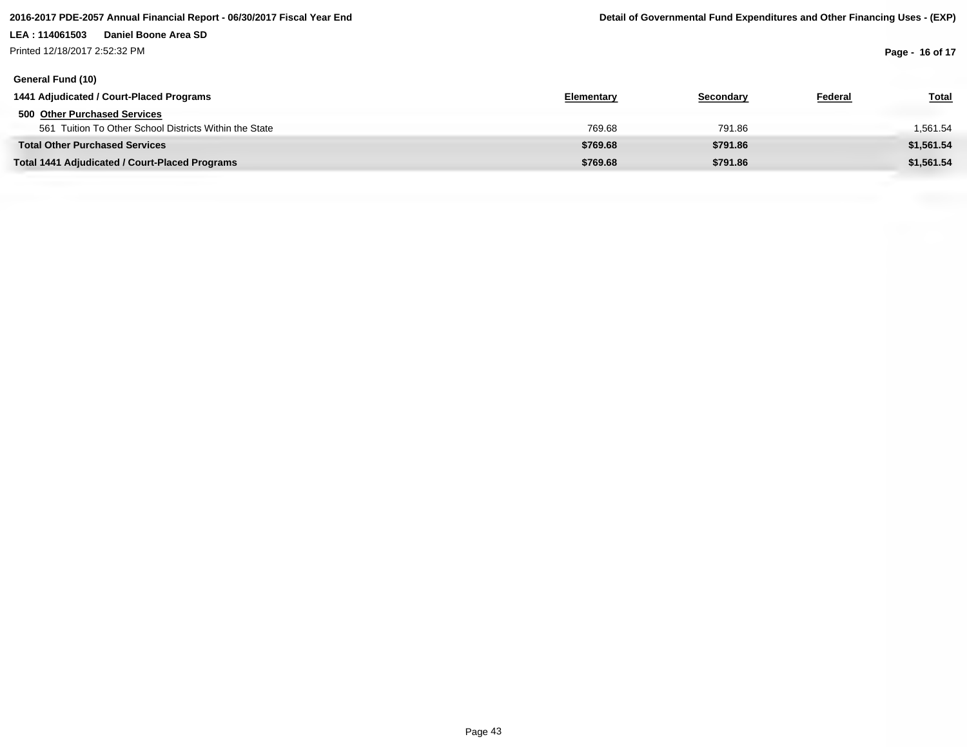Printed 12/18/2017 2:52:32 PM

**Page - 16 of 17**

| General Fund (10)                                      |            |           |         |              |
|--------------------------------------------------------|------------|-----------|---------|--------------|
| 1441 Adjudicated / Court-Placed Programs               | Elementary | Secondary | Federal | <u>Total</u> |
| 500 Other Purchased Services                           |            |           |         |              |
| 561 Tuition To Other School Districts Within the State | 769.68     | 791.86    |         | 1,561.54     |
| <b>Total Other Purchased Services</b>                  | \$769.68   | \$791.86  |         | \$1,561.54   |
| <b>Total 1441 Adjudicated / Court-Placed Programs</b>  | \$769.68   | \$791.86  |         | \$1,561.54   |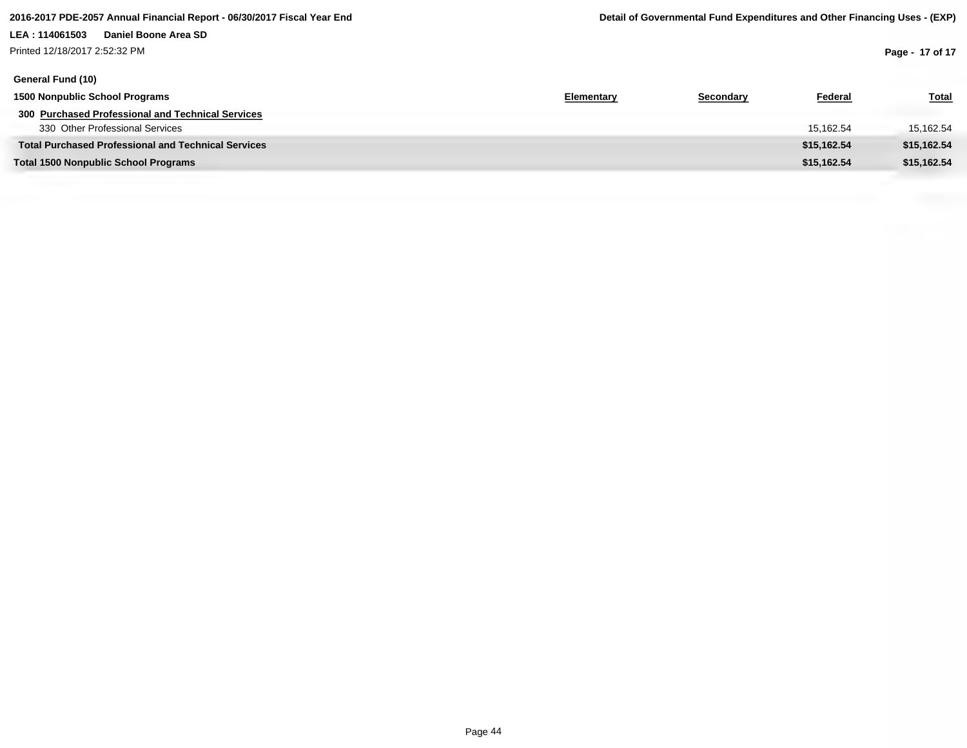## **LEA : 114061503 Daniel Boone Area SD** Printed 12/18/2017 2:52:32 PM

**Page - 17 of 17**

| General Fund (10)                                          |                   |           |             |              |
|------------------------------------------------------------|-------------------|-----------|-------------|--------------|
| 1500 Nonpublic School Programs                             | <b>Elementary</b> | Secondary | Federal     | <b>Total</b> |
| 300 Purchased Professional and Technical Services          |                   |           |             |              |
| 330 Other Professional Services                            |                   |           | 15.162.54   | 15,162.54    |
| <b>Total Purchased Professional and Technical Services</b> |                   |           | \$15,162.54 | \$15,162.54  |
| <b>Total 1500 Nonpublic School Programs</b>                |                   |           | \$15,162.54 | \$15,162.54  |
|                                                            |                   |           |             |              |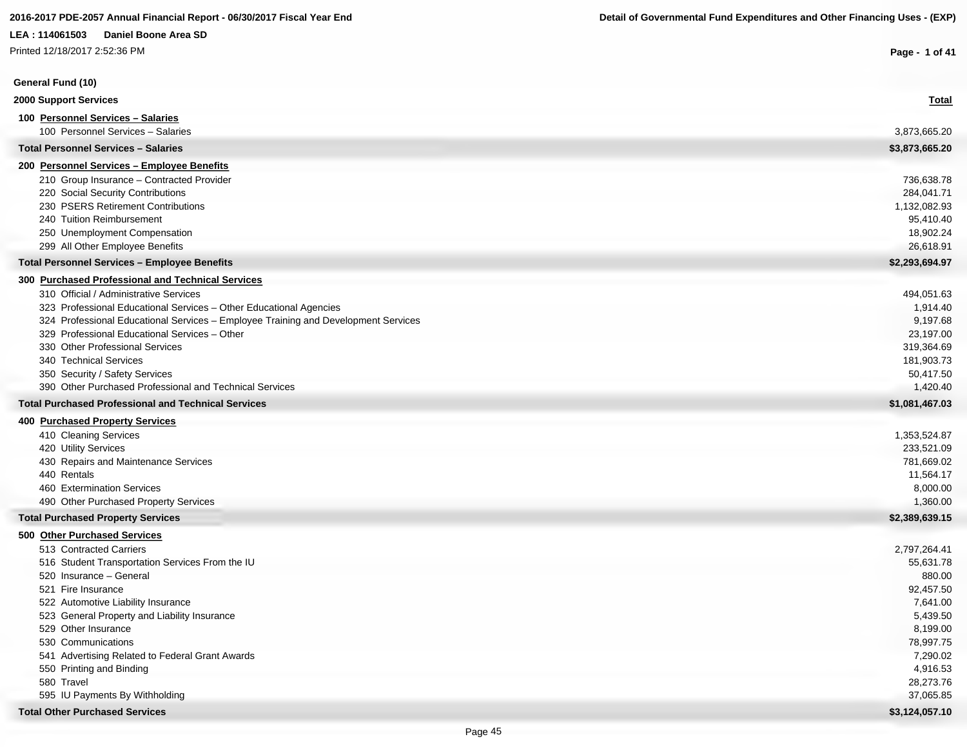Printed 12/18/2017 2:52:36 PM

| Printed 12/18/2017 2:52:36 PM                                                             | Page - 1 of 41        |
|-------------------------------------------------------------------------------------------|-----------------------|
| General Fund (10)                                                                         |                       |
| 2000 Support Services                                                                     | <b>Total</b>          |
| 100 Personnel Services - Salaries                                                         |                       |
| 100 Personnel Services - Salaries                                                         | 3,873,665.20          |
| <b>Total Personnel Services - Salaries</b>                                                | \$3,873,665.20        |
| 200 Personnel Services - Employee Benefits                                                |                       |
| 210 Group Insurance - Contracted Provider                                                 | 736,638.78            |
| 220 Social Security Contributions                                                         | 284,041.71            |
| 230 PSERS Retirement Contributions                                                        | 1,132,082.93          |
| 240 Tuition Reimbursement                                                                 | 95,410.40             |
| 250 Unemployment Compensation                                                             | 18,902.24             |
| 299 All Other Employee Benefits                                                           | 26,618.91             |
| <b>Total Personnel Services - Employee Benefits</b>                                       | \$2,293,694.97        |
| 300 Purchased Professional and Technical Services                                         |                       |
| 310 Official / Administrative Services                                                    | 494,051.63            |
| 323 Professional Educational Services - Other Educational Agencies                        | 1,914.40              |
| 324 Professional Educational Services - Employee Training and Development Services        | 9,197.68              |
| 329 Professional Educational Services - Other                                             | 23,197.00             |
| 330 Other Professional Services                                                           | 319,364.69            |
| 340 Technical Services                                                                    | 181,903.73            |
| 350 Security / Safety Services<br>390 Other Purchased Professional and Technical Services | 50,417.50<br>1,420.40 |
| <b>Total Purchased Professional and Technical Services</b>                                | \$1,081,467.03        |
| <b>400 Purchased Property Services</b>                                                    |                       |
| 410 Cleaning Services                                                                     | 1,353,524.87          |
| 420 Utility Services                                                                      | 233,521.09            |
| 430 Repairs and Maintenance Services                                                      | 781,669.02            |
| 440 Rentals                                                                               | 11,564.17             |
| 460 Extermination Services                                                                | 8,000.00              |
| 490 Other Purchased Property Services                                                     | 1,360.00              |
| <b>Total Purchased Property Services</b>                                                  | \$2,389,639.15        |
| 500 Other Purchased Services                                                              |                       |
| 513 Contracted Carriers                                                                   | 2,797,264.41          |
| 516 Student Transportation Services From the IU                                           | 55,631.78             |
| 520 Insurance - General                                                                   | 880.00                |
| 521 Fire Insurance                                                                        | 92,457.50             |
| 522 Automotive Liability Insurance                                                        | 7,641.00              |
| 523 General Property and Liability Insurance                                              | 5,439.50              |
| 529 Other Insurance                                                                       | 8,199.00              |
| 530 Communications<br>541 Advertising Related to Federal Grant Awards                     | 78,997.75<br>7,290.02 |
| 550 Printing and Binding                                                                  | 4,916.53              |
| 580 Travel                                                                                | 28,273.76             |
| 595 IU Payments By Withholding                                                            | 37,065.85             |
| <b>Total Other Purchased Services</b>                                                     | \$3,124,057.10        |
|                                                                                           |                       |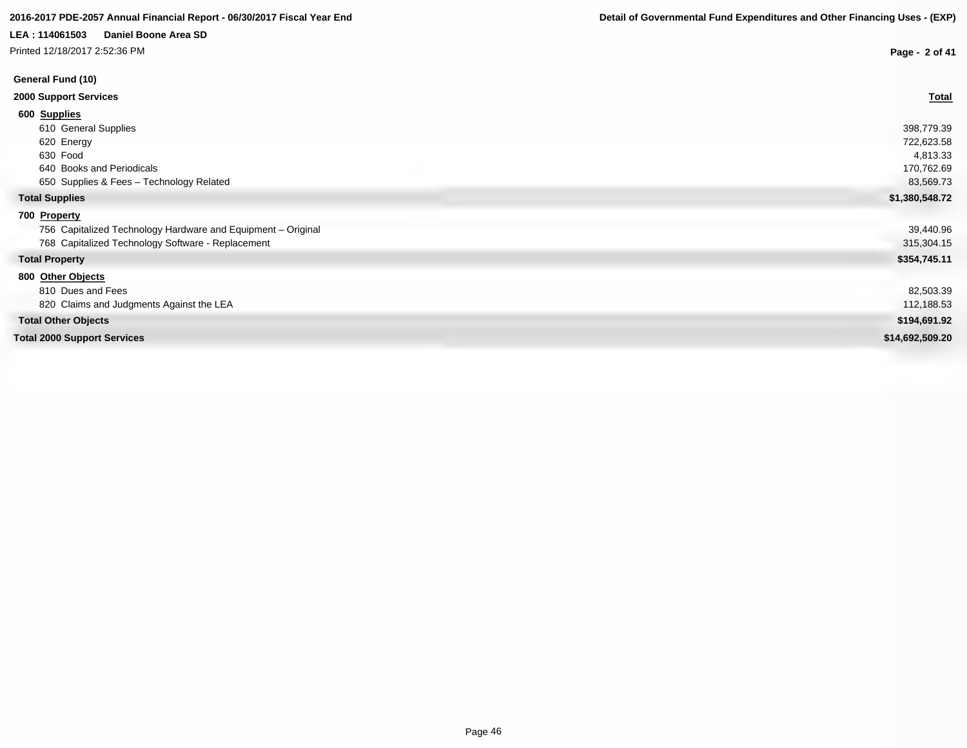# **2016-2017 PDE-2057 Annual Financial Report - 06/30/2017 Fiscal Year End Detail of Governmental Fund Expenditures and Other Financing Uses - (EXP)**

### **LEA : 114061503 Daniel Boone Area SD**

Printed 12/18/2017 2:52:36 PM

| rinted 12/18/2017 2:52:36 PM                                 | Page - 2 of 41  |
|--------------------------------------------------------------|-----------------|
| General Fund (10)                                            |                 |
| <b>2000 Support Services</b>                                 | <b>Total</b>    |
| 600 Supplies                                                 |                 |
| 610 General Supplies                                         | 398,779.39      |
| 620 Energy                                                   | 722,623.58      |
| 630 Food                                                     | 4,813.33        |
| 640 Books and Periodicals                                    | 170,762.69      |
| 650 Supplies & Fees - Technology Related                     | 83,569.73       |
| <b>Total Supplies</b>                                        | \$1,380,548.72  |
| 700 Property                                                 |                 |
| 756 Capitalized Technology Hardware and Equipment - Original | 39,440.96       |
| 768 Capitalized Technology Software - Replacement            | 315,304.15      |
| <b>Total Property</b>                                        | \$354,745.11    |
| 800 Other Objects                                            |                 |
| 810 Dues and Fees                                            | 82,503.39       |
| 820 Claims and Judgments Against the LEA                     | 112,188.53      |
| <b>Total Other Objects</b>                                   | \$194,691.92    |
| <b>Total 2000 Support Services</b>                           | \$14,692,509.20 |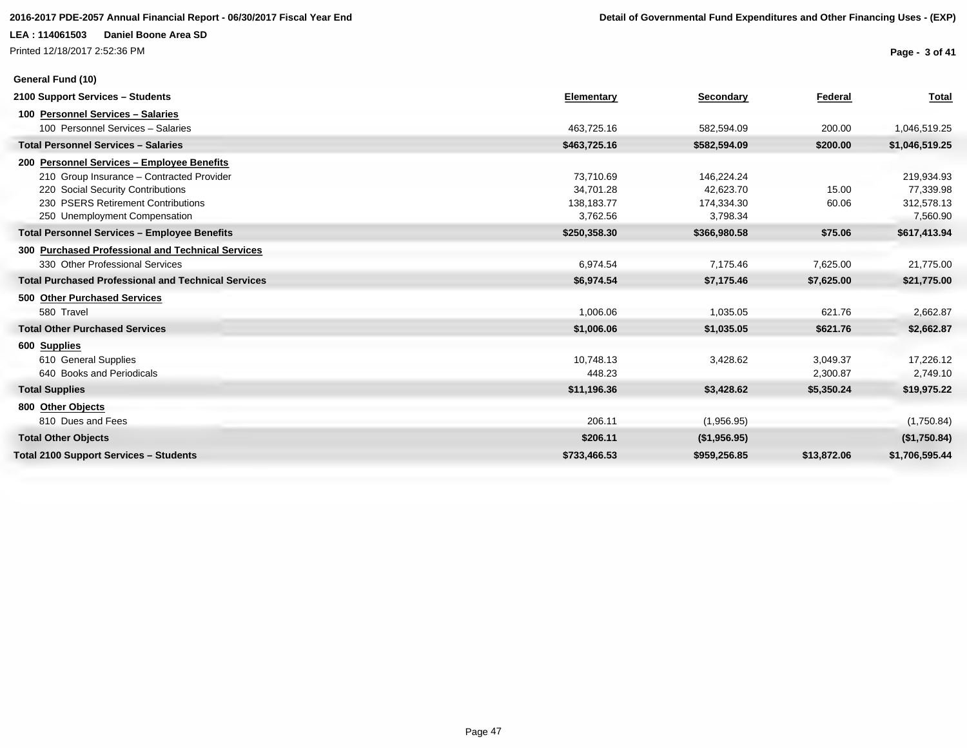Printed 12/18/2017 2:52:36 PM

**General Fund (10)**

**Page - 3 of 41**

| 2100 Support Services - Students                           | Elementary   | Secondary    | Federal     | <b>Total</b>   |
|------------------------------------------------------------|--------------|--------------|-------------|----------------|
| 100 Personnel Services - Salaries                          |              |              |             |                |
| 100 Personnel Services - Salaries                          | 463,725.16   | 582,594.09   | 200.00      | 1,046,519.25   |
| <b>Total Personnel Services - Salaries</b>                 | \$463,725.16 | \$582,594.09 | \$200.00    | \$1,046,519.25 |
| 200 Personnel Services - Employee Benefits                 |              |              |             |                |
| 210 Group Insurance - Contracted Provider                  | 73.710.69    | 146,224.24   |             | 219,934.93     |
| 220 Social Security Contributions                          | 34,701.28    | 42,623.70    | 15.00       | 77,339.98      |
| 230 PSERS Retirement Contributions                         | 138,183.77   | 174,334.30   | 60.06       | 312,578.13     |
| 250 Unemployment Compensation                              | 3,762.56     | 3,798.34     |             | 7,560.90       |
| <b>Total Personnel Services - Employee Benefits</b>        | \$250,358.30 | \$366,980.58 | \$75.06     | \$617,413.94   |
| 300 Purchased Professional and Technical Services          |              |              |             |                |
| 330 Other Professional Services                            | 6,974.54     | 7,175.46     | 7,625.00    | 21,775.00      |
| <b>Total Purchased Professional and Technical Services</b> | \$6,974.54   | \$7,175.46   | \$7,625.00  | \$21,775.00    |
| 500 Other Purchased Services                               |              |              |             |                |
| 580 Travel                                                 | 1,006.06     | 1,035.05     | 621.76      | 2,662.87       |
| <b>Total Other Purchased Services</b>                      | \$1,006.06   | \$1,035.05   | \$621.76    | \$2,662.87     |
| 600 Supplies                                               |              |              |             |                |
| 610 General Supplies                                       | 10.748.13    | 3,428.62     | 3,049.37    | 17,226.12      |
| 640 Books and Periodicals                                  | 448.23       |              | 2,300.87    | 2,749.10       |
| <b>Total Supplies</b>                                      | \$11,196.36  | \$3,428.62   | \$5,350.24  | \$19,975.22    |
| 800 Other Objects                                          |              |              |             |                |
| 810 Dues and Fees                                          | 206.11       | (1,956.95)   |             | (1,750.84)     |
| <b>Total Other Objects</b>                                 | \$206.11     | (\$1,956.95) |             | (\$1,750.84)   |
| Total 2100 Support Services - Students                     | \$733,466.53 | \$959,256.85 | \$13,872.06 | \$1,706,595.44 |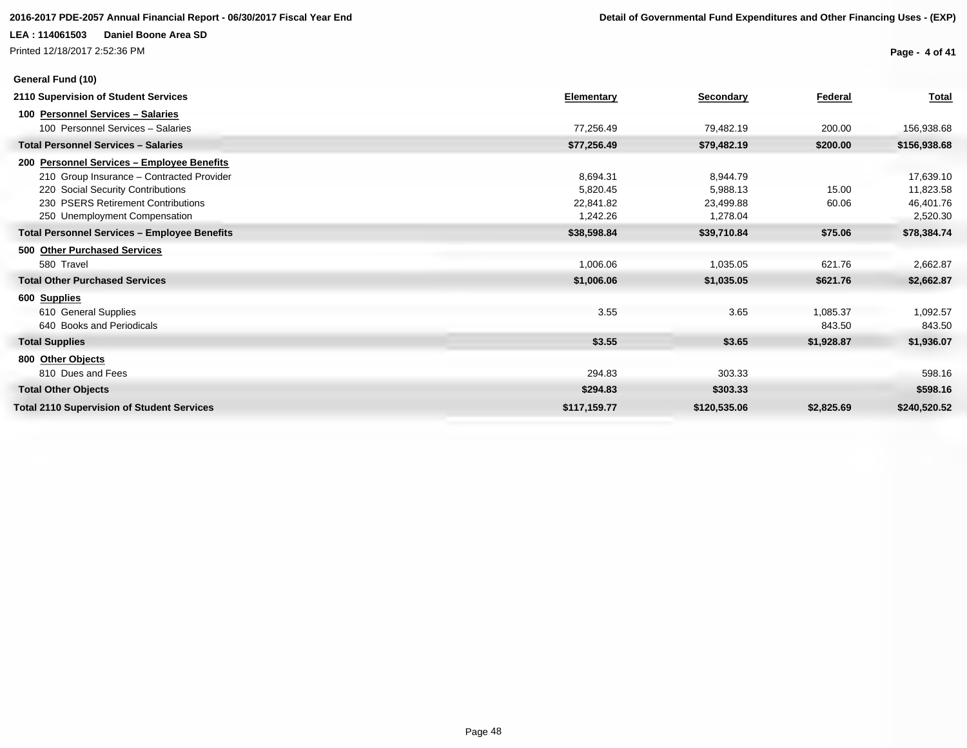Printed 12/18/2017 2:52:36 PM

**Page - 4 of 41**

| General Fund (10)                                   |              |              |            |              |
|-----------------------------------------------------|--------------|--------------|------------|--------------|
| 2110 Supervision of Student Services                | Elementary   | Secondary    | Federal    | <b>Total</b> |
| 100 Personnel Services - Salaries                   |              |              |            |              |
| 100 Personnel Services - Salaries                   | 77,256.49    | 79,482.19    | 200.00     | 156,938.68   |
| <b>Total Personnel Services - Salaries</b>          | \$77,256.49  | \$79,482.19  | \$200.00   | \$156,938.68 |
| 200 Personnel Services - Employee Benefits          |              |              |            |              |
| 210 Group Insurance - Contracted Provider           | 8.694.31     | 8,944.79     |            | 17,639.10    |
| 220 Social Security Contributions                   | 5.820.45     | 5,988.13     | 15.00      | 11,823.58    |
| 230 PSERS Retirement Contributions                  | 22.841.82    | 23,499.88    | 60.06      | 46,401.76    |
| 250 Unemployment Compensation                       | 1,242.26     | 1,278.04     |            | 2,520.30     |
| <b>Total Personnel Services - Employee Benefits</b> | \$38,598.84  | \$39,710.84  | \$75.06    | \$78,384.74  |
| 500 Other Purchased Services                        |              |              |            |              |
| 580 Travel                                          | 1,006.06     | 1,035.05     | 621.76     | 2,662.87     |
| <b>Total Other Purchased Services</b>               | \$1,006.06   | \$1,035.05   | \$621.76   | \$2,662.87   |
| 600 Supplies                                        |              |              |            |              |
| 610 General Supplies                                | 3.55         | 3.65         | 1,085.37   | 1,092.57     |
| 640 Books and Periodicals                           |              |              | 843.50     | 843.50       |
| <b>Total Supplies</b>                               | \$3.55       | \$3.65       | \$1,928.87 | \$1,936.07   |
| 800 Other Objects                                   |              |              |            |              |
| 810 Dues and Fees                                   | 294.83       | 303.33       |            | 598.16       |
| <b>Total Other Objects</b>                          | \$294.83     | \$303.33     |            | \$598.16     |
| <b>Total 2110 Supervision of Student Services</b>   | \$117,159.77 | \$120,535.06 | \$2,825.69 | \$240,520.52 |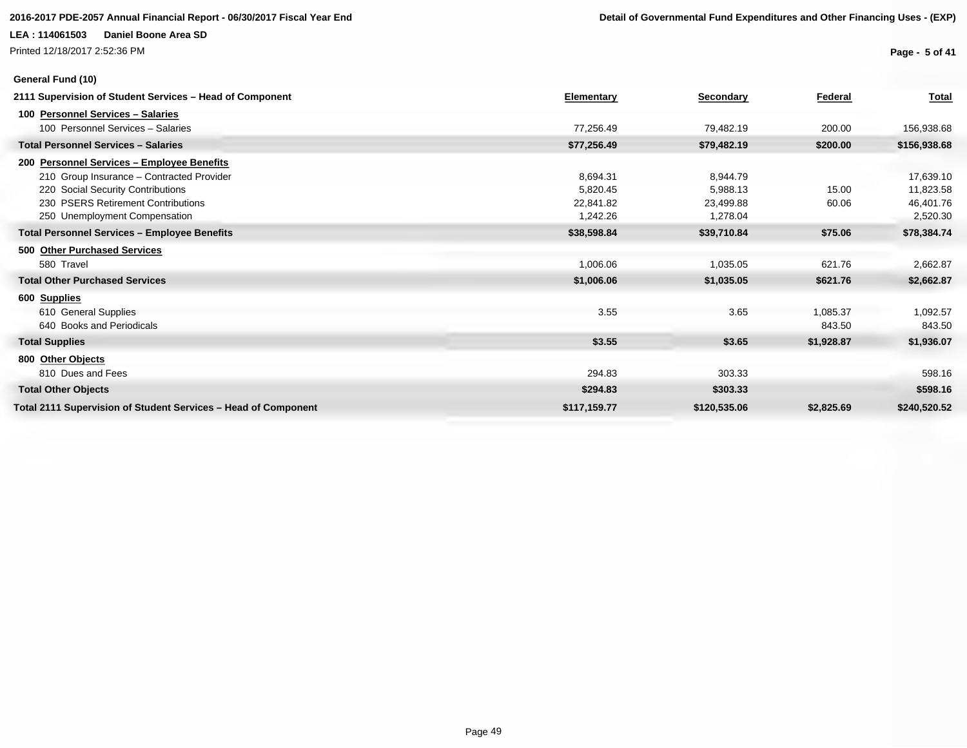### **2016-2017 PDE-2057 Annual Financial Report - 06/30/2017 Fiscal Year End Detail of Governmental Fund Expenditures and Other Financing Uses - (EXP)**

### **LEA : 114061503 Daniel Boone Area SD**

Printed 12/18/2017 2:52:36 PM

**General Fund (10)**

**Page - 5 of 41**

| 2111 Supervision of Student Services - Head of Component       | Elementary   | <b>Secondary</b> | Federal    | <b>Total</b> |
|----------------------------------------------------------------|--------------|------------------|------------|--------------|
| 100 Personnel Services - Salaries                              |              |                  |            |              |
| 100 Personnel Services - Salaries                              | 77,256.49    | 79,482.19        | 200.00     | 156,938.68   |
| <b>Total Personnel Services - Salaries</b>                     | \$77,256.49  | \$79,482.19      | \$200.00   | \$156,938.68 |
| 200 Personnel Services - Employee Benefits                     |              |                  |            |              |
| 210 Group Insurance - Contracted Provider                      | 8,694.31     | 8,944.79         |            | 17,639.10    |
| 220 Social Security Contributions                              | 5,820.45     | 5,988.13         | 15.00      | 11,823.58    |
| 230 PSERS Retirement Contributions                             | 22.841.82    | 23,499.88        | 60.06      | 46,401.76    |
| 250 Unemployment Compensation                                  | 1,242.26     | 1,278.04         |            | 2,520.30     |
| <b>Total Personnel Services - Employee Benefits</b>            | \$38,598.84  | \$39,710.84      | \$75.06    | \$78,384.74  |
| 500 Other Purchased Services                                   |              |                  |            |              |
| 580 Travel                                                     | 1,006.06     | 1,035.05         | 621.76     | 2,662.87     |
| <b>Total Other Purchased Services</b>                          | \$1,006.06   | \$1,035.05       | \$621.76   | \$2,662.87   |
| 600 Supplies                                                   |              |                  |            |              |
| 610 General Supplies                                           | 3.55         | 3.65             | 1,085.37   | 1,092.57     |
| 640 Books and Periodicals                                      |              |                  | 843.50     | 843.50       |
| <b>Total Supplies</b>                                          | \$3.55       | \$3.65           | \$1,928.87 | \$1,936.07   |
| 800 Other Objects                                              |              |                  |            |              |
| 810 Dues and Fees                                              | 294.83       | 303.33           |            | 598.16       |
| <b>Total Other Objects</b>                                     | \$294.83     | \$303.33         |            | \$598.16     |
| Total 2111 Supervision of Student Services - Head of Component | \$117,159.77 | \$120,535.06     | \$2,825.69 | \$240,520.52 |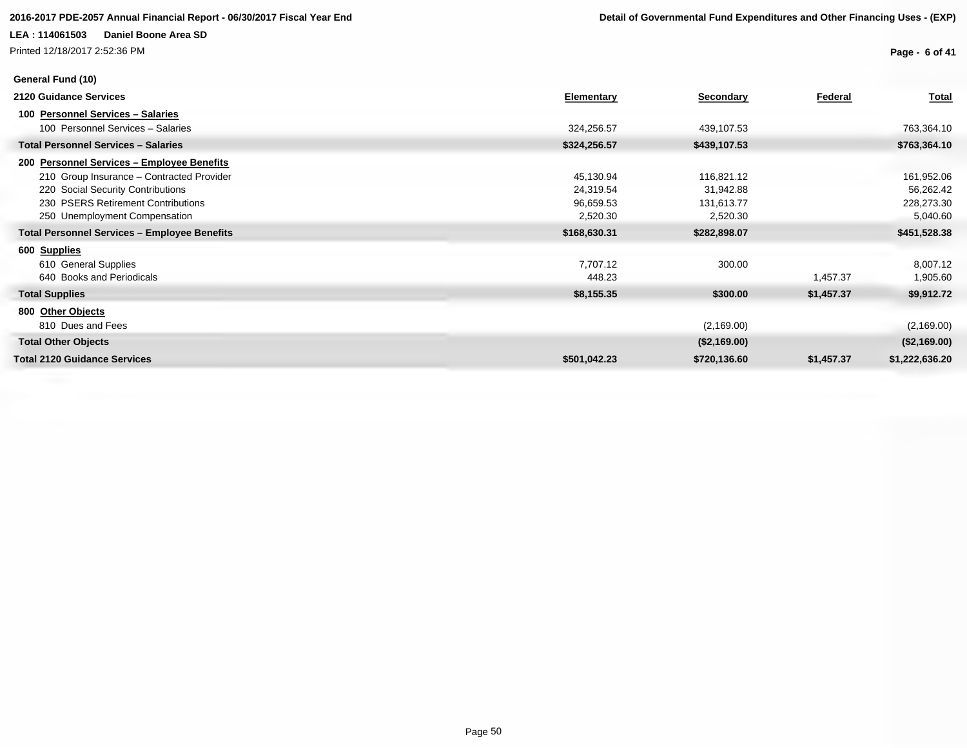Printed 12/18/2017 2:52:36 PM

**Page - 6 of 41**

| General Fund (10)                                   |              |              |                |                |
|-----------------------------------------------------|--------------|--------------|----------------|----------------|
| 2120 Guidance Services                              | Elementary   | Secondary    | <b>Federal</b> | <b>Total</b>   |
| 100 Personnel Services - Salaries                   |              |              |                |                |
| 100 Personnel Services - Salaries                   | 324,256.57   | 439,107.53   |                | 763,364.10     |
| <b>Total Personnel Services - Salaries</b>          | \$324,256.57 | \$439,107.53 |                | \$763,364.10   |
| 200 Personnel Services - Employee Benefits          |              |              |                |                |
| 210 Group Insurance - Contracted Provider           | 45,130.94    | 116,821.12   |                | 161,952.06     |
| 220 Social Security Contributions                   | 24,319.54    | 31,942.88    |                | 56,262.42      |
| 230 PSERS Retirement Contributions                  | 96,659.53    | 131,613.77   |                | 228,273.30     |
| 250 Unemployment Compensation                       | 2,520.30     | 2,520.30     |                | 5,040.60       |
| <b>Total Personnel Services - Employee Benefits</b> | \$168,630.31 | \$282,898.07 |                | \$451,528.38   |
| 600 Supplies                                        |              |              |                |                |
| 610 General Supplies                                | 7,707.12     | 300.00       |                | 8,007.12       |
| 640 Books and Periodicals                           | 448.23       |              | 1,457.37       | 1,905.60       |
| <b>Total Supplies</b>                               | \$8,155.35   | \$300.00     | \$1,457.37     | \$9,912.72     |
| 800 Other Objects                                   |              |              |                |                |
| 810 Dues and Fees                                   |              | (2,169.00)   |                | (2, 169.00)    |
| <b>Total Other Objects</b>                          |              | (\$2,169.00) |                | (\$2,169.00)   |
| <b>Total 2120 Guidance Services</b>                 | \$501,042.23 | \$720,136.60 | \$1,457.37     | \$1,222,636.20 |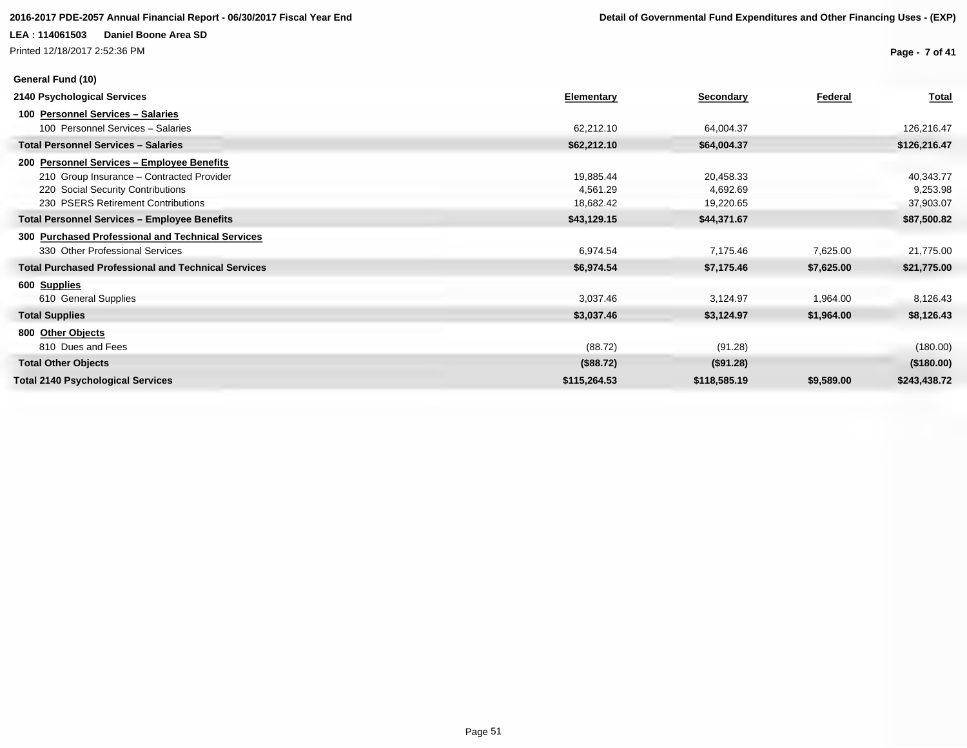Printed 12/18/2017 2:52:36 PM

**General Fund (10)**

**Page - 7 of 41**

| 2140 Psychological Services                                | <b>Elementary</b> | Secondary    | Federal    | <b>Total</b> |
|------------------------------------------------------------|-------------------|--------------|------------|--------------|
| 100 Personnel Services - Salaries                          |                   |              |            |              |
| 100 Personnel Services - Salaries                          | 62,212.10         | 64,004.37    |            | 126,216.47   |
| <b>Total Personnel Services - Salaries</b>                 | \$62,212.10       | \$64,004.37  |            | \$126,216.47 |
| 200 Personnel Services - Employee Benefits                 |                   |              |            |              |
| 210 Group Insurance - Contracted Provider                  | 19,885.44         | 20,458.33    |            | 40,343.77    |
| 220 Social Security Contributions                          | 4,561.29          | 4,692.69     |            | 9,253.98     |
| 230 PSERS Retirement Contributions                         | 18,682.42         | 19,220.65    |            | 37,903.07    |
| <b>Total Personnel Services - Employee Benefits</b>        | \$43,129.15       | \$44,371.67  |            | \$87,500.82  |
| 300 Purchased Professional and Technical Services          |                   |              |            |              |
| 330 Other Professional Services                            | 6,974.54          | 7,175.46     | 7,625.00   | 21,775.00    |
| <b>Total Purchased Professional and Technical Services</b> | \$6,974.54        | \$7,175.46   | \$7,625.00 | \$21,775.00  |
| 600 Supplies                                               |                   |              |            |              |
| 610 General Supplies                                       | 3,037.46          | 3,124.97     | 1,964.00   | 8,126.43     |
| <b>Total Supplies</b>                                      | \$3,037.46        | \$3,124.97   | \$1,964.00 | \$8,126.43   |
| 800 Other Objects                                          |                   |              |            |              |
| 810 Dues and Fees                                          | (88.72)           | (91.28)      |            | (180.00)     |
| <b>Total Other Objects</b>                                 | (\$88.72)         | (\$91.28)    |            | (\$180.00)   |
| <b>Total 2140 Psychological Services</b>                   | \$115,264.53      | \$118,585.19 | \$9,589.00 | \$243,438.72 |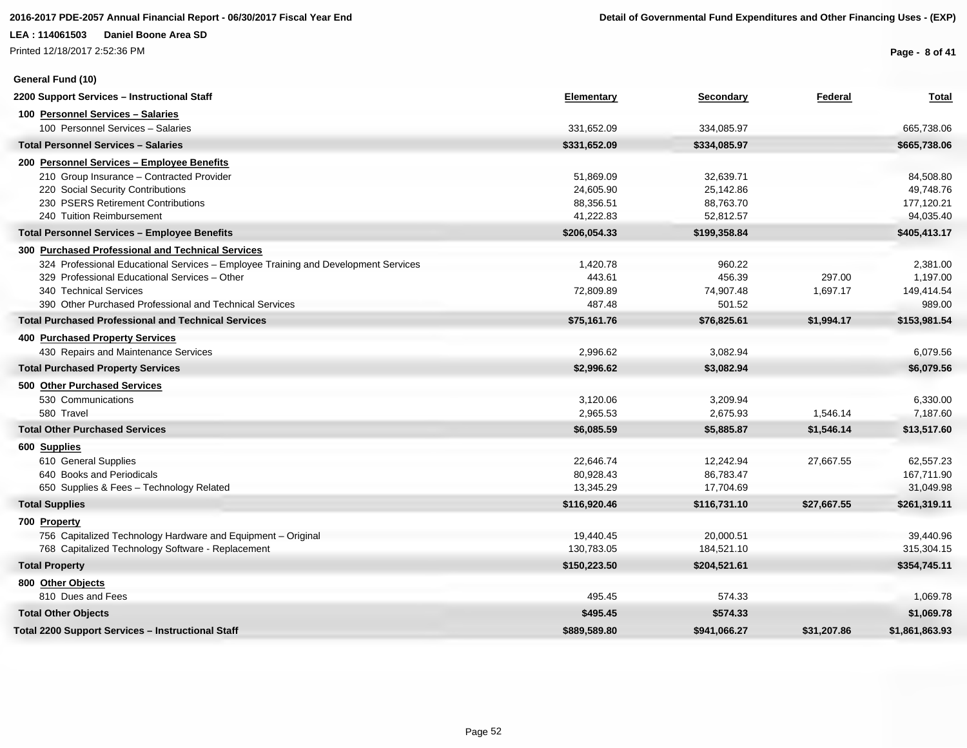Printed 12/18/2017 2:52:36 PM

**General Fund (10)**

**Page - 8 of 41**

| 2200 Support Services - Instructional Staff                                        | <b>Elementary</b> | <b>Secondary</b> | Federal     | <b>Total</b>   |
|------------------------------------------------------------------------------------|-------------------|------------------|-------------|----------------|
| 100 Personnel Services - Salaries                                                  |                   |                  |             |                |
| 100 Personnel Services - Salaries                                                  | 331,652.09        | 334,085.97       |             | 665,738.06     |
| <b>Total Personnel Services - Salaries</b>                                         | \$331,652.09      | \$334,085.97     |             | \$665,738.06   |
| 200 Personnel Services - Employee Benefits                                         |                   |                  |             |                |
| 210 Group Insurance - Contracted Provider                                          | 51,869.09         | 32,639.71        |             | 84,508.80      |
| 220 Social Security Contributions                                                  | 24,605.90         | 25,142.86        |             | 49,748.76      |
| 230 PSERS Retirement Contributions                                                 | 88,356.51         | 88,763.70        |             | 177,120.21     |
| 240 Tuition Reimbursement                                                          | 41,222.83         | 52,812.57        |             | 94,035.40      |
| <b>Total Personnel Services - Employee Benefits</b>                                | \$206,054.33      | \$199,358.84     |             | \$405,413.17   |
| 300 Purchased Professional and Technical Services                                  |                   |                  |             |                |
| 324 Professional Educational Services - Employee Training and Development Services | 1,420.78          | 960.22           |             | 2,381.00       |
| 329 Professional Educational Services - Other                                      | 443.61            | 456.39           | 297.00      | 1,197.00       |
| 340 Technical Services                                                             | 72,809.89         | 74,907.48        | 1,697.17    | 149,414.54     |
| 390 Other Purchased Professional and Technical Services                            | 487.48            | 501.52           |             | 989.00         |
| <b>Total Purchased Professional and Technical Services</b>                         | \$75,161.76       | \$76,825.61      | \$1,994.17  | \$153,981.54   |
| 400 Purchased Property Services                                                    |                   |                  |             |                |
| 430 Repairs and Maintenance Services                                               | 2,996.62          | 3,082.94         |             | 6,079.56       |
| <b>Total Purchased Property Services</b>                                           | \$2,996.62        | \$3,082.94       |             | \$6,079.56     |
| 500 Other Purchased Services                                                       |                   |                  |             |                |
| 530 Communications                                                                 | 3,120.06          | 3,209.94         |             | 6,330.00       |
| 580 Travel                                                                         | 2,965.53          | 2,675.93         | 1,546.14    | 7,187.60       |
| <b>Total Other Purchased Services</b>                                              | \$6,085.59        | \$5,885.87       | \$1,546.14  | \$13,517.60    |
| 600 Supplies                                                                       |                   |                  |             |                |
| 610 General Supplies                                                               | 22,646.74         | 12,242.94        | 27,667.55   | 62,557.23      |
| 640 Books and Periodicals                                                          | 80,928.43         | 86,783.47        |             | 167,711.90     |
| 650 Supplies & Fees - Technology Related                                           | 13,345.29         | 17,704.69        |             | 31,049.98      |
| <b>Total Supplies</b>                                                              | \$116,920.46      | \$116,731.10     | \$27,667.55 | \$261,319.11   |
| 700 Property                                                                       |                   |                  |             |                |
| 756 Capitalized Technology Hardware and Equipment - Original                       | 19,440.45         | 20,000.51        |             | 39,440.96      |
| 768 Capitalized Technology Software - Replacement                                  | 130,783.05        | 184,521.10       |             | 315,304.15     |
| <b>Total Property</b>                                                              | \$150,223.50      | \$204,521.61     |             | \$354,745.11   |
| 800 Other Objects                                                                  |                   |                  |             |                |
| 810 Dues and Fees                                                                  | 495.45            | 574.33           |             | 1,069.78       |
| <b>Total Other Objects</b>                                                         | \$495.45          | \$574.33         |             | \$1,069.78     |
| Total 2200 Support Services – Instructional Staff                                  | \$889,589.80      | \$941,066.27     | \$31,207.86 | \$1,861,863.93 |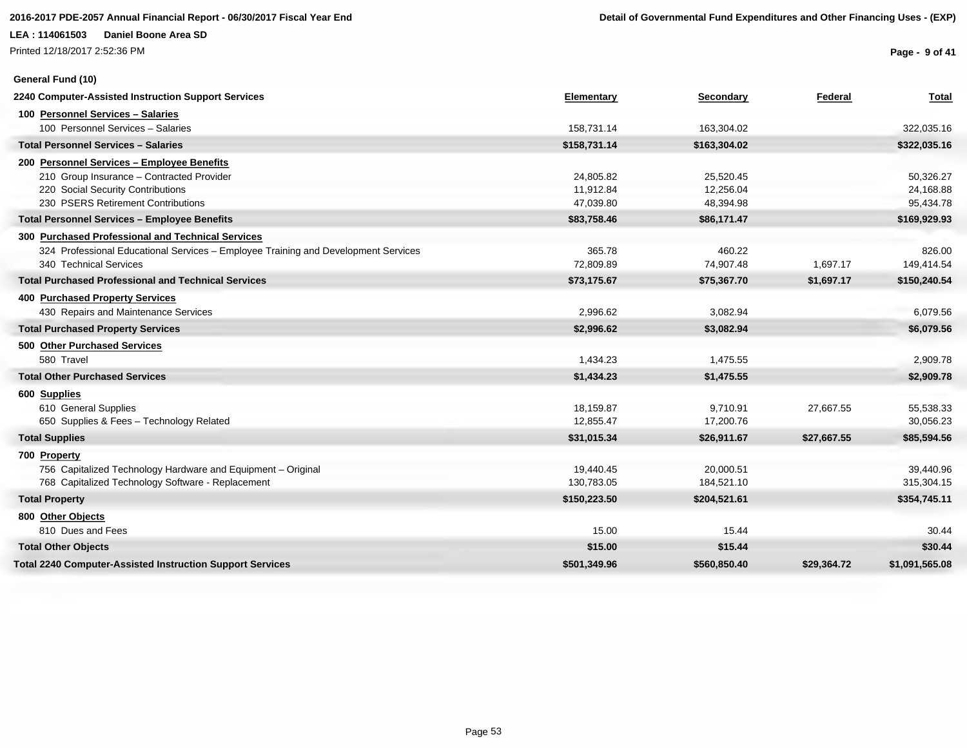Printed 12/18/2017 2:52:36 PM

### **General Fund (10)**

**Page - 9 of 41**

| 2240 Computer-Assisted Instruction Support Services                                | Elementary   | Secondary    | Federal     | <b>Total</b>   |
|------------------------------------------------------------------------------------|--------------|--------------|-------------|----------------|
| 100 Personnel Services - Salaries                                                  |              |              |             |                |
| 100 Personnel Services - Salaries                                                  | 158,731.14   | 163,304.02   |             | 322,035.16     |
| <b>Total Personnel Services - Salaries</b>                                         | \$158,731.14 | \$163,304.02 |             | \$322,035.16   |
| 200 Personnel Services - Employee Benefits                                         |              |              |             |                |
| 210 Group Insurance - Contracted Provider                                          | 24,805.82    | 25,520.45    |             | 50,326.27      |
| 220 Social Security Contributions                                                  | 11,912.84    | 12,256.04    |             | 24,168.88      |
| 230 PSERS Retirement Contributions                                                 | 47,039.80    | 48,394.98    |             | 95,434.78      |
| <b>Total Personnel Services - Employee Benefits</b>                                | \$83,758.46  | \$86,171.47  |             | \$169,929.93   |
| 300 Purchased Professional and Technical Services                                  |              |              |             |                |
| 324 Professional Educational Services - Employee Training and Development Services | 365.78       | 460.22       |             | 826.00         |
| 340 Technical Services                                                             | 72,809.89    | 74,907.48    | 1,697.17    | 149,414.54     |
| <b>Total Purchased Professional and Technical Services</b>                         | \$73,175.67  | \$75,367.70  | \$1,697.17  | \$150,240.54   |
| 400 Purchased Property Services                                                    |              |              |             |                |
| 430 Repairs and Maintenance Services                                               | 2,996.62     | 3,082.94     |             | 6,079.56       |
| <b>Total Purchased Property Services</b>                                           | \$2,996.62   | \$3,082.94   |             | \$6,079.56     |
| 500 Other Purchased Services                                                       |              |              |             |                |
| 580 Travel                                                                         | 1,434.23     | 1,475.55     |             | 2,909.78       |
| <b>Total Other Purchased Services</b>                                              | \$1,434.23   | \$1,475.55   |             | \$2,909.78     |
| 600 Supplies                                                                       |              |              |             |                |
| 610 General Supplies                                                               | 18,159.87    | 9,710.91     | 27,667.55   | 55,538.33      |
| 650 Supplies & Fees - Technology Related                                           | 12,855.47    | 17,200.76    |             | 30,056.23      |
| <b>Total Supplies</b>                                                              | \$31,015.34  | \$26,911.67  | \$27,667.55 | \$85,594.56    |
| 700 Property                                                                       |              |              |             |                |
| 756 Capitalized Technology Hardware and Equipment - Original                       | 19,440.45    | 20,000.51    |             | 39,440.96      |
| 768 Capitalized Technology Software - Replacement                                  | 130,783.05   | 184,521.10   |             | 315,304.15     |
| <b>Total Property</b>                                                              | \$150,223.50 | \$204,521.61 |             | \$354,745.11   |
| 800 Other Objects                                                                  |              |              |             |                |
| 810 Dues and Fees                                                                  | 15.00        | 15.44        |             | 30.44          |
| <b>Total Other Objects</b>                                                         | \$15.00      | \$15.44      |             | \$30.44        |
| <b>Total 2240 Computer-Assisted Instruction Support Services</b>                   | \$501.349.96 | \$560,850,40 | \$29.364.72 | \$1.091.565.08 |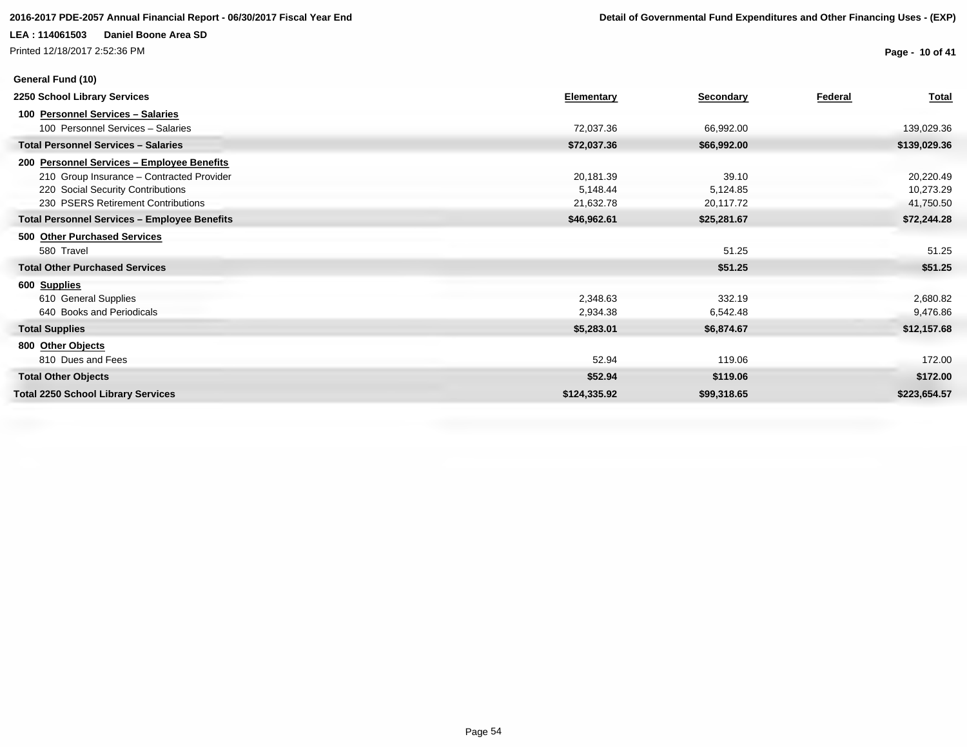Printed 12/18/2017 2:52:36 PM

**General Fund (10)**

**Page - 10 of 41**

| 2250 School Library Services                        | Elementary   | Secondary   | Federal | Total        |
|-----------------------------------------------------|--------------|-------------|---------|--------------|
| 100 Personnel Services - Salaries                   |              |             |         |              |
| 100 Personnel Services - Salaries                   | 72,037.36    | 66,992.00   |         | 139,029.36   |
| <b>Total Personnel Services - Salaries</b>          | \$72,037.36  | \$66,992.00 |         | \$139,029.36 |
| 200 Personnel Services - Employee Benefits          |              |             |         |              |
| 210 Group Insurance - Contracted Provider           | 20,181.39    | 39.10       |         | 20,220.49    |
| 220 Social Security Contributions                   | 5,148.44     | 5,124.85    |         | 10,273.29    |
| 230 PSERS Retirement Contributions                  | 21,632.78    | 20,117.72   |         | 41,750.50    |
| <b>Total Personnel Services - Employee Benefits</b> | \$46,962.61  | \$25,281.67 |         | \$72,244.28  |
| 500 Other Purchased Services                        |              |             |         |              |
| 580 Travel                                          |              | 51.25       |         | 51.25        |
| <b>Total Other Purchased Services</b>               |              | \$51.25     |         | \$51.25      |
| 600 Supplies                                        |              |             |         |              |
| 610 General Supplies                                | 2,348.63     | 332.19      |         | 2,680.82     |
| 640 Books and Periodicals                           | 2,934.38     | 6,542.48    |         | 9,476.86     |
| <b>Total Supplies</b>                               | \$5,283.01   | \$6,874.67  |         | \$12,157.68  |
| 800 Other Objects                                   |              |             |         |              |
| 810 Dues and Fees                                   | 52.94        | 119.06      |         | 172.00       |
| <b>Total Other Objects</b>                          | \$52.94      | \$119.06    |         | \$172.00     |
| <b>Total 2250 School Library Services</b>           | \$124,335.92 | \$99,318.65 |         | \$223,654.57 |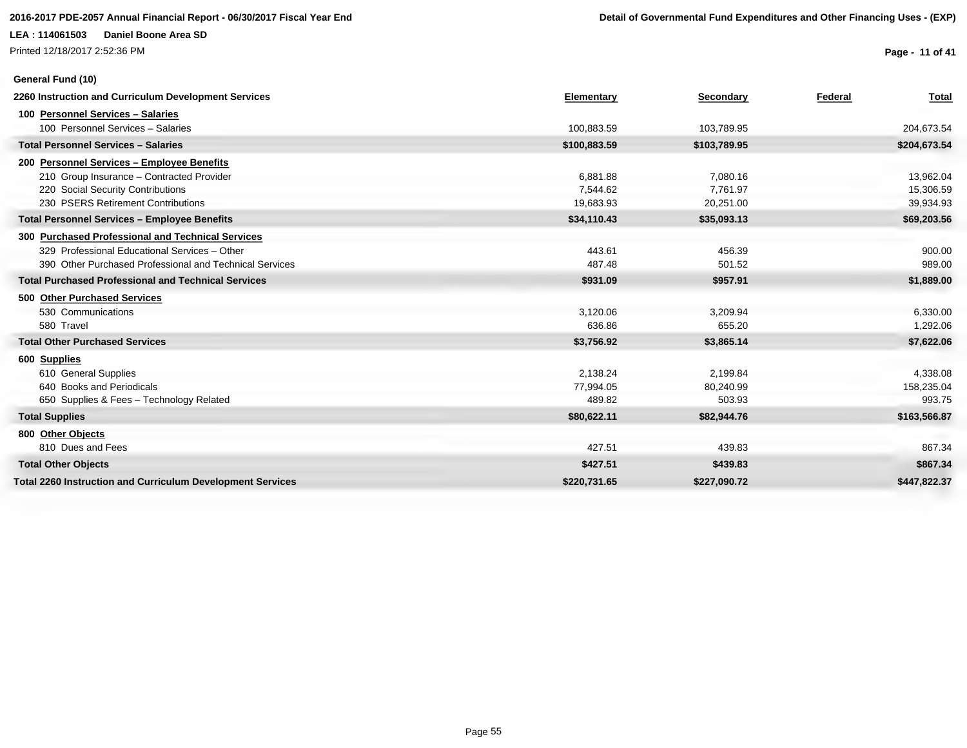### **2016-2017 PDE-2057 Annual Financial Report - 06/30/2017 Fiscal Year End Detail of Governmental Fund Expenditures and Other Financing Uses - (EXP)**

### **LEA : 114061503 Daniel Boone Area SD**

Printed 12/18/2017 2:52:36 PM

**General Fund (10)**

**Page - 11 of 41**

| 2260 Instruction and Curriculum Development Services              | Elementary   | Secondary    | Federal | <b>Total</b> |
|-------------------------------------------------------------------|--------------|--------------|---------|--------------|
| 100 Personnel Services - Salaries                                 |              |              |         |              |
| 100 Personnel Services - Salaries                                 | 100,883.59   | 103,789.95   |         | 204,673.54   |
| <b>Total Personnel Services - Salaries</b>                        | \$100,883.59 | \$103,789.95 |         | \$204,673.54 |
| 200 Personnel Services - Employee Benefits                        |              |              |         |              |
| 210 Group Insurance - Contracted Provider                         | 6,881.88     | 7,080.16     |         | 13,962.04    |
| 220 Social Security Contributions                                 | 7,544.62     | 7,761.97     |         | 15,306.59    |
| 230 PSERS Retirement Contributions                                | 19,683.93    | 20,251.00    |         | 39,934.93    |
| <b>Total Personnel Services - Employee Benefits</b>               | \$34,110.43  | \$35,093.13  |         | \$69,203.56  |
| 300 Purchased Professional and Technical Services                 |              |              |         |              |
| 329 Professional Educational Services - Other                     | 443.61       | 456.39       |         | 900.00       |
| 390 Other Purchased Professional and Technical Services           | 487.48       | 501.52       |         | 989.00       |
| <b>Total Purchased Professional and Technical Services</b>        | \$931.09     | \$957.91     |         | \$1,889.00   |
| 500 Other Purchased Services                                      |              |              |         |              |
| 530 Communications                                                | 3,120.06     | 3,209.94     |         | 6,330.00     |
| 580 Travel                                                        | 636.86       | 655.20       |         | 1,292.06     |
| <b>Total Other Purchased Services</b>                             | \$3,756.92   | \$3,865.14   |         | \$7,622.06   |
| 600 Supplies                                                      |              |              |         |              |
| 610 General Supplies                                              | 2,138.24     | 2,199.84     |         | 4,338.08     |
| 640 Books and Periodicals                                         | 77,994.05    | 80,240.99    |         | 158,235.04   |
| 650 Supplies & Fees - Technology Related                          | 489.82       | 503.93       |         | 993.75       |
| <b>Total Supplies</b>                                             | \$80,622.11  | \$82,944.76  |         | \$163,566.87 |
| 800 Other Objects                                                 |              |              |         |              |
| 810 Dues and Fees                                                 | 427.51       | 439.83       |         | 867.34       |
| <b>Total Other Objects</b>                                        | \$427.51     | \$439.83     |         | \$867.34     |
| <b>Total 2260 Instruction and Curriculum Development Services</b> | \$220,731.65 | \$227,090.72 |         | \$447.822.37 |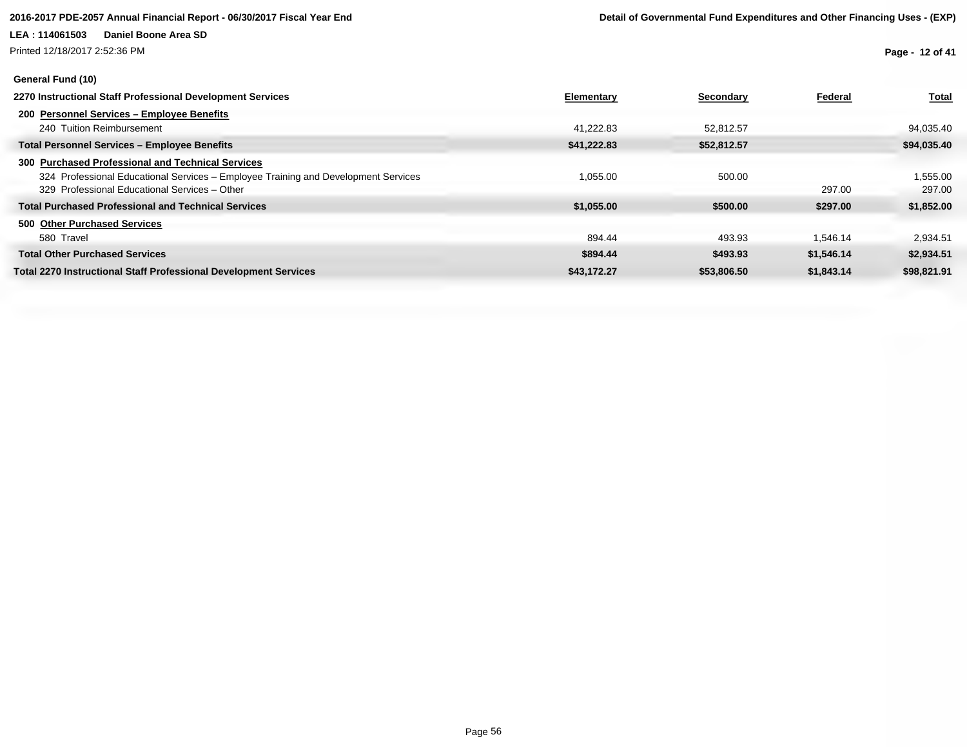Printed 12/18/2017 2:52:36 PM

### **General Fund (10)**

**Page - 12 of 41**

| 2270 Instructional Staff Professional Development Services                         | Elementary  | Secondary   | Federal    | <b>Total</b> |
|------------------------------------------------------------------------------------|-------------|-------------|------------|--------------|
| 200 Personnel Services - Employee Benefits                                         |             |             |            |              |
| 240 Tuition Reimbursement                                                          | 41,222.83   | 52.812.57   |            | 94,035.40    |
| <b>Total Personnel Services - Employee Benefits</b>                                | \$41,222.83 | \$52,812.57 |            | \$94,035.40  |
| 300 Purchased Professional and Technical Services                                  |             |             |            |              |
| 324 Professional Educational Services - Employee Training and Development Services | 1,055.00    | 500.00      |            | 1,555.00     |
| 329 Professional Educational Services - Other                                      |             |             | 297.00     | 297.00       |
| <b>Total Purchased Professional and Technical Services</b>                         | \$1,055.00  | \$500.00    | \$297.00   | \$1,852.00   |
| 500 Other Purchased Services                                                       |             |             |            |              |
| 580 Travel                                                                         | 894.44      | 493.93      | 1.546.14   | 2,934.51     |
| <b>Total Other Purchased Services</b>                                              | \$894.44    | \$493.93    | \$1,546.14 | \$2,934.51   |
| <b>Total 2270 Instructional Staff Professional Development Services</b>            | \$43.172.27 | \$53,806.50 | \$1.843.14 | \$98,821.91  |
|                                                                                    |             |             |            |              |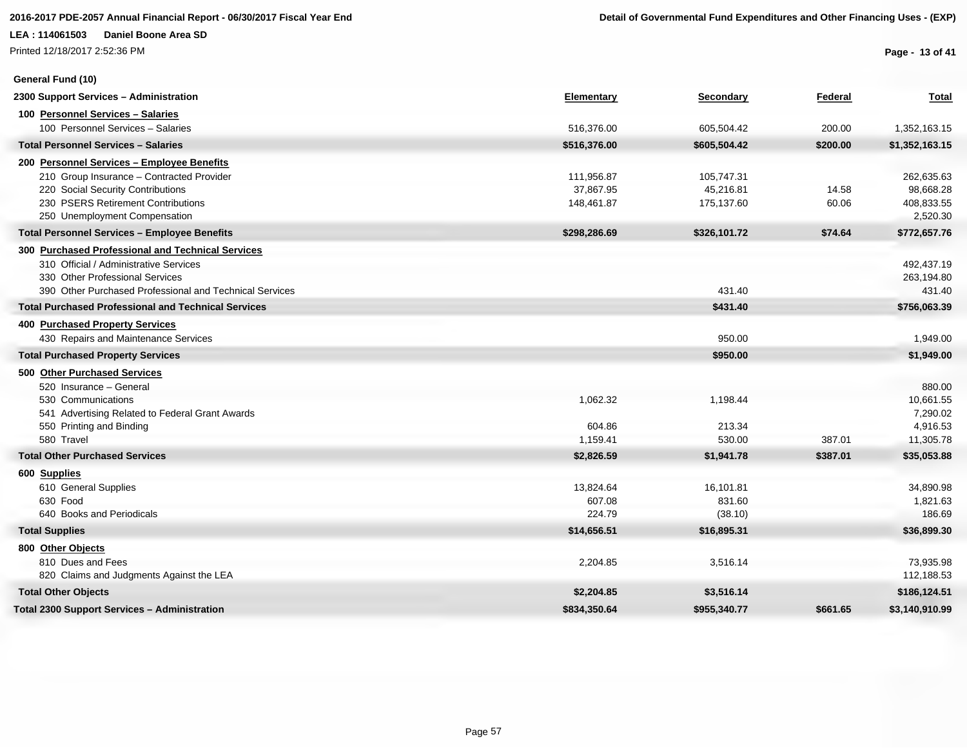Printed 12/18/2017 2:52:36 PM

**General Fund (10)**

**Page - 13 of 41**

| 2300 Support Services - Administration                     | Elementary   | Secondary    | Federal  | <b>Total</b>   |
|------------------------------------------------------------|--------------|--------------|----------|----------------|
| 100 Personnel Services - Salaries                          |              |              |          |                |
| 100 Personnel Services - Salaries                          | 516,376.00   | 605,504.42   | 200.00   | 1,352,163.15   |
| <b>Total Personnel Services - Salaries</b>                 | \$516,376.00 | \$605,504.42 | \$200.00 | \$1,352,163.15 |
| 200 Personnel Services - Employee Benefits                 |              |              |          |                |
| 210 Group Insurance - Contracted Provider                  | 111,956.87   | 105,747.31   |          | 262,635.63     |
| 220 Social Security Contributions                          | 37,867.95    | 45,216.81    | 14.58    | 98,668.28      |
| 230 PSERS Retirement Contributions                         | 148,461.87   | 175,137.60   | 60.06    | 408,833.55     |
| 250 Unemployment Compensation                              |              |              |          | 2,520.30       |
| <b>Total Personnel Services - Employee Benefits</b>        | \$298,286.69 | \$326,101.72 | \$74.64  | \$772,657.76   |
| 300 Purchased Professional and Technical Services          |              |              |          |                |
| 310 Official / Administrative Services                     |              |              |          | 492,437.19     |
| 330 Other Professional Services                            |              |              |          | 263,194.80     |
| 390 Other Purchased Professional and Technical Services    |              | 431.40       |          | 431.40         |
| <b>Total Purchased Professional and Technical Services</b> |              | \$431.40     |          | \$756,063.39   |
| 400 Purchased Property Services                            |              |              |          |                |
| 430 Repairs and Maintenance Services                       |              | 950.00       |          | 1,949.00       |
| <b>Total Purchased Property Services</b>                   |              | \$950.00     |          | \$1,949.00     |
| 500 Other Purchased Services                               |              |              |          |                |
| 520 Insurance - General                                    |              |              |          | 880.00         |
| 530 Communications                                         | 1,062.32     | 1,198.44     |          | 10,661.55      |
| 541 Advertising Related to Federal Grant Awards            |              |              |          | 7,290.02       |
| 550 Printing and Binding                                   | 604.86       | 213.34       |          | 4,916.53       |
| 580 Travel                                                 | 1,159.41     | 530.00       | 387.01   | 11,305.78      |
| <b>Total Other Purchased Services</b>                      | \$2,826.59   | \$1,941.78   | \$387.01 | \$35,053.88    |
| 600 Supplies                                               |              |              |          |                |
| 610 General Supplies                                       | 13,824.64    | 16,101.81    |          | 34,890.98      |
| 630 Food                                                   | 607.08       | 831.60       |          | 1,821.63       |
| 640 Books and Periodicals                                  | 224.79       | (38.10)      |          | 186.69         |
| <b>Total Supplies</b>                                      | \$14,656.51  | \$16,895.31  |          | \$36,899.30    |
| 800 Other Objects                                          |              |              |          |                |
| 810 Dues and Fees                                          | 2,204.85     | 3,516.14     |          | 73,935.98      |
| 820 Claims and Judgments Against the LEA                   |              |              |          | 112,188.53     |
| <b>Total Other Objects</b>                                 | \$2,204.85   | \$3,516.14   |          | \$186,124.51   |
| <b>Total 2300 Support Services - Administration</b>        | \$834,350.64 | \$955,340.77 | \$661.65 | \$3,140,910.99 |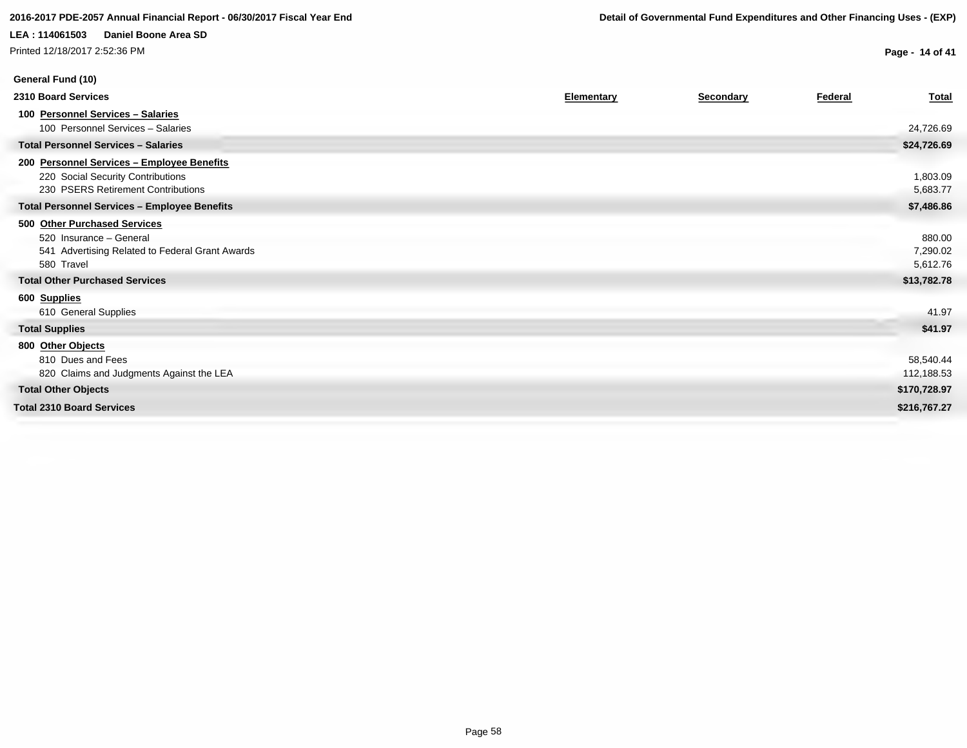Printed 12/18/2017 2:52:36 PM

**Page - 14 of 41**

| General Fund (10)                                                                                                        |                   |           |         |                                |
|--------------------------------------------------------------------------------------------------------------------------|-------------------|-----------|---------|--------------------------------|
| 2310 Board Services                                                                                                      | <b>Elementary</b> | Secondary | Federal | <b>Total</b>                   |
| 100 Personnel Services - Salaries<br>100 Personnel Services - Salaries                                                   |                   |           |         | 24,726.69                      |
| <b>Total Personnel Services - Salaries</b>                                                                               |                   |           |         | \$24,726.69                    |
| 200 Personnel Services - Employee Benefits<br>220 Social Security Contributions<br>230 PSERS Retirement Contributions    |                   |           |         | 1,803.09<br>5,683.77           |
| <b>Total Personnel Services - Employee Benefits</b>                                                                      |                   |           |         | \$7,486.86                     |
| 500 Other Purchased Services<br>520 Insurance - General<br>541 Advertising Related to Federal Grant Awards<br>580 Travel |                   |           |         | 880.00<br>7,290.02<br>5,612.76 |
| <b>Total Other Purchased Services</b>                                                                                    |                   |           |         | \$13,782.78                    |
| 600 Supplies<br>610 General Supplies<br><b>Total Supplies</b>                                                            |                   |           |         | 41.97<br>\$41.97               |
| 800 Other Objects<br>810 Dues and Fees<br>820 Claims and Judgments Against the LEA                                       |                   |           |         | 58,540.44<br>112,188.53        |
| <b>Total Other Objects</b>                                                                                               |                   |           |         | \$170,728.97                   |
| <b>Total 2310 Board Services</b>                                                                                         |                   |           |         | \$216,767.27                   |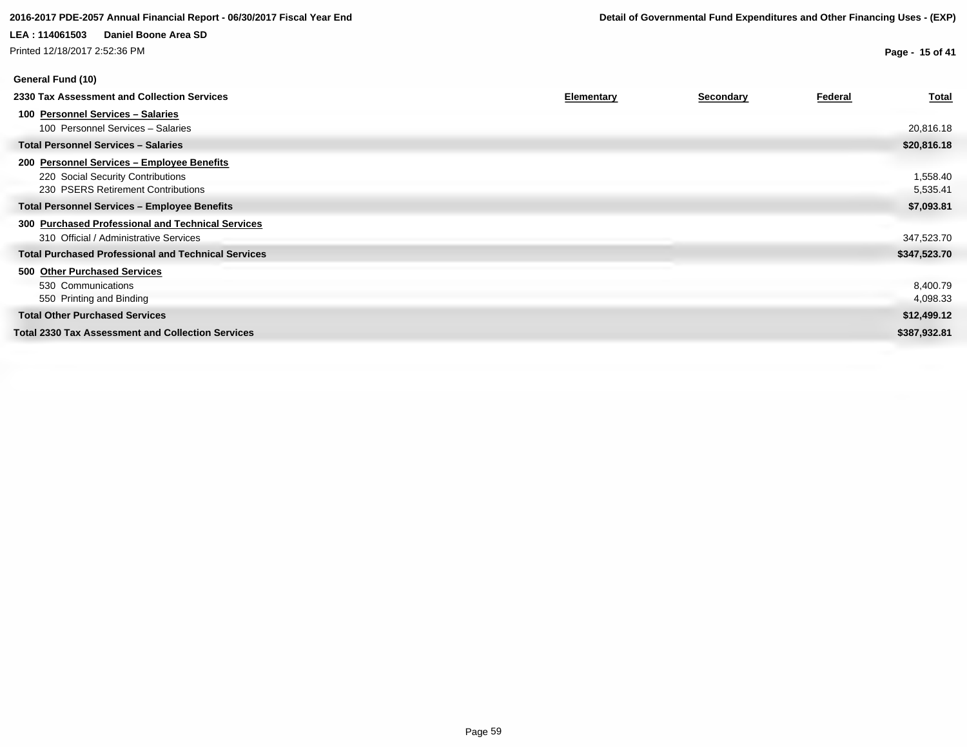# **LEA : 114061503 Daniel Boone Area SD** Printed 12/18/2017 2:52:36 PM

**Page - 15 of 41**

| General Fund (10)                                                                                                     |                   |                  |         |                      |
|-----------------------------------------------------------------------------------------------------------------------|-------------------|------------------|---------|----------------------|
| 2330 Tax Assessment and Collection Services                                                                           | <b>Elementary</b> | <b>Secondary</b> | Federal | <b>Total</b>         |
| 100 Personnel Services - Salaries<br>100 Personnel Services - Salaries                                                |                   |                  |         | 20,816.18            |
| <b>Total Personnel Services - Salaries</b>                                                                            |                   |                  |         | \$20,816.18          |
| 200 Personnel Services - Employee Benefits<br>220 Social Security Contributions<br>230 PSERS Retirement Contributions |                   |                  |         | 1,558.40<br>5,535.41 |
| <b>Total Personnel Services - Employee Benefits</b>                                                                   |                   |                  |         | \$7,093.81           |
| 300 Purchased Professional and Technical Services<br>310 Official / Administrative Services                           |                   |                  |         | 347,523.70           |
| <b>Total Purchased Professional and Technical Services</b>                                                            |                   |                  |         | \$347,523.70         |
| 500 Other Purchased Services<br>530 Communications<br>550 Printing and Binding                                        |                   |                  |         | 8,400.79<br>4,098.33 |
| <b>Total Other Purchased Services</b>                                                                                 |                   |                  |         | \$12,499.12          |
| <b>Total 2330 Tax Assessment and Collection Services</b>                                                              |                   |                  |         | \$387,932.81         |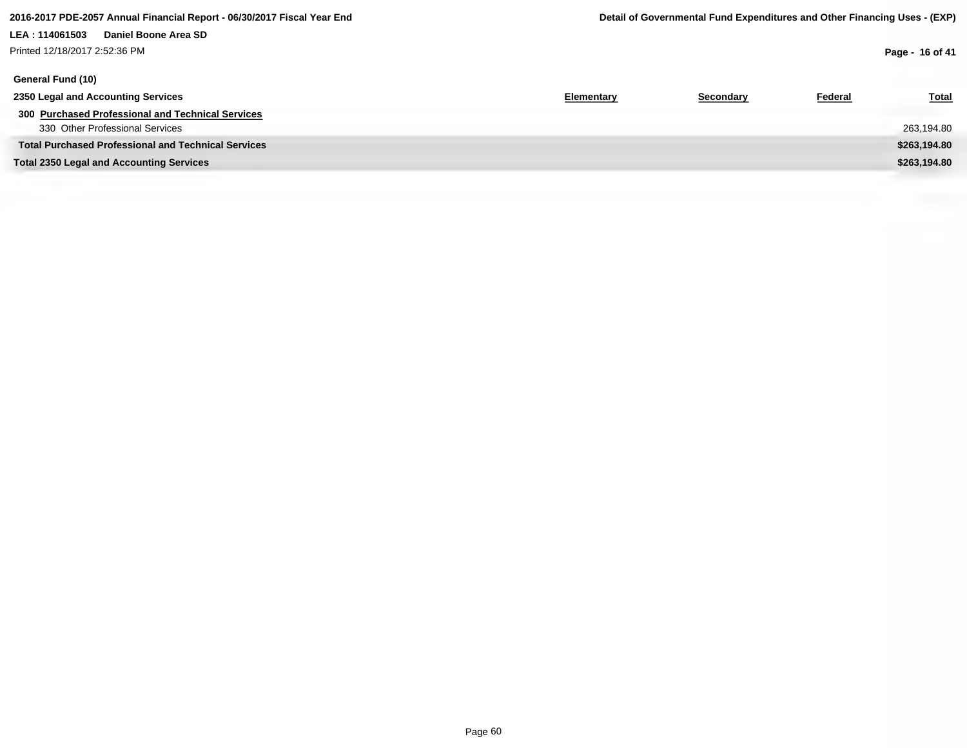## **LEA : 114061503 Daniel Boone Area SD** Printed 12/18/2017 2:52:36 PM

**Page - 16 of 41**

| General Fund (10)                                          |            |           |                |              |
|------------------------------------------------------------|------------|-----------|----------------|--------------|
| 2350 Legal and Accounting Services                         | Elementary | Secondary | <b>Federal</b> | <b>Total</b> |
| 300 Purchased Professional and Technical Services          |            |           |                |              |
| 330 Other Professional Services                            |            |           |                | 263,194.80   |
| <b>Total Purchased Professional and Technical Services</b> |            |           |                | \$263,194.80 |
| <b>Total 2350 Legal and Accounting Services</b>            |            |           |                | \$263,194.80 |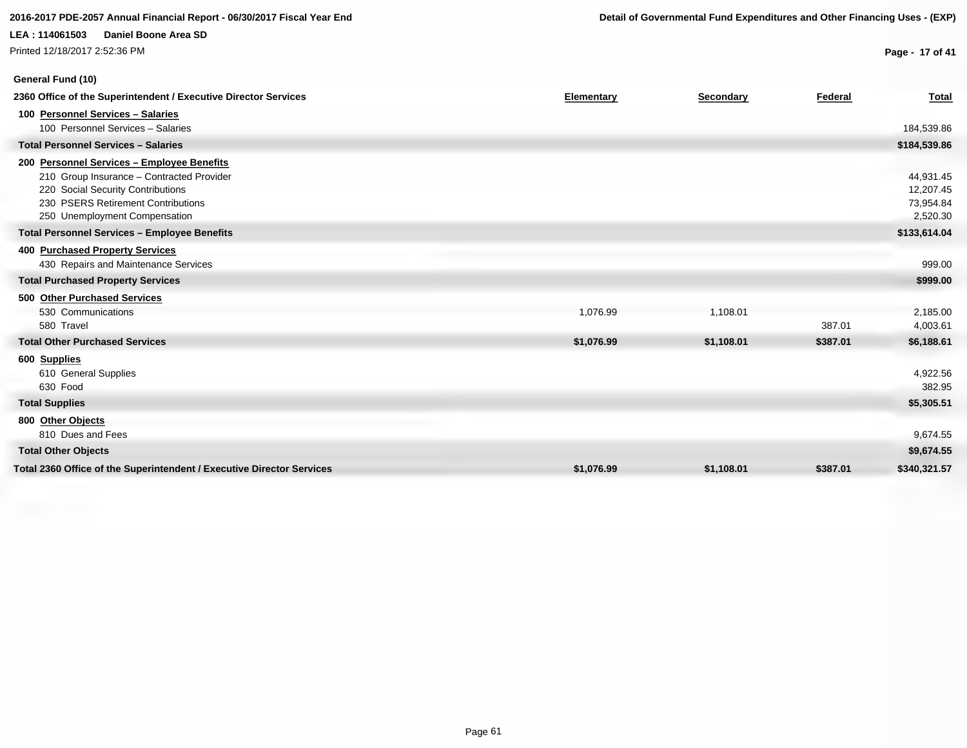# **General Fund (10)**

**Page - 17 of 41**

| 2360 Office of the Superintendent / Executive Director Services       | <b>Elementary</b> | Secondary  | Federal  | <b>Total</b> |
|-----------------------------------------------------------------------|-------------------|------------|----------|--------------|
| 100 Personnel Services - Salaries                                     |                   |            |          |              |
| 100 Personnel Services - Salaries                                     |                   |            |          | 184,539.86   |
| <b>Total Personnel Services - Salaries</b>                            |                   |            |          | \$184,539.86 |
| 200 Personnel Services - Employee Benefits                            |                   |            |          |              |
| 210 Group Insurance - Contracted Provider                             |                   |            |          | 44,931.45    |
| 220 Social Security Contributions                                     |                   |            |          | 12,207.45    |
| 230 PSERS Retirement Contributions                                    |                   |            |          | 73,954.84    |
| 250 Unemployment Compensation                                         |                   |            |          | 2,520.30     |
| <b>Total Personnel Services - Employee Benefits</b>                   |                   |            |          | \$133,614.04 |
| 400 Purchased Property Services                                       |                   |            |          |              |
| 430 Repairs and Maintenance Services                                  |                   |            |          | 999.00       |
| <b>Total Purchased Property Services</b>                              |                   |            |          | \$999.00     |
| 500 Other Purchased Services                                          |                   |            |          |              |
| 530 Communications                                                    | 1,076.99          | 1,108.01   |          | 2,185.00     |
| 580 Travel                                                            |                   |            | 387.01   | 4,003.61     |
| <b>Total Other Purchased Services</b>                                 | \$1,076.99        | \$1,108.01 | \$387.01 | \$6,188.61   |
| 600 Supplies                                                          |                   |            |          |              |
| 610 General Supplies                                                  |                   |            |          | 4,922.56     |
| 630 Food                                                              |                   |            |          | 382.95       |
| <b>Total Supplies</b>                                                 |                   |            |          | \$5,305.51   |
| 800 Other Objects                                                     |                   |            |          |              |
| 810 Dues and Fees                                                     |                   |            |          | 9,674.55     |
| <b>Total Other Objects</b>                                            |                   |            |          | \$9,674.55   |
| Total 2360 Office of the Superintendent / Executive Director Services | \$1,076.99        | \$1,108.01 | \$387.01 | \$340,321.57 |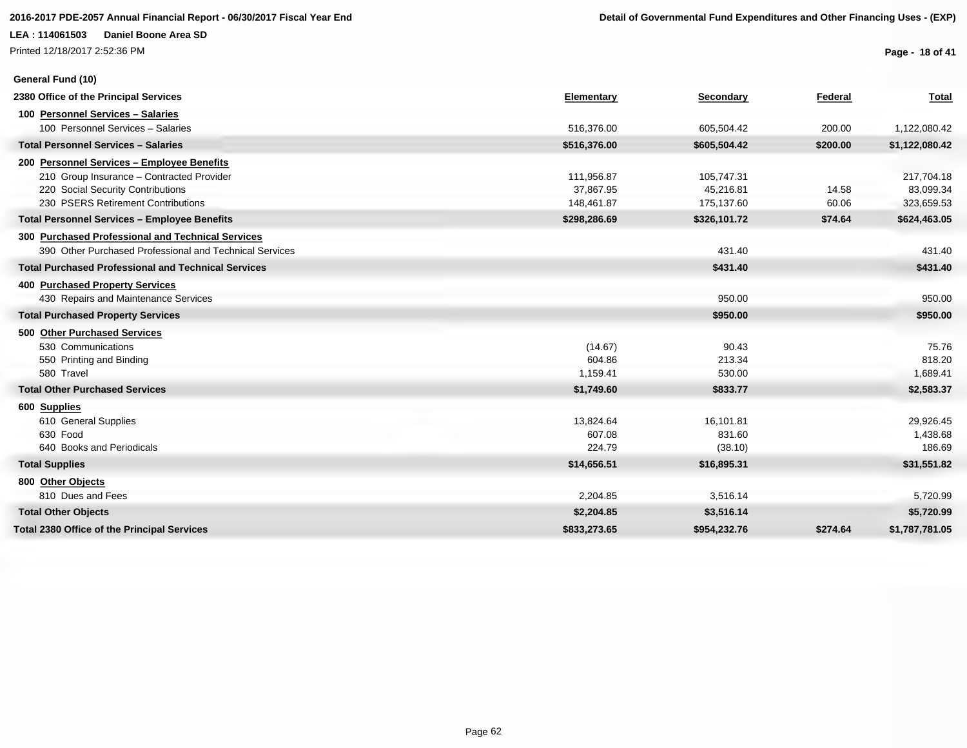Printed 12/18/2017 2:52:36 PM

**General Fund (10)**

**Page - 18 of 41**

| 2380 Office of the Principal Services                      | Elementary   | Secondary    | Federal  | <b>Total</b>   |
|------------------------------------------------------------|--------------|--------------|----------|----------------|
| 100 Personnel Services - Salaries                          |              |              |          |                |
| 100 Personnel Services - Salaries                          | 516,376.00   | 605,504.42   | 200.00   | 1,122,080.42   |
| <b>Total Personnel Services - Salaries</b>                 | \$516,376.00 | \$605,504.42 | \$200.00 | \$1,122,080.42 |
| 200 Personnel Services - Employee Benefits                 |              |              |          |                |
| 210 Group Insurance - Contracted Provider                  | 111,956.87   | 105,747.31   |          | 217,704.18     |
| 220 Social Security Contributions                          | 37,867.95    | 45,216.81    | 14.58    | 83,099.34      |
| 230 PSERS Retirement Contributions                         | 148,461.87   | 175,137.60   | 60.06    | 323,659.53     |
| <b>Total Personnel Services - Employee Benefits</b>        | \$298,286.69 | \$326,101.72 | \$74.64  | \$624,463.05   |
| 300 Purchased Professional and Technical Services          |              |              |          |                |
| 390 Other Purchased Professional and Technical Services    |              | 431.40       |          | 431.40         |
| <b>Total Purchased Professional and Technical Services</b> |              | \$431.40     |          | \$431.40       |
| <b>400 Purchased Property Services</b>                     |              |              |          |                |
| 430 Repairs and Maintenance Services                       |              | 950.00       |          | 950.00         |
| <b>Total Purchased Property Services</b>                   |              | \$950.00     |          | \$950.00       |
| 500 Other Purchased Services                               |              |              |          |                |
| 530 Communications                                         | (14.67)      | 90.43        |          | 75.76          |
| 550 Printing and Binding                                   | 604.86       | 213.34       |          | 818.20         |
| 580 Travel                                                 | 1,159.41     | 530.00       |          | 1,689.41       |
| <b>Total Other Purchased Services</b>                      | \$1,749.60   | \$833.77     |          | \$2,583.37     |
| 600 Supplies                                               |              |              |          |                |
| 610 General Supplies                                       | 13,824.64    | 16,101.81    |          | 29,926.45      |
| 630 Food                                                   | 607.08       | 831.60       |          | 1,438.68       |
| 640 Books and Periodicals                                  | 224.79       | (38.10)      |          | 186.69         |
| <b>Total Supplies</b>                                      | \$14,656.51  | \$16,895.31  |          | \$31,551.82    |
| 800 Other Objects                                          |              |              |          |                |
| 810 Dues and Fees                                          | 2,204.85     | 3,516.14     |          | 5,720.99       |
| <b>Total Other Objects</b>                                 | \$2,204.85   | \$3,516.14   |          | \$5,720.99     |
| <b>Total 2380 Office of the Principal Services</b>         | \$833,273.65 | \$954,232.76 | \$274.64 | \$1,787,781.05 |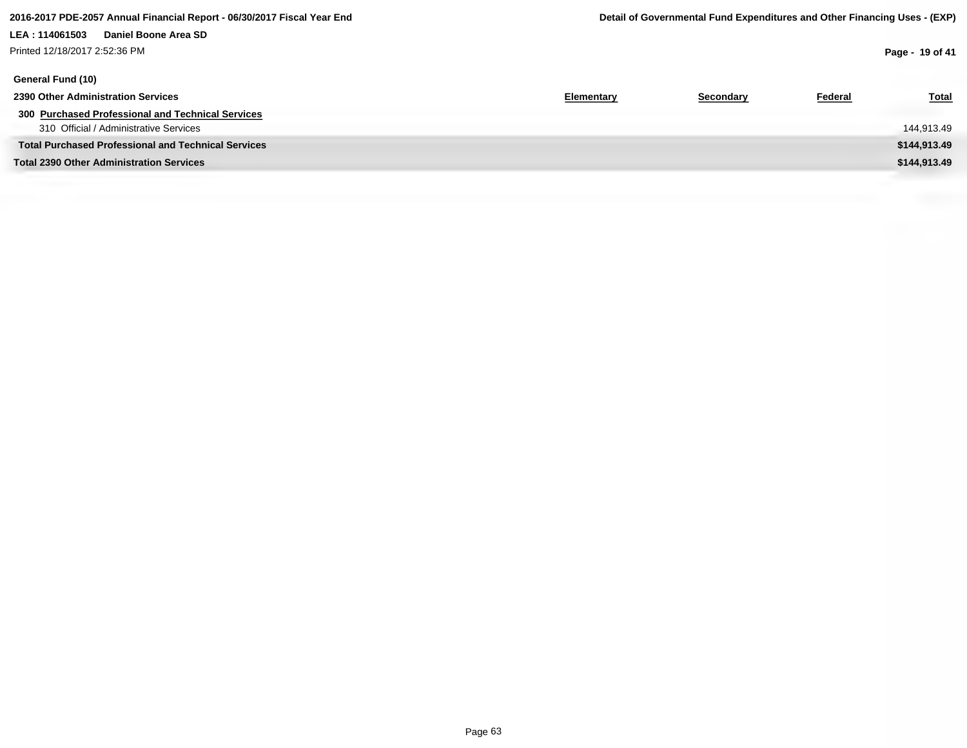## **LEA : 114061503 Daniel Boone Area SD** Printed 12/18/2017 2:52:36 PM

**Page - 19 of 41**

| General Fund (10)                                          |            |           |                |              |
|------------------------------------------------------------|------------|-----------|----------------|--------------|
| 2390 Other Administration Services                         | Elementary | Secondary | <b>Federal</b> | <b>Total</b> |
| 300 Purchased Professional and Technical Services          |            |           |                |              |
| 310 Official / Administrative Services                     |            |           |                | 144,913.49   |
| <b>Total Purchased Professional and Technical Services</b> |            |           |                | \$144,913.49 |
| <b>Total 2390 Other Administration Services</b>            |            |           |                | \$144,913.49 |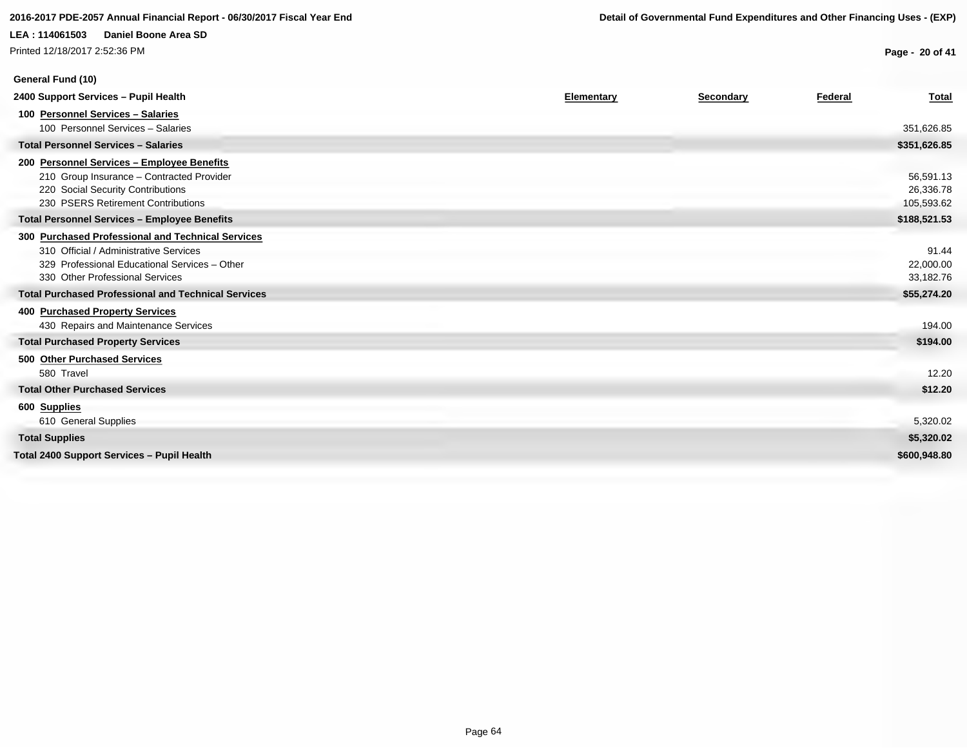# **LEA : 114061503 Daniel Boone Area SD** Printed 12/18/2017 2:52:36 PM

**Page - 20 of 41**

| Elementary<br>Federal<br><b>Secondary</b><br><b>Total</b><br>100 Personnel Services - Salaries<br>100 Personnel Services - Salaries<br>351,626.85<br><b>Total Personnel Services - Salaries</b><br>\$351,626.85<br>200 Personnel Services - Employee Benefits<br>210 Group Insurance - Contracted Provider<br>56,591.13<br>26,336.78<br>220 Social Security Contributions<br>230 PSERS Retirement Contributions<br>105,593.62<br>\$188,521.53<br><b>Total Personnel Services - Employee Benefits</b><br>300 Purchased Professional and Technical Services<br>310 Official / Administrative Services<br>91.44<br>329 Professional Educational Services - Other<br>22,000.00<br>330 Other Professional Services<br>33,182.76<br><b>Total Purchased Professional and Technical Services</b><br>\$55,274.20<br>400 Purchased Property Services<br>430 Repairs and Maintenance Services<br>194.00<br><b>Total Purchased Property Services</b><br>\$194.00<br>500 Other Purchased Services<br>580 Travel<br>12.20<br><b>Total Other Purchased Services</b><br>\$12.20<br>600 Supplies<br>610 General Supplies<br>5,320.02<br><b>Total Supplies</b><br>\$5,320.02 | General Fund (10)                                 |  |  |
|------------------------------------------------------------------------------------------------------------------------------------------------------------------------------------------------------------------------------------------------------------------------------------------------------------------------------------------------------------------------------------------------------------------------------------------------------------------------------------------------------------------------------------------------------------------------------------------------------------------------------------------------------------------------------------------------------------------------------------------------------------------------------------------------------------------------------------------------------------------------------------------------------------------------------------------------------------------------------------------------------------------------------------------------------------------------------------------------------------------------------------------------------------|---------------------------------------------------|--|--|
|                                                                                                                                                                                                                                                                                                                                                                                                                                                                                                                                                                                                                                                                                                                                                                                                                                                                                                                                                                                                                                                                                                                                                            | 2400 Support Services - Pupil Health              |  |  |
|                                                                                                                                                                                                                                                                                                                                                                                                                                                                                                                                                                                                                                                                                                                                                                                                                                                                                                                                                                                                                                                                                                                                                            |                                                   |  |  |
|                                                                                                                                                                                                                                                                                                                                                                                                                                                                                                                                                                                                                                                                                                                                                                                                                                                                                                                                                                                                                                                                                                                                                            |                                                   |  |  |
|                                                                                                                                                                                                                                                                                                                                                                                                                                                                                                                                                                                                                                                                                                                                                                                                                                                                                                                                                                                                                                                                                                                                                            |                                                   |  |  |
|                                                                                                                                                                                                                                                                                                                                                                                                                                                                                                                                                                                                                                                                                                                                                                                                                                                                                                                                                                                                                                                                                                                                                            |                                                   |  |  |
|                                                                                                                                                                                                                                                                                                                                                                                                                                                                                                                                                                                                                                                                                                                                                                                                                                                                                                                                                                                                                                                                                                                                                            |                                                   |  |  |
|                                                                                                                                                                                                                                                                                                                                                                                                                                                                                                                                                                                                                                                                                                                                                                                                                                                                                                                                                                                                                                                                                                                                                            |                                                   |  |  |
|                                                                                                                                                                                                                                                                                                                                                                                                                                                                                                                                                                                                                                                                                                                                                                                                                                                                                                                                                                                                                                                                                                                                                            |                                                   |  |  |
|                                                                                                                                                                                                                                                                                                                                                                                                                                                                                                                                                                                                                                                                                                                                                                                                                                                                                                                                                                                                                                                                                                                                                            |                                                   |  |  |
|                                                                                                                                                                                                                                                                                                                                                                                                                                                                                                                                                                                                                                                                                                                                                                                                                                                                                                                                                                                                                                                                                                                                                            |                                                   |  |  |
|                                                                                                                                                                                                                                                                                                                                                                                                                                                                                                                                                                                                                                                                                                                                                                                                                                                                                                                                                                                                                                                                                                                                                            |                                                   |  |  |
|                                                                                                                                                                                                                                                                                                                                                                                                                                                                                                                                                                                                                                                                                                                                                                                                                                                                                                                                                                                                                                                                                                                                                            |                                                   |  |  |
|                                                                                                                                                                                                                                                                                                                                                                                                                                                                                                                                                                                                                                                                                                                                                                                                                                                                                                                                                                                                                                                                                                                                                            |                                                   |  |  |
|                                                                                                                                                                                                                                                                                                                                                                                                                                                                                                                                                                                                                                                                                                                                                                                                                                                                                                                                                                                                                                                                                                                                                            |                                                   |  |  |
|                                                                                                                                                                                                                                                                                                                                                                                                                                                                                                                                                                                                                                                                                                                                                                                                                                                                                                                                                                                                                                                                                                                                                            |                                                   |  |  |
|                                                                                                                                                                                                                                                                                                                                                                                                                                                                                                                                                                                                                                                                                                                                                                                                                                                                                                                                                                                                                                                                                                                                                            |                                                   |  |  |
|                                                                                                                                                                                                                                                                                                                                                                                                                                                                                                                                                                                                                                                                                                                                                                                                                                                                                                                                                                                                                                                                                                                                                            |                                                   |  |  |
|                                                                                                                                                                                                                                                                                                                                                                                                                                                                                                                                                                                                                                                                                                                                                                                                                                                                                                                                                                                                                                                                                                                                                            |                                                   |  |  |
|                                                                                                                                                                                                                                                                                                                                                                                                                                                                                                                                                                                                                                                                                                                                                                                                                                                                                                                                                                                                                                                                                                                                                            |                                                   |  |  |
|                                                                                                                                                                                                                                                                                                                                                                                                                                                                                                                                                                                                                                                                                                                                                                                                                                                                                                                                                                                                                                                                                                                                                            |                                                   |  |  |
|                                                                                                                                                                                                                                                                                                                                                                                                                                                                                                                                                                                                                                                                                                                                                                                                                                                                                                                                                                                                                                                                                                                                                            |                                                   |  |  |
|                                                                                                                                                                                                                                                                                                                                                                                                                                                                                                                                                                                                                                                                                                                                                                                                                                                                                                                                                                                                                                                                                                                                                            |                                                   |  |  |
|                                                                                                                                                                                                                                                                                                                                                                                                                                                                                                                                                                                                                                                                                                                                                                                                                                                                                                                                                                                                                                                                                                                                                            |                                                   |  |  |
| \$600,948.80                                                                                                                                                                                                                                                                                                                                                                                                                                                                                                                                                                                                                                                                                                                                                                                                                                                                                                                                                                                                                                                                                                                                               | <b>Total 2400 Support Services - Pupil Health</b> |  |  |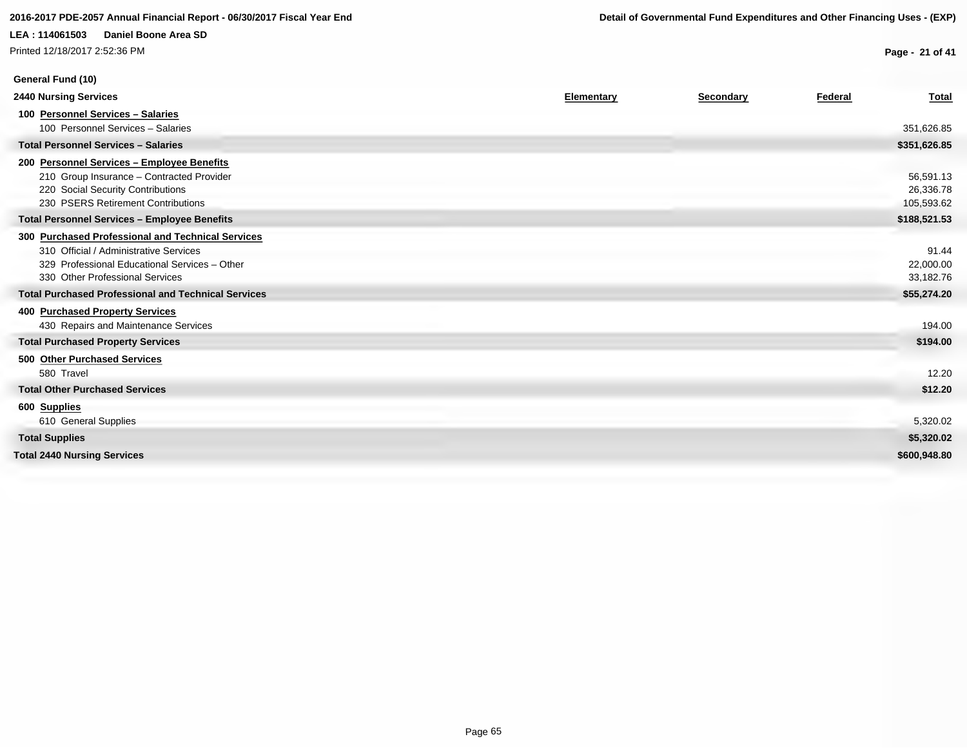Printed 12/18/2017 2:52:36 PM

**General Fund (10)**

**Page - 21 of 41**

| <b>2440 Nursing Services</b>                                                                                                                                                    | Elementary | <b>Secondary</b> | Federal | <b>Total</b>                         |
|---------------------------------------------------------------------------------------------------------------------------------------------------------------------------------|------------|------------------|---------|--------------------------------------|
| 100 Personnel Services - Salaries<br>100 Personnel Services - Salaries                                                                                                          |            |                  |         | 351,626.85                           |
| <b>Total Personnel Services - Salaries</b>                                                                                                                                      |            |                  |         | \$351,626.85                         |
| 200 Personnel Services - Employee Benefits<br>210 Group Insurance - Contracted Provider<br>220 Social Security Contributions<br>230 PSERS Retirement Contributions              |            |                  |         | 56,591.13<br>26,336.78<br>105,593.62 |
| <b>Total Personnel Services - Employee Benefits</b>                                                                                                                             |            |                  |         | \$188,521.53                         |
| 300 Purchased Professional and Technical Services<br>310 Official / Administrative Services<br>329 Professional Educational Services - Other<br>330 Other Professional Services |            |                  |         | 91.44<br>22,000.00<br>33,182.76      |
| <b>Total Purchased Professional and Technical Services</b>                                                                                                                      |            |                  |         | \$55,274.20                          |
| 400 Purchased Property Services<br>430 Repairs and Maintenance Services<br><b>Total Purchased Property Services</b>                                                             |            |                  |         | 194.00<br>\$194.00                   |
| 500 Other Purchased Services                                                                                                                                                    |            |                  |         |                                      |
| 580 Travel                                                                                                                                                                      |            |                  |         | 12.20                                |
| <b>Total Other Purchased Services</b>                                                                                                                                           |            |                  |         | \$12.20                              |
| 600 Supplies<br>610 General Supplies                                                                                                                                            |            |                  |         | 5,320.02                             |
| <b>Total Supplies</b>                                                                                                                                                           |            |                  |         | \$5,320.02                           |
| <b>Total 2440 Nursing Services</b>                                                                                                                                              |            |                  |         | \$600,948.80                         |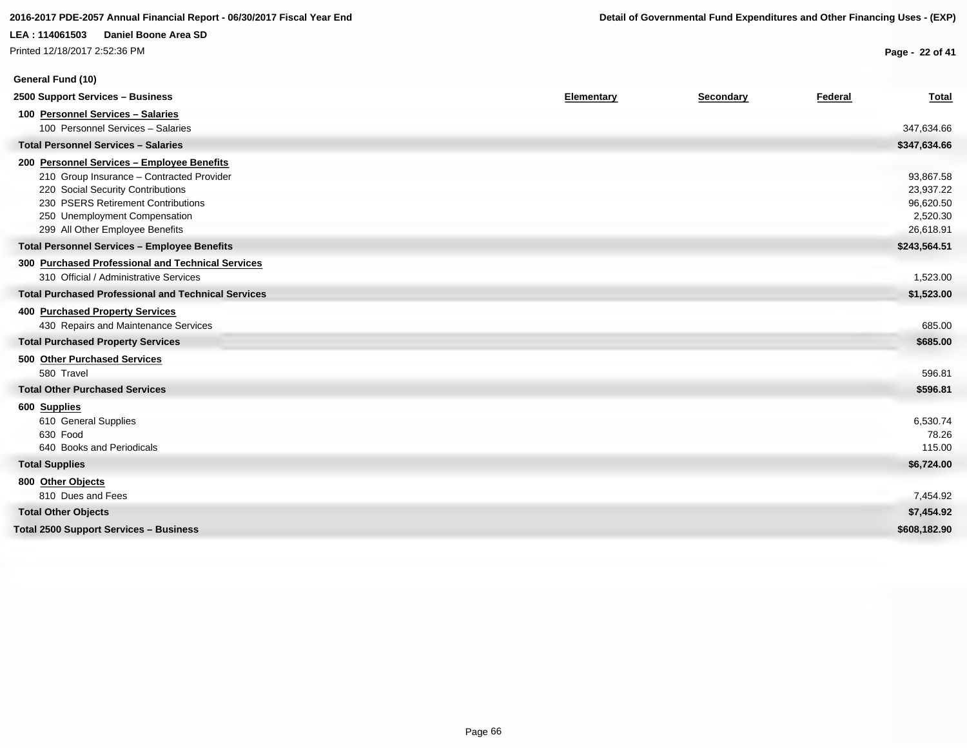Printed 12/18/2017 2:52:36 PM

**General Fund (10)**

**Page - 22 of 41**

| 2500 Support Services - Business                           | Elementary | Secondary | Federal | <b>Total</b> |
|------------------------------------------------------------|------------|-----------|---------|--------------|
| 100 Personnel Services - Salaries                          |            |           |         |              |
| 100 Personnel Services - Salaries                          |            |           |         | 347,634.66   |
| <b>Total Personnel Services - Salaries</b>                 |            |           |         | \$347,634.66 |
| 200 Personnel Services - Employee Benefits                 |            |           |         |              |
| 210 Group Insurance - Contracted Provider                  |            |           |         | 93,867.58    |
| 220 Social Security Contributions                          |            |           |         | 23,937.22    |
| 230 PSERS Retirement Contributions                         |            |           |         | 96,620.50    |
| 250 Unemployment Compensation                              |            |           |         | 2,520.30     |
| 299 All Other Employee Benefits                            |            |           |         | 26,618.91    |
| <b>Total Personnel Services - Employee Benefits</b>        |            |           |         | \$243,564.51 |
| 300 Purchased Professional and Technical Services          |            |           |         |              |
| 310 Official / Administrative Services                     |            |           |         | 1,523.00     |
| <b>Total Purchased Professional and Technical Services</b> |            |           |         | \$1,523.00   |
| 400 Purchased Property Services                            |            |           |         |              |
| 430 Repairs and Maintenance Services                       |            |           |         | 685.00       |
| <b>Total Purchased Property Services</b>                   |            |           |         | \$685.00     |
| 500 Other Purchased Services                               |            |           |         |              |
| 580 Travel                                                 |            |           |         | 596.81       |
| <b>Total Other Purchased Services</b>                      |            |           |         | \$596.81     |
| 600 Supplies                                               |            |           |         |              |
| 610 General Supplies                                       |            |           |         | 6,530.74     |
| 630 Food                                                   |            |           |         | 78.26        |
| 640 Books and Periodicals                                  |            |           |         | 115.00       |
| <b>Total Supplies</b>                                      |            |           |         | \$6,724.00   |
| 800 Other Objects                                          |            |           |         |              |
| 810 Dues and Fees                                          |            |           |         | 7,454.92     |
| <b>Total Other Objects</b>                                 |            |           |         | \$7,454.92   |
| <b>Total 2500 Support Services - Business</b>              |            |           |         | \$608,182.90 |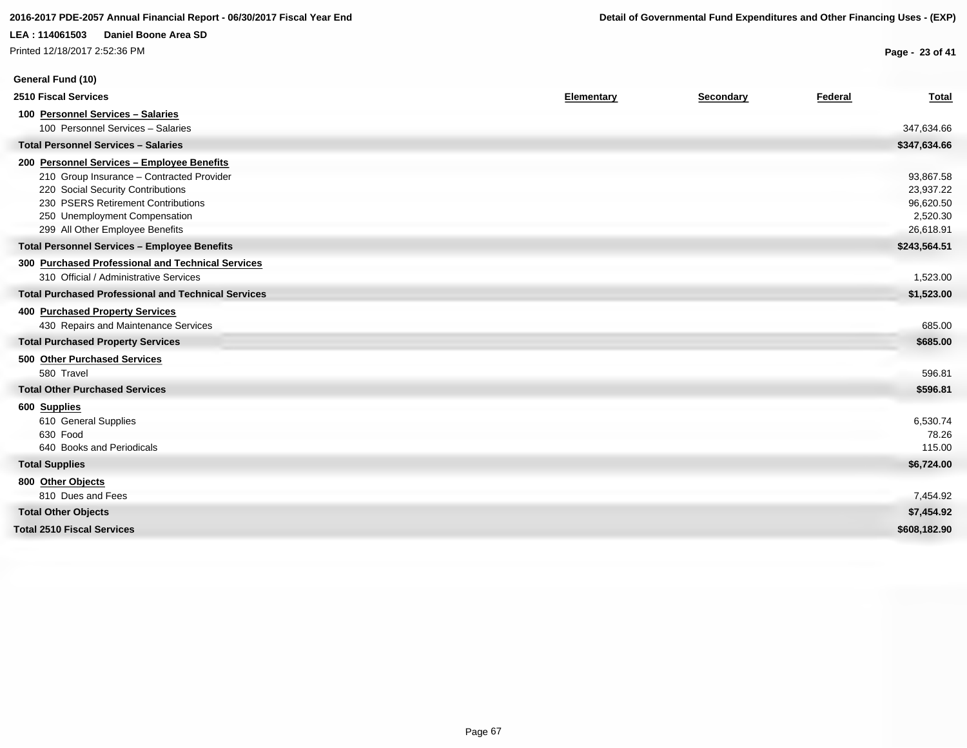Printed 12/18/2017 2:52:36 PM

**General Fund (10)**

**Page - 23 of 41**

| <b>2510 Fiscal Services</b>                                | Elementary | Secondary | Federal | <b>Total</b> |
|------------------------------------------------------------|------------|-----------|---------|--------------|
| 100 Personnel Services - Salaries                          |            |           |         |              |
| 100 Personnel Services - Salaries                          |            |           |         | 347,634.66   |
| <b>Total Personnel Services - Salaries</b>                 |            |           |         | \$347,634.66 |
| 200 Personnel Services - Employee Benefits                 |            |           |         |              |
| 210 Group Insurance - Contracted Provider                  |            |           |         | 93,867.58    |
| 220 Social Security Contributions                          |            |           |         | 23,937.22    |
| 230 PSERS Retirement Contributions                         |            |           |         | 96,620.50    |
| 250 Unemployment Compensation                              |            |           |         | 2,520.30     |
| 299 All Other Employee Benefits                            |            |           |         | 26,618.91    |
| <b>Total Personnel Services - Employee Benefits</b>        |            |           |         | \$243,564.51 |
| 300 Purchased Professional and Technical Services          |            |           |         |              |
| 310 Official / Administrative Services                     |            |           |         | 1,523.00     |
| <b>Total Purchased Professional and Technical Services</b> |            |           |         | \$1,523.00   |
| 400 Purchased Property Services                            |            |           |         |              |
| 430 Repairs and Maintenance Services                       |            |           |         | 685.00       |
| <b>Total Purchased Property Services</b>                   |            |           |         | \$685.00     |
| 500 Other Purchased Services                               |            |           |         |              |
| 580 Travel                                                 |            |           |         | 596.81       |
| <b>Total Other Purchased Services</b>                      |            |           |         | \$596.81     |
| 600 Supplies                                               |            |           |         |              |
| 610 General Supplies                                       |            |           |         | 6,530.74     |
| 630 Food                                                   |            |           |         | 78.26        |
| 640 Books and Periodicals                                  |            |           |         | 115.00       |
| <b>Total Supplies</b>                                      |            |           |         | \$6,724.00   |
| 800 Other Objects                                          |            |           |         |              |
| 810 Dues and Fees                                          |            |           |         | 7,454.92     |
| <b>Total Other Objects</b>                                 |            |           |         | \$7,454.92   |
| <b>Total 2510 Fiscal Services</b>                          |            |           |         | \$608,182.90 |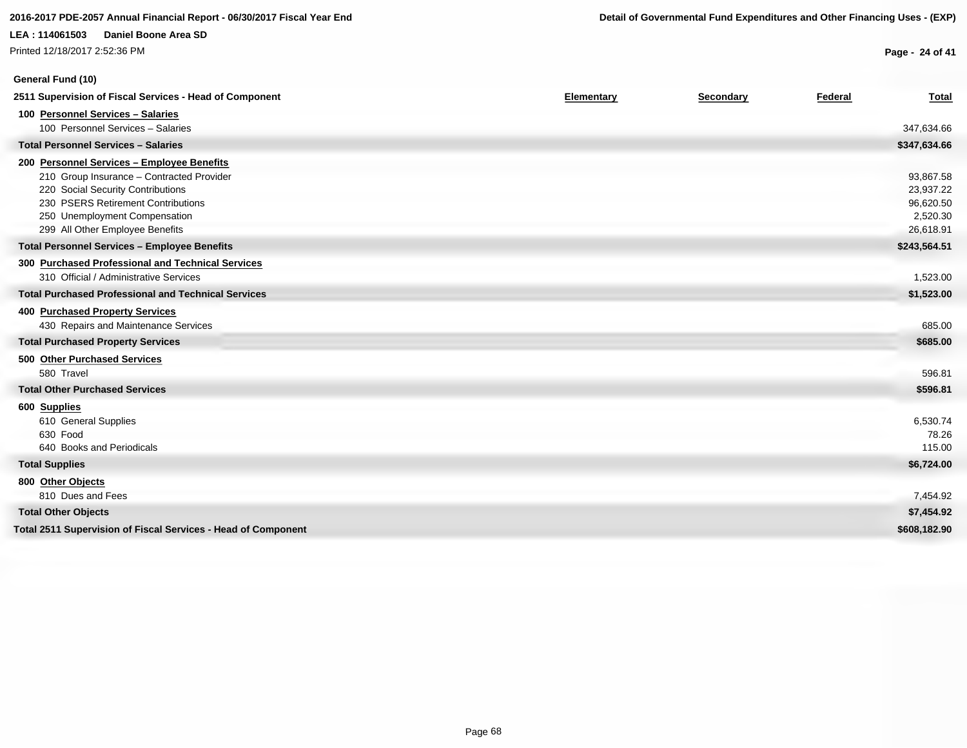# **LEA : 114061503 Daniel Boone Area SD** Printed 12/18/2017 2:52:36 PM

**Page - 24 of 41**

| General Fund (10)                                             |            |           |         |              |
|---------------------------------------------------------------|------------|-----------|---------|--------------|
| 2511 Supervision of Fiscal Services - Head of Component       | Elementary | Secondary | Federal | <b>Total</b> |
| 100 Personnel Services - Salaries                             |            |           |         |              |
| 100 Personnel Services - Salaries                             |            |           |         | 347,634.66   |
| <b>Total Personnel Services - Salaries</b>                    |            |           |         | \$347,634.66 |
| 200 Personnel Services - Employee Benefits                    |            |           |         |              |
| 210 Group Insurance - Contracted Provider                     |            |           |         | 93,867.58    |
| 220 Social Security Contributions                             |            |           |         | 23,937.22    |
| 230 PSERS Retirement Contributions                            |            |           |         | 96,620.50    |
| 250 Unemployment Compensation                                 |            |           |         | 2,520.30     |
| 299 All Other Employee Benefits                               |            |           |         | 26,618.91    |
| <b>Total Personnel Services - Employee Benefits</b>           |            |           |         | \$243,564.51 |
| 300 Purchased Professional and Technical Services             |            |           |         |              |
| 310 Official / Administrative Services                        |            |           |         | 1,523.00     |
| <b>Total Purchased Professional and Technical Services</b>    |            |           |         | \$1,523.00   |
| <b>400 Purchased Property Services</b>                        |            |           |         |              |
| 430 Repairs and Maintenance Services                          |            |           |         | 685.00       |
| <b>Total Purchased Property Services</b>                      |            |           |         | \$685.00     |
| 500 Other Purchased Services                                  |            |           |         |              |
| 580 Travel                                                    |            |           |         | 596.81       |
| <b>Total Other Purchased Services</b>                         |            |           |         | \$596.81     |
| 600 Supplies                                                  |            |           |         |              |
| 610 General Supplies                                          |            |           |         | 6,530.74     |
| 630 Food                                                      |            |           |         | 78.26        |
| 640 Books and Periodicals                                     |            |           |         | 115.00       |
| <b>Total Supplies</b>                                         |            |           |         | \$6,724.00   |
| 800 Other Objects                                             |            |           |         |              |
| 810 Dues and Fees                                             |            |           |         | 7,454.92     |
| <b>Total Other Objects</b>                                    |            |           |         | \$7,454.92   |
| Total 2511 Supervision of Fiscal Services - Head of Component |            |           |         | \$608,182,90 |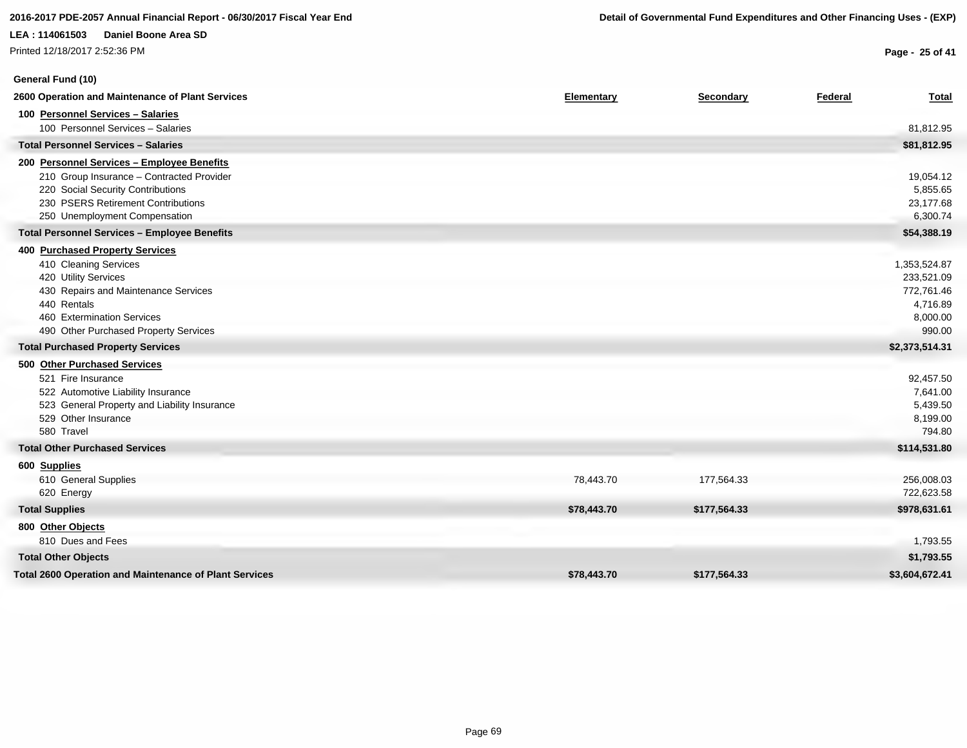# **LEA : 114061503 Daniel Boone Area SD** Printed 12/18/2017 2:52:36 PM

**General Fund (10)**

**Page - 25 of 41**

| 2600 Operation and Maintenance of Plant Services              | Elementary  | Secondary    | Federal | <b>Total</b>   |
|---------------------------------------------------------------|-------------|--------------|---------|----------------|
| 100 Personnel Services - Salaries                             |             |              |         |                |
| 100 Personnel Services - Salaries                             |             |              |         | 81,812.95      |
| <b>Total Personnel Services - Salaries</b>                    |             |              |         | \$81,812.95    |
| 200 Personnel Services - Employee Benefits                    |             |              |         |                |
| 210 Group Insurance - Contracted Provider                     |             |              |         | 19,054.12      |
| 220 Social Security Contributions                             |             |              |         | 5,855.65       |
| 230 PSERS Retirement Contributions                            |             |              |         | 23,177.68      |
| 250 Unemployment Compensation                                 |             |              |         | 6,300.74       |
| <b>Total Personnel Services - Employee Benefits</b>           |             |              |         | \$54,388.19    |
| <b>400 Purchased Property Services</b>                        |             |              |         |                |
| 410 Cleaning Services                                         |             |              |         | 1,353,524.87   |
| 420 Utility Services                                          |             |              |         | 233,521.09     |
| 430 Repairs and Maintenance Services                          |             |              |         | 772,761.46     |
| 440 Rentals                                                   |             |              |         | 4,716.89       |
| 460 Extermination Services                                    |             |              |         | 8,000.00       |
| 490 Other Purchased Property Services                         |             |              |         | 990.00         |
| <b>Total Purchased Property Services</b>                      |             |              |         | \$2,373,514.31 |
| 500 Other Purchased Services                                  |             |              |         |                |
| 521 Fire Insurance                                            |             |              |         | 92,457.50      |
| 522 Automotive Liability Insurance                            |             |              |         | 7,641.00       |
| 523 General Property and Liability Insurance                  |             |              |         | 5,439.50       |
| 529 Other Insurance                                           |             |              |         | 8,199.00       |
| 580 Travel                                                    |             |              |         | 794.80         |
| <b>Total Other Purchased Services</b>                         |             |              |         | \$114,531.80   |
| 600 Supplies                                                  |             |              |         |                |
| 610 General Supplies                                          | 78,443.70   | 177,564.33   |         | 256,008.03     |
| 620 Energy                                                    |             |              |         | 722,623.58     |
| <b>Total Supplies</b>                                         | \$78,443.70 | \$177,564.33 |         | \$978,631.61   |
| 800 Other Objects                                             |             |              |         |                |
| 810 Dues and Fees                                             |             |              |         | 1,793.55       |
| <b>Total Other Objects</b>                                    |             |              |         | \$1,793.55     |
| <b>Total 2600 Operation and Maintenance of Plant Services</b> | \$78,443.70 | \$177,564.33 |         | \$3,604,672.41 |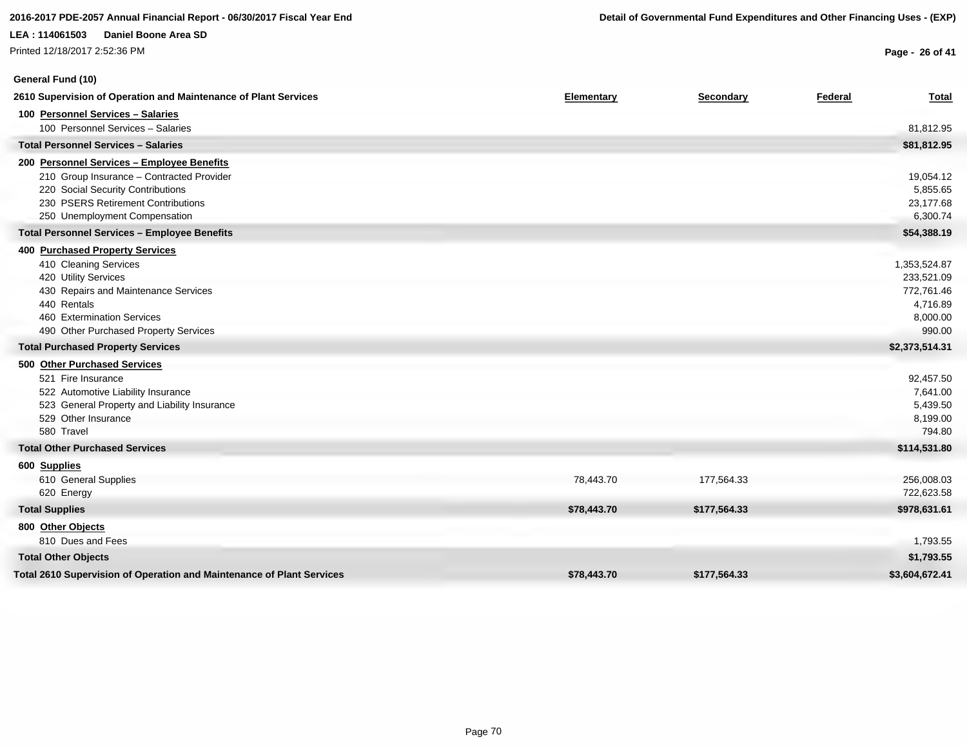# **General Fund (10)**

**Page - 26 of 41**

| 2610 Supervision of Operation and Maintenance of Plant Services       | Elementary  | Secondary    | Federal | <b>Total</b>   |
|-----------------------------------------------------------------------|-------------|--------------|---------|----------------|
| 100 Personnel Services - Salaries                                     |             |              |         |                |
| 100 Personnel Services - Salaries                                     |             |              |         | 81,812.95      |
| <b>Total Personnel Services - Salaries</b>                            |             |              |         | \$81,812.95    |
| 200 Personnel Services - Employee Benefits                            |             |              |         |                |
| 210 Group Insurance - Contracted Provider                             |             |              |         | 19,054.12      |
| 220 Social Security Contributions                                     |             |              |         | 5,855.65       |
| 230 PSERS Retirement Contributions                                    |             |              |         | 23,177.68      |
| 250 Unemployment Compensation                                         |             |              |         | 6,300.74       |
| <b>Total Personnel Services - Employee Benefits</b>                   |             |              |         | \$54,388.19    |
| <b>400 Purchased Property Services</b>                                |             |              |         |                |
| 410 Cleaning Services                                                 |             |              |         | 1,353,524.87   |
| 420 Utility Services                                                  |             |              |         | 233,521.09     |
| 430 Repairs and Maintenance Services                                  |             |              |         | 772,761.46     |
| 440 Rentals                                                           |             |              |         | 4,716.89       |
| 460 Extermination Services                                            |             |              |         | 8,000.00       |
| 490 Other Purchased Property Services                                 |             |              |         | 990.00         |
| <b>Total Purchased Property Services</b>                              |             |              |         | \$2,373,514.31 |
| 500 Other Purchased Services                                          |             |              |         |                |
| 521 Fire Insurance                                                    |             |              |         | 92,457.50      |
| 522 Automotive Liability Insurance                                    |             |              |         | 7,641.00       |
| 523 General Property and Liability Insurance                          |             |              |         | 5,439.50       |
| 529 Other Insurance                                                   |             |              |         | 8,199.00       |
| 580 Travel                                                            |             |              |         | 794.80         |
| <b>Total Other Purchased Services</b>                                 |             |              |         | \$114,531.80   |
| 600 Supplies                                                          |             |              |         |                |
| 610 General Supplies                                                  | 78,443.70   | 177,564.33   |         | 256,008.03     |
| 620 Energy                                                            |             |              |         | 722,623.58     |
| <b>Total Supplies</b>                                                 | \$78,443.70 | \$177,564.33 |         | \$978,631.61   |
| 800 Other Objects                                                     |             |              |         |                |
| 810 Dues and Fees                                                     |             |              |         | 1,793.55       |
| <b>Total Other Objects</b>                                            |             |              |         | \$1,793.55     |
| Total 2610 Supervision of Operation and Maintenance of Plant Services | \$78,443.70 | \$177,564.33 |         | \$3,604,672.41 |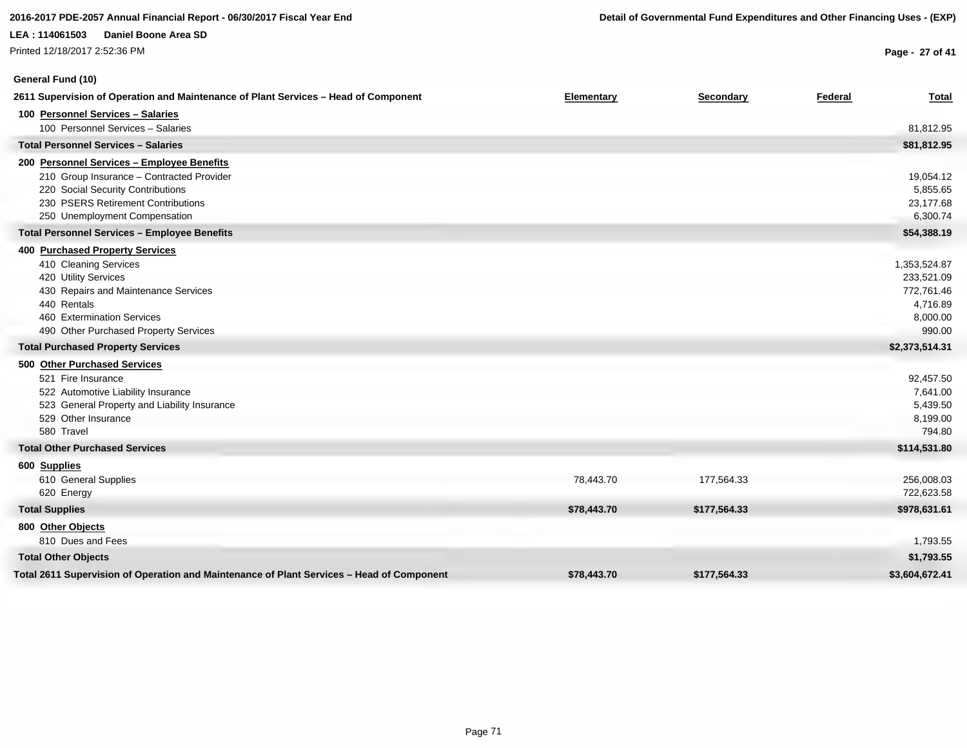Printed 12/18/2017 2:52:36 PM

# **General Fund (10)**

**Page - 27 of 41**

| 2611 Supervision of Operation and Maintenance of Plant Services - Head of Component       | Elementary  | Secondary    | Federal | <b>Total</b>   |
|-------------------------------------------------------------------------------------------|-------------|--------------|---------|----------------|
| 100 Personnel Services - Salaries                                                         |             |              |         |                |
| 100 Personnel Services - Salaries                                                         |             |              |         | 81,812.95      |
| <b>Total Personnel Services - Salaries</b>                                                |             |              |         | \$81,812.95    |
| 200 Personnel Services - Employee Benefits                                                |             |              |         |                |
| 210 Group Insurance - Contracted Provider                                                 |             |              |         | 19,054.12      |
| 220 Social Security Contributions                                                         |             |              |         | 5,855.65       |
| 230 PSERS Retirement Contributions                                                        |             |              |         | 23,177.68      |
| 250 Unemployment Compensation                                                             |             |              |         | 6,300.74       |
| <b>Total Personnel Services - Employee Benefits</b>                                       |             |              |         | \$54,388.19    |
| 400 Purchased Property Services                                                           |             |              |         |                |
| 410 Cleaning Services                                                                     |             |              |         | 1,353,524.87   |
| 420 Utility Services                                                                      |             |              |         | 233,521.09     |
| 430 Repairs and Maintenance Services                                                      |             |              |         | 772,761.46     |
| 440 Rentals                                                                               |             |              |         | 4,716.89       |
| 460 Extermination Services                                                                |             |              |         | 8,000.00       |
| 490 Other Purchased Property Services                                                     |             |              |         | 990.00         |
| <b>Total Purchased Property Services</b>                                                  |             |              |         | \$2,373,514.31 |
| 500 Other Purchased Services                                                              |             |              |         |                |
| 521 Fire Insurance                                                                        |             |              |         | 92,457.50      |
| 522 Automotive Liability Insurance                                                        |             |              |         | 7,641.00       |
| 523 General Property and Liability Insurance                                              |             |              |         | 5,439.50       |
| 529 Other Insurance                                                                       |             |              |         | 8,199.00       |
| 580 Travel                                                                                |             |              |         | 794.80         |
| <b>Total Other Purchased Services</b>                                                     |             |              |         | \$114,531.80   |
| 600 Supplies                                                                              |             |              |         |                |
| 610 General Supplies                                                                      | 78,443.70   | 177,564.33   |         | 256,008.03     |
| 620 Energy                                                                                |             |              |         | 722,623.58     |
| <b>Total Supplies</b>                                                                     | \$78,443.70 | \$177,564.33 |         | \$978,631.61   |
| 800 Other Objects                                                                         |             |              |         |                |
| 810 Dues and Fees                                                                         |             |              |         | 1,793.55       |
| <b>Total Other Objects</b>                                                                |             |              |         | \$1,793.55     |
| Total 2611 Supervision of Operation and Maintenance of Plant Services - Head of Component | \$78,443.70 | \$177,564.33 |         | \$3,604,672.41 |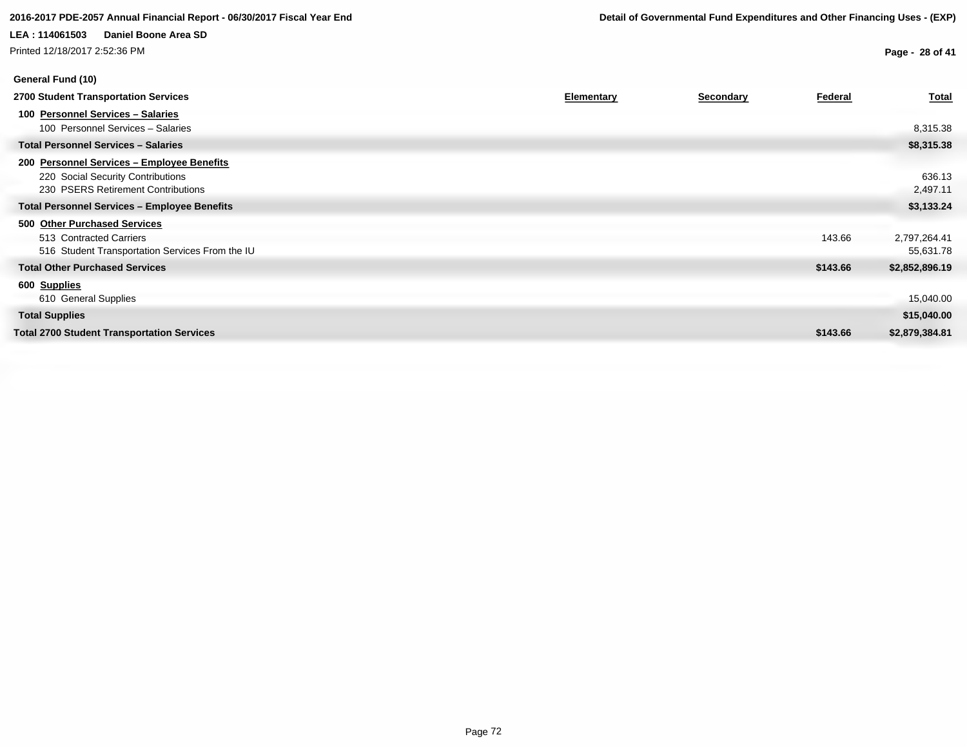Printed 12/18/2017 2:52:36 PM

**General Fund (10)**

**Page - 28 of 41**

| 2700 Student Transportation Services                | <b>Elementary</b> | <b>Secondary</b> | Federal  | <b>Total</b>   |
|-----------------------------------------------------|-------------------|------------------|----------|----------------|
| 100 Personnel Services - Salaries                   |                   |                  |          |                |
| 100 Personnel Services - Salaries                   |                   |                  |          | 8,315.38       |
| <b>Total Personnel Services - Salaries</b>          |                   |                  |          | \$8,315.38     |
| 200 Personnel Services - Employee Benefits          |                   |                  |          |                |
| 220 Social Security Contributions                   |                   |                  |          | 636.13         |
| 230 PSERS Retirement Contributions                  |                   |                  |          | 2,497.11       |
| <b>Total Personnel Services - Employee Benefits</b> |                   |                  |          | \$3,133.24     |
| 500 Other Purchased Services                        |                   |                  |          |                |
| 513 Contracted Carriers                             |                   |                  | 143.66   | 2,797,264.41   |
| 516 Student Transportation Services From the IU     |                   |                  |          | 55,631.78      |
| <b>Total Other Purchased Services</b>               |                   |                  | \$143.66 | \$2,852,896.19 |
| 600 Supplies                                        |                   |                  |          |                |
| 610 General Supplies                                |                   |                  |          | 15,040.00      |
| <b>Total Supplies</b>                               |                   |                  |          | \$15,040.00    |
| <b>Total 2700 Student Transportation Services</b>   |                   |                  | \$143.66 | \$2,879,384.81 |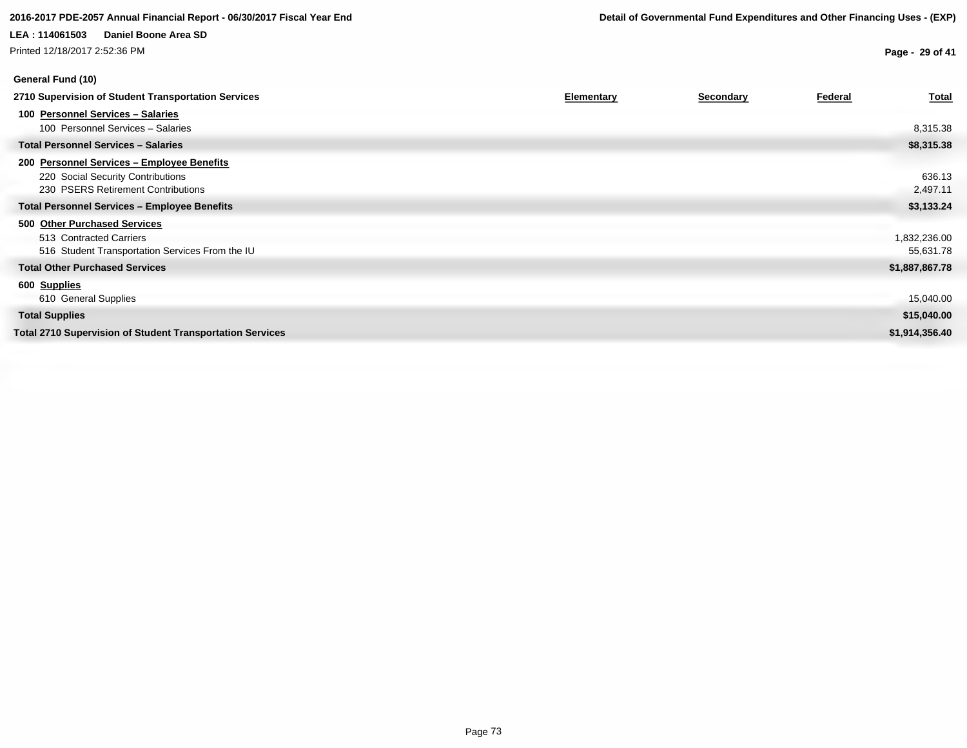# **LEA : 114061503 Daniel Boone Area SD** Printed 12/18/2017 2:52:36 PM

**Page - 29 of 41**

| 2710 Supervision of Student Transportation Services                                                                   | Elementary | Secondary | Federal | <b>Total</b>              |
|-----------------------------------------------------------------------------------------------------------------------|------------|-----------|---------|---------------------------|
| 100 Personnel Services - Salaries<br>100 Personnel Services - Salaries                                                |            |           |         | 8,315.38                  |
| <b>Total Personnel Services - Salaries</b>                                                                            |            |           |         | \$8,315.38                |
| 200 Personnel Services - Employee Benefits<br>220 Social Security Contributions<br>230 PSERS Retirement Contributions |            |           |         | 636.13<br>2,497.11        |
| <b>Total Personnel Services - Employee Benefits</b>                                                                   |            |           |         | \$3,133.24                |
| 500 Other Purchased Services<br>513 Contracted Carriers<br>516 Student Transportation Services From the IU            |            |           |         | 1,832,236.00<br>55,631.78 |
| <b>Total Other Purchased Services</b>                                                                                 |            |           |         | \$1,887,867.78            |
| 600 Supplies<br>610 General Supplies                                                                                  |            |           |         | 15,040.00                 |
| <b>Total Supplies</b>                                                                                                 |            |           |         | \$15,040.00               |
| <b>Total 2710 Supervision of Student Transportation Services</b>                                                      |            |           |         | \$1,914,356.40            |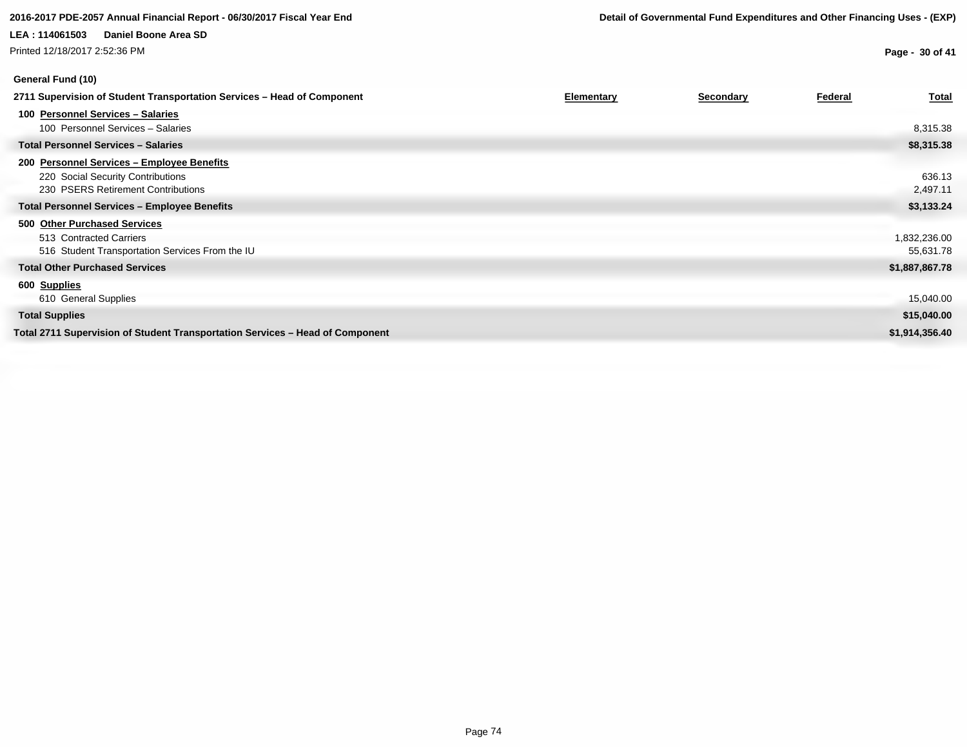Printed 12/18/2017 2:52:36 PM

# **General Fund (10)**

**Page - 30 of 41**

| 2711 Supervision of Student Transportation Services – Head of Component       | <b>Elementary</b> | <b>Secondary</b> | Federal | <b>Total</b>   |
|-------------------------------------------------------------------------------|-------------------|------------------|---------|----------------|
| 100 Personnel Services - Salaries                                             |                   |                  |         |                |
| 100 Personnel Services - Salaries                                             |                   |                  |         | 8,315.38       |
| <b>Total Personnel Services - Salaries</b>                                    |                   |                  |         | \$8,315.38     |
| 200 Personnel Services - Employee Benefits                                    |                   |                  |         |                |
| 220 Social Security Contributions                                             |                   |                  |         | 636.13         |
| 230 PSERS Retirement Contributions                                            |                   |                  |         | 2,497.11       |
| <b>Total Personnel Services - Employee Benefits</b>                           |                   |                  |         | \$3,133.24     |
| 500 Other Purchased Services                                                  |                   |                  |         |                |
| 513 Contracted Carriers                                                       |                   |                  |         | 1,832,236.00   |
| 516 Student Transportation Services From the IU                               |                   |                  |         | 55,631.78      |
| <b>Total Other Purchased Services</b>                                         |                   |                  |         | \$1,887,867.78 |
| 600 Supplies                                                                  |                   |                  |         |                |
| 610 General Supplies                                                          |                   |                  |         | 15,040.00      |
| <b>Total Supplies</b>                                                         |                   |                  |         | \$15,040.00    |
| Total 2711 Supervision of Student Transportation Services – Head of Component |                   |                  |         | \$1,914,356.40 |
|                                                                               |                   |                  |         |                |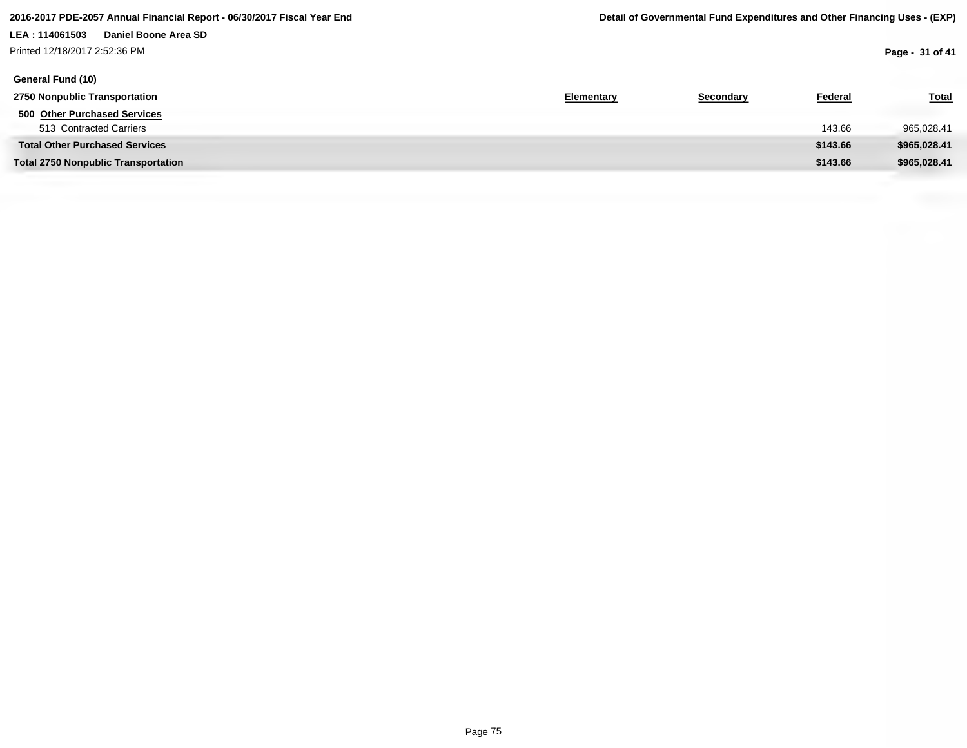# **LEA : 114061503 Daniel Boone Area SD** Printed 12/18/2017 2:52:36 PM

| General Fund (10)                          |            |           |          |              |
|--------------------------------------------|------------|-----------|----------|--------------|
| 2750 Nonpublic Transportation              | Elementary | Secondary | Federal  | <b>Total</b> |
| 500 Other Purchased Services               |            |           |          |              |
| 513 Contracted Carriers                    |            |           | 143.66   | 965,028.41   |
| <b>Total Other Purchased Services</b>      |            |           | \$143.66 | \$965,028.41 |
| <b>Total 2750 Nonpublic Transportation</b> |            |           | \$143.66 | \$965,028.41 |
|                                            |            |           |          |              |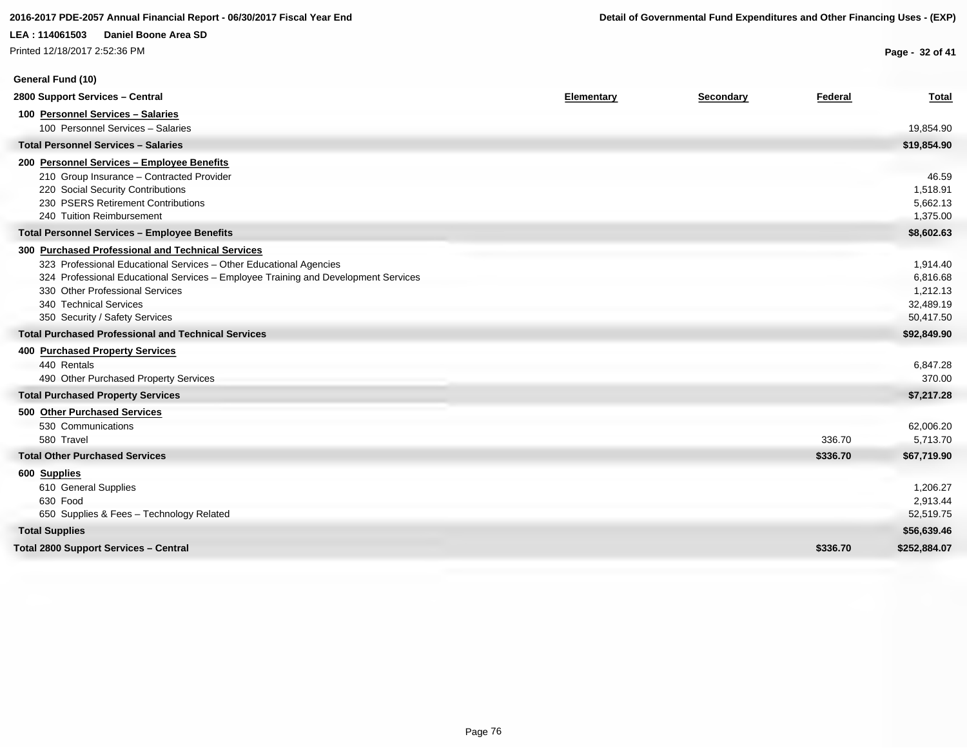Printed 12/18/2017 2:52:36 PM

**General Fund (10)**

**Page - 32 of 41**

| 2800 Support Services - Central                                                    | Elementary | Secondary | Federal  | <b>Total</b> |
|------------------------------------------------------------------------------------|------------|-----------|----------|--------------|
| 100 Personnel Services - Salaries                                                  |            |           |          |              |
| 100 Personnel Services - Salaries                                                  |            |           |          | 19,854.90    |
| <b>Total Personnel Services - Salaries</b>                                         |            |           |          | \$19,854.90  |
| 200 Personnel Services - Employee Benefits                                         |            |           |          |              |
| 210 Group Insurance - Contracted Provider                                          |            |           |          | 46.59        |
| 220 Social Security Contributions                                                  |            |           |          | 1,518.91     |
| 230 PSERS Retirement Contributions                                                 |            |           |          | 5,662.13     |
| 240 Tuition Reimbursement                                                          |            |           |          | 1,375.00     |
| <b>Total Personnel Services - Employee Benefits</b>                                |            |           |          | \$8,602.63   |
| 300 Purchased Professional and Technical Services                                  |            |           |          |              |
| 323 Professional Educational Services - Other Educational Agencies                 |            |           |          | 1,914.40     |
| 324 Professional Educational Services - Employee Training and Development Services |            |           |          | 6,816.68     |
| 330 Other Professional Services                                                    |            |           |          | 1,212.13     |
| 340 Technical Services                                                             |            |           |          | 32,489.19    |
| 350 Security / Safety Services                                                     |            |           |          | 50,417.50    |
| <b>Total Purchased Professional and Technical Services</b>                         |            |           |          | \$92,849.90  |
| <b>400 Purchased Property Services</b>                                             |            |           |          |              |
| 440 Rentals                                                                        |            |           |          | 6,847.28     |
| 490 Other Purchased Property Services                                              |            |           |          | 370.00       |
| <b>Total Purchased Property Services</b>                                           |            |           |          | \$7,217.28   |
| 500 Other Purchased Services                                                       |            |           |          |              |
| 530 Communications                                                                 |            |           |          | 62,006.20    |
| 580 Travel                                                                         |            |           | 336.70   | 5,713.70     |
| <b>Total Other Purchased Services</b>                                              |            |           | \$336.70 | \$67,719.90  |
| 600 Supplies                                                                       |            |           |          |              |
| 610 General Supplies                                                               |            |           |          | 1,206.27     |
| 630 Food                                                                           |            |           |          | 2,913.44     |
| 650 Supplies & Fees - Technology Related                                           |            |           |          | 52,519.75    |
| <b>Total Supplies</b>                                                              |            |           |          | \$56,639.46  |
| <b>Total 2800 Support Services - Central</b>                                       |            |           | \$336.70 | \$252,884.07 |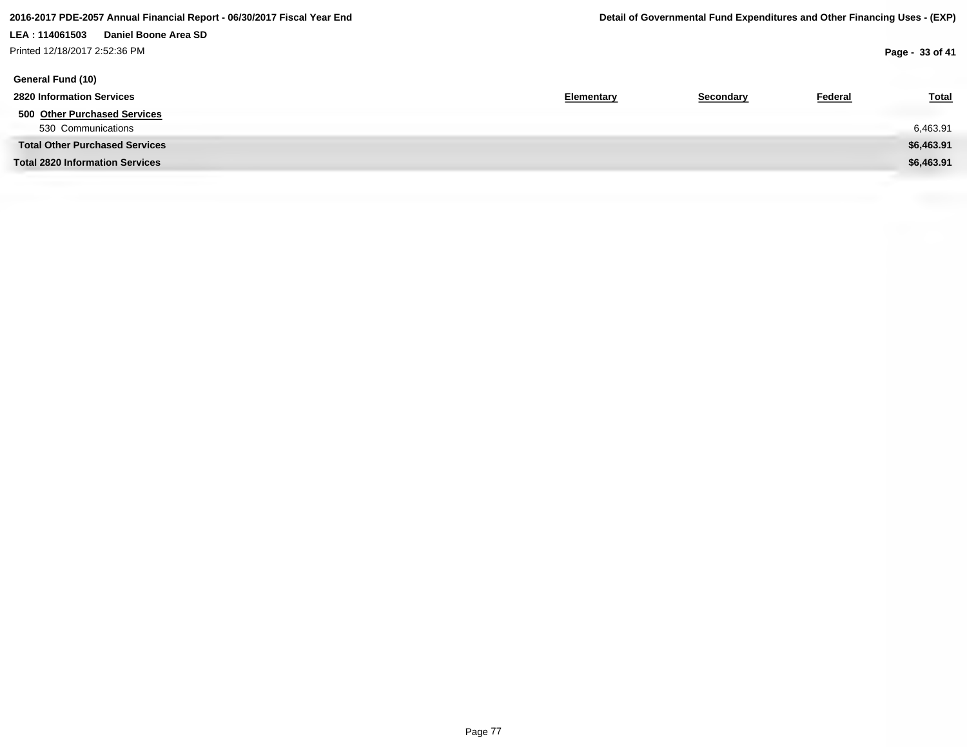# **LEA : 114061503 Daniel Boone Area SD** Printed 12/18/2017 2:52:36 PM

| General Fund (10)                      |            |           |                |              |
|----------------------------------------|------------|-----------|----------------|--------------|
| <b>2820 Information Services</b>       | Elementary | Secondary | <b>Federal</b> | <b>Total</b> |
| 500 Other Purchased Services           |            |           |                |              |
| 530 Communications                     |            |           |                | 6,463.91     |
| <b>Total Other Purchased Services</b>  |            |           |                | \$6,463.91   |
| <b>Total 2820 Information Services</b> |            |           |                | \$6,463.91   |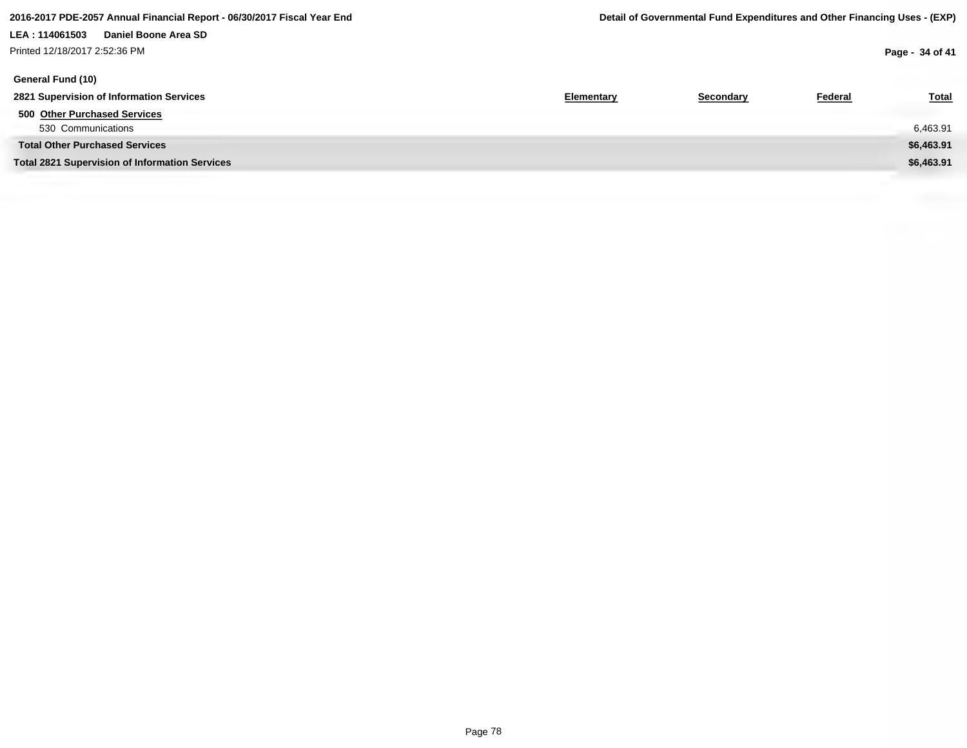# **LEA : 114061503 Daniel Boone Area SD** Printed 12/18/2017 2:52:36 PM

**Page - 34 of 41**

| General Fund (10)                                     |            |           |                |              |
|-------------------------------------------------------|------------|-----------|----------------|--------------|
| 2821 Supervision of Information Services              | Elementary | Secondary | <b>Federal</b> | <b>Total</b> |
| 500 Other Purchased Services                          |            |           |                |              |
| 530 Communications                                    |            |           |                | 6,463.91     |
| <b>Total Other Purchased Services</b>                 |            |           |                | \$6,463.91   |
| <b>Total 2821 Supervision of Information Services</b> |            |           |                | \$6,463.91   |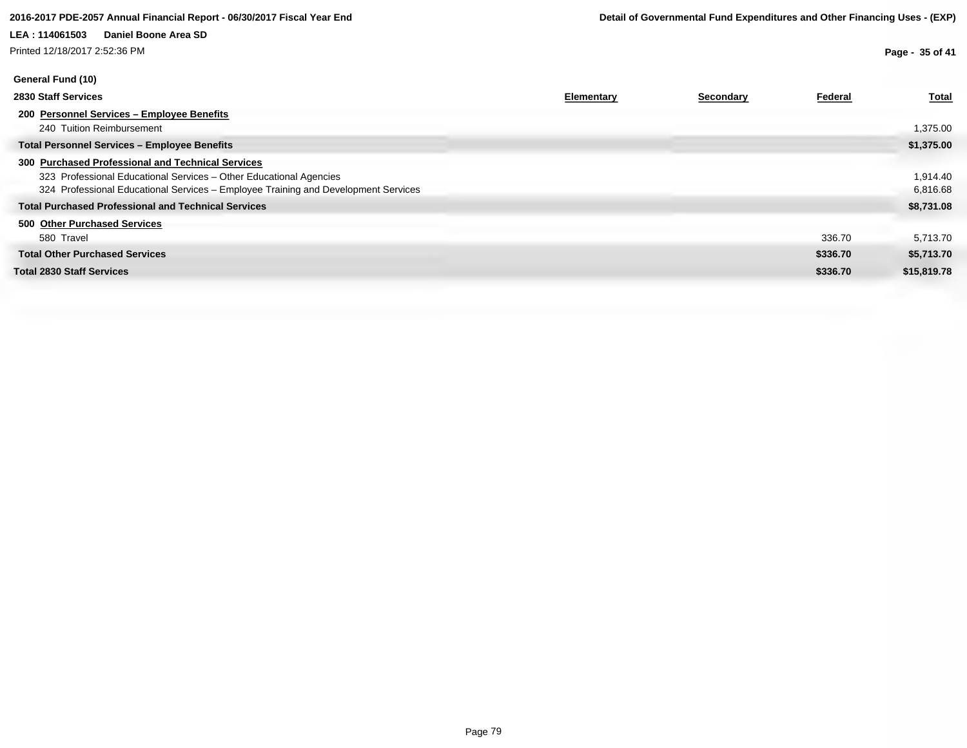Printed 12/18/2017 2:52:36 PM

**Page - 35 of 41**

| General Fund (10)                                                                  |            |           |          |              |
|------------------------------------------------------------------------------------|------------|-----------|----------|--------------|
| 2830 Staff Services                                                                | Elementary | Secondary | Federal  | <b>Total</b> |
| 200 Personnel Services - Employee Benefits                                         |            |           |          |              |
| 240 Tuition Reimbursement                                                          |            |           |          | 1,375.00     |
| <b>Total Personnel Services - Employee Benefits</b>                                |            |           |          | \$1,375.00   |
| 300 Purchased Professional and Technical Services                                  |            |           |          |              |
| 323 Professional Educational Services - Other Educational Agencies                 |            |           |          | 1,914.40     |
| 324 Professional Educational Services - Employee Training and Development Services |            |           |          | 6,816.68     |
| <b>Total Purchased Professional and Technical Services</b>                         |            |           |          | \$8,731.08   |
| 500 Other Purchased Services                                                       |            |           |          |              |
| 580 Travel                                                                         |            |           | 336.70   | 5,713.70     |
| <b>Total Other Purchased Services</b>                                              |            |           | \$336.70 | \$5,713.70   |
| <b>Total 2830 Staff Services</b>                                                   |            |           | \$336.70 | \$15,819.78  |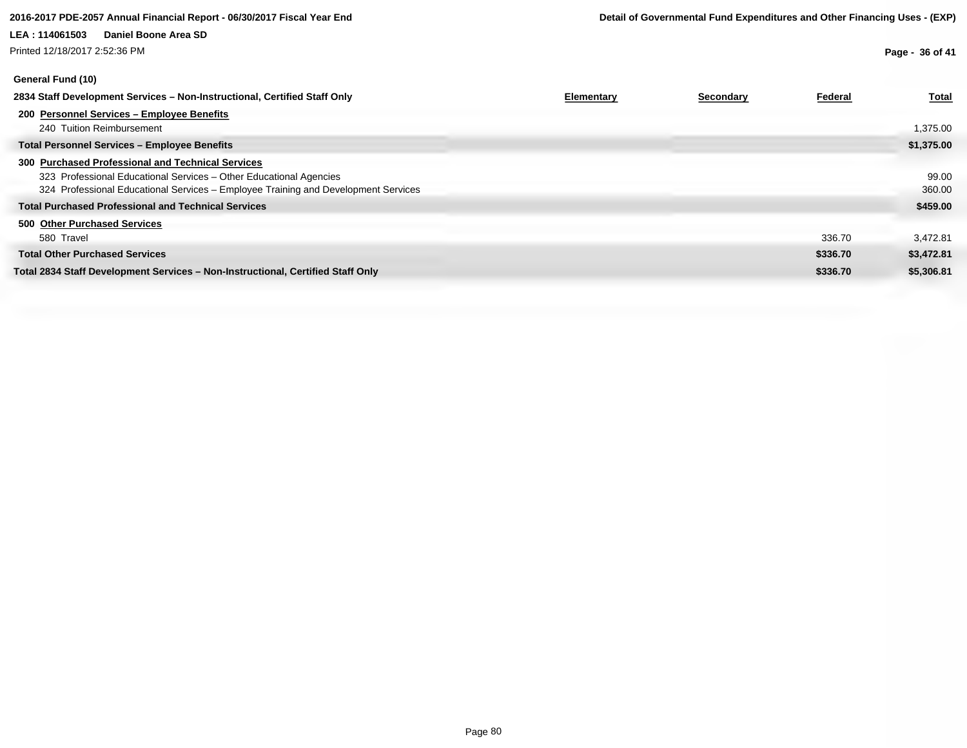Printed 12/18/2017 2:52:36 PM

**Page - 36 of 41**

| 97117141 1 9119 1 1 97                                                             |            |           |          |              |
|------------------------------------------------------------------------------------|------------|-----------|----------|--------------|
| 2834 Staff Development Services - Non-Instructional, Certified Staff Only          | Elementary | Secondary | Federal  | <b>Total</b> |
| 200 Personnel Services - Employee Benefits<br>240 Tuition Reimbursement            |            |           |          | 1,375.00     |
| <b>Total Personnel Services - Employee Benefits</b>                                |            |           |          | \$1,375.00   |
| 300 Purchased Professional and Technical Services                                  |            |           |          |              |
| 323 Professional Educational Services - Other Educational Agencies                 |            |           |          | 99.00        |
| 324 Professional Educational Services - Employee Training and Development Services |            |           |          | 360.00       |
| <b>Total Purchased Professional and Technical Services</b>                         |            |           |          | \$459.00     |
| 500 Other Purchased Services                                                       |            |           |          |              |
| 580 Travel                                                                         |            |           | 336.70   | 3,472.81     |
| <b>Total Other Purchased Services</b>                                              |            |           | \$336.70 | \$3,472.81   |
| Total 2834 Staff Development Services – Non-Instructional, Certified Staff Only    |            |           | \$336.70 | \$5,306.81   |
|                                                                                    |            |           |          |              |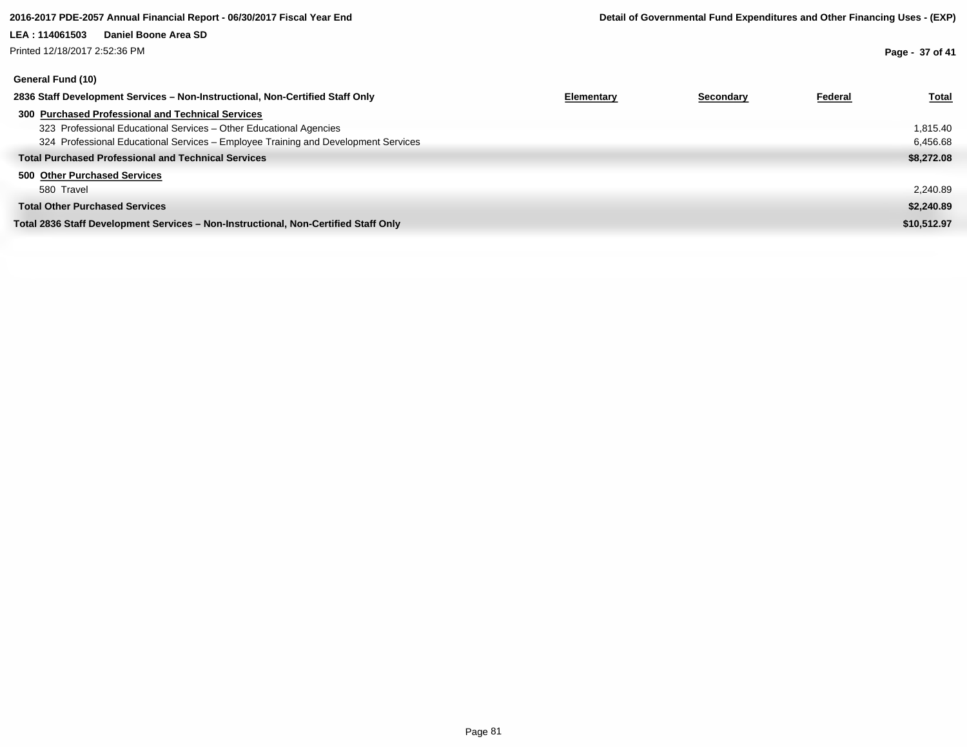Printed 12/18/2017 2:52:36 PM

# **General Fund (10)**

**Page - 37 of 41**

| Elementary | Secondary | Federal | <u>Total</u> |
|------------|-----------|---------|--------------|
|            |           |         |              |
|            |           |         | 1,815.40     |
|            |           |         | 6,456.68     |
|            |           |         | \$8,272.08   |
|            |           |         |              |
|            |           |         | 2,240.89     |
|            |           |         | \$2,240.89   |
|            |           |         | \$10,512.97  |
|            |           |         |              |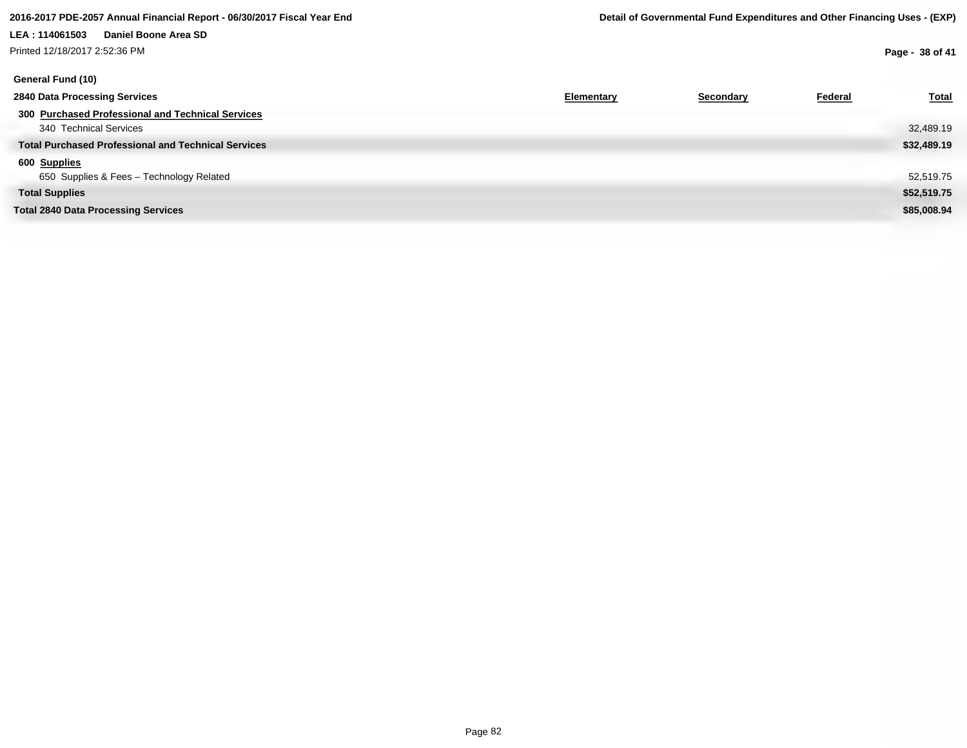# **LEA : 114061503 Daniel Boone Area SD** Printed 12/18/2017 2:52:36 PM

**Page - 38 of 41**

| General Fund (10)                                          |            |           |         |              |
|------------------------------------------------------------|------------|-----------|---------|--------------|
| 2840 Data Processing Services                              | Elementary | Secondary | Federal | <b>Total</b> |
| 300 Purchased Professional and Technical Services          |            |           |         |              |
| 340 Technical Services                                     |            |           |         | 32,489.19    |
| <b>Total Purchased Professional and Technical Services</b> |            |           |         | \$32,489.19  |
| 600 Supplies                                               |            |           |         |              |
| 650 Supplies & Fees - Technology Related                   |            |           |         | 52,519.75    |
| <b>Total Supplies</b>                                      |            |           |         | \$52,519.75  |
| <b>Total 2840 Data Processing Services</b>                 |            |           |         | \$85,008.94  |
|                                                            |            |           |         |              |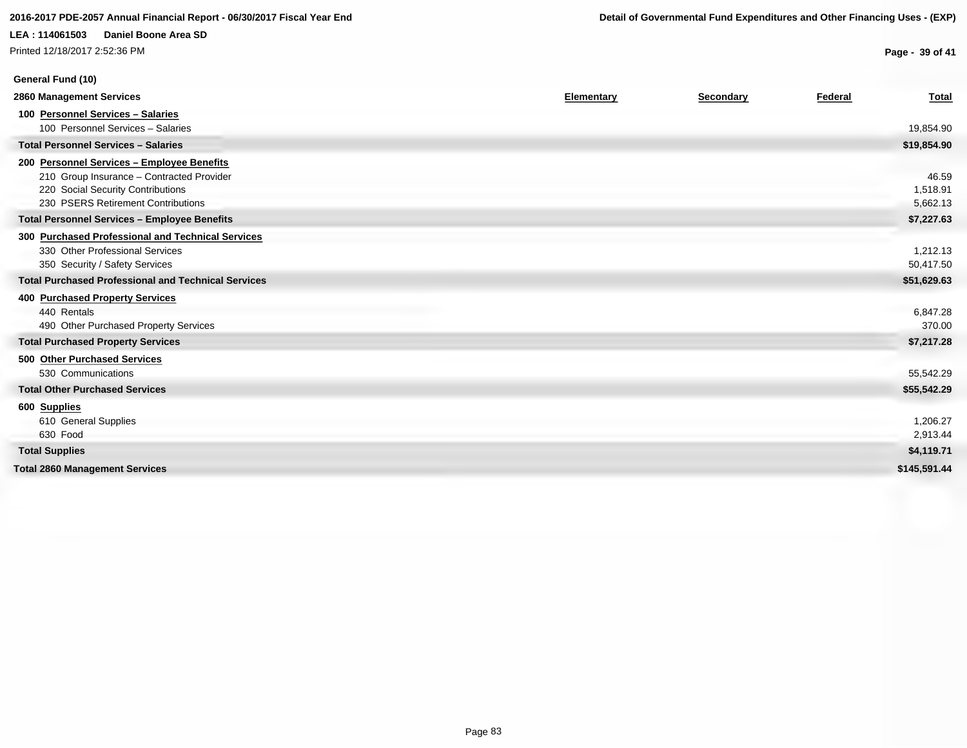### **2016-2017 PDE-2057 Annual Financial Report - 06/30/2017 Fiscal Year End Detail of Governmental Fund Expenditures and Other Financing Uses - (EXP)**

# **LEA : 114061503 Daniel Boone Area SD**

Printed 12/18/2017 2:52:36 PM

**General Fund (10)**

**Page - 39 of 41**

| 2860 Management Services                                   | Elementary | Secondary | Federal | <b>Total</b> |
|------------------------------------------------------------|------------|-----------|---------|--------------|
| 100 Personnel Services - Salaries                          |            |           |         |              |
| 100 Personnel Services - Salaries                          |            |           |         | 19,854.90    |
| <b>Total Personnel Services - Salaries</b>                 |            |           |         | \$19,854.90  |
| 200 Personnel Services - Employee Benefits                 |            |           |         |              |
| 210 Group Insurance - Contracted Provider                  |            |           |         | 46.59        |
| 220 Social Security Contributions                          |            |           |         | 1,518.91     |
| 230 PSERS Retirement Contributions                         |            |           |         | 5,662.13     |
| <b>Total Personnel Services - Employee Benefits</b>        |            |           |         | \$7,227.63   |
| 300 Purchased Professional and Technical Services          |            |           |         |              |
| 330 Other Professional Services                            |            |           |         | 1,212.13     |
| 350 Security / Safety Services                             |            |           |         | 50,417.50    |
| <b>Total Purchased Professional and Technical Services</b> |            |           |         | \$51,629.63  |
| 400 Purchased Property Services                            |            |           |         |              |
| 440 Rentals                                                |            |           |         | 6,847.28     |
| 490 Other Purchased Property Services                      |            |           |         | 370.00       |
| <b>Total Purchased Property Services</b>                   |            |           |         | \$7,217.28   |
| 500 Other Purchased Services                               |            |           |         |              |
| 530 Communications                                         |            |           |         | 55,542.29    |
| <b>Total Other Purchased Services</b>                      |            |           |         | \$55,542.29  |
| 600 Supplies                                               |            |           |         |              |
| 610 General Supplies                                       |            |           |         | 1,206.27     |
| 630 Food                                                   |            |           |         | 2,913.44     |
| <b>Total Supplies</b>                                      |            |           |         | \$4,119.71   |
| <b>Total 2860 Management Services</b>                      |            |           |         | \$145,591.44 |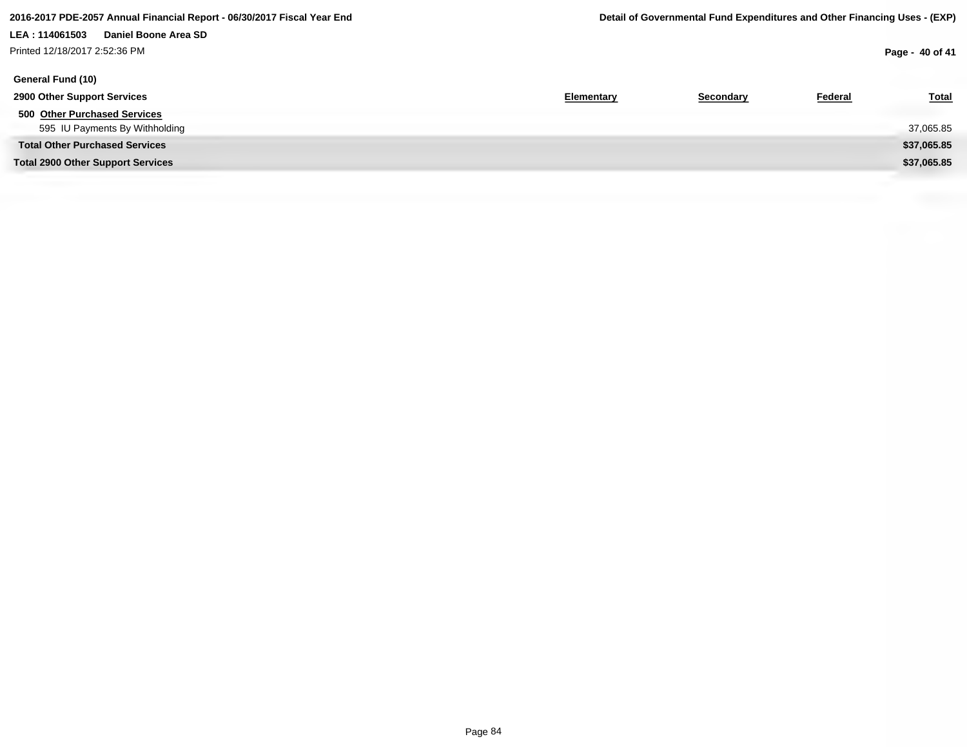# **LEA : 114061503 Daniel Boone Area SD** Printed 12/18/2017 2:52:36 PM

**Page - 40 of 41**

| General Fund (10)                        |            |           |                |              |
|------------------------------------------|------------|-----------|----------------|--------------|
| 2900 Other Support Services              | Elementary | Secondary | <b>Federal</b> | <b>Total</b> |
| 500 Other Purchased Services             |            |           |                |              |
| 595 IU Payments By Withholding           |            |           |                | 37,065.85    |
| <b>Total Other Purchased Services</b>    |            |           |                | \$37,065.85  |
| <b>Total 2900 Other Support Services</b> |            |           |                | \$37,065.85  |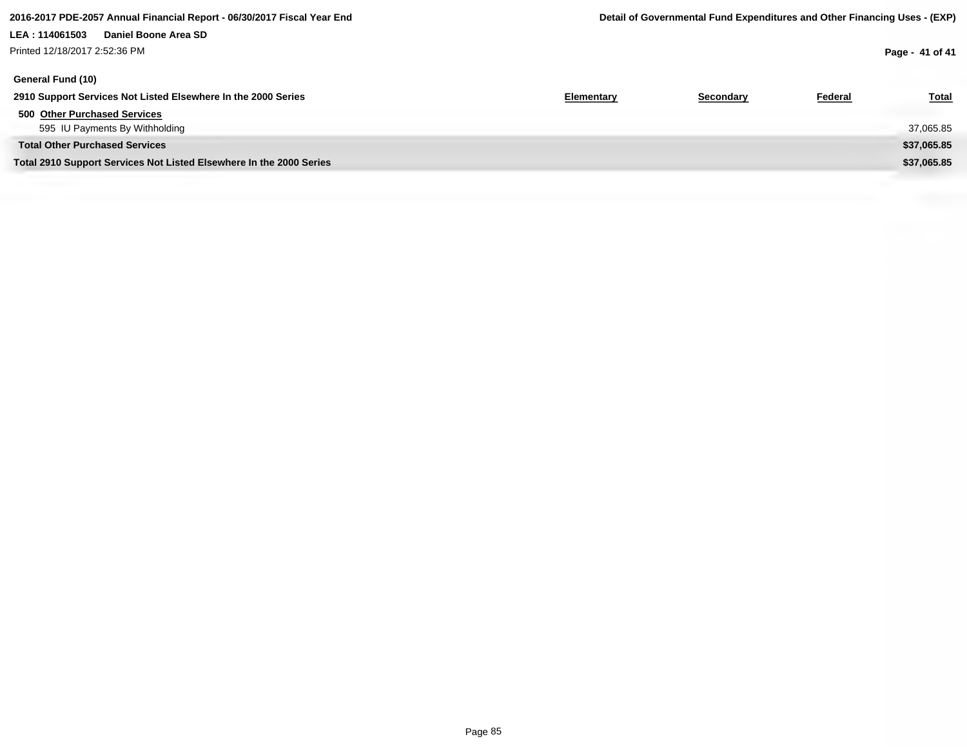# **LEA : 114061503 Daniel Boone Area SD** Printed 12/18/2017 2:52:36 PM

| Elementary | Secondary | Federal | <b>Total</b> |
|------------|-----------|---------|--------------|
|            |           |         |              |
|            |           |         | 37,065.85    |
|            |           |         | \$37,065.85  |
|            |           |         | \$37,065.85  |
|            |           |         |              |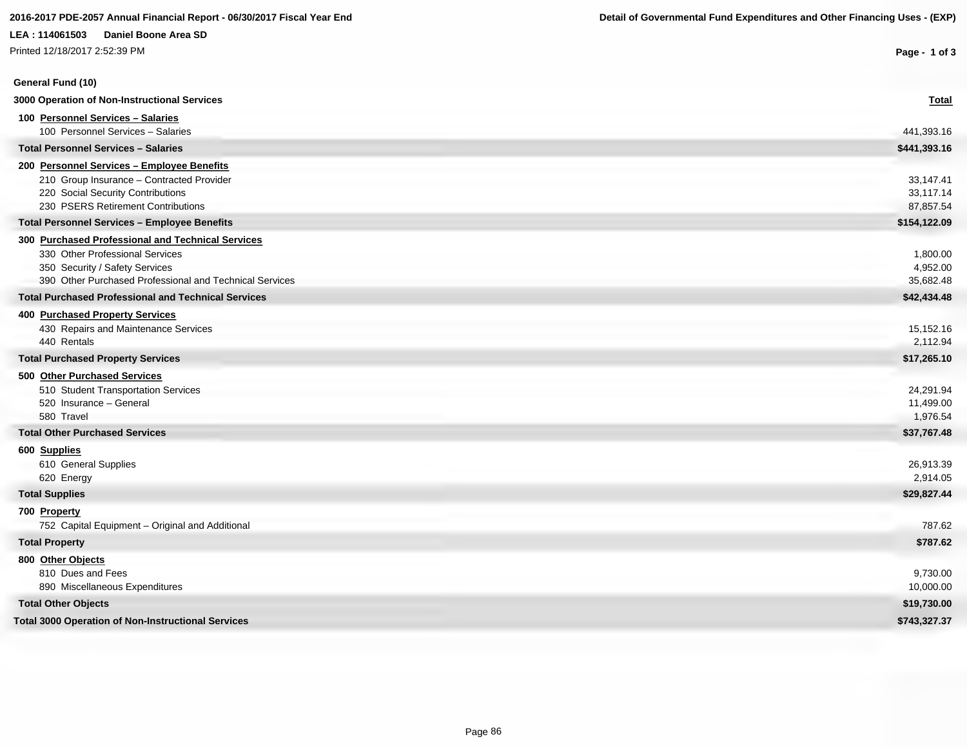| Printed 12/18/2017 2:52:39 PM                              | Page - 1 of 3 |
|------------------------------------------------------------|---------------|
| General Fund (10)                                          |               |
| 3000 Operation of Non-Instructional Services               | <b>Total</b>  |
| 100 Personnel Services - Salaries                          |               |
| 100 Personnel Services - Salaries                          | 441,393.16    |
| <b>Total Personnel Services - Salaries</b>                 | \$441,393.16  |
| 200 Personnel Services - Employee Benefits                 |               |
| 210 Group Insurance - Contracted Provider                  | 33,147.41     |
| 220 Social Security Contributions                          | 33,117.14     |
| 230 PSERS Retirement Contributions                         | 87,857.54     |
| <b>Total Personnel Services - Employee Benefits</b>        | \$154,122.09  |
| 300 Purchased Professional and Technical Services          |               |
| 330 Other Professional Services                            | 1,800.00      |
| 350 Security / Safety Services                             | 4,952.00      |
| 390 Other Purchased Professional and Technical Services    | 35,682.48     |
| <b>Total Purchased Professional and Technical Services</b> | \$42,434.48   |
| <b>400 Purchased Property Services</b>                     |               |
| 430 Repairs and Maintenance Services                       | 15,152.16     |
| 440 Rentals                                                | 2,112.94      |
| <b>Total Purchased Property Services</b>                   | \$17,265.10   |
| 500 Other Purchased Services                               |               |
| 510 Student Transportation Services                        | 24,291.94     |
| 520 Insurance - General                                    | 11,499.00     |
| 580 Travel                                                 | 1,976.54      |
| <b>Total Other Purchased Services</b>                      | \$37,767.48   |
| 600 Supplies                                               |               |
| 610 General Supplies                                       | 26,913.39     |
| 620 Energy                                                 | 2,914.05      |
| <b>Total Supplies</b>                                      | \$29,827.44   |
| 700 Property                                               |               |
| 752 Capital Equipment - Original and Additional            | 787.62        |
| <b>Total Property</b>                                      | \$787.62      |
| 800 Other Objects                                          |               |
| 810 Dues and Fees                                          | 9,730.00      |
| 890 Miscellaneous Expenditures                             | 10,000.00     |
| <b>Total Other Objects</b>                                 | \$19,730.00   |
| <b>Total 3000 Operation of Non-Instructional Services</b>  | \$743,327.37  |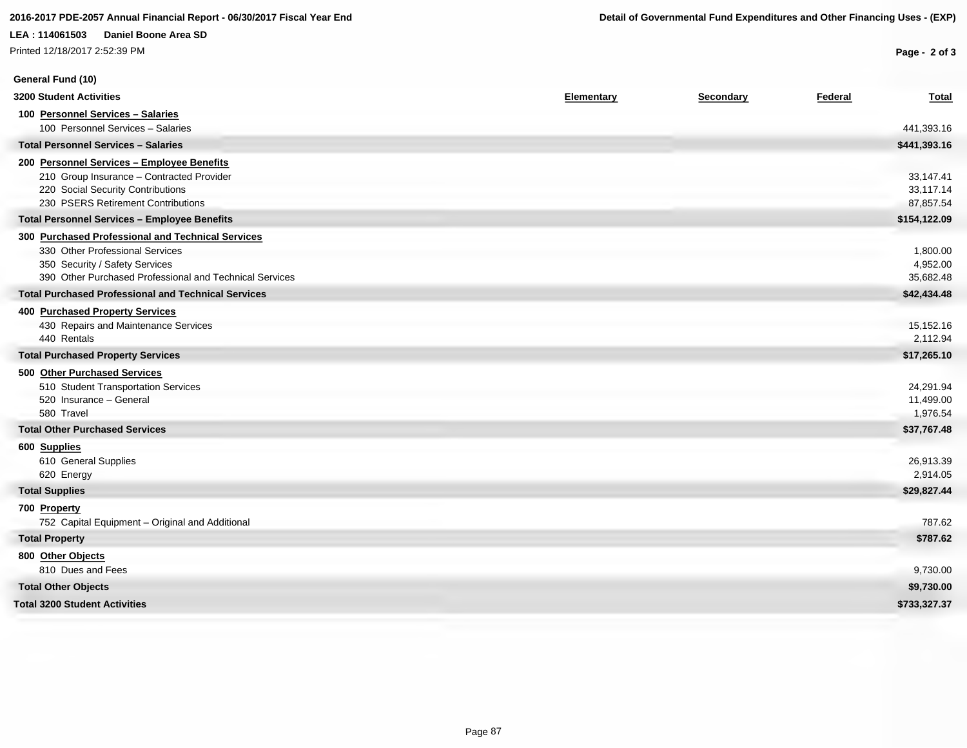Printed 12/18/2017 2:52:39 PM

| General Fund (10)                                                                         |            |           |         |                       |
|-------------------------------------------------------------------------------------------|------------|-----------|---------|-----------------------|
| <b>3200 Student Activities</b>                                                            | Elementary | Secondary | Federal | <b>Total</b>          |
| 100 Personnel Services - Salaries                                                         |            |           |         |                       |
| 100 Personnel Services - Salaries                                                         |            |           |         | 441,393.16            |
| <b>Total Personnel Services - Salaries</b>                                                |            |           |         | \$441,393.16          |
| 200 Personnel Services - Employee Benefits                                                |            |           |         |                       |
| 210 Group Insurance - Contracted Provider                                                 |            |           |         | 33,147.41             |
| 220 Social Security Contributions                                                         |            |           |         | 33,117.14             |
| 230 PSERS Retirement Contributions                                                        |            |           |         | 87,857.54             |
| <b>Total Personnel Services - Employee Benefits</b>                                       |            |           |         | \$154,122.09          |
| 300 Purchased Professional and Technical Services                                         |            |           |         |                       |
| 330 Other Professional Services                                                           |            |           |         | 1,800.00              |
| 350 Security / Safety Services<br>390 Other Purchased Professional and Technical Services |            |           |         | 4,952.00<br>35,682.48 |
| <b>Total Purchased Professional and Technical Services</b>                                |            |           |         | \$42,434.48           |
|                                                                                           |            |           |         |                       |
| <b>400 Purchased Property Services</b>                                                    |            |           |         |                       |
| 430 Repairs and Maintenance Services<br>440 Rentals                                       |            |           |         | 15,152.16<br>2,112.94 |
| <b>Total Purchased Property Services</b>                                                  |            |           |         | \$17,265.10           |
| 500 Other Purchased Services                                                              |            |           |         |                       |
| 510 Student Transportation Services                                                       |            |           |         | 24,291.94             |
| 520 Insurance - General                                                                   |            |           |         | 11,499.00             |
| 580 Travel                                                                                |            |           |         | 1,976.54              |
| <b>Total Other Purchased Services</b>                                                     |            |           |         | \$37,767.48           |
| 600 Supplies                                                                              |            |           |         |                       |
| 610 General Supplies                                                                      |            |           |         | 26,913.39             |
| 620 Energy                                                                                |            |           |         | 2,914.05              |
| <b>Total Supplies</b>                                                                     |            |           |         | \$29,827.44           |
| 700 Property                                                                              |            |           |         |                       |
| 752 Capital Equipment - Original and Additional                                           |            |           |         | 787.62                |
| <b>Total Property</b>                                                                     |            |           |         | \$787.62              |
| 800 Other Objects                                                                         |            |           |         |                       |
| 810 Dues and Fees                                                                         |            |           |         | 9,730.00              |
| <b>Total Other Objects</b>                                                                |            |           |         | \$9,730.00            |
| <b>Total 3200 Student Activities</b>                                                      |            |           |         | \$733,327.37          |
|                                                                                           |            |           |         |                       |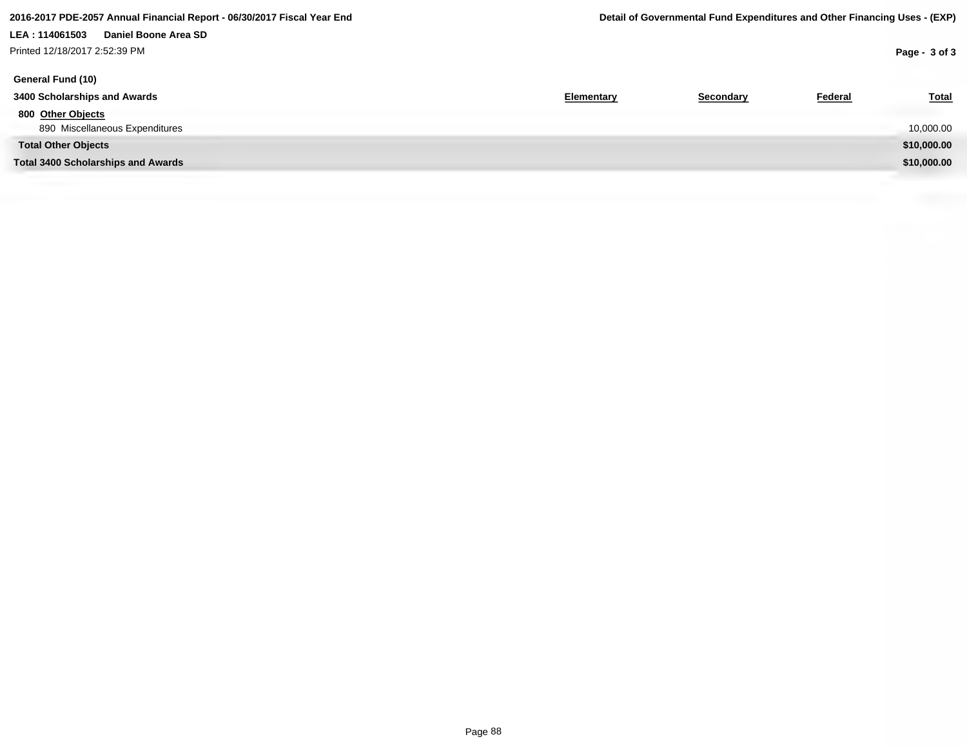# **LEA : 114061503 Daniel Boone Area SD** Printed 12/18/2017 2:52:39 PM

| General Fund (10)                         |                   |           |         |              |
|-------------------------------------------|-------------------|-----------|---------|--------------|
| 3400 Scholarships and Awards              | <b>Elementary</b> | Secondary | Federal | <b>Total</b> |
| 800 Other Objects                         |                   |           |         |              |
| 890 Miscellaneous Expenditures            |                   |           |         | 10,000.00    |
| <b>Total Other Objects</b>                |                   |           |         | \$10,000.00  |
| <b>Total 3400 Scholarships and Awards</b> |                   |           |         | \$10,000.00  |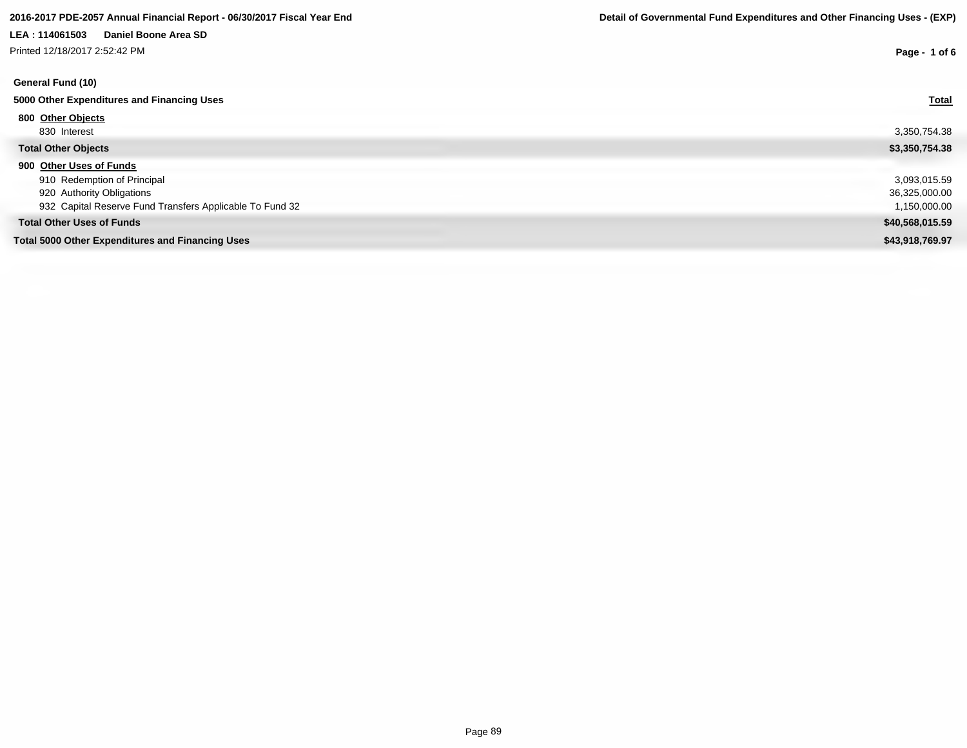# **2016-2017 PDE-2057 Annual Financial Report - 06/30/2017 Fiscal Year End Detail of Governmental Fund Expenditures and Other Financing Uses - (EXP)**

# **LEA : 114061503 Daniel Boone Area SD**

| Printed 12/18/2017 2:52:42 PM                            | Page - 1 of 6   |
|----------------------------------------------------------|-----------------|
| General Fund (10)                                        |                 |
| 5000 Other Expenditures and Financing Uses               | <b>Total</b>    |
| 800 Other Objects                                        |                 |
| 830 Interest                                             | 3,350,754.38    |
| <b>Total Other Objects</b>                               | \$3,350,754.38  |
| 900 Other Uses of Funds                                  |                 |
| 910 Redemption of Principal                              | 3,093,015.59    |
| 920 Authority Obligations                                | 36,325,000.00   |
| 932 Capital Reserve Fund Transfers Applicable To Fund 32 | 1,150,000.00    |
| <b>Total Other Uses of Funds</b>                         | \$40,568,015.59 |
| <b>Total 5000 Other Expenditures and Financing Uses</b>  | \$43,918,769.97 |
|                                                          |                 |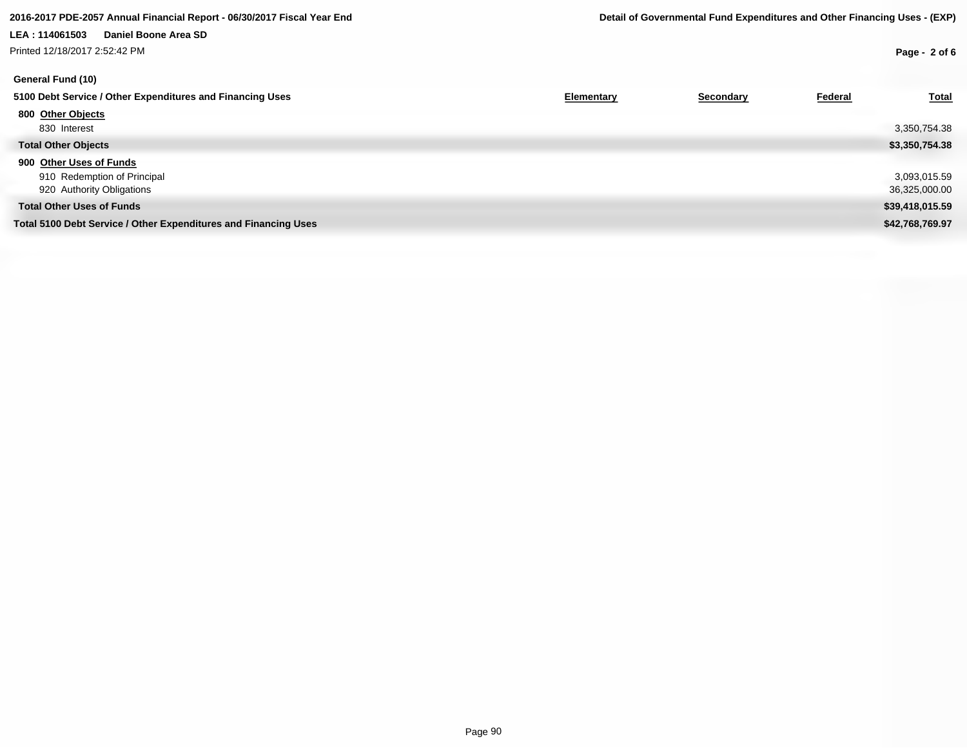# **LEA : 114061503 Daniel Boone Area SD** Printed 12/18/2017 2:52:42 PM

| General Fund (10)                                               |            |           |         |                 |
|-----------------------------------------------------------------|------------|-----------|---------|-----------------|
| 5100 Debt Service / Other Expenditures and Financing Uses       | Elementary | Secondary | Federal | <b>Total</b>    |
| 800 Other Objects                                               |            |           |         |                 |
| 830 Interest                                                    |            |           |         | 3,350,754.38    |
| <b>Total Other Objects</b>                                      |            |           |         | \$3,350,754.38  |
| 900 Other Uses of Funds                                         |            |           |         |                 |
| 910 Redemption of Principal                                     |            |           |         | 3,093,015.59    |
| 920 Authority Obligations                                       |            |           |         | 36,325,000.00   |
| <b>Total Other Uses of Funds</b>                                |            |           |         | \$39,418,015.59 |
| Total 5100 Debt Service / Other Expenditures and Financing Uses |            |           |         | \$42,768,769.97 |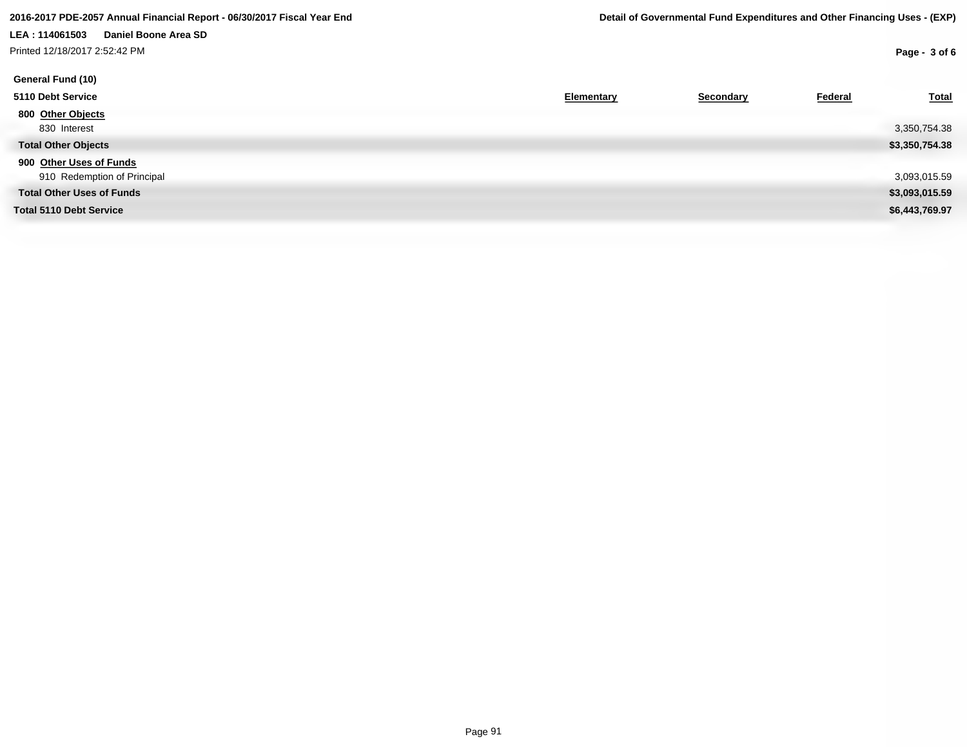Printed 12/18/2017 2:52:42 PM

| General Fund (10)                |            |           |         |                |
|----------------------------------|------------|-----------|---------|----------------|
| 5110 Debt Service                | Elementary | Secondary | Federal | <b>Total</b>   |
| 800 Other Objects                |            |           |         |                |
| 830 Interest                     |            |           |         | 3,350,754.38   |
| <b>Total Other Objects</b>       |            |           |         | \$3,350,754.38 |
| 900 Other Uses of Funds          |            |           |         |                |
| 910 Redemption of Principal      |            |           |         | 3,093,015.59   |
| <b>Total Other Uses of Funds</b> |            |           |         | \$3,093,015.59 |
| <b>Total 5110 Debt Service</b>   |            |           |         | \$6,443,769.97 |
|                                  |            |           |         |                |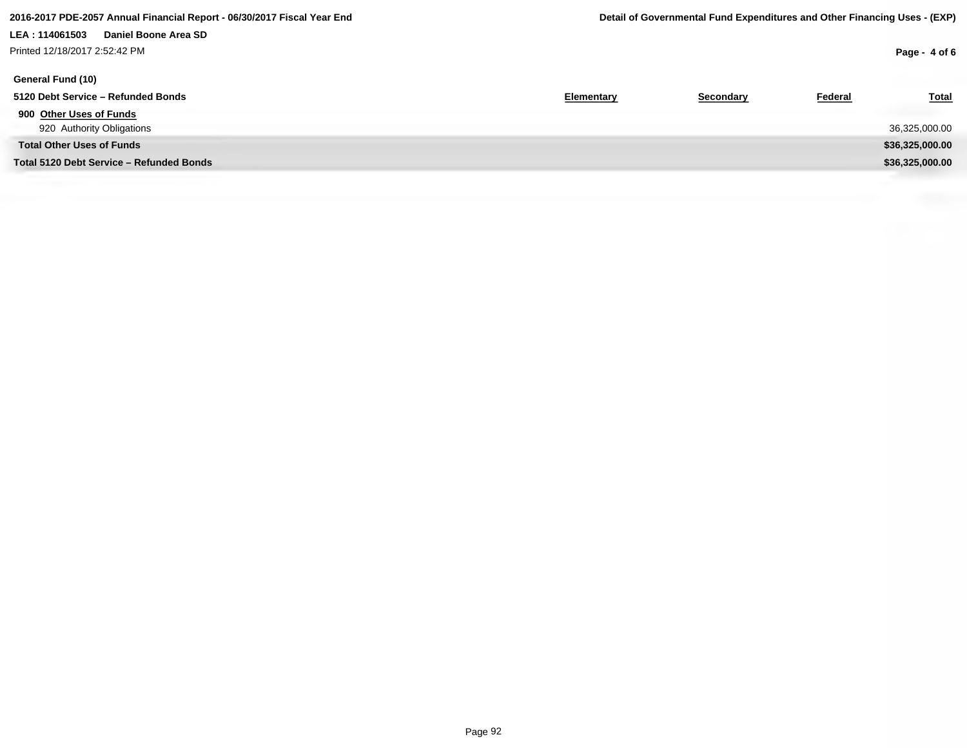# **LEA : 114061503 Daniel Boone Area SD** Printed 12/18/2017 2:52:42 PM

| General Fund (10)                        |                   |           |                |                 |
|------------------------------------------|-------------------|-----------|----------------|-----------------|
| 5120 Debt Service - Refunded Bonds       | <b>Elementary</b> | Secondary | <b>Federal</b> | <b>Total</b>    |
| 900 Other Uses of Funds                  |                   |           |                |                 |
| 920 Authority Obligations                |                   |           |                | 36,325,000.00   |
| <b>Total Other Uses of Funds</b>         |                   |           |                | \$36,325,000.00 |
| Total 5120 Debt Service - Refunded Bonds |                   |           |                | \$36,325,000.00 |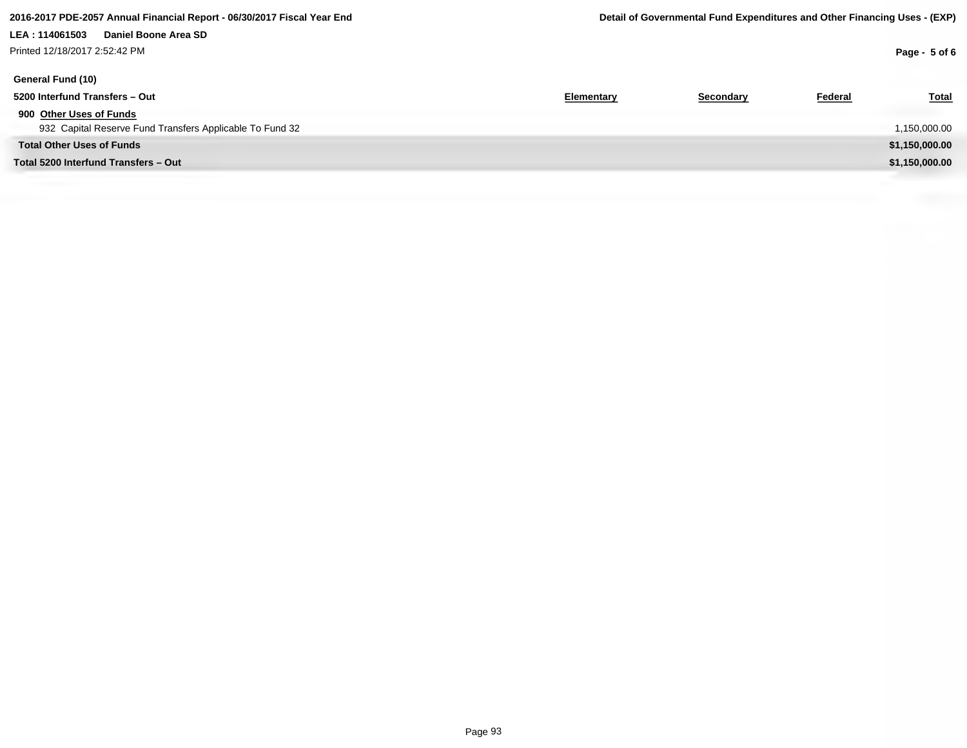# **LEA : 114061503 Daniel Boone Area SD** Printed 12/18/2017 2:52:42 PM

| General Fund (10)                                        |            |           |         |                |
|----------------------------------------------------------|------------|-----------|---------|----------------|
| 5200 Interfund Transfers - Out                           | Elementary | Secondary | Federal | <u>Total</u>   |
| 900 Other Uses of Funds                                  |            |           |         |                |
| 932 Capital Reserve Fund Transfers Applicable To Fund 32 |            |           |         | 1,150,000.00   |
| <b>Total Other Uses of Funds</b>                         |            |           |         | \$1,150,000.00 |
| Total 5200 Interfund Transfers - Out                     |            |           |         | \$1,150,000.00 |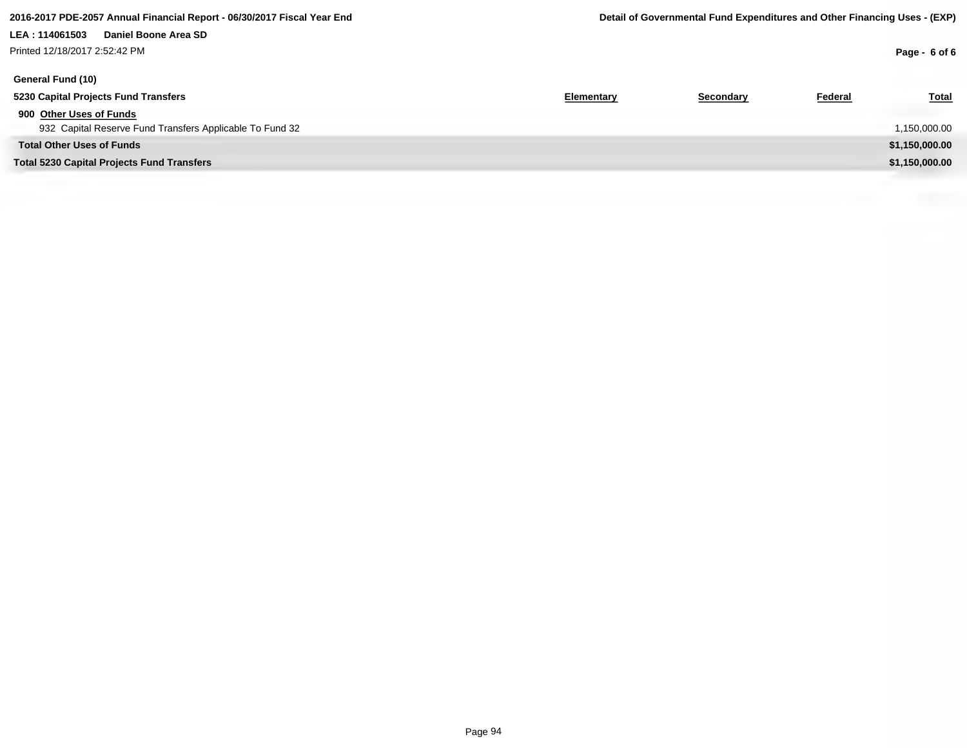### **2016-2017 PDE-2057 Annual Financial Report - 06/30/2017 Fiscal Year End Detail of Governmental Fund Expenditures and Other Financing Uses - (EXP)**

# **LEA : 114061503 Daniel Boone Area SD** Printed 12/18/2017 2:52:42 PM

| General Fund (10)                                        |            |           |                |                |
|----------------------------------------------------------|------------|-----------|----------------|----------------|
| 5230 Capital Projects Fund Transfers                     | Elementary | Secondary | <b>Federal</b> | Total          |
| 900 Other Uses of Funds                                  |            |           |                |                |
| 932 Capital Reserve Fund Transfers Applicable To Fund 32 |            |           |                | 1,150,000.00   |
| <b>Total Other Uses of Funds</b>                         |            |           |                | \$1,150,000.00 |
| <b>Total 5230 Capital Projects Fund Transfers</b>        |            |           |                | \$1,150,000.00 |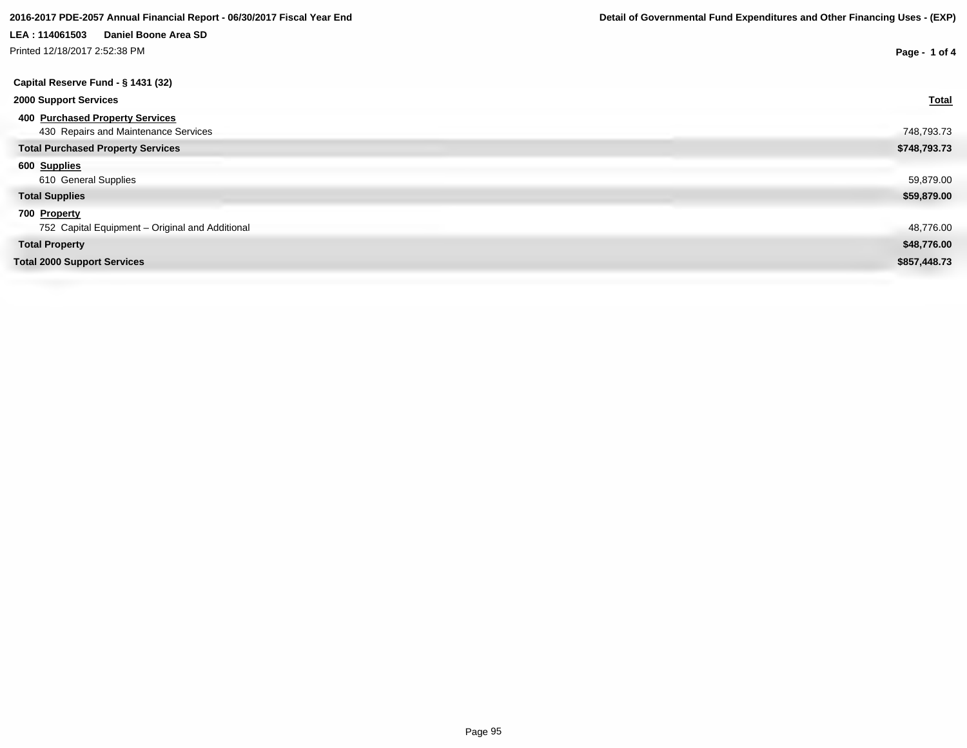Printed 12/18/2017 2:52:38 PM

| rinted 12/18/2017 2:52:38 PM                    | Page - 1 of 4 |
|-------------------------------------------------|---------------|
| Capital Reserve Fund - § 1431 (32)              |               |
| <b>2000 Support Services</b>                    | <b>Total</b>  |
| 400 Purchased Property Services                 |               |
| 430 Repairs and Maintenance Services            | 748,793.73    |
| <b>Total Purchased Property Services</b>        | \$748,793.73  |
| 600 Supplies                                    |               |
| 610 General Supplies                            | 59,879.00     |
| <b>Total Supplies</b>                           | \$59,879.00   |
| 700 Property                                    |               |
| 752 Capital Equipment - Original and Additional | 48,776.00     |
| <b>Total Property</b>                           | \$48,776.00   |
| <b>Total 2000 Support Services</b>              | \$857,448.73  |
|                                                 |               |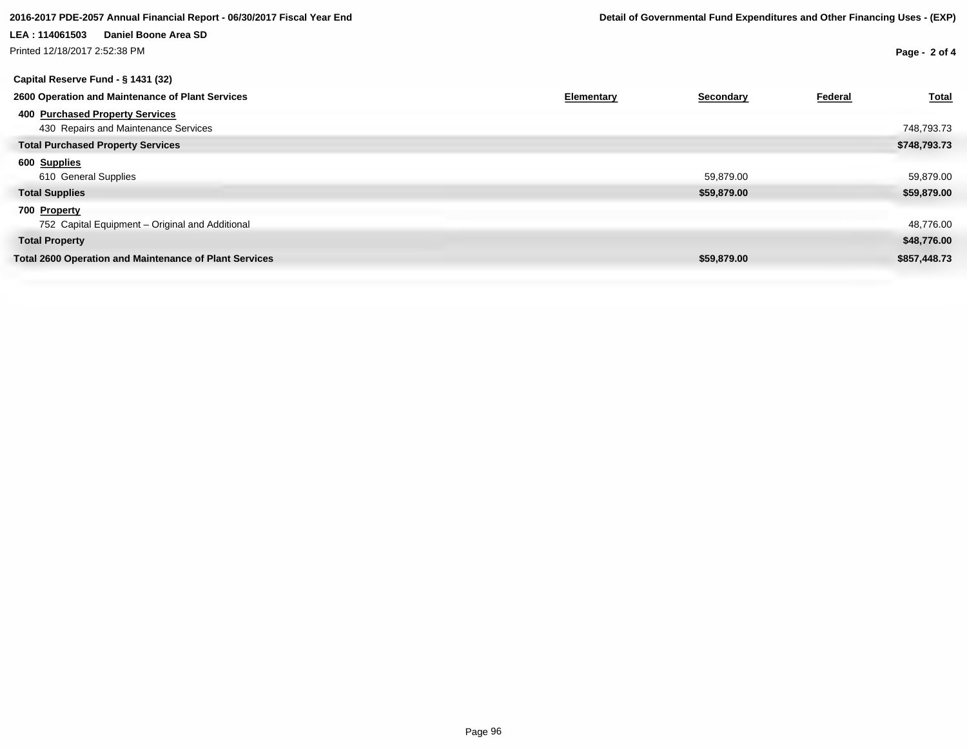# **LEA : 114061503 Daniel Boone Area SD** Printed 12/18/2017 2:52:38 PM

| Capital Reserve Fund - § 1431 (32)                            |            |             |         |              |
|---------------------------------------------------------------|------------|-------------|---------|--------------|
| 2600 Operation and Maintenance of Plant Services              | Elementary | Secondary   | Federal | <b>Total</b> |
| <b>400 Purchased Property Services</b>                        |            |             |         |              |
| 430 Repairs and Maintenance Services                          |            |             |         | 748,793.73   |
| <b>Total Purchased Property Services</b>                      |            |             |         | \$748,793.73 |
| 600 Supplies                                                  |            |             |         |              |
| 610 General Supplies                                          |            | 59,879.00   |         | 59,879.00    |
| <b>Total Supplies</b>                                         |            | \$59,879.00 |         | \$59,879.00  |
| 700 Property                                                  |            |             |         |              |
| 752 Capital Equipment - Original and Additional               |            |             |         | 48,776.00    |
| <b>Total Property</b>                                         |            |             |         | \$48,776.00  |
| <b>Total 2600 Operation and Maintenance of Plant Services</b> |            | \$59,879.00 |         | \$857,448.73 |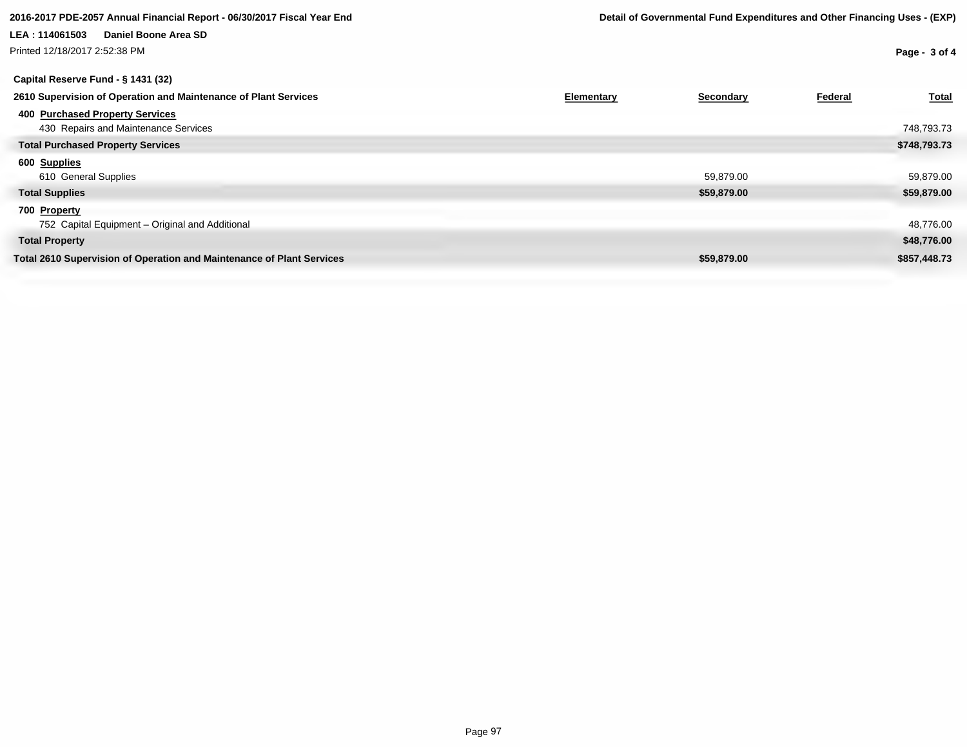Printed 12/18/2017 2:52:38 PM

# **Capital Reserve Fund - § 1431 (32)**

| 2610 Supervision of Operation and Maintenance of Plant Services       | Elementary | Secondary   | Federal | <b>Total</b> |
|-----------------------------------------------------------------------|------------|-------------|---------|--------------|
| 400 Purchased Property Services                                       |            |             |         |              |
| 430 Repairs and Maintenance Services                                  |            |             |         | 748,793.73   |
| <b>Total Purchased Property Services</b>                              |            |             |         | \$748,793.73 |
| 600 Supplies                                                          |            |             |         |              |
| 610 General Supplies                                                  |            | 59,879.00   |         | 59,879.00    |
| <b>Total Supplies</b>                                                 |            | \$59,879.00 |         | \$59,879.00  |
| 700 Property                                                          |            |             |         |              |
| 752 Capital Equipment - Original and Additional                       |            |             |         | 48,776.00    |
| <b>Total Property</b>                                                 |            |             |         | \$48,776.00  |
| Total 2610 Supervision of Operation and Maintenance of Plant Services |            | \$59,879.00 |         | \$857,448.73 |
|                                                                       |            |             |         |              |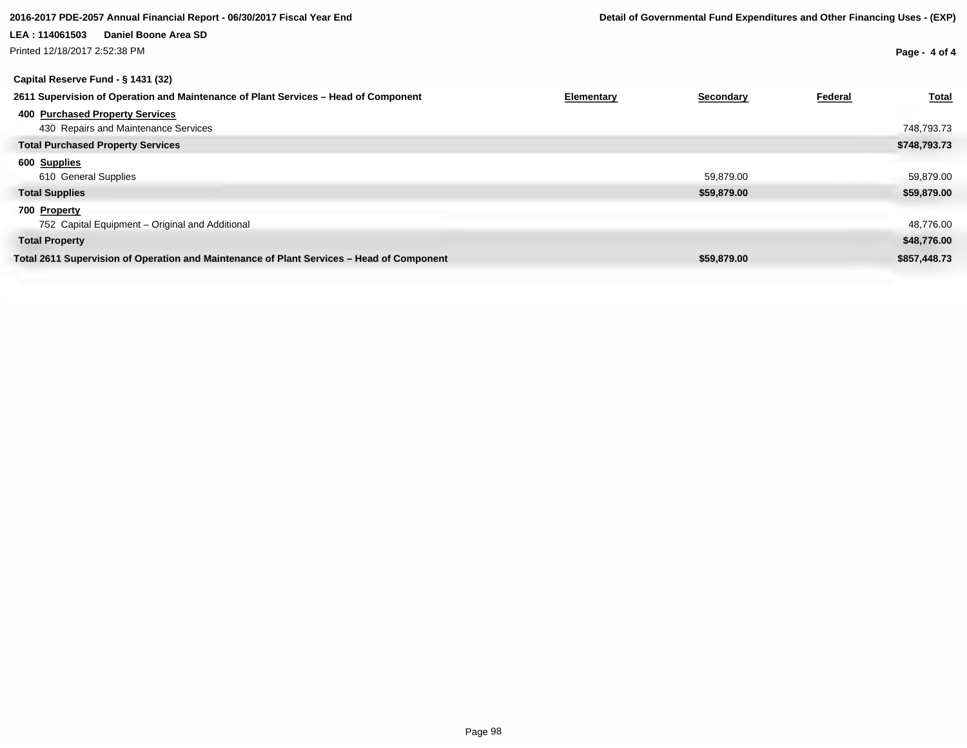Printed 12/18/2017 2:52:38 PM

| Capital Reserve Fund - § 1431 (32)                                                        |                         |                  |
|-------------------------------------------------------------------------------------------|-------------------------|------------------|
| 2611 Supervision of Operation and Maintenance of Plant Services - Head of Component       | Elementary<br>Secondary | Total<br>Federal |
| 400 Purchased Property Services                                                           |                         |                  |
| 430 Repairs and Maintenance Services                                                      |                         | 748,793.73       |
| <b>Total Purchased Property Services</b>                                                  |                         | \$748,793.73     |
| 600 Supplies                                                                              |                         |                  |
| 610 General Supplies                                                                      | 59,879.00               | 59,879.00        |
| <b>Total Supplies</b>                                                                     | \$59,879.00             | \$59,879.00      |
| 700 Property                                                                              |                         |                  |
| 752 Capital Equipment - Original and Additional                                           |                         | 48,776.00        |
| <b>Total Property</b>                                                                     |                         | \$48,776.00      |
| Total 2611 Supervision of Operation and Maintenance of Plant Services - Head of Component | \$59,879.00             | \$857,448.73     |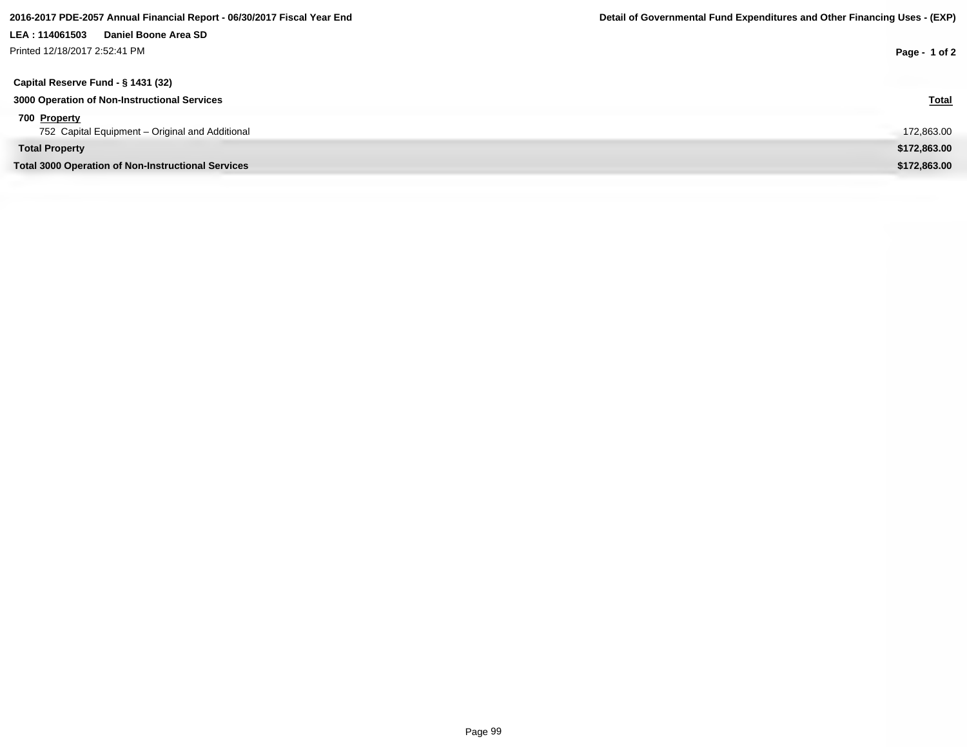| Printed 12/18/2017 2:52:41 PM                             | Page - 1 of 2 |
|-----------------------------------------------------------|---------------|
| Capital Reserve Fund - § 1431 (32)                        |               |
| 3000 Operation of Non-Instructional Services              | <b>Total</b>  |
| 700 Property                                              |               |
| 752 Capital Equipment - Original and Additional           | 172,863.00    |
| <b>Total Property</b>                                     | \$172,863.00  |
| <b>Total 3000 Operation of Non-Instructional Services</b> | \$172,863.00  |
|                                                           |               |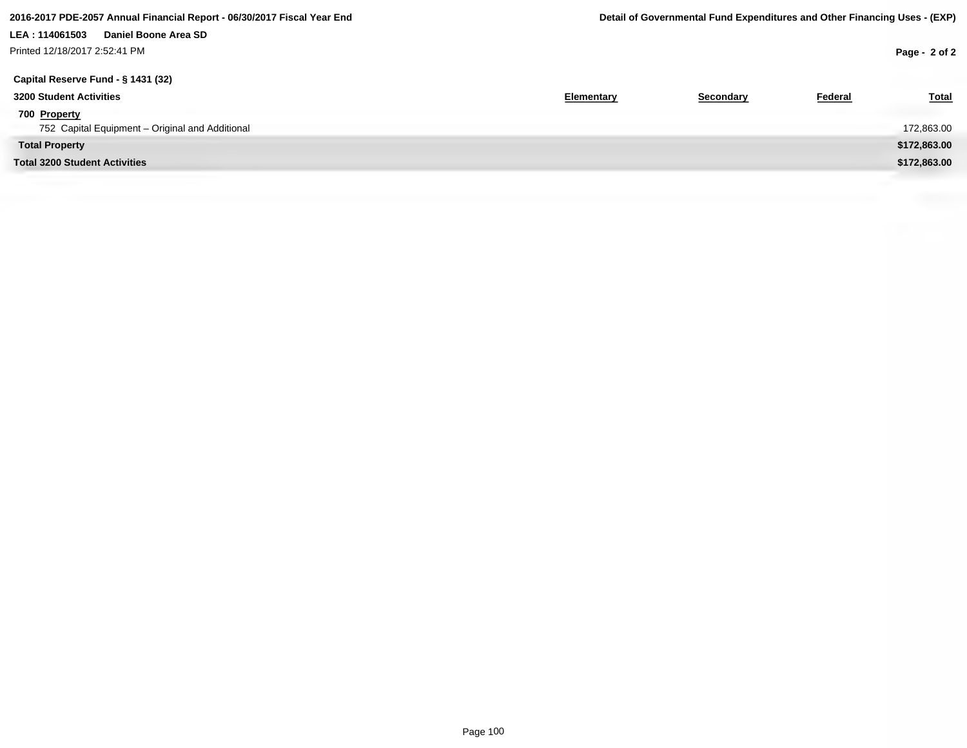Printed 12/18/2017 2:52:41 PM

| Capital Reserve Fund - § 1431 (32)              |                   |           |         |              |
|-------------------------------------------------|-------------------|-----------|---------|--------------|
| 3200 Student Activities                         | <b>Elementary</b> | Secondary | Federal | <b>Total</b> |
| 700 Property                                    |                   |           |         |              |
| 752 Capital Equipment - Original and Additional |                   |           |         | 172,863.00   |
| <b>Total Property</b>                           |                   |           |         | \$172,863.00 |
| <b>Total 3200 Student Activities</b>            |                   |           |         | \$172,863.00 |
|                                                 |                   |           |         |              |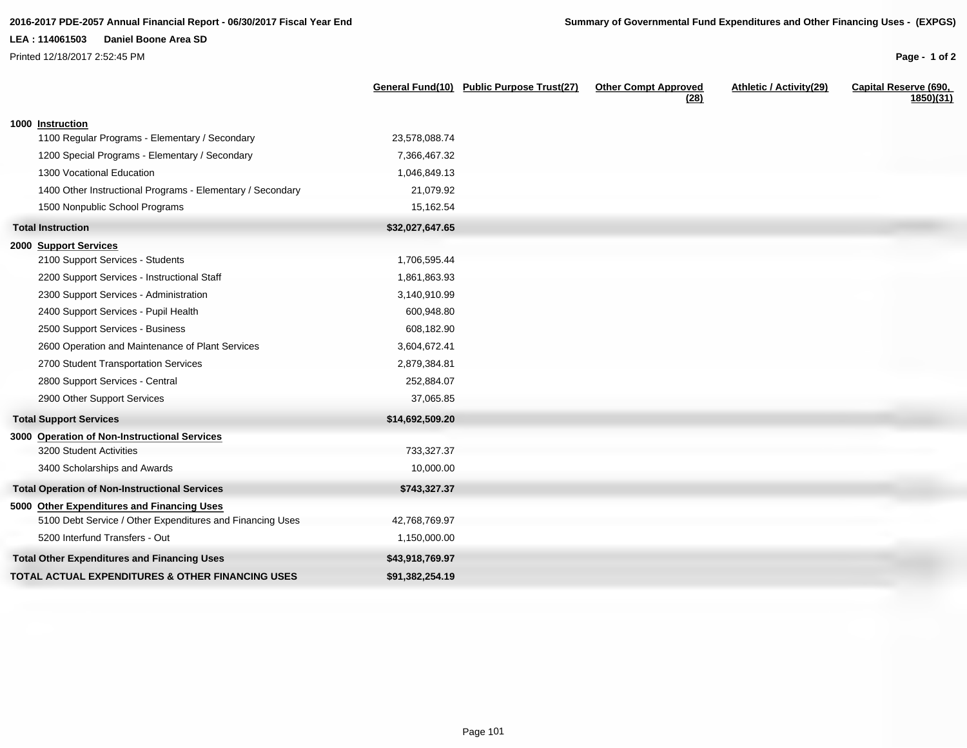Printed 12/18/2017 2:52:45 PM

|                                                            |                 | General Fund(10) Public Purpose Trust(27) | <b>Other Compt Approved</b><br>(28) | Athletic / Activity(29) | Capital Reserve (690,<br>1850)(31) |
|------------------------------------------------------------|-----------------|-------------------------------------------|-------------------------------------|-------------------------|------------------------------------|
| 1000 Instruction                                           |                 |                                           |                                     |                         |                                    |
| 1100 Regular Programs - Elementary / Secondary             | 23,578,088.74   |                                           |                                     |                         |                                    |
| 1200 Special Programs - Elementary / Secondary             | 7,366,467.32    |                                           |                                     |                         |                                    |
| 1300 Vocational Education                                  | 1,046,849.13    |                                           |                                     |                         |                                    |
| 1400 Other Instructional Programs - Elementary / Secondary | 21,079.92       |                                           |                                     |                         |                                    |
| 1500 Nonpublic School Programs                             | 15,162.54       |                                           |                                     |                         |                                    |
| <b>Total Instruction</b>                                   | \$32,027,647.65 |                                           |                                     |                         |                                    |
| 2000 Support Services                                      |                 |                                           |                                     |                         |                                    |
| 2100 Support Services - Students                           | 1,706,595.44    |                                           |                                     |                         |                                    |
| 2200 Support Services - Instructional Staff                | 1,861,863.93    |                                           |                                     |                         |                                    |
| 2300 Support Services - Administration                     | 3,140,910.99    |                                           |                                     |                         |                                    |
| 2400 Support Services - Pupil Health                       | 600,948.80      |                                           |                                     |                         |                                    |
| 2500 Support Services - Business                           | 608,182.90      |                                           |                                     |                         |                                    |
| 2600 Operation and Maintenance of Plant Services           | 3,604,672.41    |                                           |                                     |                         |                                    |
| 2700 Student Transportation Services                       | 2,879,384.81    |                                           |                                     |                         |                                    |
| 2800 Support Services - Central                            | 252,884.07      |                                           |                                     |                         |                                    |
| 2900 Other Support Services                                | 37,065.85       |                                           |                                     |                         |                                    |
| <b>Total Support Services</b>                              | \$14,692,509.20 |                                           |                                     |                         |                                    |
| 3000 Operation of Non-Instructional Services               |                 |                                           |                                     |                         |                                    |
| 3200 Student Activities                                    | 733,327.37      |                                           |                                     |                         |                                    |
| 3400 Scholarships and Awards                               | 10,000.00       |                                           |                                     |                         |                                    |
| <b>Total Operation of Non-Instructional Services</b>       | \$743,327.37    |                                           |                                     |                         |                                    |
| 5000 Other Expenditures and Financing Uses                 |                 |                                           |                                     |                         |                                    |
| 5100 Debt Service / Other Expenditures and Financing Uses  | 42,768,769.97   |                                           |                                     |                         |                                    |
| 5200 Interfund Transfers - Out                             | 1,150,000.00    |                                           |                                     |                         |                                    |
| <b>Total Other Expenditures and Financing Uses</b>         | \$43,918,769.97 |                                           |                                     |                         |                                    |
| TOTAL ACTUAL EXPENDITURES & OTHER FINANCING USES           | \$91,382,254.19 |                                           |                                     |                         |                                    |
|                                                            |                 |                                           |                                     |                         |                                    |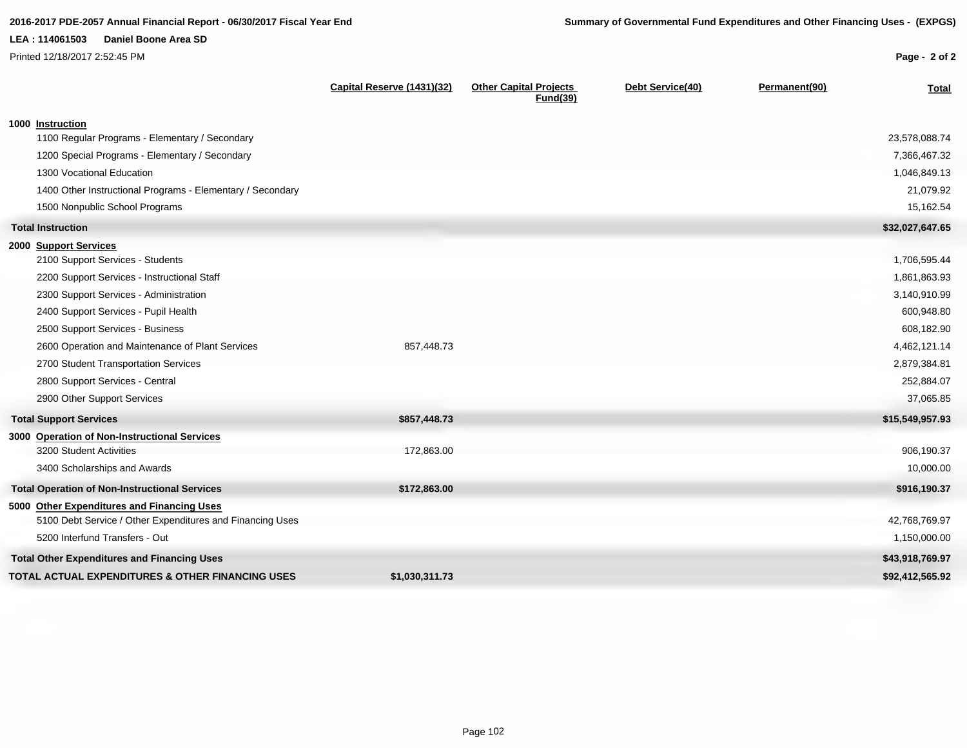Printed 12/18/2017 2:52:45 PM

| Page - 2 of 2 |  |
|---------------|--|
|               |  |

|                                                                                                         | Capital Reserve (1431)(32) | <b>Other Capital Projects</b><br><b>Fund(39)</b> | Debt Service(40) | Permanent(90) | <b>Total</b>    |
|---------------------------------------------------------------------------------------------------------|----------------------------|--------------------------------------------------|------------------|---------------|-----------------|
| 1000 Instruction                                                                                        |                            |                                                  |                  |               |                 |
| 1100 Regular Programs - Elementary / Secondary                                                          |                            |                                                  |                  |               | 23,578,088.74   |
| 1200 Special Programs - Elementary / Secondary                                                          |                            |                                                  |                  |               | 7,366,467.32    |
| 1300 Vocational Education                                                                               |                            |                                                  |                  |               | 1,046,849.13    |
| 1400 Other Instructional Programs - Elementary / Secondary                                              |                            |                                                  |                  |               | 21,079.92       |
| 1500 Nonpublic School Programs                                                                          |                            |                                                  |                  |               | 15,162.54       |
| <b>Total Instruction</b>                                                                                |                            |                                                  |                  |               | \$32,027,647.65 |
| 2000 Support Services                                                                                   |                            |                                                  |                  |               |                 |
| 2100 Support Services - Students                                                                        |                            |                                                  |                  |               | 1,706,595.44    |
| 2200 Support Services - Instructional Staff                                                             |                            |                                                  |                  |               | 1,861,863.93    |
| 2300 Support Services - Administration                                                                  |                            |                                                  |                  |               | 3,140,910.99    |
| 2400 Support Services - Pupil Health                                                                    |                            |                                                  |                  |               | 600,948.80      |
| 2500 Support Services - Business                                                                        |                            |                                                  |                  |               | 608,182.90      |
| 2600 Operation and Maintenance of Plant Services                                                        | 857,448.73                 |                                                  |                  |               | 4,462,121.14    |
| 2700 Student Transportation Services                                                                    |                            |                                                  |                  |               | 2,879,384.81    |
| 2800 Support Services - Central                                                                         |                            |                                                  |                  |               | 252,884.07      |
| 2900 Other Support Services                                                                             |                            |                                                  |                  |               | 37,065.85       |
| <b>Total Support Services</b>                                                                           | \$857,448.73               |                                                  |                  |               | \$15,549,957.93 |
| 3000 Operation of Non-Instructional Services                                                            |                            |                                                  |                  |               |                 |
| 3200 Student Activities                                                                                 | 172,863.00                 |                                                  |                  |               | 906,190.37      |
| 3400 Scholarships and Awards                                                                            |                            |                                                  |                  |               | 10,000.00       |
| <b>Total Operation of Non-Instructional Services</b>                                                    | \$172,863.00               |                                                  |                  |               | \$916,190.37    |
| 5000 Other Expenditures and Financing Uses<br>5100 Debt Service / Other Expenditures and Financing Uses |                            |                                                  |                  |               | 42,768,769.97   |
| 5200 Interfund Transfers - Out                                                                          |                            |                                                  |                  |               | 1,150,000.00    |
| <b>Total Other Expenditures and Financing Uses</b>                                                      |                            |                                                  |                  |               | \$43,918,769.97 |
| <b>TOTAL ACTUAL EXPENDITURES &amp; OTHER FINANCING USES</b>                                             | \$1,030,311.73             |                                                  |                  |               | \$92,412,565.92 |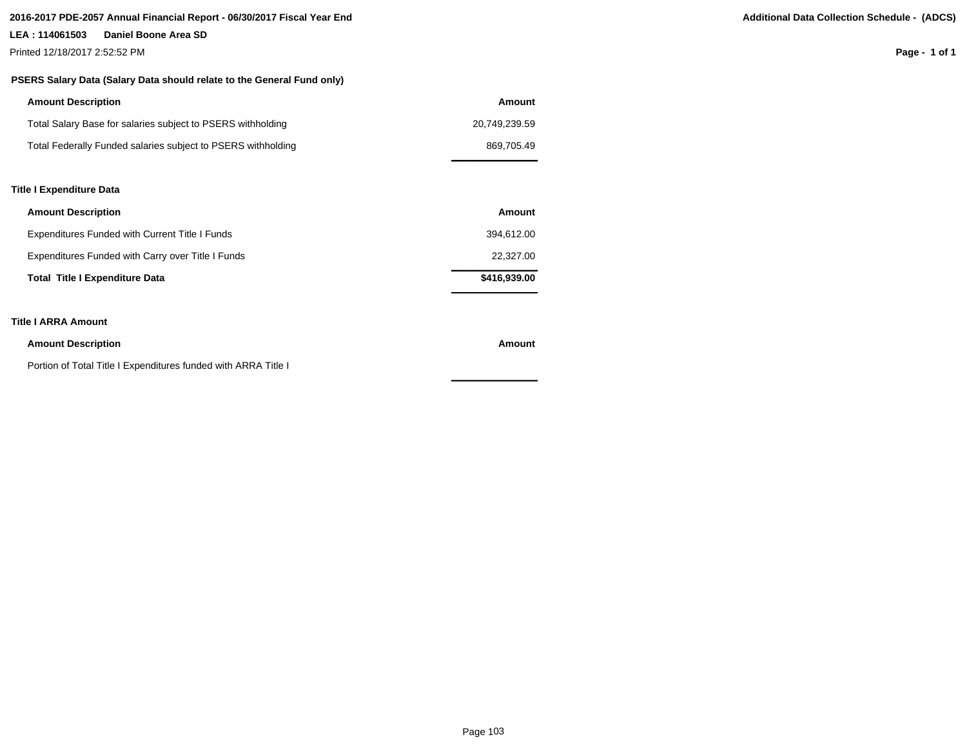### **2016-2017 PDE-2057 Annual Financial Report - 06/30/2017 Fiscal Year End Additional Data Collection Schedule - (ADCS)**

### **LEA : 114061503 Daniel Boone Area SD**

Printed 12/18/2017 2:52:52 PM

### **PSERS Salary Data (Salary Data should relate to the General Fund only)**

| <b>Amount Description</b>                                    | Amount        |  |
|--------------------------------------------------------------|---------------|--|
| Total Salary Base for salaries subject to PSERS withholding  | 20.749.239.59 |  |
| Total Federally Funded salaries subject to PSERS withholding | 869.705.49    |  |
|                                                              |               |  |

### **Title I Expenditure Data**

| <b>Amount Description</b>                         | Amount       |
|---------------------------------------------------|--------------|
| Expenditures Funded with Current Title I Funds    | 394.612.00   |
| Expenditures Funded with Carry over Title I Funds | 22,327,00    |
| <b>Total Title I Expenditure Data</b>             | \$416,939.00 |

### **Title I ARRA Amount**

| <b>Amount Description</b>                                      | Amount |
|----------------------------------------------------------------|--------|
| Portion of Total Title I Expenditures funded with ARRA Title I |        |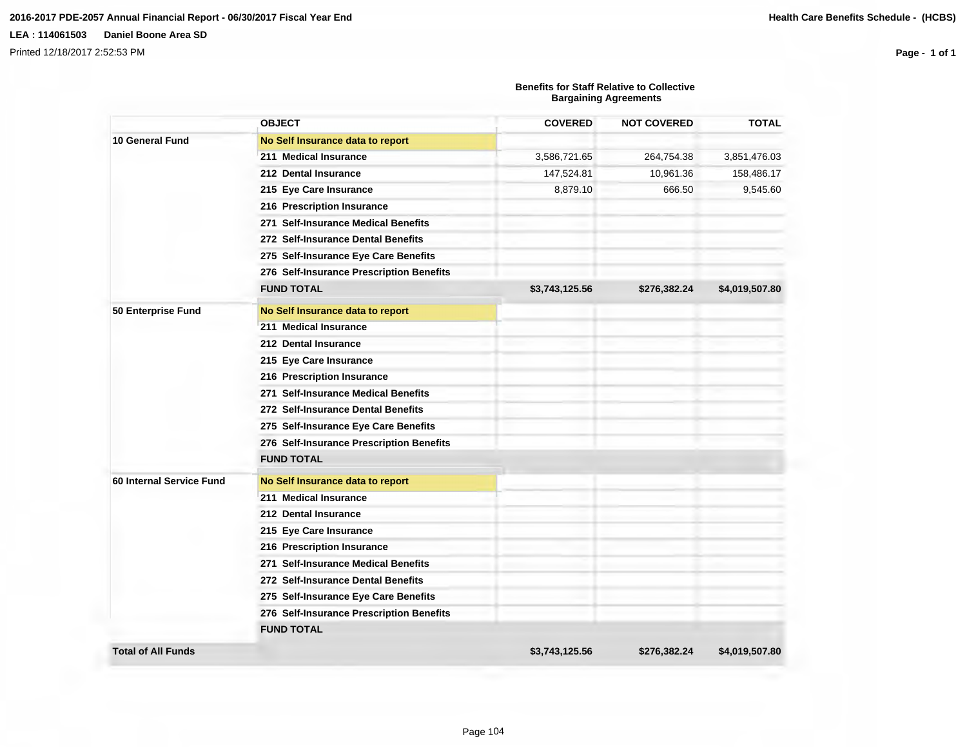Printed 12/18/2017 2:52:53 PM

|                           |                                          | <b>Benefits for Staff Relative to Collective</b><br><b>Bargaining Agreements</b> |                    |                |  |
|---------------------------|------------------------------------------|----------------------------------------------------------------------------------|--------------------|----------------|--|
|                           | <b>OBJECT</b>                            | <b>COVERED</b>                                                                   | <b>NOT COVERED</b> | <b>TOTAL</b>   |  |
| 10 General Fund           | No Self Insurance data to report         |                                                                                  |                    |                |  |
|                           | 211 Medical Insurance                    | 3,586,721.65                                                                     | 264,754.38         | 3,851,476.03   |  |
|                           | 212 Dental Insurance                     | 147,524.81                                                                       | 10,961.36          | 158,486.17     |  |
|                           | 215 Eye Care Insurance                   | 8,879.10                                                                         | 666.50             | 9,545.60       |  |
|                           | 216 Prescription Insurance               |                                                                                  |                    |                |  |
|                           | 271 Self-Insurance Medical Benefits      |                                                                                  |                    |                |  |
|                           | 272 Self-Insurance Dental Benefits       |                                                                                  |                    |                |  |
|                           | 275 Self-Insurance Eye Care Benefits     |                                                                                  |                    |                |  |
|                           | 276 Self-Insurance Prescription Benefits |                                                                                  |                    |                |  |
|                           | <b>FUND TOTAL</b>                        | \$3,743,125.56                                                                   | \$276,382.24       | \$4,019,507.80 |  |
| 50 Enterprise Fund        | No Self Insurance data to report         |                                                                                  |                    |                |  |
|                           | 211 Medical Insurance                    |                                                                                  |                    |                |  |
|                           | 212 Dental Insurance                     |                                                                                  |                    |                |  |
|                           | 215 Eye Care Insurance                   |                                                                                  |                    |                |  |
|                           | 216 Prescription Insurance               |                                                                                  |                    |                |  |
|                           | 271 Self-Insurance Medical Benefits      |                                                                                  |                    |                |  |
|                           | 272 Self-Insurance Dental Benefits       |                                                                                  |                    |                |  |
|                           | 275 Self-Insurance Eye Care Benefits     |                                                                                  |                    |                |  |
|                           | 276 Self-Insurance Prescription Benefits |                                                                                  |                    |                |  |
|                           | <b>FUND TOTAL</b>                        |                                                                                  |                    |                |  |
| 60 Internal Service Fund  | No Self Insurance data to report         |                                                                                  |                    |                |  |
|                           | 211 Medical Insurance                    |                                                                                  |                    |                |  |
|                           | 212 Dental Insurance                     |                                                                                  |                    |                |  |
|                           | 215 Eye Care Insurance                   |                                                                                  |                    |                |  |
|                           | 216 Prescription Insurance               |                                                                                  |                    |                |  |
|                           | 271 Self-Insurance Medical Benefits      |                                                                                  |                    |                |  |
|                           | 272 Self-Insurance Dental Benefits       |                                                                                  |                    |                |  |
|                           | 275 Self-Insurance Eye Care Benefits     |                                                                                  |                    |                |  |
|                           | 276 Self-Insurance Prescription Benefits |                                                                                  |                    |                |  |
|                           | <b>FUND TOTAL</b>                        |                                                                                  |                    |                |  |
| <b>Total of All Funds</b> |                                          | \$3,743,125.56                                                                   | \$276,382.24       | \$4,019,507.80 |  |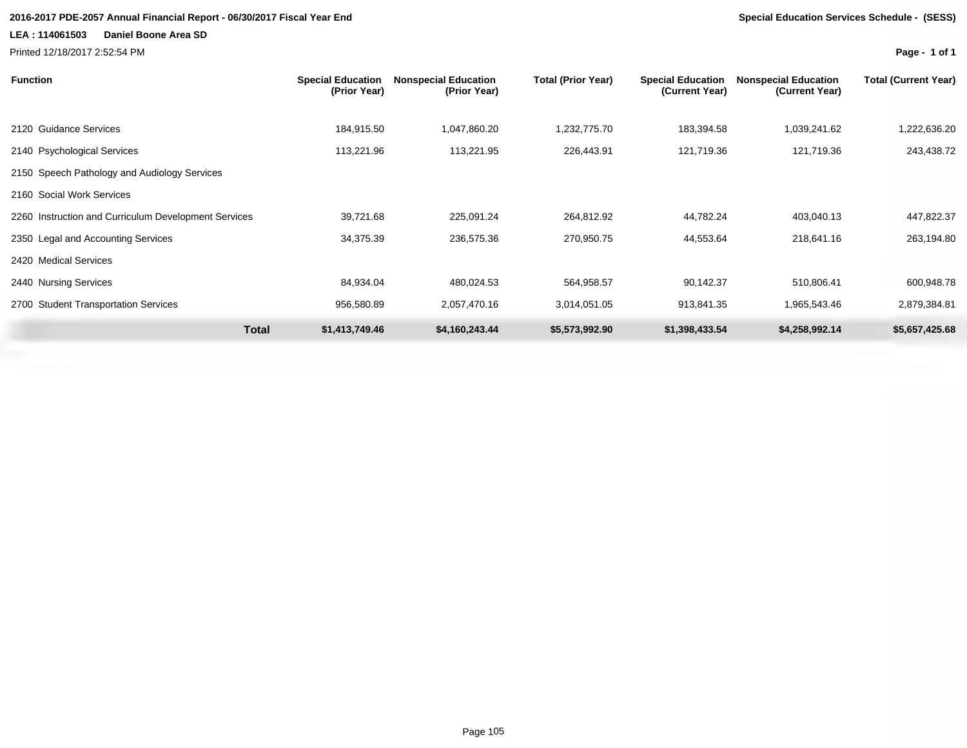### **2016-2017 PDE-2057 Annual Financial Report - 06/30/2017 Fiscal Year End Special Education Services Schedule - (SESS)**

### **LEA : 114061503 Daniel Boone Area SD**

Printed 12/18/2017 2:52:54 PM

| <b>Function</b>                                      | <b>Special Education</b><br>(Prior Year) | <b>Nonspecial Education</b><br>(Prior Year) | <b>Total (Prior Year)</b> | <b>Special Education</b><br>(Current Year) | <b>Nonspecial Education</b><br>(Current Year) | <b>Total (Current Year)</b> |
|------------------------------------------------------|------------------------------------------|---------------------------------------------|---------------------------|--------------------------------------------|-----------------------------------------------|-----------------------------|
| 2120 Guidance Services                               | 184,915.50                               | 1,047,860.20                                | 1,232,775.70              | 183,394.58                                 | 1,039,241.62                                  | 1,222,636.20                |
| 2140 Psychological Services                          | 113,221.96                               | 113,221.95                                  | 226,443.91                | 121,719.36                                 | 121,719.36                                    | 243,438.72                  |
| 2150 Speech Pathology and Audiology Services         |                                          |                                             |                           |                                            |                                               |                             |
| 2160 Social Work Services                            |                                          |                                             |                           |                                            |                                               |                             |
| 2260 Instruction and Curriculum Development Services | 39,721.68                                | 225,091.24                                  | 264,812.92                | 44,782.24                                  | 403,040.13                                    | 447,822.37                  |
| 2350 Legal and Accounting Services                   | 34,375.39                                | 236,575.36                                  | 270,950.75                | 44,553.64                                  | 218,641.16                                    | 263,194.80                  |
| 2420 Medical Services                                |                                          |                                             |                           |                                            |                                               |                             |
| 2440 Nursing Services                                | 84,934.04                                | 480,024.53                                  | 564,958.57                | 90,142.37                                  | 510,806.41                                    | 600,948.78                  |
| 2700 Student Transportation Services                 | 956,580.89                               | 2,057,470.16                                | 3,014,051.05              | 913,841.35                                 | 1,965,543.46                                  | 2,879,384.81                |
| Total                                                | \$1,413,749.46                           | \$4,160,243.44                              | \$5,573,992.90            | \$1,398,433.54                             | \$4,258,992.14                                | \$5,657,425.68              |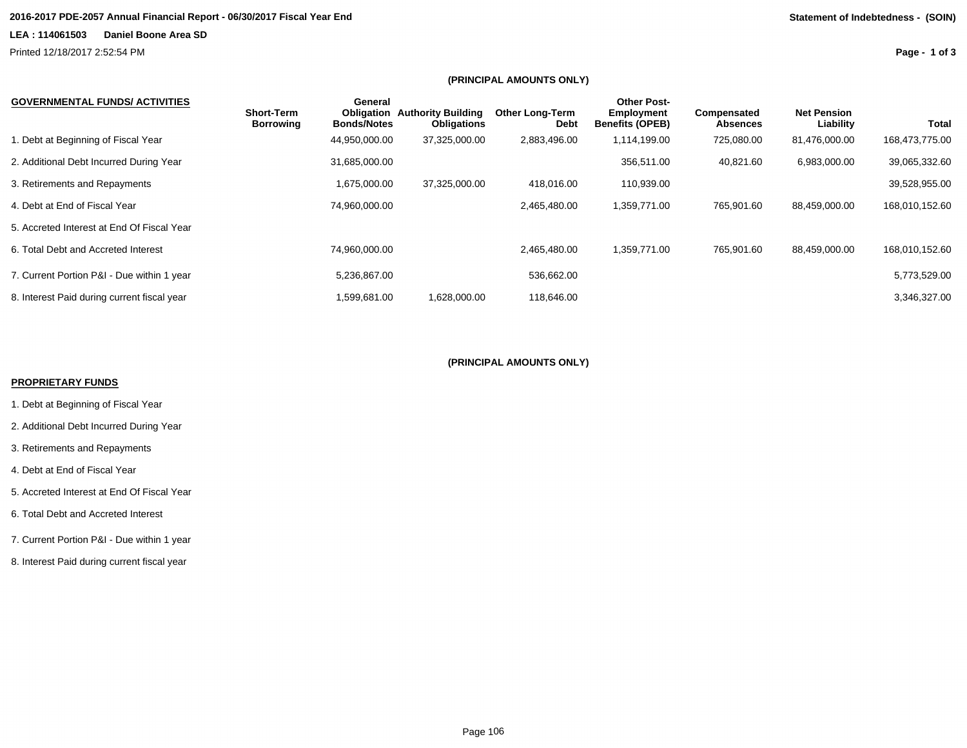### **2016-2017 PDE-2057 Annual Financial Report - 06/30/2017 Fiscal Year End Statement of Indebtedness - (SOIN)**

### **LEA : 114061503 Daniel Boone Area SD**

Printed 12/18/2017 2:52:54 PM

**Page - 1 of 3**

### **(PRINCIPAL AMOUNTS ONLY)**

| <b>GOVERNMENTAL FUNDS/ ACTIVITIES</b>       | <b>Short-Term</b><br><b>Borrowing</b> | General<br>Obligation<br><b>Bonds/Notes</b> | <b>Authority Building</b><br><b>Obligations</b> | <b>Other Long-Term</b><br><b>Debt</b> | <b>Other Post-</b><br><b>Employment</b><br><b>Benefits (OPEB)</b> | Compensated<br><b>Absences</b> | <b>Net Pension</b><br>Liability | Total          |
|---------------------------------------------|---------------------------------------|---------------------------------------------|-------------------------------------------------|---------------------------------------|-------------------------------------------------------------------|--------------------------------|---------------------------------|----------------|
| . Debt at Beginning of Fiscal Year          |                                       | 44,950,000.00                               | 37,325,000.00                                   | 2,883,496.00                          | 1,114,199.00                                                      | 725,080.00                     | 81,476,000.00                   | 168,473,775.00 |
| 2. Additional Debt Incurred During Year     |                                       | 31,685,000.00                               |                                                 |                                       | 356,511.00                                                        | 40,821.60                      | 6,983,000.00                    | 39,065,332.60  |
| 3. Retirements and Repayments               |                                       | 1,675,000.00                                | 37,325,000.00                                   | 418.016.00                            | 110,939.00                                                        |                                |                                 | 39,528,955.00  |
| 4. Debt at End of Fiscal Year               |                                       | 74,960,000.00                               |                                                 | 2,465,480.00                          | 1,359,771.00                                                      | 765,901.60                     | 88,459,000.00                   | 168,010,152.60 |
| 5. Accreted Interest at End Of Fiscal Year  |                                       |                                             |                                                 |                                       |                                                                   |                                |                                 |                |
| 6. Total Debt and Accreted Interest         |                                       | 74,960,000.00                               |                                                 | 2,465,480.00                          | 1,359,771.00                                                      | 765,901.60                     | 88,459,000.00                   | 168,010,152.60 |
| 7. Current Portion P&I - Due within 1 year  |                                       | 5,236,867.00                                |                                                 | 536,662.00                            |                                                                   |                                |                                 | 5,773,529.00   |
| 8. Interest Paid during current fiscal year |                                       | 1,599,681.00                                | 1.628.000.00                                    | 118.646.00                            |                                                                   |                                |                                 | 3.346.327.00   |

### **(PRINCIPAL AMOUNTS ONLY)**

### **PROPRIETARY FUNDS**

- 1. Debt at Beginning of Fiscal Year
- 2. Additional Debt Incurred During Year
- 3. Retirements and Repayments
- 4. Debt at End of Fiscal Year
- 5. Accreted Interest at End Of Fiscal Year
- 6. Total Debt and Accreted Interest
- 7. Current Portion P&I Due within 1 year
- 8. Interest Paid during current fiscal year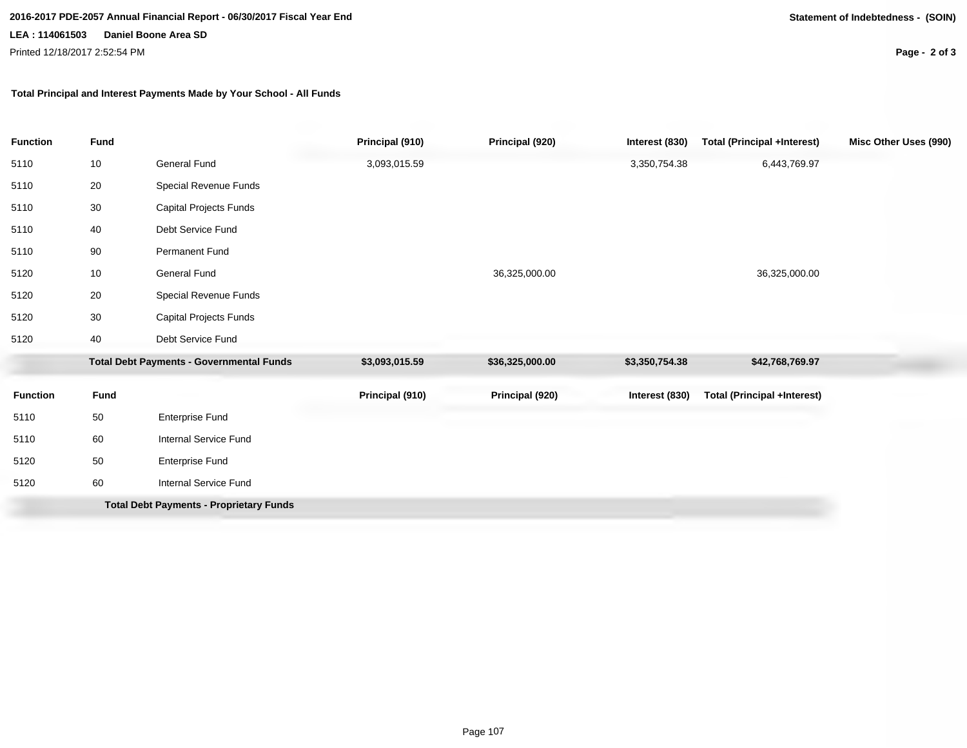**2016-2017 PDE-2057 Annual Financial Report - 06/30/2017 Fiscal Year End Statement of Indebtedness - (SOIN)**

### **LEA : 114061503 Daniel Boone Area SD**

Printed 12/18/2017 2:52:54 PM

**Page - 2 of 3**

### **Total Principal and Interest Payments Made by Your School - All Funds**

| <b>Function</b>                                 | <b>Fund</b> |                                                | Principal (910) | Principal (920) | Interest (830)  | <b>Total (Principal +Interest)</b> | Misc Other Uses (990) |
|-------------------------------------------------|-------------|------------------------------------------------|-----------------|-----------------|-----------------|------------------------------------|-----------------------|
| 5110                                            | 10          | General Fund                                   | 3,093,015.59    |                 | 3,350,754.38    | 6,443,769.97                       |                       |
| 5110                                            | 20          | Special Revenue Funds                          |                 |                 |                 |                                    |                       |
| 5110                                            | 30          | Capital Projects Funds                         |                 |                 |                 |                                    |                       |
| 5110                                            | 40          | Debt Service Fund                              |                 |                 |                 |                                    |                       |
| 5110                                            | 90          | Permanent Fund                                 |                 |                 |                 |                                    |                       |
| 5120                                            | 10          | General Fund                                   |                 | 36,325,000.00   |                 | 36,325,000.00                      |                       |
| 5120                                            | 20          | Special Revenue Funds                          |                 |                 |                 |                                    |                       |
| 5120                                            | 30          | Capital Projects Funds                         |                 |                 |                 |                                    |                       |
| 5120                                            | 40          | Debt Service Fund                              |                 |                 |                 |                                    |                       |
| <b>Total Debt Payments - Governmental Funds</b> |             | \$3,093,015.59                                 | \$36,325,000.00 | \$3,350,754.38  | \$42,768,769.97 |                                    |                       |
| <b>Function</b>                                 | <b>Fund</b> |                                                | Principal (910) | Principal (920) | Interest (830)  | <b>Total (Principal +Interest)</b> |                       |
| 5110                                            | 50          | Enterprise Fund                                |                 |                 |                 |                                    |                       |
| 5110                                            | 60          | Internal Service Fund                          |                 |                 |                 |                                    |                       |
| 5120                                            | 50          | Enterprise Fund                                |                 |                 |                 |                                    |                       |
| 5120                                            | 60          | <b>Internal Service Fund</b>                   |                 |                 |                 |                                    |                       |
|                                                 |             | <b>Total Debt Payments - Proprietary Funds</b> |                 |                 |                 |                                    |                       |
|                                                 |             |                                                |                 |                 |                 |                                    |                       |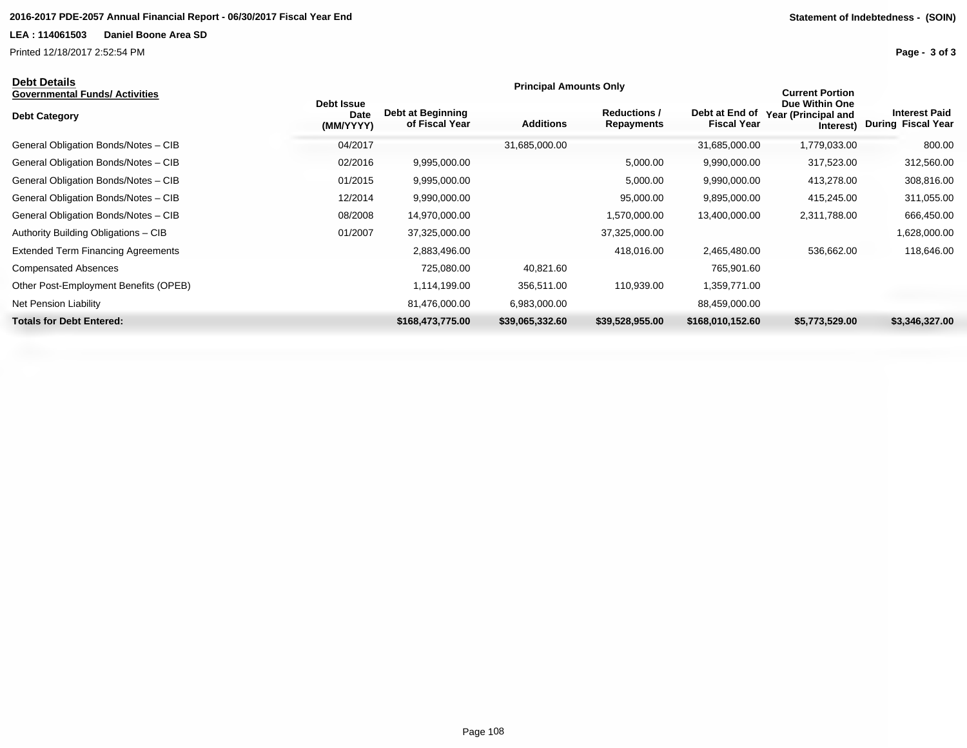Printed 12/18/2017 2:52:54 PM

| υευι υειαιιν<br>Governmental Funds/ Activities |                                 |                                     | <b>Principal Amounts Only</b> | <b>Current Portion</b>            |                                      |                                                    |                                                   |
|------------------------------------------------|---------------------------------|-------------------------------------|-------------------------------|-----------------------------------|--------------------------------------|----------------------------------------------------|---------------------------------------------------|
| <b>Debt Category</b>                           | Debt Issue<br>Date<br>(MM/YYYY) | Debt at Beginning<br>of Fiscal Year | <b>Additions</b>              | <b>Reductions /</b><br>Repayments | Debt at End of<br><b>Fiscal Year</b> | Due Within One<br>Year (Principal and<br>Interest) | <b>Interest Paid</b><br><b>During Fiscal Year</b> |
| General Obligation Bonds/Notes - CIB           | 04/2017                         |                                     | 31,685,000.00                 |                                   | 31,685,000.00                        | 1,779,033.00                                       | 800.00                                            |
| General Obligation Bonds/Notes - CIB           | 02/2016                         | 9,995,000.00                        |                               | 5,000.00                          | 9,990,000.00                         | 317,523.00                                         | 312,560.00                                        |
| General Obligation Bonds/Notes - CIB           | 01/2015                         | 9,995,000.00                        |                               | 5,000.00                          | 9,990,000.00                         | 413,278.00                                         | 308,816.00                                        |
| General Obligation Bonds/Notes - CIB           | 12/2014                         | 9,990,000.00                        |                               | 95,000.00                         | 9,895,000.00                         | 415,245.00                                         | 311,055.00                                        |
| General Obligation Bonds/Notes - CIB           | 08/2008                         | 14,970,000.00                       |                               | 1,570,000.00                      | 13,400,000.00                        | 2,311,788.00                                       | 666,450.00                                        |
| Authority Building Obligations - CIB           | 01/2007                         | 37,325,000.00                       |                               | 37,325,000.00                     |                                      |                                                    | 1,628,000.00                                      |
| <b>Extended Term Financing Agreements</b>      |                                 | 2,883,496.00                        |                               | 418,016.00                        | 2,465,480.00                         | 536,662.00                                         | 118,646.00                                        |
| <b>Compensated Absences</b>                    |                                 | 725,080.00                          | 40,821.60                     |                                   | 765,901.60                           |                                                    |                                                   |
| Other Post-Employment Benefits (OPEB)          |                                 | 1,114,199.00                        | 356,511.00                    | 110,939.00                        | 1,359,771.00                         |                                                    |                                                   |
| Net Pension Liability                          |                                 | 81,476,000.00                       | 6,983,000.00                  |                                   | 88,459,000.00                        |                                                    |                                                   |
| <b>Totals for Debt Entered:</b>                |                                 | \$168,473,775.00                    | \$39,065,332.60               | \$39,528,955.00                   | \$168,010,152.60                     | \$5,773,529.00                                     | \$3,346,327.00                                    |